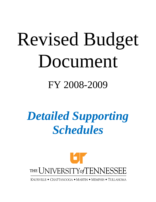# Revised Budget Document

# FY 2008-2009

# *Detailed Supporting Schedules*

# THE UNIVERSITY of TENNESSEE

KNOXVILLE • CHATTANOOGA • MARTIN • MEMPHIS • TULLAHOMA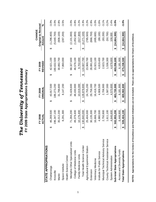| f Tennessee                 | s Summar                       |
|-----------------------------|--------------------------------|
| un nazer-<br>e Univer<br>ne | 3 State Appropriations<br>2009 |

|                                      |    |             |    |                |     |                | CHANGE                     |         |
|--------------------------------------|----|-------------|----|----------------|-----|----------------|----------------------------|---------|
|                                      |    | FY 2008     |    | <b>FY 2009</b> |     | <b>FY 2009</b> | <b>Original to Revised</b> |         |
|                                      |    | ACTUAI      |    | ORIGINAL       |     | <b>REVISED</b> | Amount                     | ್       |
| STATE APPROPRIATIONS                 |    |             |    |                |     |                |                            |         |
| Chattanooga                          | ക  | 46,269,500  | ക  | 43,917,500     | ക   | 42,621,100     | (1, 296, 400)<br>ക         | $-3.0%$ |
| Knoxville                            |    | 196,347,100 |    | 186,273,200    |     | 180,632,500    | (5,640,700)                | $-3.0%$ |
| Martin                               |    | 35,012,200  |    | 31,798,800     |     | 30,892,700     | (906, 100)                 | $-2.8%$ |
| Space Institute                      |    | 8,291,300   |    | 8,147,200      |     | 7,860,000      | (287, 200)                 | $-3.5%$ |
| Health Science Center                |    |             |    |                |     |                |                            |         |
| Memphis Other Specialized Units      | ക  | 71,284,200  | ക  | 70,428,600     | ക   | 68,327,600     | (2, 101, 000)<br>ക         | $-3.0%$ |
| College of Medicine Units            |    | 49,379,400  |    | 48,430,900     |     | 46,578,100     | (1,852,800)                | $-3.8%$ |
| Family Medicine Units                |    | 10,176,400  |    | 10,019,300     |     | 9,702,000      | (317,300)                  | $-3.2%$ |
| Total Health Science Center          | θ  | 130,840,000 | ക  | 128,878,800    | ↔   | 124,607,700    | (4,271,100)<br>↔           | $-3.3%$ |
| Agricultural Experiment Station      |    | 25,404,000  |    | 24,755,200     |     | 23,969,700     | (785, 500)                 | $-3.2%$ |
| Extension                            |    | 30,135,300  |    | 29,758,300     |     | 28,891,600     | (866,700)                  | $-2.9%$ |
| Veterinary Medicine                  |    | 16,666,700  |    | 16,418,700     |     | 15,923,100     | (495,600)                  | $-3.0%$ |
| Institute for Public Service         |    | 4,980,500   |    | 4,908,500      |     | 4,819,400      | (89, 100)                  | $-1.8%$ |
| Municipal Technical Advisory Service |    | 2,750,900   |    | 2,706,900      |     | 2,623,700      | (83, 200)                  | $-3.1%$ |
| County Technical Assistance Service  |    | 1,611,100   |    | 1,587,000      |     | 1,536,300      | (50, 700)                  | $-3.2%$ |
| System Administration                |    | 4,646,600   |    | 4,570,800      |     | 4,678,800      | 108,000                    | 2.4%    |
| Sub-total State Appropriations       | မာ | 502,955,200 | မာ | 483,720,900    | မာ  | 469,056,600    | (14,664,300)<br>ക          | $-3.0%$ |
| Access and Diversity Funds           |    | 6.448,900   |    | 6,181,900      |     | 6.181,900      |                            |         |
| <b>Total State Appropriations</b>    | ↮  | 509,404,100 | ↮  | 489,902,800    | မှာ | 475,238,500    | \$(14,664,300)             | $-3.0%$ |
|                                      |    |             |    |                |     |                |                            |         |

NOTES: Appropriations for the Centers of Excellence and Research Initiatives are not included. There are no appropriations for Chairs of Excellence. **NOTES: Appropriations for the Centers of Excellence and Research Initiatives are not included. There are no appropriations for Chairs of Excellence.**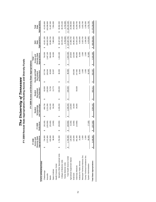|                                   |    |                                                 |    |                       |   |                                            |    | FY 2009 Access and Diversity State Appropriations |   |                                                   |   |                                                 |                                       |                                         |
|-----------------------------------|----|-------------------------------------------------|----|-----------------------|---|--------------------------------------------|----|---------------------------------------------------|---|---------------------------------------------------|---|-------------------------------------------------|---------------------------------------|-----------------------------------------|
|                                   |    | FY 2008                                         |    |                       |   |                                            |    |                                                   |   |                                                   |   | Total                                           |                                       |                                         |
|                                   |    | Appropriations<br>Diversity State<br>Access and |    | Reductions<br>FY 2009 |   | and Fellowships<br>Scholarships<br>Student |    | and Retention<br>Recruitment<br>Student           |   | Faculty and Staff<br>and Retention<br>Recruitment |   | Appropriations<br>Diversity State<br>Access and | Appropriations<br><b>State</b><br>E&G | Appropriations<br><b>State</b><br>Total |
| <b>STATE APPROPRIATIONS</b>       |    |                                                 |    |                       |   |                                            |    |                                                   |   |                                                   |   |                                                 |                                       |                                         |
| Chattanooga                       | ↔  | 734,600                                         | ↮  | (30, 100)             | ↮ | 486,736                                    | ↮  | 60,000                                            | ↮ | 57,764                                            | ↮ | 704,500                                         | 42,621,100<br>↮                       | 43,325,600<br>မှ                        |
| Knoxville                         |    | 2,572,600                                       |    | (105,500)             |   | 2,231,056                                  |    | 130,000                                           |   | 106,044                                           |   | 2,467,100                                       | 180,632,500                           | 183,099,600                             |
| Martin                            |    | 620,000                                         |    | (25, 400)             |   | 434,100                                    |    | 79,700                                            |   | 80,800                                            |   | 594,600                                         | 30,892,700                            | 31,487,300                              |
| Space Institute                   |    | 98,000                                          |    | (4,000)               |   | 56,290                                     |    | 13,773                                            |   | 23,937                                            |   | 94,000                                          | 7,860,000                             | 7,954,000                               |
| Health Science Center             |    |                                                 |    |                       |   |                                            |    |                                                   |   |                                                   |   |                                                 |                                       |                                         |
| Memphis Other Specialized Units   | မာ | 1,704,300                                       | မာ | (69, 900)             | ↮ | 1,198,200                                  | မာ | 339,300                                           | ↮ | 96,900                                            | ↮ | 1,634,400                                       | 68,327,600<br>↮                       | 69,962,000<br>↮                         |
| College of Medicine Units         |    |                                                 |    |                       |   |                                            |    |                                                   |   |                                                   |   |                                                 | 46,578,100                            | 46,578,100                              |
| Family Medicine Units             |    |                                                 |    |                       |   |                                            |    |                                                   |   |                                                   |   |                                                 | 9,702,000                             | 9,702,000                               |
| Total Health Science Center       | ↮  | 1,704,300                                       | ↮  | (69, 900)             | ↮ | 1,198,200                                  | ↮  | 339,300                                           | ↮ | 96,900                                            | ↮ | 1,634,400                                       | 124,607,700<br>↔                      | 126,242,100<br>ക                        |
| Agricultural Experiment Station   |    | 126,000                                         |    | (5, 200)              |   | 120,800                                    |    |                                                   |   |                                                   |   | 120,800                                         | 23,969,700                            | 24,090,500                              |
| Extension                         |    | 123,000                                         |    | (5,000)               |   | 18,000                                     |    |                                                   |   | 100,000                                           |   | 118,000                                         | 28,891,600                            | 29,009,600                              |
| Veterinary Medicine               |    | 361,400                                         |    | (14, 800)             |   | 39,000                                     |    | 59,638                                            |   | 247,962                                           |   | 346,600                                         | 15,923,100                            | 16,269,700                              |
| Institute for Public Service      |    | 15,000                                          |    |                       |   |                                            |    |                                                   |   | 15,000                                            |   | 15,000                                          | 4,819,400                             | 4,834,400                               |
| Municipal Technical Advisory Svc. |    | 2,000                                           |    |                       |   |                                            |    |                                                   |   | 2,000                                             |   | 2,000                                           | 2,623,700                             | 2,625,700                               |
| County Technical Assistance Svc.  |    | 2,000                                           |    |                       |   |                                            |    |                                                   |   | 2,000                                             |   | 2,000                                           | 1,536,300                             | 1,538,300                               |
| System Administration             |    | 90,000                                          |    | (7,100)               |   |                                            |    |                                                   |   | 82,900                                            |   | 82,900                                          | 4,678,800                             | 4,761,700                               |
| <b>Total State Appropriations</b> |    | 6,448,900                                       | ↮  | (267,000)             | ↮ | 4,584,182                                  | ↮  | 682,411                                           | ↮ | 915,307                                           | ↮ | 6,181,900                                       | \$469,056,600                         | \$475,238,500                           |

# **The University of Tennessee**<br>FY 2009 Revised State Appropriations Including Access and Diversity Funds **FY 2009 Revised State Appropriations Including Access and Diversity Funds** *The University of Tennessee*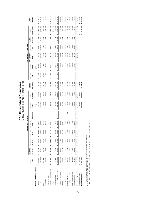The University of Tennessee<br>FY 2009 Revised State Appropriations Detail **FY 2009 Revised State Appropriations Detail** *The University of Tennessee*

|                                 |                  |                            |                            |                             | RECURRING ADJUSTMENTS     |                    |                           |                    |                               |                |                          | NON-RECURRING ADJUSTMENTS |                            |                                       |                               |                                  |
|---------------------------------|------------------|----------------------------|----------------------------|-----------------------------|---------------------------|--------------------|---------------------------|--------------------|-------------------------------|----------------|--------------------------|---------------------------|----------------------------|---------------------------------------|-------------------------------|----------------------------------|
|                                 |                  | ANNUALIZE                  |                            |                             |                           |                    |                           |                    | FY 2009                       |                |                          | NON-RECURRING             |                            | FY 2008                               |                               | FY 2009                          |
|                                 | FY 2009<br>BASE  | JAN. 1, 2008<br>GROUP INS. | JAN. 1, 2009<br>GROUP INS. | JULY 1, 2008<br><b>TCRS</b> | <b>CLAIMSPROP</b><br>RATE | <b>LEGISLATIVE</b> | OPERATING<br><b>FUNDS</b> | RECURRING<br>TOTAL | <b>ESTIMATED</b><br>RECURRING | ESTIMATED<br>뼕 | MID-YEAR<br><b>FUNDS</b> | <b>CLAIMS</b><br>RATE     | <b>DCT.1,2008</b><br>\$400 | <b>401k MATCH</b><br><b>NON-RECUR</b> | NON-RECURRING<br><b>TOTAL</b> | <b>ESTIMATED</b><br><b>TOTAL</b> |
|                                 | APPROP.          | 7% INCREASE                | 4% INCREASE                | <b>ADJUSTMENT</b>           | <b>ADJUSTMENTS</b>        | AMENDMENT"         | REDUCTION                 | <b>ADJUSTMENTS</b> | APPROP.                       | WAIVERS        | REVERSION ***            | <b>ADJUSTMENTS</b>        | BONUS                      | <b>INCREASE</b>                       | <b>ADJUSTMENTS</b>            | APPROP.                          |
| STATE APPROPRIATIONS            |                  |                            |                            |                             |                           |                    | (4.1%                     |                    |                               |                | (3.53%)                  |                           |                            |                                       |                               |                                  |
| Chattanooga                     | 46,033,200<br>ω  | 231,300                    | 144,500<br>S               | (119, 900)<br>s,            | (29, 400)<br>မာ           |                    | (2,617,000)<br>မာ         | (2,390,500)<br>S   | 43,642,700<br>s               | 130,900<br>ω   | (1,539,900)<br>s,        | (38, 800)<br>s,           | 333,300                    | 92,900                                | (1,021,600)<br>မာ             | 42,621,100<br>S                  |
| Knoxville                       | 195,397,500      | 339,700                    | 546,500                    | (472,300)                   | (96,700)                  |                    | (11, 111, 000)            | (10, 193, 800)     | 185,203,700                   | 572,800        | (6,534,600)              | 143,700)                  | ,213,800                   | 320,500                               | (4,571,200)                   | 180,632,500                      |
| Martin                          | 33,231,400       | 189,100                    | 113,800                    | (96, 600)                   | (13,600)                  |                    | (1,926,000)               | (1,733,300)        | 31,498,100                    | 200,000        | (1, 111, 400)            | (25, 300)                 | 260,800                    | 70,500                                | (605,400)                     | 30,892,700                       |
| Space Institute                 | 8,282,000        | 18,600                     | 12,200                     | (16,500)                    | (23,300)                  |                    | (166,000)                 | (175,000)          | 8,107,000                     | 1,600          | (286,000)                | (6, 200)                  | 35,100                     | 8,500                                 | 247,000)                      | 7,860,000                        |
| <b>Health Science Center</b>    |                  |                            |                            |                             |                           |                    |                           |                    |                               |                |                          |                           |                            |                                       |                               |                                  |
| Memphis Other Specialized Units | 71,168,300<br>69 | 574,000<br>th)             | 355,800<br>ø               | (217, 100)<br>69            | (37,400)                  |                    | (1,424,000)<br>Ø          | (748,700)<br>69    | 70,419,600<br>s               | 7,500<br>th)   | (2,484,700)<br>69        | (54, 800)<br>G)           | 361,400<br>69              | 78,600<br>th)                         | (2,092,000)<br>th)            | 68,327,600<br>69                 |
| College of Medicine Units       | 49,340,900       |                            |                            | (83, 800)                   | 7,000                     |                    | (987,000)                 | (1,063,800)        | 48,277,100                    |                | (1,703,400)              | 328,600)                  | 276,800                    | 56,200                                | (1,699,000)                   | 46,578,100                       |
| Family Medicine Units           | 10,161,400       | 43,300                     | 28,400                     | (25, 600)                   | 2,600                     |                    | (203,000)                 | (154,300)          | 10,007,100                    |                | (353, 100)               | (25,000)                  | 59,900                     | 13,100                                | (305, 100)                    | 9,702,000                        |
| Sub-total Health Science Center | \$ 130,670,600   | 617,300<br>ø               | 384,200<br>ø               | (326, 500)<br>ø             | (27, 800)<br>ø            | မာ                 | (2,614,000)<br>69         | (1,966,800)<br>s,  | 128,703,800<br>ø              | 7,500<br>69    | (4,541,200)<br>69        | (408, 400)<br>ω           | 698,100<br>69              | 147,900<br>s                          | (4,096,100)<br>69             | 124,607,700<br>မာ                |
| Agricultural Experiment Station | 25,094,000       | 118,600                    | 74,600                     | (55, 500)                   | (16, 200)                 |                    | 502,000)                  | (380, 500)         | 24,713,500                    |                | (872,000)                | (37,300)                  | 133,000                    | 32,500                                | 743,800)                      | 23,969,700                       |
| Extension                       | 30,095,000       | 201,700                    | 124,500                    | (47, 700)                   | (27,700)                  |                    | (602,000)                 | (351, 200)         | 29,743,800                    |                | (1,049,500)              | (32,600)                  | 183,500                    | 46,400                                | 852,200)                      | 28,891,600                       |
| Veterinary Medicine             | 16,631,600       | 83,200                     | 51,900                     | (49, 700)                   | (6,500)                   |                    | 333,000)                  | 254,100)           | 16,377,500                    |                | (577, 900)               | (13,900)                  | 110,500                    | 26,900                                | 454,400)                      | 15,923,100                       |
| Institute for Public Service    | 4,980,000        | 23,200                     | 14,700                     | (7,500)                     | (3, 100)                  | 75,000             | (000, 000)                | 2,300              | 4,982,300                     |                | (175, 800)               | (7,000)                   | 16,000                     | 3,900                                 | 162,900)                      | 4,819,400                        |
| Municipal Technical Adv. Svc.   | 2,743,100        | 12,700                     | 8,600                      | (11, 100)                   | (1,200)                   |                    | (55,000)                  | 46,000)            | 2,697,100                     |                | (95, 200)                | (1, 800)                  | 19,200                     | 4,400                                 | (73, 400)                     | 2,623,700                        |
| County Technical Assist. Svc.   | 1,605,300        | 9,200                      | 5,800                      | (12,400)                    | (700)                     |                    | (32,000)                  | (30, 100)          | 1,575,200                     |                | (55, 600)                | (1,600)                   | 15,000                     | 3,300                                 | (38, 900)                     | 1,536,300                        |
| System Administration           | 4,564,500        | 110,800                    | 94,200                     | (8,400)                     | (11,600)                  |                    | (189,000)                 | (4,000)            | 4,560,500                     |                | (160, 900)               | (19,400)                  | 237,000                    | 61,600                                | 118,300                       | 4,678,800                        |
| Sub-total State Appropriations  | \$499,328,200    | 2,555,400<br>u             | \$ 1,575,500               | \$(1,224,100)               | (257, 800)<br>u           | 75,000             | (20, 247, 000)<br>u       | (17,523,000)<br>u  | 481,805,200<br>u              | 912,800        | u<br>\$ (17,000,000)     | (736,000)                 | \$3,255,300                | 819,300<br>u                          | (12,748,600)<br>u             | 469,056,600<br>u                 |
| Access and Diversity Funds      | 6,448,900<br>69  |                            |                            |                             |                           |                    | (267,000)                 | (267,000)          | 6,181,900                     |                |                          |                           |                            |                                       |                               | 6,181,900                        |
| Total State Appropriations      | \$ 505,777,100   |                            |                            |                             |                           |                    | (20, 514, 000)<br>u       | (17,790,000)<br>u  | 487,987,100<br>ú              |                |                          |                           |                            |                                       | (12,748,600)                  | 475,238,500<br>u                 |
|                                 |                  |                            |                            |                             |                           |                    |                           |                    |                               |                |                          |                           |                            |                                       |                               |                                  |

+ FY 2008 base appropriations plus recurring adjustments (\$488, 755,100+\$30,573,100)<br>\*\* Center for Public Policy, \$75,000 (Sec12/17)<br>\*\*\* Mid-year reversion effective November 1, 2008 is a 3.53% reduction to the FY 2009 b \* FY 2008 base appropriations plus recurring adjustments (\$468,755,100+\$30,573,100)

\*\* Center for Public Policy, \$75,000 (Sec 12/17)

\*\*\* Mid-year reversion effective November 1, 2008 is a 3.53% reduction to the FY 2009 base (recurring funds).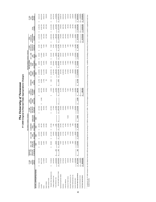The University of Tennessee<br>FY 2009 Original to Revised State Appropriations Changes **FY 2009 Original to Revised State Appropriations Changes** *The University of Tennessee*

|                                   |                    |              |               |                           |                           | RECURRING FUNDING CHANGES |                   |                     |                  |                  |                   | NON-RECURRING FUNDING CHANGES |                |                    |                      |                    |                         |
|-----------------------------------|--------------------|--------------|---------------|---------------------------|---------------------------|---------------------------|-------------------|---------------------|------------------|------------------|-------------------|-------------------------------|----------------|--------------------|----------------------|--------------------|-------------------------|
|                                   | FY 2009            | ANNUALIZE    |               |                           |                           |                           | FY 2008           | 4.10%               | TOTAL            |                  | 3.53%             | NON-RECURRING                 |                | FY 2008            | TOTAL                |                    | FY 2009                 |
|                                   | <b>TOTAL</b>       | JAN. 1, 2008 | JAN. 1, 2009  | JULY 1, 2008 CLAIMS/PROP. |                           |                           | <b>NON-RECUR.</b> | OPERATING           | CHANGES IN       | <b>ESTIMATED</b> | <b>MID-YEAR</b>   | <b>CLAIMS</b>                 | OCT. 1, 2008   | <b>NON-RECUR.</b>  | CHANGES IN           |                    | <b>TOTAL</b>            |
|                                   | ORIGINAL           | GROUP INS.   | GROUP INS.    | <b>TCRS</b>               | RATE                      | LEGISLATIVE               | 401 K MATCH       | <b>FUNDS</b>        | RECURRING        | 쁀                | <b>FUNDS</b>      | RATE                          | \$400          | <b>IO1 K MATCH</b> | NON-RECURRING        | TOTAL              | REVISED                 |
|                                   | APPROP.            | 7% INCREASE  | 4% INCREASE   | ADJUSTMENT ADJUSTMENTS    |                           | <b>AMENDMENT</b>          | INCREASE*         | REDUCTION           | <b>FUNDING</b>   | WAIVERS          | <b>REVERSION</b>  | <b>ADJUSTMENTS</b>            | <b>BONUS</b>   | INCREASE*          | <b>FUNDING</b>       | CHANGE             | <b>APPROP</b>           |
| <b>STATE APPROPRIATIONS</b>       |                    |              | NEW           | <b>NEW</b>                | <b>NEW</b>                | NEW                       |                   |                     |                  |                  | NEW               | NEW                           | NEW            |                    |                      |                    |                         |
| Chattanooga                       | 43,917,500<br>ω    |              | 144,500<br>မာ | (119, 900)<br>ø           | (29, 400)<br>ø            |                           | (127, 400)        |                     | (132, 200)<br>69 | (11,700)<br>မာ   | (1,539,900)<br>မာ | (38, 800)<br>S                | 333,300<br>S   | 92,900<br>G,       | (1, 164, 200)<br>S   | (1,296,400)<br>S   | 42,621,100<br>€,        |
| Knoxville                         | 186,273,200        |              | 546,500       | (472,300)                 | (96, 700)                 |                           | 439,200)          | (1,000)<br><b>S</b> | (462,700)        | (34,000)         | (6,534,600)       | (143, 700)                    | 1,213,800      | 320,500            | (5, 178, 000)        | (5,640,700)        | 180,632,500             |
| Martin                            | 31,798,800         |              | 113,800       | (96, 600)                 | (13, 600)                 |                           | (96, 600)         |                     | (93,000)         | (7,700)          | (1, 111, 400)     | (25, 300)                     | 260,800        | 70,500             | (813, 100)           | (906, 100)         | 30,892,700              |
| Space Institute                   | 8,147,200          |              | 12,200        | (16, 500)                 | (23, 300)                 |                           | (11,700)          |                     | (39, 300)        | 700              | (286,000)         | (6, 200)                      | 35,100         | 8,500              | (247, 900)           | (287, 200)         | 7,860,000               |
| Health Science Center             |                    |              |               |                           |                           |                           |                   |                     |                  |                  |                   |                               |                |                    |                      |                    |                         |
| Memphis Other Specialized Units   | 70,428,600<br>th)  |              | 355,800       | (217, 100)<br>th)         | (37, 400)<br>th)          |                           | (107, 800)        |                     | (6,500)<br>ળ     | 5,000            | (2,484,700)       | (54, 800)<br>69               | 361,400<br>th) | 78,600             | (2,094,500)<br>th)   | (2,101,000)        | 68,327,600<br><b>SP</b> |
| Calege of Medicine Units          | 48,430,900         |              |               | (83, 800)                 | 7,000                     |                           | (77,000)          |                     | (153, 800)       |                  | (1,703,400)       | (328, 600)                    | 276,800        | 56,200             | (1,699,000)          | (1, 852, 800)      | 46,578,100              |
| Family Medicine Units             | 10,019,300         | 300<br>ø     | 28,400        | (25, 600)                 | 2,600                     |                           | (17, 900)         |                     | (12, 200)        |                  | (353, 100)        | (25,000)                      | 59,900         | 13,100             | (305, 100)           | (317,300)          | 9,702,000               |
| Sub-total Health Science Center   | 128,878,800<br>ø   | 300<br>ø     | 384,200<br>69 | (326, 500)<br>ø           | (27, 800)<br>69           | 69                        | (202, 700)        | ø                   | (172,500)<br>မာ  | 5,000<br>s,      | (4,541,200)<br>ø  | (408, 400)<br>ø               | 698,100<br>ø   | 147,900<br>69      | (4,098,600)<br>69    | (4, 271, 100)<br>ø | 124,607,700<br>69       |
| Agricultural Experiment Station   | 24,755,200         |              | 74,600        | 55,500)                   | (16, 200)                 |                           | (44, 600)         |                     | (41,700)         |                  | (872,000)         | (37, 300)                     | 133,000        | 32,500             | (743,800)            | (785, 500)         | 23,969,700              |
| Extension                         | 29,758,300         |              | 124,500       | (47, 700)                 | (27, 700)                 |                           | (63, 600)         |                     | (14,500)         |                  | (1,049,500)       | (32, 600)                     | 183,500        | 46,400             | 852,200)             | 866,700)           | 28,891,600              |
| Veterinary Medicine               | 16,418,700         |              | 51,900        | (49, 700)                 | (6,500)                   |                           | (36,900)          |                     | (41, 200)        |                  | (577, 900)        | (13,900)                      | 110,500        | 26,900             | 454,400)             | (495,600)          | 15,923,100              |
| Institute for Public Service      | 4,908,500          |              | 14,700        | (7,500)                   | (3,100)                   | 75,000                    | (5,300)           |                     | 73,800           |                  | (175,800)         | (7,000)                       | 16,000         | 3,900              | (162, 900)           | 89,100)            | 4,819,400               |
| Municipal Technical Adv. Svc.     | 2,706,900          |              | 8,600         | (11, 100)                 | (1, 200)                  |                           | (6, 100)          |                     | (9, 800)         |                  | (95, 200)         | (1,800)                       | 19,200         | 4,400              | (73, 400)            | 83,200)            | 2,623,700               |
| County Technical Assist. Svc.     | 1,587,000          |              | 5,800         | (12, 400)                 | (700)                     |                           | (4,500)           |                     | (11, 800)        |                  | (55,600)          | (1,600)                       | 15,000         | 3,300              | (38, 900)            | (50, 700)          | 1,536,300               |
| System Administration             | 4,570,800          |              | 94,200        | (8,400)                   | (11,600)                  |                           | (84,500)          |                     | (10,300)         |                  | (160, 900)        | (19,400)                      | 237,000        | 61,600             | 118,300              | 108,000            | 4,678,800               |
| Sub-total State Appropriations    | 483,720,900<br>w   | 8<br>u       | \$1,575,500   | \$(1,224,100)             | 257,800)<br>$\frac{1}{2}$ | 75,000<br>u               | \$(1,123,100)     | (1,000)<br>u        | (955, 200)<br>s  | (47,700)<br>s,   | \$ (17,000,000)   | (736,000)<br>u                | \$ 3,255,300   | 819,300<br>u       | (13, 709, 100)<br>u  | \$ (14,664,300)    | 469,056,600<br>u        |
| Access and Diversity Funds        | 6,181,900<br>ø     |              |               |                           |                           |                           |                   |                     |                  |                  |                   |                               |                |                    |                      |                    | 6,181,900<br>s,         |
| <b>Total State Appropriations</b> | 489,902,800<br>ิ∞∥ |              |               |                           |                           |                           |                   |                     | (955, 200)<br>s  |                  |                   |                               |                |                    | (13, 709, 100)<br>๛∥ | \$ (14,664,300)    | 475,238,500<br>∞∥       |
|                                   |                    |              |               |                           |                           |                           |                   |                     |                  |                  |                   |                               |                |                    |                      |                    |                         |

Funding for the FY 2008 in the 401x Match from \$40 to \$500 was expeded to change from non-recurring in FY 2008 to requiring in FY 2009. This did not happen so the funding is movie from the funding is reduced by 27% based o Funding for the 401k Match from \$4010 \$500 was expected to change from non-recurring in FY 2008 to exuring in FN 2008. This did not heappen so the funding in recurring, in reducing, the durable security based on what is ne flexible benefits.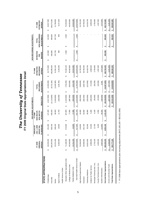| essee<br>ř<br>5<br>2<br>$T$ or | <b>Deta</b><br><b>Appropriations L.</b> |
|--------------------------------|-----------------------------------------|
| orsitu u                       | State /                                 |
| フェファン                          | 2009 Original                           |
| ں<br>ש<br>へん                   |                                         |

|                                   |                             |                        |                   |   | RECURRING ADJUSTMENTS           |    |                  |                           |                |           |             |   | NON-RECURRING ADJUSTMENTS |   |                               |                        |                             |
|-----------------------------------|-----------------------------|------------------------|-------------------|---|---------------------------------|----|------------------|---------------------------|----------------|-----------|-------------|---|---------------------------|---|-------------------------------|------------------------|-----------------------------|
|                                   |                             | WA                     | <b>UALIZE</b>     |   | FY 2008                         |    |                  |                           |                |           | FY 2009     |   |                           |   |                               |                        |                             |
|                                   | ORIGINAL<br>FY 2009         | Š.<br><b>GRO</b>       | 1,2008<br>UP INS. |   | <b>NON-RECUR.</b><br>401k MATCH |    |                  | RECURRING<br><b>TOTAL</b> |                | RECURRING | ESTIMATED   |   | ESTIMATED<br>쎮            |   | NON-RECURRING<br><b>TOTAL</b> |                        | <b>ESTIMATED</b><br>FY 2009 |
|                                   | APPROP."                    | 7% IN                  | CREASE            |   | <b>INCREASE</b>                 |    | <b>REDUCTION</b> | <b>ADJUSTMENTS</b>        |                |           | APPROP.     |   | <b>WAIVERS</b>            |   | <b>ADJUSTMENTS</b>            |                        | APPROP.                     |
| STATE APPROPRIATIONS              |                             |                        |                   |   |                                 |    |                  |                           |                |           |             |   |                           |   |                               |                        |                             |
| Chattanooga                       | 46,033,200<br>↔             | ↮                      | 231,300           | ↔ | 127,400                         | ↔  | (2,617,000)      | ↔                         | (2,258,300)    | ↔         | 43,774,900  | ↔ | 142,600                   | ↮ | 142,600                       | ↔                      | 43,917,500                  |
| Knoxville                         | 195,397,500                 |                        | 939,700           |   | 439,200                         |    | (11, 110, 000)   |                           | (9,731,100)    |           | 185,666,400 |   | 606,800                   |   | 606,800                       |                        | 186,273,200                 |
| Martin                            | 33,231,400                  |                        | 189,100           |   | 96,600                          |    | (1,926,000)      |                           | (1,640,300)    |           | 31,591,100  |   | 207,700                   |   | 207,700                       |                        | 31,798,800                  |
| Space Institute                   | 8,282,000                   |                        | 18,600            |   | 11,700                          |    | (166,000)        |                           | (135, 700)     |           | 8,146,300   |   | 900                       |   | 900                           |                        | 8,147,200                   |
| Health Science Center             |                             |                        |                   |   |                                 |    |                  |                           |                |           |             |   |                           |   |                               |                        |                             |
| Memphis Other Specialized Units   | 71,168,300<br>↔             | ↮                      | 574,000           | ↔ | 107,800                         | ↮  | (1,424,000)      | ↮                         | (742, 200)     | ↮         | 70,426,100  | ↔ | 2,500                     | ↮ | 2,500                         | ↮                      | 70,428,600                  |
| College of Medicine Units         | 49,340,900                  |                        |                   |   | 77,000                          |    | (987,000)        |                           | (910,000)      |           | 48,430,900  |   |                           |   |                               |                        | 48,430,900                  |
| Family Medicine Units             | 10,161,400                  |                        | 43,000            |   | 17,900                          |    | (203, 000)       |                           | (142, 100)     |           | 10,019,300  |   |                           |   |                               |                        | 10,019,300                  |
| Sub-total Health Science Center   | 130,670,600<br>$\theta$     | $\boldsymbol{\varphi}$ | 617,000           | ↮ | 202,700                         | ↔  | (2,614,000)      | ↔                         | (1,794,300)    | ↔         | 128,876,300 | ↔ | 500<br>Ń۰                 | ↔ | 500<br>۵i                     | ↔                      | 128,878,800                 |
| Agricultural Experiment Station   | 25,094,000                  |                        | 118,600           |   | 44,600                          |    | (502,000)        |                           | (338, 800)     |           | 24,755,200  |   |                           |   |                               |                        | 24,755,200                  |
| Extension                         | 30,095,000                  |                        | 201,700           |   | 63,600                          |    | (602, 000)       |                           | (336, 700)     |           | 29,758,300  |   |                           |   |                               |                        | 29,758,300                  |
| Veterinary Medicine               | 16,631,600                  |                        | 83,200            |   | 36,900                          |    | (333,000)        |                           | (212, 900)     |           | 16,418,700  |   |                           |   |                               |                        | 16,418,700                  |
| Institute for Public Service      | 4,980,000                   |                        | 23,200            |   | 5,300                           |    | (100,000)        |                           | (71,500)       |           | 4,908,500   |   |                           |   |                               |                        | 4,908,500                   |
| Municipal Technical Adv. Svc.     | 2,743,100                   |                        | 12,700            |   | 6,100                           |    | (55,000)         |                           | (36, 200)      |           | 2,706,900   |   |                           |   |                               |                        | 2,706,900                   |
| County Technical Assist. Svc.     | 1,605,300                   |                        | 9,200             |   | 4,500                           |    | (32,000)         |                           | (18,300)       |           | 1,587,000   |   |                           |   |                               |                        | 1,587,000                   |
| System Administration             | 4,564,500                   |                        | 110,800           |   | 84,500                          |    | (189,000)        |                           | 6,300          |           | 4,570,800   |   |                           |   |                               |                        | 4,570,800                   |
| Sub-total State Appropriations    | 499,328,200<br>↮            | ↮                      | 2,555,100         | ₩ | 1,123,100                       | ↮  | (20, 246, 000)   | ₩                         | (16, 567, 800) | ↮         | 482,760,400 | ₩ | 960,500                   | ↮ | 960,500                       | ↮                      | 483,720,900                 |
| Access and Diversity Funds        | 6,448,900<br>↮              |                        |                   |   |                                 | ↮  | (267,000)        | $\boldsymbol{\varphi}$    | (267,000)      | ↔         | 6,181,900   |   |                           | ↔ |                               | $\boldsymbol{\varphi}$ | 6,181,900                   |
| <b>Total State Appropriations</b> | 505,777,100<br><del>ی</del> |                        |                   |   |                                 | \$ | (20,513,000)     | ₩,                        | (16, 834, 800) | ↮         | 488,942,300 |   |                           | ↮ | 960,500                       | <del>ی</del>           | 489,902,800                 |

\* FY 2008 base appropriations plus recurring adjustments (\$472,165,100 + \$33,612,000) \* FY 2008 base appropriations plus recurring adjustments (\$472,165,100 + \$33,612,000)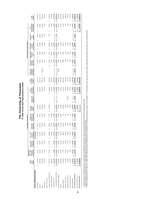The University of Tennessee<br>FY 2008 Actual State Appropriations Detail **FY 2008 Actual State Appropriations Detail** *The University of Tennessee*

|                                   |                  |                            |                            |                               | RECURRING ADJUSTMENTS     |                                    |                                         |                    |                                  |                      |                                   |                 |                                                  | NON-RECURRING ADJUSTMENTS |                       |              |                      |             |
|-----------------------------------|------------------|----------------------------|----------------------------|-------------------------------|---------------------------|------------------------------------|-----------------------------------------|--------------------|----------------------------------|----------------------|-----------------------------------|-----------------|--------------------------------------------------|---------------------------|-----------------------|--------------|----------------------|-------------|
|                                   |                  | ANNUALIZED                 |                            |                               |                           |                                    |                                         |                    |                                  |                      |                                   |                 |                                                  |                           |                       |              |                      |             |
|                                   | FY 2008<br>BASE  | JAN. 1, 2007<br>GROUP INS. | JAN. 1, 2008<br>GROUP INS. | <b>JULY 1, 2007</b><br>SALARY | ERATING<br>ᅙ              | PROPERTY INS.<br><b>CLAIMS AND</b> | <b>DIVERSITY</b><br><b>ACCESS &amp;</b> | <b>LEGISLATIVE</b> | <b>RECURRING</b><br><b>TOTAL</b> | RECURRING<br>FY 2008 | <b>LEGISLATIVE</b><br>AM ENDM ENT | <b>INCREASE</b> | 401k MATCH PROFESSIONAL NON-RECURR.<br>PRIVILEGE | <b>CLAIMS</b>             | <b>ESTIMATED</b><br>Ë | <b>TOTAL</b> | <b>VON-RECURRING</b> | FY 2008     |
|                                   | <b>APPROP</b>    | 7% INCREASE                | 7% INCREASE                | 3% INCREASE                   | <b>REASES</b><br>ž        | <b>ADJUSTMENTS</b>                 | REORG. *                                | AMENDMENT **       | <b>ADJUSTMENTS</b>               | APPROP.              | AND OTHER ***                     | \$40 TO \$50    | TAX                                              | <b>ADJUSTMENTS</b>        | <b>WAIVERS</b>        |              | <b>ADJUSTMENTS</b>   | APPROP.     |
| STATE APPROPRIATIONS              |                  |                            |                            | (Incl. Benefits)              |                           |                                    |                                         |                    |                                  |                      |                                   |                 |                                                  |                           |                       |              |                      |             |
| Chattanooga                       | 43,418,800<br>s  | 214,700<br>S               | 231,300<br>s               | \$ 1,807,500                  | 640,300<br>s,             | 24,600                             | (304,000)                               |                    | 2,614,400<br>s                   | 46,033,200<br>s,     |                                   | 127,400         | 6,800<br>s,                                      | (28, 800)<br>s,           | 130,900<br>s,         |              | 236,300              | 46,269,500  |
| Knoxville                         | 182,887,900      | 875,900                    | 939,700                    | 8,077,200                     | 3,544,100                 | 92,300                             | (1,019,600)                             |                    | 12,509,600                       | 195,397,500          |                                   | 439,200         | 43,600                                           | (106,000)                 | 572,800               |              | 949,600              | 196,347,100 |
| Martin                            | 31,281,600       | 170,100                    | 189,100                    | 1,287,600                     | 511,300                   | 19,700                             | (228,000)                               |                    | 1,949,800                        | 33,231,400           | 1,500,000<br>o                    | 96,600          | 3,400                                            | (19, 200)                 | 200,000               |              | ,780,800             | 35,012,200  |
| Space Institute                   | 7,895,100        | 18,000                     | 18,600                     | 230,100                       | 158,100                   | 35,100                             | (73,000)                                |                    | 386,900                          | 8,282,000            |                                   | 11,700          | 1,000                                            | (5,000)                   | 1,600                 |              | 9,300                | 8,291,300   |
| <b>Health Science Center</b>      |                  |                            |                            |                               |                           |                                    |                                         |                    |                                  |                      |                                   |                 |                                                  |                           |                       |              |                      |             |
| Memphis Other Specialized Units   | 67,567,700<br>s  | 537,000<br>S               | 574,000<br>s               | 2,209,800<br>s                | ,352,800<br>S             | 31,300                             | \$ (1,104,300)                          |                    | 3,600,600<br>s                   | 71,168,300<br>s      |                                   | 107,800         | 41,200<br>s,                                     | (40, 600)<br>S            | 7,500<br>S            |              | s<br>115,900         | 71,284,200  |
| College of Medicine Units         | 46,306,300       |                            |                            | 2,218,800                     | 927,100                   | (111,300)                          |                                         |                    | 3,034,600                        | 49,340,900           |                                   | 77,000          | 165,700                                          | 204,200)                  |                       |              | 38,500               | 49,379,400  |
| Family Medicine Units             | 9,441,600        | 42,800                     | 43,300                     | 447,000                       | 189,100                   | (2,400)                            |                                         |                    | 719,800                          | 10,161,400           |                                   | 17,900          | 10,900                                           | (13, 800)                 |                       |              | 15,000               | 10,176,400  |
| Sub-total Health Science Center   | 123,315,600<br>o | 579,800<br>s               | 617,300<br>S               | 4,875,600<br>S                | 2,469,000<br>s,           | (82, 400)<br>s                     | \$(1,104,300)                           |                    | 7,355,000<br>s,                  | 130,670,600<br>o     | s,                                | 202,700<br>s,   | 217,800<br>s                                     | (258, 600)<br>s           | 7,500<br>s,           | S            | s<br>169,400         | 130,840,000 |
| Agricultural Experiment Station   | 23,689,500       | 111,700                    | 118,600                    | 701,700                       | 474,200                   | 24,300                             | (26,000)                                |                    | 1,404,500                        | 25,094,000           | 289,200                           | 44,600          | 2,000                                            | (25, 800)                 |                       |              | 310,000              | 25,404,000  |
| Extension                         | 28,326,900       | 182,400                    | 201,700                    | 815,100                       | 567,100                   | 24,800                             | (23,000)                                |                    | 1,768,100                        | 30,095,000           |                                   | 63,600          | 1,000                                            | (24, 300)                 |                       |              | 40,300               | 30,135,300  |
| <b>Veterinary Medicine</b>        | 15,630,400       | 77,700                     | 83,200                     | 689,100                       | 312,900                   | 300                                | (162,000)                               |                    | 1,001,200                        | 16,631,600           |                                   | 36,900          | 8,200                                            | (10,000)                  |                       |              | 35,100               | 16,666,700  |
| Institute for Public Service      | 4,732,000        | 19,200                     | 23,200                     | 112,800                       | 94,600                    | 3,200                              | (5,000)                                 |                    | 248,000                          | 4,980,000            |                                   | 5,300           | 300                                              | (5, 100)                  |                       |              | 500                  | 4,980,500   |
| Municipal Technical Adv. Svc.     | 1,913,200        | 12,100                     | 12,700                     | 118,500                       | 38,200                    | 400                                | (2,000)                                 | 650,000            | 829,900                          | 2,743,100            |                                   | 6,100           | 3,100                                            | (1,400)                   |                       |              | 7,800                | 2,750,900   |
| County Technical Assist. Svc.     | 1,473,400        | 8,100                      | 9,200                      | 87,000                        | 29,500                    | SOL                                | (2,000)                                 |                    | 131,900                          | 1,605,300            |                                   | 4,500           | 2,400                                            | (1, 100)                  |                       |              | 5,800                | 1,611,100   |
| System Administration             | 4,190,700        | 104,700                    | 110,800                    | 160,200                       | 83,900                    | 4,200                              | (90,000)                                |                    | 373,800                          | 4,564,500            |                                   | 84,500          | 11,900                                           | (14, 300)                 |                       |              | 82,100               | 4,646,600   |
| Sub-total State Appropriations    | 468,755,100<br>u | 2,374,400<br>s,            | \$ 2,555,400               | 18,962,400<br>n               | 8,923,200<br><sub>w</sub> | 146,600<br>u                       | (3,038,900)<br>ູ                        | 650,000<br>u       | \$ 30,573,100                    | 499,328,200<br>u     | \$1,789,200                       | \$ 1,123,100    | 301,500<br>u                                     | (499, 600)<br>u           | 912,800<br>u          |              | u<br>3,627,000       | 502,955,200 |
| Access and Diversity Funds        | 3,410,000<br>s,  |                            |                            |                               |                           |                                    | 3,038,900<br>s                          |                    | \$ 3,038,900                     | 6,448,900<br>u       |                                   |                 |                                                  |                           |                       |              | s                    | 6,448,900   |
| <b>Total State Appropriations</b> | 472,165,100<br>u |                            |                            |                               |                           |                                    |                                         |                    | \$33,612,000                     | 505,777,100<br>u     |                                   |                 |                                                  |                           |                       | n            | u<br>3,627,000       | 509,404,100 |
|                                   |                  |                            |                            |                               |                           | <b>CONTRACTOR</b>                  |                                         |                    |                                  |                      |                                   |                 |                                                  |                           |                       |              |                      |             |

\* Transfers all Access and Diversity funds into a central location for identification purposes (\$3,410,000 Geier restricted funds and \$3,038,900 old Desegregation funds).

\*\* Senate amendments for MTAS services to municipal utilities, \$100,000; and municipal finance officers certification, \$550,000.

\*\*\* Governor's builton for UT Martin aduit continuing education at and scoleing at sealing lease Experiment Station's Hartedion, PC 563 provides the Agricularies Deschinent Station's supplession study program with another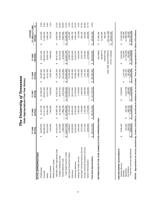| <b>SALARIES</b><br><b>BENEFITS</b><br>OPERATING<br>ONE-TIME ADJUSTMENTS<br>TOTAL CHANGE<br>(17, 736, 000)<br>469,056,600<br>3,255,300<br>68,327,600<br>46,578,100<br>124,607,700<br>23,969,700<br>28,891,600<br>1,536,300<br>4,678,800<br>819,300<br>912,800<br>42,621,100<br>180,632,500<br>30,892,700<br>7,860,000<br>9,702,000<br>15,923,100<br>4,819,400<br>2,623,700<br>REVISED<br>FY 2009<br>↔<br>↮<br>↮<br>↮<br>↮<br>912,800<br>71,284,200<br>49,379,400<br>4,646,600<br>502,955,200<br>1,591,100<br>196,347,100<br>35,012,200<br>8,291,300<br>10,176,400<br>130,840,000<br>25,404,000<br>30,135,300<br>16,666,700<br>4,980,500<br>2,750,900<br>1,611,100<br>1,123,100<br>46,269,500<br>FY 2008<br>ACTUAL<br>↮<br>↔<br>↮<br>↮<br>↮<br>(1,025,700)<br>960,500<br>184,467,600<br>31,672,300<br>7,919,600<br>67,851,500<br>46,073,700<br>123,396,200<br>24,024,900<br>28,414,300<br>15,705,600<br>4,734,600<br>1,928,300<br>1,484,900<br>4,193,200<br>471,729,700<br>3,039,800<br>9,471,000<br>43,788,200<br>FY 2007<br><b>ACTUAL</b><br>↔<br>↮<br>↮<br>↮<br>↮<br>63,089,700<br>3,775,000<br>440,013,900<br>256,400<br>869,700<br>7,540,900<br>43,139,600<br>113,890,000<br>22,432,000<br>1,749,000<br>1,322,600<br>41,310,100<br>172, 117, 000<br>29,604,300<br>7,660,700<br>26,819,100<br>14,523,900<br>4,930,000<br>FY 2006<br><b>ACTUAL</b><br>↮<br>↮<br>↔<br>↮<br>↮<br>E APPROPRIATIONS:<br>844,700<br>430,412,400<br>252,400<br>169,086,200<br>7,325,800<br>61,464,100<br>42,118,800<br>110,677,000<br>26,206,900<br>14,064,900<br>4,842,600<br>1,671,600<br>1,271,400<br>3,846,000<br>8,285,400<br>40,608,600<br>28,912,600<br>7,094,100<br>21,898,800<br>FY 2005<br>ACTUAL<br>↮<br>↮<br>∞∣<br>$\mathbf{I}$<br>Ш<br>DISTRIBUTION OF FIVE-YEAR CHANGE IN STAT<br>Municipal Technical Advisory Service<br>County Technical Assistance Service<br>NON-RECURRING ADJUSTMENTS:<br>Memphis Other Specialized Units<br>Total Health Science Center<br>STATE APPROPRIATIONS<br>Agricultural Experiment Station<br>College of Medicine Units<br><b>Total State Appropriations</b><br>Institute for Public Service<br>Family Medicine Units<br>System Administration<br><b>Health Science Center</b><br>Veterinary Medicine<br>Salaries (Bonus)<br>Space Institute<br>Fee Waivers<br>Chattanooga<br>Operating<br>Extension<br><b>Benefits</b><br>Knoxville<br>Martin |                                 |           | The University of Tennessee<br>State Appropriations Five-Year History |                        |                                |                          |                                      |         |
|-----------------------------------------------------------------------------------------------------------------------------------------------------------------------------------------------------------------------------------------------------------------------------------------------------------------------------------------------------------------------------------------------------------------------------------------------------------------------------------------------------------------------------------------------------------------------------------------------------------------------------------------------------------------------------------------------------------------------------------------------------------------------------------------------------------------------------------------------------------------------------------------------------------------------------------------------------------------------------------------------------------------------------------------------------------------------------------------------------------------------------------------------------------------------------------------------------------------------------------------------------------------------------------------------------------------------------------------------------------------------------------------------------------------------------------------------------------------------------------------------------------------------------------------------------------------------------------------------------------------------------------------------------------------------------------------------------------------------------------------------------------------------------------------------------------------------------------------------------------------------------------------------------------------------------------------------------------------------------------------------------------------------------------------------------------------------------------------------------------------------------------------------------------------------------------------------------------------------------------------------------------------------------------------------------------------------------------------------------------------------|---------------------------------|-----------|-----------------------------------------------------------------------|------------------------|--------------------------------|--------------------------|--------------------------------------|---------|
|                                                                                                                                                                                                                                                                                                                                                                                                                                                                                                                                                                                                                                                                                                                                                                                                                                                                                                                                                                                                                                                                                                                                                                                                                                                                                                                                                                                                                                                                                                                                                                                                                                                                                                                                                                                                                                                                                                                                                                                                                                                                                                                                                                                                                                                                                                                                                                       |                                 |           |                                                                       |                        |                                |                          | CHANGE                               |         |
|                                                                                                                                                                                                                                                                                                                                                                                                                                                                                                                                                                                                                                                                                                                                                                                                                                                                                                                                                                                                                                                                                                                                                                                                                                                                                                                                                                                                                                                                                                                                                                                                                                                                                                                                                                                                                                                                                                                                                                                                                                                                                                                                                                                                                                                                                                                                                                       |                                 |           |                                                                       |                        |                                |                          | FY 2005 to FY 2009<br>Amount         |         |
|                                                                                                                                                                                                                                                                                                                                                                                                                                                                                                                                                                                                                                                                                                                                                                                                                                                                                                                                                                                                                                                                                                                                                                                                                                                                                                                                                                                                                                                                                                                                                                                                                                                                                                                                                                                                                                                                                                                                                                                                                                                                                                                                                                                                                                                                                                                                                                       |                                 |           |                                                                       |                        |                                |                          |                                      |         |
|                                                                                                                                                                                                                                                                                                                                                                                                                                                                                                                                                                                                                                                                                                                                                                                                                                                                                                                                                                                                                                                                                                                                                                                                                                                                                                                                                                                                                                                                                                                                                                                                                                                                                                                                                                                                                                                                                                                                                                                                                                                                                                                                                                                                                                                                                                                                                                       |                                 |           |                                                                       |                        |                                |                          | 2,012,500<br>↮                       | 5.0%    |
|                                                                                                                                                                                                                                                                                                                                                                                                                                                                                                                                                                                                                                                                                                                                                                                                                                                                                                                                                                                                                                                                                                                                                                                                                                                                                                                                                                                                                                                                                                                                                                                                                                                                                                                                                                                                                                                                                                                                                                                                                                                                                                                                                                                                                                                                                                                                                                       |                                 |           |                                                                       |                        |                                |                          | 11,546,300                           | 6.8%    |
|                                                                                                                                                                                                                                                                                                                                                                                                                                                                                                                                                                                                                                                                                                                                                                                                                                                                                                                                                                                                                                                                                                                                                                                                                                                                                                                                                                                                                                                                                                                                                                                                                                                                                                                                                                                                                                                                                                                                                                                                                                                                                                                                                                                                                                                                                                                                                                       |                                 |           |                                                                       |                        |                                |                          | 1,980,100                            | 6.8%    |
|                                                                                                                                                                                                                                                                                                                                                                                                                                                                                                                                                                                                                                                                                                                                                                                                                                                                                                                                                                                                                                                                                                                                                                                                                                                                                                                                                                                                                                                                                                                                                                                                                                                                                                                                                                                                                                                                                                                                                                                                                                                                                                                                                                                                                                                                                                                                                                       |                                 |           |                                                                       |                        |                                |                          | 534,200                              | 7.3%    |
|                                                                                                                                                                                                                                                                                                                                                                                                                                                                                                                                                                                                                                                                                                                                                                                                                                                                                                                                                                                                                                                                                                                                                                                                                                                                                                                                                                                                                                                                                                                                                                                                                                                                                                                                                                                                                                                                                                                                                                                                                                                                                                                                                                                                                                                                                                                                                                       |                                 |           |                                                                       |                        |                                |                          |                                      |         |
|                                                                                                                                                                                                                                                                                                                                                                                                                                                                                                                                                                                                                                                                                                                                                                                                                                                                                                                                                                                                                                                                                                                                                                                                                                                                                                                                                                                                                                                                                                                                                                                                                                                                                                                                                                                                                                                                                                                                                                                                                                                                                                                                                                                                                                                                                                                                                                       |                                 |           |                                                                       |                        |                                |                          | 6,863,500<br>↔                       | 11.2%   |
|                                                                                                                                                                                                                                                                                                                                                                                                                                                                                                                                                                                                                                                                                                                                                                                                                                                                                                                                                                                                                                                                                                                                                                                                                                                                                                                                                                                                                                                                                                                                                                                                                                                                                                                                                                                                                                                                                                                                                                                                                                                                                                                                                                                                                                                                                                                                                                       |                                 |           |                                                                       |                        |                                |                          | 4,459,300                            | 10.6%   |
|                                                                                                                                                                                                                                                                                                                                                                                                                                                                                                                                                                                                                                                                                                                                                                                                                                                                                                                                                                                                                                                                                                                                                                                                                                                                                                                                                                                                                                                                                                                                                                                                                                                                                                                                                                                                                                                                                                                                                                                                                                                                                                                                                                                                                                                                                                                                                                       |                                 |           |                                                                       |                        |                                |                          | 2,607,900                            | 36.8%   |
|                                                                                                                                                                                                                                                                                                                                                                                                                                                                                                                                                                                                                                                                                                                                                                                                                                                                                                                                                                                                                                                                                                                                                                                                                                                                                                                                                                                                                                                                                                                                                                                                                                                                                                                                                                                                                                                                                                                                                                                                                                                                                                                                                                                                                                                                                                                                                                       |                                 |           |                                                                       |                        |                                |                          | 13,930,700<br>$\boldsymbol{\varphi}$ | 12.6%   |
|                                                                                                                                                                                                                                                                                                                                                                                                                                                                                                                                                                                                                                                                                                                                                                                                                                                                                                                                                                                                                                                                                                                                                                                                                                                                                                                                                                                                                                                                                                                                                                                                                                                                                                                                                                                                                                                                                                                                                                                                                                                                                                                                                                                                                                                                                                                                                                       |                                 |           |                                                                       |                        |                                |                          | 2,070,900                            | 9.5%    |
|                                                                                                                                                                                                                                                                                                                                                                                                                                                                                                                                                                                                                                                                                                                                                                                                                                                                                                                                                                                                                                                                                                                                                                                                                                                                                                                                                                                                                                                                                                                                                                                                                                                                                                                                                                                                                                                                                                                                                                                                                                                                                                                                                                                                                                                                                                                                                                       |                                 |           |                                                                       |                        |                                |                          | 2,684,700                            | 10.2%   |
|                                                                                                                                                                                                                                                                                                                                                                                                                                                                                                                                                                                                                                                                                                                                                                                                                                                                                                                                                                                                                                                                                                                                                                                                                                                                                                                                                                                                                                                                                                                                                                                                                                                                                                                                                                                                                                                                                                                                                                                                                                                                                                                                                                                                                                                                                                                                                                       |                                 |           |                                                                       |                        |                                |                          | 1,858,200                            | 13.2%   |
|                                                                                                                                                                                                                                                                                                                                                                                                                                                                                                                                                                                                                                                                                                                                                                                                                                                                                                                                                                                                                                                                                                                                                                                                                                                                                                                                                                                                                                                                                                                                                                                                                                                                                                                                                                                                                                                                                                                                                                                                                                                                                                                                                                                                                                                                                                                                                                       |                                 |           |                                                                       |                        |                                |                          | (23, 200)                            | $-0.5%$ |
|                                                                                                                                                                                                                                                                                                                                                                                                                                                                                                                                                                                                                                                                                                                                                                                                                                                                                                                                                                                                                                                                                                                                                                                                                                                                                                                                                                                                                                                                                                                                                                                                                                                                                                                                                                                                                                                                                                                                                                                                                                                                                                                                                                                                                                                                                                                                                                       |                                 |           |                                                                       |                        |                                |                          | 952,100                              | 57.0%   |
|                                                                                                                                                                                                                                                                                                                                                                                                                                                                                                                                                                                                                                                                                                                                                                                                                                                                                                                                                                                                                                                                                                                                                                                                                                                                                                                                                                                                                                                                                                                                                                                                                                                                                                                                                                                                                                                                                                                                                                                                                                                                                                                                                                                                                                                                                                                                                                       |                                 |           |                                                                       |                        |                                |                          | 264,900                              | 20.8%   |
|                                                                                                                                                                                                                                                                                                                                                                                                                                                                                                                                                                                                                                                                                                                                                                                                                                                                                                                                                                                                                                                                                                                                                                                                                                                                                                                                                                                                                                                                                                                                                                                                                                                                                                                                                                                                                                                                                                                                                                                                                                                                                                                                                                                                                                                                                                                                                                       |                                 |           |                                                                       |                        |                                |                          | 832,800                              | 21.7%   |
|                                                                                                                                                                                                                                                                                                                                                                                                                                                                                                                                                                                                                                                                                                                                                                                                                                                                                                                                                                                                                                                                                                                                                                                                                                                                                                                                                                                                                                                                                                                                                                                                                                                                                                                                                                                                                                                                                                                                                                                                                                                                                                                                                                                                                                                                                                                                                                       |                                 |           |                                                                       |                        |                                |                          | 38,644,200<br>↮                      | 9.0%    |
|                                                                                                                                                                                                                                                                                                                                                                                                                                                                                                                                                                                                                                                                                                                                                                                                                                                                                                                                                                                                                                                                                                                                                                                                                                                                                                                                                                                                                                                                                                                                                                                                                                                                                                                                                                                                                                                                                                                                                                                                                                                                                                                                                                                                                                                                                                                                                                       |                                 |           |                                                                       |                        |                                |                          | 37,384,300<br>↔                      |         |
|                                                                                                                                                                                                                                                                                                                                                                                                                                                                                                                                                                                                                                                                                                                                                                                                                                                                                                                                                                                                                                                                                                                                                                                                                                                                                                                                                                                                                                                                                                                                                                                                                                                                                                                                                                                                                                                                                                                                                                                                                                                                                                                                                                                                                                                                                                                                                                       |                                 |           |                                                                       |                        |                                |                          | 22,910,500                           |         |
|                                                                                                                                                                                                                                                                                                                                                                                                                                                                                                                                                                                                                                                                                                                                                                                                                                                                                                                                                                                                                                                                                                                                                                                                                                                                                                                                                                                                                                                                                                                                                                                                                                                                                                                                                                                                                                                                                                                                                                                                                                                                                                                                                                                                                                                                                                                                                                       |                                 |           |                                                                       |                        |                                |                          | 480,500                              |         |
|                                                                                                                                                                                                                                                                                                                                                                                                                                                                                                                                                                                                                                                                                                                                                                                                                                                                                                                                                                                                                                                                                                                                                                                                                                                                                                                                                                                                                                                                                                                                                                                                                                                                                                                                                                                                                                                                                                                                                                                                                                                                                                                                                                                                                                                                                                                                                                       |                                 |           |                                                                       |                        |                                |                          | (22, 131, 100)                       |         |
|                                                                                                                                                                                                                                                                                                                                                                                                                                                                                                                                                                                                                                                                                                                                                                                                                                                                                                                                                                                                                                                                                                                                                                                                                                                                                                                                                                                                                                                                                                                                                                                                                                                                                                                                                                                                                                                                                                                                                                                                                                                                                                                                                                                                                                                                                                                                                                       |                                 |           |                                                                       |                        |                                |                          | 38,644,200<br>↮                      |         |
|                                                                                                                                                                                                                                                                                                                                                                                                                                                                                                                                                                                                                                                                                                                                                                                                                                                                                                                                                                                                                                                                                                                                                                                                                                                                                                                                                                                                                                                                                                                                                                                                                                                                                                                                                                                                                                                                                                                                                                                                                                                                                                                                                                                                                                                                                                                                                                       |                                 |           |                                                                       |                        |                                |                          |                                      |         |
|                                                                                                                                                                                                                                                                                                                                                                                                                                                                                                                                                                                                                                                                                                                                                                                                                                                                                                                                                                                                                                                                                                                                                                                                                                                                                                                                                                                                                                                                                                                                                                                                                                                                                                                                                                                                                                                                                                                                                                                                                                                                                                                                                                                                                                                                                                                                                                       |                                 |           |                                                                       |                        |                                |                          | (5,030,100)<br>↮                     |         |
|                                                                                                                                                                                                                                                                                                                                                                                                                                                                                                                                                                                                                                                                                                                                                                                                                                                                                                                                                                                                                                                                                                                                                                                                                                                                                                                                                                                                                                                                                                                                                                                                                                                                                                                                                                                                                                                                                                                                                                                                                                                                                                                                                                                                                                                                                                                                                                       |                                 |           |                                                                       |                        |                                |                          | (17,988,400)<br>819,300              |         |
|                                                                                                                                                                                                                                                                                                                                                                                                                                                                                                                                                                                                                                                                                                                                                                                                                                                                                                                                                                                                                                                                                                                                                                                                                                                                                                                                                                                                                                                                                                                                                                                                                                                                                                                                                                                                                                                                                                                                                                                                                                                                                                                                                                                                                                                                                                                                                                       | Total Non-recurring Adjustments | 9,382,500 | 1,126,100<br>$\bullet$                                                | 2,974,600<br>$\bullet$ | 3,627,000<br>$\leftrightarrow$ | $\sqrt[3]{(12,748,600)}$ | \$ (22, 131, 100)<br>68,100          |         |

NOTES: Appropriations for Access and Diversity, Centers of Excellence, and Research Initiatives are not included. There are no appropriations for Chairs of Excellence. **NOTES: Appropriations for Access and Diversity, Centers of Excellence, and Research Initiatives are not included. There are no appropriations for Chairs of Excellence.**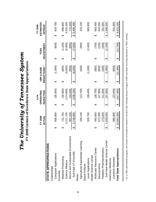|                                           |   | FY 2008      |   | OPERATING<br>4.1% |   | VBP & BASE  |   | <b>TCRS</b>       | ESTIMATED<br><b>FY 2009</b>         |  |
|-------------------------------------------|---|--------------|---|-------------------|---|-------------|---|-------------------|-------------------------------------|--|
| STATE APPROPRIATIONS                      |   | ACTUAL       |   | <b>REDUCTION</b>  |   | REDUCTIONS* |   | <b>ADJUSTMENT</b> | APPROP.                             |  |
| Chattanooga                               |   |              |   |                   |   |             |   |                   |                                     |  |
| <b>Computer Applications</b><br>Knoxville | ഗ | 856,800      | ക | (35, 500)         | ക | (1,000)     | ക | (600)             | 819,700<br>↔                        |  |
|                                           |   |              |   |                   |   |             |   |                   |                                     |  |
| Material Processing                       | ക | 721,700      | ക | (29, 900)         | ക | (800)       | ക | (1,200)           | 689,800<br>↔                        |  |
| Science Alliance                          |   | 4,217,700    |   | 174,800)          |   | (4, 800)    |   | (5, 800)          | 4,032,300                           |  |
| Secure and Sustainable Environment        |   | 807,200      |   | (33, 400)         |   | (900)       |   | (600)             | 772,300                             |  |
| Sub-total UT-Knoxville                    | ↮ | 5,746,600    | ↮ | (238, 100)        | ↮ | (6,500)     | ക | (7,600)           | 5,494,400<br>$\boldsymbol{\varphi}$ |  |
| Martin                                    |   |              |   |                   |   |             |   |                   |                                     |  |
| Agricultural Experiential Learning        |   | 330,100      |   | (13,700)          |   | (400)       |   | (900)             | 315,100                             |  |
| Space Institute                           |   |              |   |                   |   |             |   |                   |                                     |  |
| Laser Applications                        |   | 925,700      |   | (38, 400)         |   | (1,000)     |   | (2,400)           | 883,900                             |  |
| Health Science Center                     |   |              |   |                   |   |             |   |                   |                                     |  |
| Molecular Resource Center                 | ക | 693,600      | ക | (28, 700)         | ക | (800)       | ക | (000)             | 663,400<br>ക                        |  |
| Neuroscience                              |   | 672,300      |   | (27, 900)         |   | (800)       |   | (100)             | 643,500                             |  |
| Pediatric Pharmacokinetics                |   | 273,600      |   | (11,300)          |   | (300)       |   | (400)             | 261,600                             |  |
| Sub-total Health Science Center           | ↔ | ,639,500     | ↮ | (67, 900)         | ↮ | (1,900)     | ↮ | (1, 200)          | \$1,568,500                         |  |
| Veterinary Medicine                       |   |              |   |                   |   |             |   |                   |                                     |  |
| Livestock Diseases                        |   | 565,600      |   | (23, 400)         |   | (600)       |   |                   | 541,600                             |  |
| <b>Total State Appropriations</b>         |   | \$10,064,300 | ↮ | (417,000)         | ↮ | (11,400)    | ↔ | (12,700)          | 9,623,200<br>$\boldsymbol{\varphi}$ |  |
|                                           |   |              |   |                   |   |             |   |                   |                                     |  |

\* As a THEC administered program, the Centers of Excellence shared in the \$227,000 Voluntary Buyout Program (VBP) and Base recurring reductions to THEC funding.

\* As a THEC administered program, the Centers of Excellence shared in the \$227,000 Voluntary Buyout Program (VBP) and Base recurring reductions to THEC funding.

# The University of Tennessee System<br>FY 2009 Centers of Excellence State Appropriations *The University of Tennessee System* **FY 2009 Centers of Excellence State Appropriations**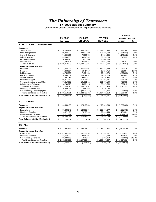# *The University of Tennessee*

**FY 2009 Budget Summary**

Unrestricted Current Funds Revenues, Expenditures and Transfers

|                                          |                     |                     |                      | <b>CHANGE</b>              |           |
|------------------------------------------|---------------------|---------------------|----------------------|----------------------------|-----------|
|                                          | <b>FY 2008</b>      | FY 2009             | FY 2009              | <b>Original to Revised</b> |           |
|                                          | <b>ACTUAL</b>       | <b>ORIGINAL</b>     | <b>REVISED</b>       | Amount                     | %         |
| <b>EDUCATIONAL AND GENERAL</b>           |                     |                     |                      |                            |           |
| <b>Revenues</b>                          |                     |                     |                      |                            |           |
| <b>Tuition &amp; Fees</b>                | \$<br>346,035,411   | \$<br>358,196,581   | \$<br>361,837,836    | 3,641,255<br>\$            | 1.0%      |
| <b>State Appropriations</b>              | 509,404,100         | 489,902,800         | 475,238,500          | (14,664,300)               | $-3.0%$   |
| <b>Grants &amp; Contracts</b>            | 74,399,100          | 74,303,750          | 74,130,638           | (173, 112)                 | $-0.2%$   |
| Sales & Services                         | 52,690,993          | 48,345,642          | 50,263,235           | 1,917,593                  | 4.0%      |
| Investment Income                        | 24,460,896          | 13,000,000          | 13,000,000           |                            |           |
| <b>Other Sources</b>                     | 43,927,525          | 36,986,781          | 38,041,178           | 1,054,397                  | 2.9%      |
| <b>Total Revenues</b>                    | 1,050,918,025       | 1,020,735,554<br>\$ | 1,012,511,387<br>\$  | (8, 224, 167)<br>\$        | $-0.8%$   |
| <b>Expenditures and Transfers</b>        |                     |                     |                      |                            |           |
| Instruction                              | \$<br>433,964,197   | \$<br>457,933,061   | \$<br>459,222,539    | \$<br>1.289.478            | 0.3%      |
| Research                                 | 74.843.064          | 58,414,810          | 68.326.714           | 9,911,904                  | 17.0%     |
| <b>Public Service</b>                    | 68,744,835          | 71,374,558          | 70,949,270           | (425, 288)                 | $-0.6%$   |
| Academic Support                         | 116,336,361         | 109,397,989         | 112,316,029          | 2,918,040                  | 2.7%      |
| <b>Student Services</b>                  | 72,341,186          | 69,490,682          | 71,486,893           | 1,996,211                  | 2.9%      |
| <b>Institutional Support</b>             | 105,311,063         | 110,366,523         | 112,703,271          | 2,336,748                  | 2.1%      |
| Operation & Maintenance of Plant         | 97,819,062          | 101,061,011         | 101,787,100          | 726,089                    | 0.7%      |
| Scholarships & Fellowships               | 48,299,375          | 58,064,115          | 58,327,664           | 263,549                    | 0.5%      |
| Sub-total Expenditures                   | \$1,017,659,143     | \$1,036,102,749     | \$1,055,119,480      | 19,016,731<br>\$           | 1.8%      |
| Mandatory Transfers (In)/Out             | 6,339,175           | 6,480,045           | 6,480,045            |                            |           |
| Non-Mandatory Transfers (In)/Out         | 14,115,383          | (20, 150, 312)      | (27, 237, 307)       | (7,086,995)                | 35.2%     |
| <b>Total Expenditures and Transfers</b>  | \$1,038,113,701     | \$1,022,432,482     | \$1,034,362,218      | \$<br>11,929,736           | 1.2%      |
| <b>Fund Balance Addition/(Reduction)</b> |                     |                     |                      |                            |           |
|                                          | \$<br>12,804,324    | \$<br>(1,696,928)   | \$<br>(21, 850, 831) | \$(20, 153, 903)           |           |
| <b>AUXILIARIES</b>                       |                     |                     |                      |                            |           |
| <b>Revenues</b>                          | \$<br>166,939,489   | \$<br>175,422,558   | \$<br>173,836,890    | \$<br>(1,585,668)          | $-0.9%$   |
| <b>Expenditures and Transfers</b>        |                     |                     |                      |                            |           |
| <b>Expenditures</b>                      | \$<br>130,303,245   | \$<br>126,660,356   | \$<br>125,698,677    | \$<br>(961, 679)           | $-0.8%$   |
| <b>Mandatory Transfers</b>               | 16,321,163          | 26,163,009          | 26,344,943           | 181,934                    | 0.7%      |
| Non-Mandatory Transfers                  | 19,111,727          | 22,564,259          | 21,941,449           | (622, 810)                 | $-2.8%$   |
| <b>Total Expenditures and Transfers</b>  | \$<br>165,736,135   | \$<br>175,387,624   | \$<br>173,985,069    | \$<br>(1,402,555)          | $-0.8%$   |
| <b>Fund Balance Addition/(Reduction)</b> | \$<br>1,203,354     | \$<br>34,934        | \$<br>(148, 179)     | \$<br>(183, 113)           |           |
|                                          |                     |                     |                      |                            |           |
| <b>TOTALS</b>                            |                     |                     |                      |                            |           |
| <b>Revenues</b>                          | \$1,217,857,514     | \$<br>1,196,158,112 | \$<br>1,186,348,277  | \$<br>(9,809,835)          | $-0.8%$   |
| <b>Expenditures and Transfers</b>        |                     |                     |                      |                            |           |
| Expenditures                             | \$1,147,962,388     | \$1,162,763,105     | \$1,180,818,157      | \$<br>18,055,052           | 1.6%      |
| <b>Mandatory Transfers</b>               | 22,660,339          | 32,643,054          | 32,824,988           | 181,934                    | 0.6%      |
| Non-Mandatory Transfers                  | 33,227,109          | 2,413,947           | (5, 295, 858)        | (7,709,805)                | $-319.4%$ |
| <b>Total Expenditures and Transfers</b>  | 1,203,849,836<br>\$ | 1,197,820,106<br>\$ | \$<br>1,208,347,287  | \$<br>10,527,181           | 0.9%      |
|                                          |                     |                     |                      |                            |           |
| <b>Fund Balance Addition/(Reduction)</b> | \$<br>14,007,678    | \$<br>(1,661,994)   | \$<br>(21,999,010)   | \$<br>(20, 337, 016)       |           |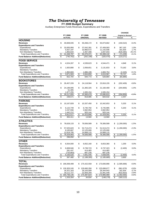# *The University of Tennessee*

**FY 2009 Budget Summary**

Auxiliary Enterprises Funds Revenues, Expenditures and Transfers

|                                                   |                       |                         |                           |                       |                          |                       |                          | <b>CHANGE</b>              |          |
|---------------------------------------------------|-----------------------|-------------------------|---------------------------|-----------------------|--------------------------|-----------------------|--------------------------|----------------------------|----------|
|                                                   |                       | FY 2008                 |                           | FY 2009               |                          | FY 2009               |                          | <b>Original to Revised</b> |          |
|                                                   |                       | <b>ACTUAL</b>           |                           | <b>ORIGINAL</b>       |                          | <b>REVISED</b>        |                          | Amount                     | $\%$     |
| <b>HOUSING</b>                                    |                       |                         |                           |                       |                          |                       |                          |                            |          |
| <b>Revenues</b>                                   | \$                    | 40,608,035              | \$                        | 50,268,172            | \$                       | 50,073,662            | \$                       | (194, 510)                 | $-0.4%$  |
| <b>Expenditures and Transfers</b>                 |                       |                         |                           |                       |                          |                       |                          |                            |          |
| Expenditures                                      | \$                    | 33,935,956              | \$                        | 37,042,391            | \$                       | 37,409,583            | \$                       | 367,192                    | 1.0%     |
| <b>Mandatory Transfers</b>                        |                       | 5,557,197               |                           | 10,960,572            |                          | 11,142,506            |                          | 181,934                    | 1.7%     |
| Non-Mandatory Transfers                           |                       | 1,855,644               |                           | 2,467,408             |                          | 1,847,043             |                          | (620, 365)                 | $-25.1%$ |
| <b>Total Expenditures and Transfers</b>           | \$                    | 41,348,797              | \$                        | 50,470,371            | \$                       | 50,399,132            | \$                       | (71, 239)                  | $-0.1%$  |
| <b>Fund Balance Addition/(Reduction)</b>          | \$                    | (740, 762)              | \$                        | (202, 199)            | \$                       | (325, 470)            | \$                       | (123, 271)                 |          |
| <b>FOOD SERVICE</b>                               |                       |                         |                           |                       |                          |                       |                          |                            |          |
| <b>Revenues</b>                                   | \$                    | 4,524,267               | \$                        | 4,539,623             | \$                       | 4,544,471             | \$                       | 4.848                      | 0.1%     |
| <b>Expenditures and Transfers</b>                 |                       |                         |                           |                       |                          |                       |                          |                            |          |
| Expenditures                                      | \$                    | 1,920,880               | \$                        | 2,058,651             | \$                       | 2,131,833             | \$                       | 73,182                     | 3.6%     |
| <b>Mandatory Transfers</b>                        |                       |                         |                           |                       |                          |                       |                          |                            |          |
| Non-Mandatory Transfers                           |                       | 1,950,683               |                           | 1,886,199             |                          | 1,883,754             |                          | (2, 445)                   | $-0.1%$  |
| <b>Total Expenditures and Transfers</b>           | $\boldsymbol{\theta}$ | 3,871,563               | $\boldsymbol{\mathsf{s}}$ | 3,944,850             | $\frac{2}{3}$            | 4,015,587             | \$                       | 70,737                     | 1.8%     |
| <b>Fund Balance Addition/(Reduction)</b>          | \$                    | 652,704                 | \$                        | 594,773               | \$                       | 528,884               | \$                       | (65, 889)                  |          |
|                                                   |                       |                         |                           |                       |                          |                       |                          |                            |          |
| <b>BOOKSTORES</b>                                 |                       |                         |                           |                       |                          |                       |                          |                            |          |
| <b>Revenues</b>                                   | \$                    | 26,457,226              | \$                        | 24,118,564            | \$                       | 23,916,155            | \$                       | (202, 409)                 | $-0.8%$  |
| <b>Expenditures and Transfers</b>                 |                       |                         |                           |                       |                          |                       |                          |                            |          |
| Expenditures                                      | \$                    | 24,189,095              | \$                        | 21,365,325            | \$                       | 21,160,469            | \$                       | (204, 856)                 | $-1.0%$  |
| <b>Mandatory Transfers</b>                        |                       | 51,305                  |                           |                       |                          |                       |                          |                            |          |
| Non-Mandatory Transfers                           |                       | 1,977,255               |                           | 1,935,154             |                          | 1,935,154             |                          |                            |          |
| <b>Total Expenditures and Transfers</b>           | \$                    | 26,217,655              | S                         | 23.300.479            | \$                       | 23,095,623            | \$                       | (204, 856)                 | $-0.9%$  |
| <b>Fund Balance Addition/(Reduction)</b>          | \$                    | 239,571                 | \$                        | 818,085               | \$                       | 820,532               | $\overline{\mathcal{S}}$ | 2,447                      |          |
| <b>PARKING</b>                                    |                       |                         |                           |                       |                          |                       |                          |                            |          |
| <b>Revenues</b>                                   |                       |                         |                           |                       |                          |                       |                          |                            |          |
|                                                   | \$                    | 10,167,828              | \$                        | 10,337,450            | \$                       | 10,342,653            | \$                       | 5,203                      | 0.1%     |
| <b>Expenditures and Transfers</b>                 |                       |                         |                           |                       |                          |                       |                          |                            |          |
| Expenditures                                      | \$                    | 6,122,749               | \$                        | 6,740,792             | \$                       | 6,745,995             | \$                       | 5,203                      | 0.1%     |
| <b>Mandatory Transfers</b>                        |                       | 2,247,556               |                           | 2,662,954             |                          | 2,662,954             |                          |                            |          |
| Non-Mandatory Transfers                           | \$                    | 1,442,212               | \$                        | 920,144<br>10,323,890 |                          | 920,144<br>10,329,093 | \$                       | 5,203                      | 0.1%     |
| <b>Total Expenditures and Transfers</b>           |                       | 9,812,517               |                           |                       | \$                       |                       |                          |                            |          |
| <b>Fund Balance Addition/(Reduction)</b>          | \$                    | 355,311                 | \$                        | 13,560                | \$                       | 13,560                | \$                       |                            |          |
| <b>ATHLETICS</b>                                  |                       |                         |                           |                       |                          |                       |                          |                            |          |
| <b>Revenues</b>                                   | \$                    | 78,628,133              | \$                        | 79,506,589            | \$                       | 78,306,589            | \$                       | (1,200,000)                | $-1.5%$  |
| <b>Expenditures and Transfers</b>                 |                       |                         |                           |                       |                          |                       |                          |                            |          |
| Expenditures                                      | \$                    | 57,525,620              | \$                        | 52,713,474            | \$                       | 51,513,474            | \$                       | (1,200,000)                | $-2.3%$  |
| <b>Mandatory Transfers</b>                        |                       | 8,183,667               |                           | 12,125,000            |                          | 12,125,000            |                          |                            |          |
| Non-Mandatory Transfers                           |                       | 12,619,795              |                           | 14,668,115            |                          | 14,668,115            |                          |                            |          |
| <b>Total Expenditures and Transfers</b>           | \$                    | 78,329,083              | \$                        | 79,506,589            | \$                       | 78,306,589            | \$                       | (1,200,000)                | $-1.5%$  |
| <b>Fund Balance Addition/(Reduction)</b>          | \$                    | 299.050                 | \$                        |                       | \$                       |                       | \$                       |                            |          |
| <b>OTHER</b>                                      |                       |                         |                           |                       |                          |                       |                          |                            |          |
| <b>Revenues</b>                                   | \$                    |                         | \$                        | 6,652,160             | \$                       | 6,653,360             | \$                       | 1,200                      | 0.0%     |
|                                                   |                       | 6,554,000               |                           |                       |                          |                       |                          |                            |          |
| <b>Expenditures and Transfers</b><br>Expenditures | \$                    |                         | \$                        | 6,739,723             | \$                       |                       | \$                       |                            |          |
| <b>Mandatory Transfers</b>                        |                       | 6,608,946               |                           | 414,483               |                          | 6,737,323             |                          | (2,400)                    | 0.0%     |
| Non-Mandatory Transfers                           |                       | 281,437                 |                           |                       |                          | 414,483<br>687,239    |                          |                            |          |
| <b>Total Expenditures and Transfers</b>           | \$                    | (733, 863)<br>6,156,520 | \$                        | 687,239<br>7,841,445  |                          | 7,839,045             |                          | (2,400)                    | 0.0%     |
|                                                   | \$                    |                         |                           |                       | \$                       |                       | $\frac{1}{2}$            |                            |          |
| <b>Fund Balance Addition/(Reduction)</b>          |                       | 397,480                 | $\overline{\mathcal{S}}$  | (1, 189, 285)         | $\overline{\mathcal{S}}$ | (1, 185, 685)         | $\overline{\$}$          | 3,600                      |          |
| <b>TOTAL</b>                                      |                       |                         |                           |                       |                          |                       |                          |                            |          |
| <b>Revenues</b>                                   | \$                    | 166,939,489             | \$                        | 175,422,558           | \$                       | 173,836,890           | \$                       | (1,585,668)                | $-0.9%$  |
| <b>Expenditures and Transfers</b>                 |                       |                         |                           |                       |                          |                       |                          |                            |          |
| Expenditures                                      | \$                    | 130,303,245             | S                         | 126,660,356           | \$                       | 125,698,677           | \$                       | (961, 679)                 | $-0.8%$  |
| <b>Mandatory Transfers</b>                        |                       | 16,321,163              |                           | 26,163,009            |                          | 26,344,943            |                          | 181,934                    | 0.7%     |
| Non-Mandatory Transfers                           |                       | 19,111,727              |                           | 22,564,259            |                          | 21,941,449            |                          | (622, 810)                 | $-2.8%$  |
| <b>Total Expenditures and Transfers</b>           | \$                    | 165,736,135             | \$                        | 175,387,624           | \$                       | 173,985,069           | \$                       | (1,402,555)                | $-0.8%$  |
| <b>Fund Balance Addition/(Reduction)</b>          | \$                    | 1,203,354               | \$                        | 34,934                | \$                       | (148, 179)            | \$                       | (183, 113)                 |          |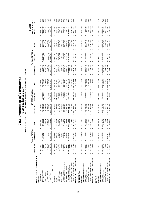# **The University of Tennessee**<br>FY 2009 Budget Summary<br>Unrestricted and Restricted Current Funds Revenues, Expenditures and Transfers *The University of Tennessee* **FY 2009 Budget Summary**

Unrestricted and Restricted Current Funds Revenues, Expenditures and Transfers

|                                                             |                                   |                                 |                            |                                  |                   |                          |                                          |                        |                                   | <b>CHANGE</b>                            |                   |
|-------------------------------------------------------------|-----------------------------------|---------------------------------|----------------------------|----------------------------------|-------------------|--------------------------|------------------------------------------|------------------------|-----------------------------------|------------------------------------------|-------------------|
|                                                             |                                   | 홍<br>FY 2008 ACT                |                            |                                  | FY 2009 ORIGINAL  |                          |                                          | <b>FY 2009 REVISED</b> |                                   | <b>Original to Revised</b>               |                   |
|                                                             | Unrestricted                      | Restricted                      | Total                      | Unrestricted                     | Restricted        | Total                    | Unrestricted                             | Restricted             | Total                             | Amount                                   |                   |
| EDUCATIONAL AND GENERAL                                     |                                   |                                 |                            |                                  |                   |                          |                                          |                        |                                   |                                          |                   |
| Revenues                                                    |                                   |                                 |                            |                                  |                   |                          |                                          |                        |                                   |                                          |                   |
| Tuition & Fees                                              | 346,035,411<br>↮                  |                                 | 346,035,411                | 358,196,581<br>GB                |                   | 358,196,581              | 361,837,836<br>G                         |                        | 361,837,836                       | 3,641,255<br>G                           | 1.0%              |
| State Appropriations                                        | 509,404,100                       | 24,353,989<br>366,356,480<br>မာ | 533,758,089                | 489,902,800                      | 25,480,300<br>မာ  | 515,383,100              | 475,238,500                              | 22,454,200<br>မာ       | 497,692,700                       | (17,690,400)                             | $-3.4%$           |
| Grants & Contracts                                          | 74,399,100                        |                                 | 440,755,579                | 74,303,750                       | 372,117,310       | 446,421,060              | 74,130,638                               | 377,360,473            | 451,491,111                       | 5,070,051                                | 1.1%              |
| Sales & Services                                            | 52,690,993                        |                                 | 52,690,993                 | 48,345,642                       |                   | 48,345,642               | 50,263,235                               |                        | 50,263,235                        | ,917,593                                 | 4.0%              |
| Investment Income                                           | 24,460,896                        |                                 | 24,460,896                 | 3,000,000                        |                   | 13,000,000               | 13,000,000                               |                        | 13,000,000                        |                                          |                   |
| Other Sources                                               | 43.927,525                        | 64,610,912                      | 08.538.438                 | 36,986,781                       | 54.301.821        | 91.288.602               | 38.041.178                               | 57,627,443             | 95.668.62                         | 4.380.019                                | 4.8%              |
| Total Revenue                                               | 1,050,918,025<br>မာ               | 5<br>455,321.3<br>မာ            | 506,239,406<br>↮           | 1,020,735,554<br>↔               | 451,899,431<br>မာ | 1,472,634,985<br>မာ      | \$1,012,511,387                          | 457,442,116<br>မာ      | 1,469,953,503<br>မာ               | (2,681,482)<br>↮                         | $-0.2\%$          |
| Expenditures and Transfers                                  |                                   |                                 |                            |                                  |                   |                          |                                          |                        |                                   |                                          |                   |
| Instruction                                                 | 433,964,197<br>↮                  | 90,512,767<br>မာ                | 524,476,964<br>မာ          | 457,933,061<br>↮                 | 86,324,180<br>မာ  | 544,257,241<br>↮         | 459,222,539<br>69                        | 88,114,080<br>မာ       | 547,336,619<br>↮                  | 3,079,378<br>G                           | 0.6%              |
| Research                                                    | 74,843,064                        | 140,437,145                     | 215,280,209                | 58,414,810                       | 65,066,287        | 223,481,097              | 68,326,714                               | 164,535,411            | 232,862,125                       | 9,381,028                                | 4.2%              |
| Public Service                                              | 68,744,835                        | 67,315,965                      | 136,060,800                | 71,374,558                       | 64,179,085        | 135,553,643              | 70,949,270                               | 68,275,892             | 39,225,162                        | 3,671,519                                | 2.7%              |
| Academic Support                                            | 116,336,361                       | 9,618,533                       | 125,954,894                | 09,397,989                       | 9.776.096         | 119,174,085              | 112,316,029                              | 9,833,564              | 22,149,593                        | 2,975,508                                | 2.5%              |
| <b>Student Services</b>                                     | 72,341,186                        | 3,634,047                       | 75,975,234                 | 69,490,682                       | 2,994,620         | 72,485,302               | 71,486,893                               | 2,985,620              | 74,472,513                        | 1,987,211                                | 2.7%              |
| Institutional Support                                       | 105,311,063                       | 2,230,274                       | 07,541,338                 | 10,366,523                       | 2,092,558         | 112,459,081              | 112,703,271                              | 1,863,858              | 114,567,129                       | 2,108,048                                | 1.9%              |
| Operation & Maintenance of Plant                            | 97,819,062                        | 145,469                         | 97,964,531                 | 01.061.011                       | 55,000            | 01,116,011               | 101,787,100                              | 55,000                 | 01,842,100                        | 726,089                                  | 0.7%              |
| Scholarships & Fellowships                                  | 48.299.375                        | 119,494,877                     | 67.794.251                 | 58.064.115                       | 121.477.167       | 79.541.282               | 58.327.664                               | 121.539.83             | 179.867.495                       | 326.213                                  | 0.2%<br>1.6%      |
| Sub-total Expenditures                                      | 1,017,659,143<br>မာ               | \$433,389,077                   | \$1,451,048,220            | 1.036.102.749<br>မာ              | 451,964,993<br>မာ | 1,488,067,742<br>Ø       | \$1,055,119,480                          | 457,203,256<br>မာ      | \$1,512,322,736                   | 24,254,994<br>↮                          |                   |
| Mandatory Transfers (In)/Out                                | 6,339,175                         |                                 | 6,339,175                  | 6,480,045                        |                   | 6,480,045                | 6,480,045                                |                        | 6,480,045                         |                                          |                   |
| Non-Mandatory Transfers (In)/Out                            | 14,115,383                        |                                 | 14,115,383                 | (20, 150, 312)                   |                   | 20,150,312)              | [27, 237, 307]                           |                        | [27, 237, 307]                    | (7.086.995)                              | 35.2%             |
| <b>Total Expenditures and Transfers</b>                     | \$1.038,113,701                   | \$433,389,077                   | 471,502,778                | 1,022,432,482<br>G               | 451.964.993<br>မာ | 1,474,397,475<br>G       | 1.034.362.218                            | \$457,203,256          | 1,491,565,474<br>G                | 17.167.999                               | 1.2%              |
| Revenues Less Expend. & Transfers                           | 12,804,324<br>မာ                  | 21,932,304<br>G                 | 34,736,628<br>↮            | (1,696,928)<br>69                | (65, 562)<br>မာ   | (1,762,490)<br>GG.       | (21, 850, 831)<br>69                     | 238,860<br>GG.         | (21, 611, 971)                    | (19, 849, 481)<br>မာ                     |                   |
| <b>AUXILIARIES</b>                                          |                                   |                                 |                            |                                  |                   |                          |                                          |                        |                                   |                                          |                   |
| Revenues                                                    | 166,939,489<br>69                 | $\frac{8}{2}$<br>990.73<br>မာ   | 167,930,226<br>69          | 175,422,558<br>မာ                | 1,725,000<br>↮    | 177, 147, 558<br>↮       | 173,836,890<br>မာ                        | 1,725,000<br>↮         | 175,561,890<br>မာ                 | (1,585,668)<br>မာ                        | $-0.9%$           |
| Expenditures and Transfers                                  |                                   |                                 |                            |                                  |                   |                          |                                          |                        |                                   |                                          |                   |
| Expenditures                                                | 130,303,245<br>↮                  | 466,193<br>↮                    | 130,769,438<br>မာ          | 126,660,356<br>↮                 | 1,725,000<br>↮    | 128,385,356<br>↮         | 125,698,677<br>မာ                        | 1,725,000<br><b>SA</b> | 127,423,677<br>↮                  | (961, 679)<br>မာ                         |                   |
| Mandatory Transfers                                         | 16,321,163                        |                                 | 16,321,163                 | 26,163,009                       |                   | 26,163,009               | 26,344,943                               |                        | 26,344,943                        | 181,934                                  | $-0.7%$<br>0.7%   |
| Non-Mandatory Transfers                                     | 19.111.727                        |                                 | 19,111,727                 | 22.564.259                       |                   | 22,564,259               | 21,941,449                               |                        | 21.941.449                        | (622.810)                                | $-2.8%$           |
| Total Expenditures and Transfers                            | 165,736,135<br>↮                  | 466,193<br>မာ                   | 166,202,328                | 175,387,624<br>G.                | 1,725,000         | 177, 112, 624<br>↮       | 173,985,069<br>69                        | 1,725,000<br>↮         | 175,710,069                       | (1,402,555)<br>↮                         | $-0.8%$           |
| Revenues Less Expend. & Transfers                           | 1,203,354<br>မာ                   | 524,544<br>မာ                   | 1,727,898<br>↮             | 34,934<br>↮                      | မာ                | 34,934<br>↮              | (148, 179)<br>↮                          | မာ                     | (148, 179)<br>69                  | (183, 113)<br>↮                          |                   |
| <b>TOTALS</b>                                               |                                   |                                 |                            |                                  |                   |                          |                                          |                        |                                   |                                          |                   |
|                                                             |                                   |                                 |                            |                                  |                   |                          |                                          |                        |                                   |                                          |                   |
| Revenues                                                    | \$1,217,857,514                   | တ<br>\$456,312,1                | 1,674,169,632<br>မာ        | 1,196,158,112<br>မာ              | 453,624,431<br>မာ | \$1,649,782,543          | \$1,186,348,277                          | \$459,167,116          | \$1,645,515,393                   | (4,267,150)<br>မာ                        | $-0.3%$           |
| Expenditures and Transfers                                  |                                   |                                 |                            |                                  |                   |                          |                                          |                        |                                   |                                          |                   |
| Expenditures                                                | 1,147,962,388<br>မာ               | 433,855,271<br>မာ               | 1,581,817,659<br>မာ        | 1,162,763,105<br>မာ              | 453,689,993<br>မာ | 1,616,453,098<br>မာ      | 1,180,818,157<br>မာ                      | 458,928,256<br>မာ      | 1,639,746,413<br>မာ               | 23,293,315<br>↮                          | 1.4%              |
| Mandatory Transfers                                         | 22,660,339                        |                                 | 22,660,339                 | 32,643,054                       |                   | 32,643,054               | 32,824,988                               |                        | 32,824,988                        | 181,934                                  | 0.6%              |
| Total Expenditures and Transfers<br>Non-Mandatory Transfers | 33,227,109<br>1,203,849,836<br>မာ | \$433,855,27                    | ,637,705,106<br>33,227,109 | 1,197,820,106<br>2.413.947<br>မာ | \$453,689,993     | 651,510,099<br>2,413,947 | (5, 295, 858)<br>1,208,347,287<br>မာ     | \$458,928,256          | (5.295.858<br>1,667,275,543<br>မာ | (7,709,805)<br>15,765,444<br>G,          | $-319.4%$<br>1.0% |
|                                                             |                                   |                                 |                            |                                  |                   |                          |                                          |                        |                                   |                                          |                   |
| Revenues Less Expend. & Transfers                           | 14,007,678<br>မာ                  | 22,456,848<br>မာ                | 36,464,526                 | (1,661,994)<br>69                | (65, 562)         | (1,727,556)              | (21, 999, 010)<br>$\boldsymbol{\varphi}$ | 238,860                | (21, 760, 150)<br>↮               | (20, 032, 594)<br>$\boldsymbol{\varphi}$ |                   |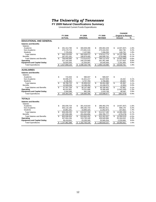# *The University of Tennessee*

**FY 2009 Natural Classifications Summary**

Unrestricted Current Funds Expenditures

|                                     |     |                           |    |                           |    |                |                         | <b>CHANGE</b>              |              |
|-------------------------------------|-----|---------------------------|----|---------------------------|----|----------------|-------------------------|----------------------------|--------------|
|                                     |     | FY 2008                   |    | FY 2009                   |    | FY 2009        |                         | <b>Original to Revised</b> |              |
|                                     |     | <b>ACTUAL</b>             |    | <b>ORIGINAL</b>           |    | <b>REVISED</b> |                         | Amount                     | %            |
| <b>EDUCATIONAL AND GENERAL</b>      |     |                           |    |                           |    |                |                         |                            |              |
| <b>Salaries and Benefits</b>        |     |                           |    |                           |    |                |                         |                            |              |
| <b>Salaries</b>                     |     |                           |    |                           |    |                |                         |                            |              |
| Academic                            | \$  | 291,314,780               | \$ | 300,839,496               | \$ | 295,902,229    | \$                      | (4,937,267)                | $-1.6%$      |
| Non-Academic                        |     | 270,179,715               |    | 274,661,516               |    | 275,344,252    |                         | 682,736                    | 0.2%         |
| Students                            |     | 7,725,039                 |    | 7,137,560                 |    | 7,266,293      |                         | 128,733                    | 1.8%         |
| <b>Total Salaries</b>               | \$  | 569,219,535               | \$ | 582,638,572               | \$ | 578,512,774    | \$                      | (4, 125, 798)              | $-0.7%$      |
| <b>Benefits</b>                     |     | 187,421,161               |    | 190,876,400               |    | 190,599,702    |                         | (276, 698)                 | $-0.1%$      |
| <b>Total Salaries and Benefits</b>  | \$. | 756.640.695               | \$ | 773,514,972               | \$ | 769.112.476    | \$.                     | (4.402.496)                | $-0.6%$      |
| Operating                           |     | 227,193,393               |    | 240,233,680               |    | 261,461,498    |                         | 21,227,818                 | 8.8%         |
| <b>Equipment and Capital Outlay</b> |     | 33,825,055                |    | 22,354,097                |    | 24,545,506     |                         | 2,191,409                  | 9.8%         |
| <b>Total Expenditures</b>           |     | 1.017.659.143             | S  | 1,036,102,749             | S  | 1,055,119,480  | \$                      | 19.016.731                 | 1.8%         |
| <b>AUXILIARIES</b>                  |     |                           |    |                           |    |                |                         |                            |              |
| <b>Salaries and Benefits</b>        |     |                           |    |                           |    |                |                         |                            |              |
| <b>Salaries</b>                     |     |                           |    |                           |    |                |                         |                            |              |
| Academic                            | \$  | 715.944                   | \$ | 580.047                   | \$ | 580.047        | \$                      |                            |              |
| Non-Academic                        |     | 32,936,475                |    | 31,621,217                |    | 31,637,659     |                         | 16,442                     | 0.1%         |
| <b>Students</b>                     |     | 3,136,302                 |    | 3,757,760                 |    | 3,786,680      |                         | 28,920                     | 0.8%         |
| <b>Total Salaries</b>               | \$  | 36.788.720                | \$ | 35.959.024                | \$ | 36.004.386     | \$                      | 45.362                     | 0.1%         |
| <b>Benefits</b>                     |     | 10,509,039                |    | 10,188,456                |    | 10,186,075     |                         | (2,381)                    | 0.0%         |
| <b>Total Salaries and Benefits</b>  | \$  | 47,297,759                | \$ | 46,147,480                | \$ | 46,190,461     | $\overline{\mathbf{s}}$ | 42.981                     | 0.1%         |
| Operating                           |     | 80,410,901                |    | 79,531,668                |    | 78,488,468     |                         | (1,043,200)                | $-1.3%$      |
| <b>Equipment and Capital Outlay</b> |     | 2,594,586                 |    | 981,208                   |    | 1,019,748      |                         | 38,540                     | 3.9%         |
| <b>Total Expenditures</b>           | \$  | 130,303,245               | \$ | 126,660,356               | \$ | 125,698,677    | \$                      | (961, 679)                 | $-0.8%$      |
| <b>TOTALS</b>                       |     |                           |    |                           |    |                |                         |                            |              |
| <b>Salaries and Benefits</b>        |     |                           |    |                           |    |                |                         |                            |              |
| <b>Salaries</b>                     |     |                           |    |                           |    |                |                         |                            |              |
| Academic                            | \$  | 292,030,724               | \$ | 301,419,543               | \$ | 296,482,276    | \$                      | (4,937,267)                | $-1.6%$      |
| Non-Academic                        |     | 303,116,190               |    | 306,282,733               |    | 306,981,911    |                         | 699,178                    | 0.2%         |
| <b>Students</b>                     |     | 10,861,341                |    | 10,895,320                |    | 11,052,973     |                         | 157,653                    | 1.4%         |
| <b>Total Salaries</b>               | \$  | 606.008.255               | \$ | 618.597.596               | \$ | 614,517,160    | \$                      | (4,080,436)                | $-0.7%$      |
| <b>Benefits</b>                     |     | 197,930,199               |    | 201,064,856               |    | 200,785,777    |                         | (279, 079)                 | $-0.1%$      |
| <b>Total Salaries and Benefits</b>  | \$  | 803,938,454               | \$ | 819,662,452               | \$ | 815,302,937    | \$                      | (4,359,515)                | $-0.5%$      |
| Operating                           |     | 307,604,294<br>36,419,641 |    | 319,765,348<br>23,335,305 |    | 339,949,966    |                         | 20,184,618                 | 6.3%<br>9.6% |
| <b>Equipment and Capital Outlay</b> |     | 1,147,962,388             |    |                           |    | 25,565,254     |                         | 2,229,949                  | 1.6%         |
| <b>Total Expenditures</b>           | S   |                           | \$ | 1,162,763,105             | \$ | 1,180,818,157  | \$                      | 18,055,052                 |              |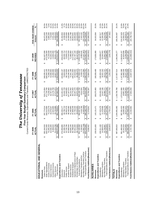|                                                                |                                         |                                                     | Current Funds Revenues, Expenditures and Transfers - UNRESTRICTED |                                  |                                                  |                                                    |                      |
|----------------------------------------------------------------|-----------------------------------------|-----------------------------------------------------|-------------------------------------------------------------------|----------------------------------|--------------------------------------------------|----------------------------------------------------|----------------------|
|                                                                | FY 2005                                 | FY 2006                                             | FY 2007                                                           | <b>FY 2008</b>                   | FY 2009                                          | FIVE-YEAR CHANGE                                   |                      |
|                                                                | ACTUAL                                  | ACTUAL                                              | ACTUAL                                                            | ACTUAL                           | REVISED                                          | Amount                                             | న్                   |
| EDUCATIONAL AND GENERAL                                        |                                         |                                                     |                                                                   |                                  |                                                  |                                                    |                      |
| Revenues                                                       |                                         |                                                     |                                                                   |                                  |                                                  |                                                    |                      |
| Tuition & Fees                                                 | 265, 164, 533<br>↔                      | 297,774,514<br>↮                                    | 318,173,954<br>↮                                                  | 346,035,411<br>↮                 | 361,837,836<br>↮                                 | 96,673,303                                         | 36.5%                |
| State Appropriations                                           | 430,412,400                             | 440,013,900                                         | 471,729,700                                                       | 509,404,100                      | 475,238,500                                      | 44,826,100                                         | 10.4%                |
| Grants & Contracts                                             | 70,265,333                              | 73,224,279                                          | 73,238,980                                                        | 74,399,100                       | 74,130,638                                       | 3,865,305                                          | 5.5%                 |
| Sales & Services                                               | 42,546,305                              | 44,079,037                                          | 44,767,582                                                        | 52,690,993                       | 50,263,235                                       | 7,716,930                                          | 18.1%                |
| Investment Income                                              | 8,468,644                               | 12,923,895                                          | 22,178,708                                                        | 24,460,896                       | 13,000,000                                       | 4,531,356                                          | 53.5%                |
| <b>Total Revenues</b><br>Other Sources                         | 31,214,768<br>848,071,984<br>$\Theta$   | 33,743,986<br>901,759,611<br>$\boldsymbol{\varphi}$ | 37,271,873<br>967,360,797<br>$\boldsymbol{\varphi}$               | 43,927,525<br>1,050,918,025<br>↮ | 38,041,178<br>1,012,511,387<br>$\leftrightarrow$ | 6,826,410<br>164,439,403<br>$\boldsymbol{\varphi}$ | 21.9%<br>19.4%       |
| Expenditures and Transfers                                     |                                         |                                                     |                                                                   |                                  |                                                  |                                                    |                      |
| Instruction                                                    | 376,959,885<br>↔                        | 390,263,177<br>↮                                    | 412,401,825<br>↮                                                  | 133,964,197<br>↮                 | 159,222,539<br>↮                                 | 32,262,654<br>↮                                    | 21.8%                |
| Research                                                       | 62,289,764                              | 60,795,710                                          | 63,444,729                                                        | 74,843,064                       | 68,326,714                                       | 6,036,950                                          | 9.7%                 |
| <b>Public Service</b>                                          | 53,745,786                              | 56,852,576                                          | 61,949,805                                                        | 68,744,835                       | 70,949,270                                       | 17,203,484                                         | 32.0%                |
| Academic Support                                               | 92,906,044                              | 98,446,460                                          | 107, 197, 670                                                     | 116,336,361                      | 112,316,029                                      | 19,409,985                                         | 20.9%                |
| <b>Student Services</b>                                        | 59,835,105                              | 61,493,893                                          | 66,131,562                                                        | 72,341,186                       | 71,486,893                                       | 11,651,788                                         | 19.5%                |
| Institutional Support                                          | 83,788,640                              | 87,859,249                                          | 94,773,463                                                        | 05,311,063                       | 112,703,271                                      | 28,914,631                                         | 34.5%<br>22.7%       |
| Operation & Maintenance of Plant<br>Scholarships & Fellowships | 82,931,500                              | 87,793,430<br>46,563,050                            | 94,297,378                                                        | 97,819,062                       | 01,787,100<br>58,327,664                         | 18,855,600<br>18,615,020                           | 46.9%                |
| Sub-total Expenditures                                         | 352, 169, 368<br>39,712,644<br>$\theta$ | 890,067,544<br>$\boldsymbol{\varphi}$               | 946,168,700<br>45,972,269<br>$\Theta$                             | 48,299,375<br>1,017,659,143<br>ക | 1,055,119,480<br>$\Theta$                        | 202,950,112<br>$\boldsymbol{\varphi}$              |                      |
| Mandatory Transfers (In)/Out                                   | 4,156,943                               | 4,416,789                                           | 5,614,004                                                         | 6,339,175                        | 6,480,045                                        | 2,323,102                                          | 23.8%<br>55.9%       |
| Non-Mandatory Transfers (In)/Out                               | (12,092,728)                            | (4,303,563)                                         | (172,214)                                                         | 14,115,383                       | 27,237,307)                                      | 15, 144, 579)                                      | 25.2%                |
| Total Expenditures and Transfers                               | 844,233,583<br>$\Theta$                 | 890,180,770<br>↮                                    | 951,610,490<br>↮                                                  | 1,038,113,701<br>↮               | 1,034,362,218<br>↮                               | 190,128,635<br>↮                                   | 22.5%                |
| Fund Balance Addition/(Reduction)                              | 3,838,401<br>↔                          | 11,578,841<br>↮                                     | 15,750,307<br>↮                                                   | 12,804,324<br>↮                  | (21, 850, 831)<br>↮                              | (25,689,232)<br>↮                                  |                      |
| AUXILIARIES                                                    |                                         |                                                     |                                                                   |                                  |                                                  |                                                    |                      |
| Revenues                                                       | 139,021,826<br>$\theta$                 | 143, 131, 471<br>↮                                  | 169,375,983<br>↮                                                  | 166,939,489<br>↮                 | 173,836,890<br>↮                                 | 34,815,064<br>↮                                    | 25.0%                |
| Expenditures and Transfers                                     |                                         |                                                     |                                                                   |                                  |                                                  |                                                    |                      |
| Expenditures                                                   | 109,311,160<br>↔                        | 107,023,478<br>↮                                    | 126,444,266<br>↮                                                  | 130,303,245<br>↮                 | 125,698,677<br>↮                                 | 16,387,517<br>↮                                    | 15.0%                |
| Non-Mandatory Transfers<br>Mandatory Transfers                 | 14,084,675<br>15,726,687                | 11,478,696<br>22,875,175                            | 14,247,196<br>26,480,777                                          | 16,321,163<br>19,111,727         | 21,941,449<br>26,344,943                         | 12,260,268<br>6,214,762                            | 87.0%<br>39.5%       |
| Total Expenditures and Transfers                               | 39,122,523<br>$\leftrightarrow$         | 141,377,350<br>$\leftrightarrow$                    | 167, 172, 240<br>$\Theta$                                         | 65,736,135<br>$\Theta$           | 173,985,069<br>$\Theta$                          | 34,862,546<br>↔                                    | 25.1%                |
| Fund Balance Addition/(Reduction)                              | (100, 697)<br>↔                         | 1,754,121<br>↮                                      | 2,203,743<br>↮                                                    | 1,203,354<br>↮                   | (148, 179)<br>↮                                  | (47, 482)<br>↮                                     |                      |
| <b>TOTALS</b>                                                  |                                         |                                                     |                                                                   |                                  |                                                  |                                                    |                      |
| Expenditures and Transfers<br>Revenues                         | 987,093,810<br>↮                        | 1,044,891,082<br>↮                                  | 1,136,736,780<br>↮                                                | 1,217,857,514<br>↮               | 1,186,348,277<br>↮                               | 199,254,467<br>↮                                   | 20.2%                |
| Mandatory Transfers<br>Expenditures                            | 18,241,618<br>961,480,528<br>↔          | 997,091,023<br>15,895,486<br>↮                      | 1,072,612,966<br>19,861,200<br>↮                                  | 22,660,339<br>1,147,962,388<br>↮ | 32,824,988<br>1,180,818,157<br>$\Theta$          | 219,337,629<br>14,583,370<br>↮                     | 22.8%<br>79.9%       |
| Non-Mandatory Transfers                                        | 3,633,959                               | 18,571,612                                          | 26,308,563                                                        | 33,227,109                       | (5, 295, 858)                                    | (8,929,817)                                        | $-245.7%$<br>$22.9%$ |
| Total Expenditures and Transfers                               | 983,356,105<br>မာ မာ                    | 1,031,558,120<br>$\theta$                           | 1,118,782,730<br>↔                                                | 1,203,849,836<br>↮               | 1,208,347,287<br>↮                               | 224,991,182<br>$\qquad \qquad \bullet$             |                      |
| Fund Balance Addition/(Reduction)                              | 3,737,705                               | 13,332,962<br>မာ                                    | 17,954,050<br>မာ                                                  | 14,007,678<br>↔                  | (21, 999, 010)<br>↔                              | (25, 736, 715)<br>↔                                |                      |

# **The University of Tennessee**<br>Five-Year Budget Summary Comparison<br>In Funds Revenues. Expenditures and Transfers - UNRESTRICTED *The University of Tennessee* **Five-Year Budget Summary Comparison**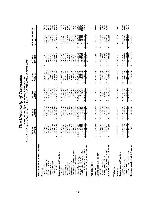|                                                             | Curre                                 |                                        | nt Funds Revenues, Expenditures and Transfers - UNRESTRICTED AND RESTRICTED<br>Five-Year Budget Summary Comparison |                                       |                                        |                                                     |                    |
|-------------------------------------------------------------|---------------------------------------|----------------------------------------|--------------------------------------------------------------------------------------------------------------------|---------------------------------------|----------------------------------------|-----------------------------------------------------|--------------------|
|                                                             | FY 2005                               | FY 2006                                | FY 2007                                                                                                            | FY 2008                               | FY 2009                                | FIVE-YEAR CHANGE                                    |                    |
|                                                             | ACTUAL                                | ACTUAL                                 | ACTUAL                                                                                                             | ACTUAL                                | REVISED                                | Amount                                              | న్                 |
| EDUCATIONAL AND GENERAL                                     |                                       |                                        |                                                                                                                    |                                       |                                        |                                                     |                    |
| Revenues                                                    |                                       |                                        |                                                                                                                    |                                       |                                        |                                                     |                    |
| Tuition & Fees                                              | 265,164,533                           | 297,774,514<br>↮                       | 318,173,954<br>↮                                                                                                   | 346,035,411<br>↮                      | 361,837,836<br>↮                       | 96,673,303<br>↮                                     | 36.5%              |
| State Appropriations                                        | 442,239,270                           | 454,953,286                            | 488,060,711                                                                                                        | 533,758,089                           | 497,692,700                            | 55,453,430                                          | 12.5%              |
| Grants & Contracts                                          | 380,518,750                           | 395,474,895                            | 412,223,241                                                                                                        | 440,755,579                           | 451,491,111                            | 70,972,361                                          | 18.7%              |
| Sales & Services                                            | 42,546,305                            | 44,079,037                             | 44,767,582                                                                                                         | 52,690,993                            | 50,263,235                             | 7,716,930                                           | 18.1%              |
| Investment Income                                           | 8,468,644                             | 12,923,895                             | 22,178,708                                                                                                         | 24,460,896                            | 13,000,000                             | 4,531,356                                           | 53.5%              |
| <b>Total Revenues</b><br>Other Sources                      | 225,930,924<br>86,993,421<br>↮        | 1,306,906,222<br>101,700,595<br>↮      | 101,617,860<br>1,387,022,055<br>$\boldsymbol{\varphi}$                                                             | 108,538,438<br>1,506,239,406<br>မာ    | 1,469,953,503<br>95,668,621<br>↮       | 244,022,579<br>8,675,200<br>$\boldsymbol{\varphi}$  | 10.0%<br>19.9%     |
|                                                             |                                       |                                        |                                                                                                                    |                                       |                                        |                                                     |                    |
| Expenditures and Transfers                                  |                                       |                                        |                                                                                                                    |                                       |                                        |                                                     |                    |
| Instruction                                                 | 447,975,090<br>ഗ                      | 469,302,704<br>↮                       | 495,687,86<br>↮                                                                                                    | 524,476,964<br>↮                      | 547,336,619<br>↮                       | 99,361,529<br>↮                                     | 22.2%              |
| Research                                                    | 212,250,846                           | 207,162,503                            | 206,443,659                                                                                                        | 215,280,209                           | 232,862,125                            | 20,611,279                                          | 9.7%               |
| Academic Support<br><b>Public Service</b>                   | 103,977,020<br>126,149,782            | 130,814,382<br>109,783,867             | 132,509,042                                                                                                        | 136,060,800<br>125,954,894            | 139,225,162                            | 13,075,380                                          | 10.4%<br>17.5%     |
| Student Services                                            | 63,011,743                            | 65,323,780                             | 117,524,400<br>69,715,683                                                                                          | 75,975,234                            | 122, 149, 593<br>74,472,513            | 18, 172, 573<br>11,460,770                          | 18.2%              |
| Institutional Support                                       | 84,769,123                            | 89,958,489                             | 96,705,936                                                                                                         | 107,541,338                           | 14,567,129                             | 29,798,006                                          | 35.2%              |
| Operation & Maintenance of Plant                            |                                       | 87,927,318                             | 94,354,304                                                                                                         | 97,964,531                            | 01,842,100                             | 18,451,100                                          | 22.1%              |
| Scholarships & Fellowships                                  | 83,391,000<br>02,944,382              | 20,385,863                             | 37,798,736                                                                                                         | 67,794,251                            | 179,867,495                            | 76,923,113                                          | 74.7%              |
| Sub-total Expenditures                                      | ,224,468,987<br>မာ                    | 1,280,658,906<br>$\theta$              | 1,350,739,620<br>$\Theta$                                                                                          | 1,451,048,220<br>မာ                   | 512,322,736<br>$\Theta$                | 287,853,749<br>$\boldsymbol{\varphi}$               | 23.5%              |
| Mandatory Transfers (In)/Out                                | 4,156,943                             | 4,423,113                              | 5,614,004                                                                                                          | 6,339,175                             | 6,480,045                              | 2,323,102                                           | 55.9%              |
| Non-Mandatory Transfers (In)/Out                            | (12.092.728)                          | (4,303,563)                            | (172.214)                                                                                                          | 14.115.383                            | (27, 237, 307)                         | (15, 144, 579)                                      | 125.2%             |
| Total Expenditures and Transfers                            | 216,533,201<br>↮                      | 280,778,456<br>Ø                       | 1,356,181,410<br>$\boldsymbol{\varphi}$                                                                            | 471,502,778<br>$\boldsymbol{\varphi}$ | ,491,565,474<br>$\boldsymbol{\varphi}$ | 275,032,273<br>↮                                    | 22.6%              |
| Revenues Less Expend. & Transfers                           | 9,397,723<br>$\Theta$                 | 26,127,765<br>↔                        | 30,840,645<br>↔                                                                                                    | 34,736,628<br>$\Theta$                | (21, 611, 971)<br>↮                    | (31,009,694)<br>↔                                   |                    |
| AUXILIARIES                                                 |                                       |                                        |                                                                                                                    |                                       |                                        |                                                     |                    |
| Revenues                                                    | 139,784,344<br>↮                      | 144, 101, 340<br>↮                     | 170,729,251<br>↮                                                                                                   | 167,930,226<br>↮                      | 175,561,890<br>↮                       | 35,777,546<br>↮                                     | 25.6%              |
| Expenditures and Transfers                                  |                                       |                                        |                                                                                                                    |                                       |                                        |                                                     |                    |
| Expenditures                                                | 109,602,342<br>ഗ                      | 107,533,326<br>မာ                      | 127,062,136<br>↮                                                                                                   | 130,769,438<br>↮                      | 127,423,677<br>↮                       | 17,821,335<br>↮                                     | 16.3%              |
| Mandatory Transfers                                         | 14,084,675                            | 11,478,696                             | 14,247,196                                                                                                         | 16,321,163                            | 26,344,943                             | 12,260,268                                          | 87.0%              |
| Non-Mandatory Transfers                                     | 15,726,687                            | 22,875,175                             | 26,480,77                                                                                                          | 19,111,727                            | 21,941,449                             | 6,214,762                                           | 39.5%              |
| Total Expenditures and Transfers                            | 139,413,705                           | 141,887,197                            | 67,790,109<br>↮                                                                                                    | 166,202,328                           | 175,710,069                            | 36,296,364                                          | 26.0%              |
| Revenues Less Expend. & Transfers                           | 370,640<br>မာ မာ                      | ,214,143<br>$\mathbf{\Omega}$<br>မာ မာ | 2.939,142<br>↮                                                                                                     | 1,727,898<br>$\frac{1}{2}$            | (148, 179)<br>မာ မာ                    | (518, 819)<br>မျေမ                                  |                    |
| <b>TOTALS</b>                                               |                                       |                                        |                                                                                                                    |                                       |                                        |                                                     |                    |
| Revenues                                                    | 1,365,715,269<br>↮                    | 1,451,007,561<br>↮                     | 1,557,751,306<br>↮                                                                                                 | 1,674,169,632<br>↮                    | 1,645,515,393<br>မာ                    | 279,800,124<br>↮                                    | 20.5%              |
| Expenditures and Transfers                                  |                                       |                                        |                                                                                                                    |                                       |                                        |                                                     |                    |
| Expenditures                                                | 1,334,071,329<br>မာ                   | 1,388,192,231<br>↔                     | 1,477,801,756<br>↮                                                                                                 | 1,581,817,659<br>↮                    | 1,639,746,413<br>↮                     | 305,675,084<br>↮                                    | 22.9%              |
| Mandatory Transfers                                         | 18,241,618                            | 15,901,810                             | 19,861,200                                                                                                         | 22,660,339                            | 32,824,988                             | 14,583,370                                          | 79.9%              |
| Total Expenditures and Transfers<br>Non-Mandatory Transfers | 3.633,959<br>,355,946,906<br>$\Theta$ | 18.571.612<br>422,665,653              | 26,308,563<br>,523,971,519<br>↔                                                                                    | 33,227,109<br>,637,705,106            | (5,295,858)<br>667,275,543             | (8.929.817<br>311,328,637<br>$\boldsymbol{\varphi}$ | $-245.7%$<br>23.0% |
| Revenues Less Expend. & Transfers                           | 9,768,363<br>$\epsilon$               | 28,341,908<br>$\frac{1}{2}$            | 33,779,787<br>∙ မ                                                                                                  | 36,464,526<br>မှ မ                    | (21,760,150)<br>မာ မာ                  | (31,528,513)<br>↔                                   |                    |
|                                                             |                                       |                                        |                                                                                                                    |                                       |                                        |                                                     |                    |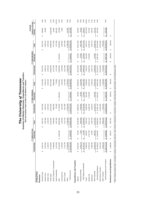|                                  |                        |                                  |                  | The University of Tennessee                             |                                    |                                                           |                  |                 |                  |                                      |         |
|----------------------------------|------------------------|----------------------------------|------------------|---------------------------------------------------------|------------------------------------|-----------------------------------------------------------|------------------|-----------------|------------------|--------------------------------------|---------|
|                                  |                        |                                  |                  | E&G and Auxiliary Funds for Men's and Women's Athletics |                                    | Summary of Athletics Revenues, Expenditures and Transfers |                  |                 |                  |                                      |         |
|                                  |                        | FY 2008 ACTUAL                   |                  |                                                         | FY 2009 ORIGINAL                   |                                                           |                  | FY 2009 REVISED |                  | <b>Original to Revised</b><br>CHANGE |         |
|                                  | Unrestricted           | Restricted                       | Total            | Unrestricted                                            | Restricted                         | Total                                                     | Unrestricted     | Restricted      | Total            | Amount                               | వ్      |
| <b>ATHLETICS</b>                 |                        |                                  |                  |                                                         |                                    |                                                           |                  |                 |                  |                                      |         |
| Revenues                         |                        |                                  |                  |                                                         |                                    |                                                           |                  |                 |                  |                                      |         |
| General Funds                    | 8,261,167<br>မာ        |                                  | 8,261,167<br>မာ  | 8,214,596<br>မာ                                         |                                    | 8,214,596<br>မာ                                           | 8,611,557<br>မာ  |                 | 8,611,557<br>မာ  | 396,961<br>မာ                        | 4.8%    |
| Student Fees                     | 3,497,900              |                                  | 3,497,900        | 3,433,124                                               |                                    | 3,433,124                                                 | 3,498,124        |                 | 3,498,124        | 65,000                               | 1.9%    |
| Athletic Fees                    | 2,130,576              |                                  | 2,130,576        | 2,078,333                                               |                                    | 2,078,333                                                 | 2,078,333        |                 | 2,078,333        |                                      |         |
| <b>Ticket Sales</b>              | 31,524,804             |                                  | 31,524,804       | 35,474,000                                              |                                    | 35,474,000                                                | 34,388,500       |                 | 34,388,500       | (1,085,500)                          | $-3.1%$ |
| NCAA Conference, Tournaments     | 9,459,656              |                                  | 9,459,656        | 9,695,000                                               |                                    | 9,695,000                                                 | 9,747,628        |                 | 9,747,628        | 52,628                               | 0.5%    |
| Game Guarantees                  | 1,017,500              |                                  | 1,017,500        | 770,900                                                 |                                    | 770,900                                                   | 1,757,000        |                 | 1,757,000        | 986,100                              | 127.9%  |
| Gifts                            | 24,341,909             | 3,665,083<br>မာ                  | 28,006,992       | 21,740,000                                              | 2,803,801<br>မာ                    | 24,543,801                                                | 21,680,000       | 2,828,801<br>မာ | 24,508,801       | (35,000)                             | $-0.1%$ |
| Licensing Fees                   | 1,378,000              |                                  | 1,378,000        | 1,314,000                                               |                                    | 1,314,000                                                 | 1,320,000        |                 | 1,320,000        | 6,000                                | 0.5%    |
| Sports Camps                     | 2,741,758              |                                  | 2,741,758        | 2,011,589                                               |                                    | 2,011,589                                                 | 2,011,589        |                 | 2,011,589        |                                      |         |
| Other*                           | 17,663,056             |                                  | 17,663,056       | 17,281,620                                              |                                    | 17,281,620                                                | 17,382,620       |                 | 17,382,620       | 101,000                              | 0.6%    |
| <b>Total Revenues</b>            | \$102,016,326          | 3,665,083<br>∞∥                  | \$105,681,409    | \$102,013,162                                           | 2,803,801<br>$\boldsymbol{\omega}$ | \$104,816,963                                             | \$102,475,351    | 2,828,801<br>ΘI | \$105,304,152    | 487,189<br>$\boldsymbol{\omega}$     | 0.5%    |
| Expenditures and Transfers       |                        |                                  |                  |                                                         |                                    |                                                           |                  |                 |                  |                                      |         |
| Salaries                         | 29,287,837             | 30,168<br>$\boldsymbol{\varphi}$ | 29,318,005<br>မာ | 28,968,001<br>မာ                                        | 80,000<br>↮                        | 29,048,001<br>↮                                           | 29,132,259<br>မာ | 80,000<br>↮     | 29,212,259<br>မာ | 164,258<br>↮                         | 0.6%    |
| Employee Benefits                | 6,933,170              | 7,428                            | 6,940,598        | 6,788,095                                               | 25,600                             | 6,813,695                                                 | 6,832,280        | 25,600          | 6,857,880        | 44,185                               | 0.6%    |
| Total Salaries and Benefits      | 36,221,007<br>↔        | 37,596<br>↮                      | 36,258,603<br>Ø  | 35,756,096<br>↮                                         | 105,600<br>Θ                       | 35,861,696<br>↮                                           | 35,964,539<br>Ø  | 105,600<br>↮    | 36,070,139<br>Ø  | 208,443<br>Ø                         | 0.6%    |
| Travel                           | 9,383,534              | 168,597                          | 9,552,132        | 8,658,646                                               | 581,038                            | 9,239,684                                                 | 7,622,676        | 641,038         | 8,263,714        | 975,970)                             | 10.6%   |
| Student Aid                      | 10,753,315             | 2,757,799                        | 13,511,114       | 12,282,226                                              | 1,740,000                          | 14,022,226                                                | 12,650,464       | 1,745,000       | 14,395,464       | 373,238                              | 2.7%    |
| Equipment                        | 5,396,496              | 24,300                           | 5,420,796        | 3,138,419                                               |                                    | 3,138,419                                                 | 3,297,179        |                 | 3,297,179        | 158,760                              | 5.1%    |
| Other Operating                  | 23,682,463             | 468,544                          | 24,151,007       | 22, 145, 751                                            | 415,684                            | 22,561,435                                                | 22,908,469       | 375,684         | 23,284,153       | 722,718                              | 3.2%    |
| Sub-total Expenditures           | 85,436,815<br>$\Theta$ | \$ 3,456,836                     | 88,893,651<br>↮  | 81,981,138<br>$\Theta$                                  | 2,842,322<br>Ø                     | 84,823,460<br>↮                                           | 82,443,327<br>မာ | 2,867,322<br>↮  | 85,310,649<br>↮  | 487,189<br>↮                         | 0.6%    |
| Debt Service Transfers           | 8,327,228              |                                  | 8,327,228        | 12,310,000                                              |                                    | 12,310,000                                                | 12,310,000       |                 | 12,310,000       |                                      |         |
| Other Transfers                  | 6,953,233              |                                  | 6,953,233        | 7,722,024                                               |                                    | 7,722,024                                                 | 7,722,024        |                 | 7,722,024        |                                      |         |
| Total Expenditures and Transfers | \$100,717,276          | \$3,456,836                      | \$104,174,112    | \$102,013,162                                           | 2,842,322<br>↔                     | \$104,855,484                                             | \$102,475,351    | \$ 2,867,322    | \$105,342,673    | 487,189<br>Ø                         | 0.5%    |
| Revenues Less Expenditures       | 1,299,050<br>မာ        | 208,24<br>↮                      | 1,507,297<br>မာ  | ↮                                                       | (38,521)<br>G,                     | (38, 521)<br>↮                                            | မာ               | (38, 521)<br>မာ | (38, 521)<br>↮   |                                      |         |

\* Other includes program sales, concessions, parking, broadcasting, television, radio, internet, endowments, investments, royalties, advertisements, sponsorships, and miscellaneous other. aous oth ments, investments, royalties, advertisements, sponsorships, and misce ssions, parking, broadcasting, television, radio, internet, endow \* Other includes program sales, conce

## 15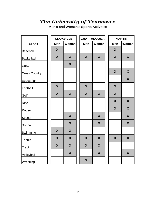# *The University of Tennessee*

**Men's and Women's Sports Activities**

|                      |                    | <b>KNOXVILLE</b> |                           | <b>CHATTANOOGA</b> |                    | <b>MARTIN</b>    |
|----------------------|--------------------|------------------|---------------------------|--------------------|--------------------|------------------|
| <b>SPORT</b>         | Men                | Women            | Men                       | Women              | Men                | <b>Women</b>     |
| <b>Baseball</b>      | $\pmb{\mathsf{X}}$ |                  |                           |                    | $\boldsymbol{X}$   |                  |
| Basketball           | X                  | X                | X                         | $\boldsymbol{X}$   | $\boldsymbol{X}$   | $\boldsymbol{X}$ |
| Crew                 |                    | X                |                           |                    |                    |                  |
| <b>Cross Country</b> |                    |                  |                           |                    | X                  | X                |
| Equestrian           |                    |                  |                           |                    |                    | X                |
| Football             | X                  |                  | $\boldsymbol{X}$          |                    | $\pmb{\mathsf{X}}$ |                  |
| Golf                 | $\boldsymbol{X}$   | $\boldsymbol{X}$ | $\boldsymbol{\mathsf{X}}$ | $\boldsymbol{X}$   | $\boldsymbol{X}$   |                  |
| Rifle                |                    |                  |                           |                    | X                  | $\boldsymbol{X}$ |
| Rodeo                |                    |                  |                           |                    | $\boldsymbol{X}$   | X                |
| Soccer               |                    | X                |                           | $\boldsymbol{X}$   |                    | $\boldsymbol{X}$ |
| Softball             |                    | X                |                           | $\boldsymbol{X}$   |                    | X                |
| Swimming             | X                  | X                |                           |                    |                    |                  |
| Tennis               | X                  | X                | $\boldsymbol{X}$          | $\boldsymbol{X}$   | X                  | X                |
| <b>Track</b>         | $\boldsymbol{X}$   | X                | $\boldsymbol{X}$          | $\boldsymbol{X}$   |                    |                  |
| Volleyball           |                    | X                |                           | X                  |                    | $\boldsymbol{X}$ |
| Wrestling            |                    |                  | $\boldsymbol{X}$          |                    |                    |                  |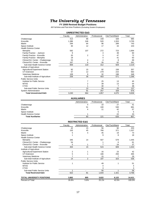# *The University of Tennessee*

**FY 2009 Revised Budget Positions** All Full-time and Part-time Positions (Excluding Student Employees)

## **UNRESTRICTED E&G**

|                                        | Faculty        | Administrative | Professional | Cler/Tech/Maint | Total |
|----------------------------------------|----------------|----------------|--------------|-----------------|-------|
| Chattanooga                            | 413            | 86             | 158          | 328             | 985   |
| Knoxville                              | 1,386          | 246            | 520          | 1,553           | 3,705 |
| Martin                                 | 294            | 64             | 96           | 289             | 743   |
| Space Institute                        | 30             | 12             | 17           | 44              | 103   |
| <b>Health Science Center</b>           |                |                |              |                 |       |
| Memphis                                | 592            | 107            | 272          | 723             | 1,694 |
| Family Practice - Jackson              | 9              |                | 3            | 48              | 60    |
| Family Practice - Knoxville            | 20             | 2              | 3            | 47              | 72    |
| Family Practice - Memphis              | 18             |                | 4            | 41              | 63    |
| Clinical Ed. Center - Chattanooga      | 53             | 4              | 4            | 8               | 69    |
| Clinical Ed. Center - Knoxville        | 167            | 6              | 26           | 62              | 261   |
| Sub-total Health Science Center        | 859            | 119            | 312          | 929             | 2,219 |
| Institute of Agriculture               |                |                |              |                 |       |
| <b>Agricultural Experiment Station</b> | 92             | 15             | 92           | 158             | 357   |
| <b>UT Extension</b>                    | 57             | 12             | 279          | 215             | 563   |
| <b>Veterinary Medicine</b>             | 109            | 9              | 32           | 198             | 348   |
| Sub-total Institute of Agriculture     | 258            | 36             | 403          | 571             | 1,268 |
| <b>Public Service Units</b>            |                |                |              |                 |       |
| Institute for Public Service           |                | 7              | 25           | 13              | 45    |
| <b>MTAS</b>                            |                | 2              | 39           | 13              | 54    |
| <b>CTAS</b>                            |                |                | 30           | 7               | 38    |
| Sub-total Public Service Units         | $\blacksquare$ | 10             | 94           | 33              | 137   |
| <b>System Administration</b>           |                | 91             | 257          | 328             | 676   |
| <b>Total Unrestricted E&amp;G</b>      | 3,240          | 664            | 1,857        | 4,075           | 9,836 |

#### **AUXILIARIES**

|                              | <b>AUAILIAINLU</b> |              |                 |                |
|------------------------------|--------------------|--------------|-----------------|----------------|
|                              | Administrative     | Professional | Cler/Tech/Maint | Total          |
| Chattanooga                  |                    | 10           | 27              | 4 <sup>1</sup> |
| Knoxville                    | 51                 | 100          | 530             | 681            |
| Martin                       |                    |              | 42              | 57             |
| Space Institute              |                    |              |                 |                |
| <b>Health Science Center</b> |                    |              | 22              | 23             |
| <b>Total Auxiliaries</b>     | 60                 | 121          | 626             | 807            |
|                              |                    |              |                 |                |

### **RESTRICTED E&G**

|                                        | Faculty | Administrative           | Professional | Cler/Tech/Maint | Total  |
|----------------------------------------|---------|--------------------------|--------------|-----------------|--------|
| Chattanooga                            | 42      | 15                       | 56           | 90              | 203    |
| Knoxville                              | 155     | 45                       | 766          | 371             | 1,337  |
| Martin                                 | 5       | 4                        | 45           | 19              | 73     |
| Space Institute                        |         |                          | 9            | 8               | 18     |
| <b>Health Science Center</b>           |         |                          |              |                 |        |
| Memphis                                | 345     | 14                       | 507          | 579             | 1,445  |
| Clinical Ed. Center - Chattanooga      | 54      |                          |              | 6               | 61     |
| Clinical Ed. Center - Knoxville        | 5       |                          |              | 24              | 37     |
| Sub-total Health Science Center        | 404     | 15                       | 515          | 609             | 1,543  |
| Institute of Agriculture               |         |                          |              |                 |        |
| <b>Agricultural Experiment Station</b> | 2       |                          | 16           | 23              | 42     |
| UT Extension                           | 5       |                          | 166          | 293             | 465    |
| <b>Veterinary Medicine</b>             |         |                          | 15           |                 | 29     |
| Sub-total Institute of Agriculture     | 14      | 2                        | 197          | 323             | 536    |
| <b>Public Service Units</b>            |         |                          |              |                 |        |
| Institute for Public Service           |         |                          | 49           |                 | 51     |
| <b>MTAS</b>                            |         |                          | 4            |                 | 4      |
| <b>CTAS</b>                            |         |                          | 3            |                 | 3      |
| Sub-total Public Service Units         |         | $\overline{\phantom{a}}$ | 56           |                 | 58     |
| <b>Total Restricted E&amp;G</b>        | 622     | 81                       | 1,644        | 1,421           | 3,768  |
| <b>TOTAL UNIVERSITY POSITIONS</b>      | 3,862   | 805                      | 3,622        | 6,122           | 14,411 |
| Percent of Total                       | 26.8%   | 5.6%                     | 25.1%        | 42.5%           | 100.0% |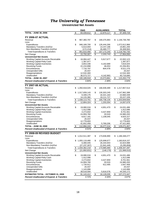# *The University of Tennessee* **Unrestricted Net Assets**

|                                                       |    | E&G            |                       | <b>AUXILIARIES</b> | <b>TOTAL</b>        |
|-------------------------------------------------------|----|----------------|-----------------------|--------------------|---------------------|
| <b>TOTAL - JUNE 30, 2006</b>                          | \$ | 84,439,612     | \$                    | 12,870,117         | \$<br>97,309,729    |
|                                                       |    |                |                       |                    |                     |
| <b>FY 2006-07 ACTUAL</b>                              |    |                |                       |                    |                     |
| Revenue                                               | \$ | 967,360,797    | \$                    | 169,375,983        | \$<br>1,136,736,780 |
| Less:                                                 |    |                |                       |                    |                     |
| Expenditures                                          | \$ | 946,168,700    | \$                    | 126,444,266        | 1,072,612,966       |
| Mandatory Transfers (In)/Out                          |    | 5,614,004      |                       | 14,247,196         | 19,861,200          |
| Non-Mandatory Transfers (In)/Out                      |    | (172, 214)     |                       | 26,480,777         | 26,308,563          |
| <b>Total Expenditures &amp; Transfers</b>             | \$ | 951,610,490    | \$                    | 167, 172, 240      | \$<br>1,118,782,730 |
| Net Change                                            | \$ | 15,750,307     | $\boldsymbol{\theta}$ | 2,203,743          | \$<br>17,954,050    |
| <b>Unrestricted Net Assets</b>                        |    |                |                       |                    |                     |
| Working Capital-Accounts Receivable                   | \$ | 16,084,447     | \$                    | 5,917,677          | \$<br>22,002,123    |
| Working Capital-Petty Cash                            |    | 1,397,977      |                       |                    | 1,397,977           |
| <b>Working Capital-Inventories</b>                    |    | 3,653,336      |                       | 4,162,689          | 7,816,025           |
| <b>Revolving Funds</b>                                |    | 22,210,898     |                       | 46,053             | 22,256,951          |
| Encumbrances                                          |    | 7,716,797      |                       | 804,478            | 8,521,276           |
| <b>Unexpended Gifts</b>                               |    | 20,437         |                       |                    | 20,437              |
| Reappropriations                                      |    | 12,532,300     |                       |                    | 12,532,300          |
| Unallocated                                           |    | 36,573,727     |                       | 4,142,963          | 40,716,690          |
| <b>TOTAL - JUNE 30, 2007</b>                          | \$ | 100,189,918    | \$                    | 15,073,861         | \$<br>115,263,779   |
| <b>Percent Unallocated of Expend. &amp; Transfers</b> |    | 3.84%          |                       | 2.48%              | 3.64%               |
| <b>FY 2007-08 ACTUAL</b>                              |    |                |                       |                    |                     |
| Revenue                                               | \$ | 1,050,918,025  | \$                    | 166,939,489        | \$<br>1,217,857,514 |
| Less:                                                 |    |                |                       |                    |                     |
| Expenditures                                          | \$ | 1,017,659,143  | \$                    | 130,303,245        | 1,147,962,388       |
| Mandatory Transfers (In)/Out                          |    | 6,339,175      |                       | 16,321,163         | 22,660,339          |
| Non-Mandatory Transfers (In)/Out                      |    | 14,115,382     |                       | 19,111,727         | 33,227,109          |
| <b>Total Expenditures &amp; Transfers</b>             | \$ | 1,038,113,701  | \$                    | 165,736,135        | \$<br>1,203,849,836 |
| Net Change                                            | \$ | 12,804,324     | \$                    | 1,203,354          | \$<br>14,007,678    |
| <b>Unrestricted Net Assets</b>                        |    |                |                       |                    |                     |
| Working Capital-Accounts Receivable                   | \$ | 19,080,016     | \$                    | 4,951,470          | \$<br>24,031,486    |
| <b>Working Capital-Petty Cash</b>                     |    | 1,412,096      |                       |                    | 1,412,096           |
| <b>Working Capital-Inventories</b>                    |    | 4,273,602      |                       | 4,427,959          | 8,701,561           |
| <b>Revolving Funds</b>                                |    | 24,959,760     |                       | 20,533             | 24,980,293          |
| Encumbrances                                          |    | 8,817,181      |                       | 1,108,045          | 9,925,227           |
| <b>Unexpended Gifts</b>                               |    | 20,437         |                       |                    | 20,437              |
| Reappropriations                                      |    | 12,778,693     |                       |                    | 12,778,693          |
| Unallocated                                           |    | 41,652,458     |                       | 5,769,206          | 47,421,665          |
| <b>TOTAL - JUNE 30, 2008</b>                          | \$ | 112,994,243    | \$                    | 16,277,214         | \$<br>129,271,457   |
| <b>Percent Unallocated of Expend. &amp; Transfers</b> |    | 4.01%          |                       | 3.48%              | 3.94%               |
| FY 2008-09 REVISED BUDGET                             |    |                |                       |                    |                     |
| Revenue                                               | S  | 1,012,511,387  | \$                    | 173,836,890        | \$<br>1,186,348,277 |
| Less:                                                 |    |                |                       |                    |                     |
| Expenditures                                          | \$ | 1,055,119,480  | \$                    | 125,698,677        | 1,180,818,157       |
| Mandatory Transfers (In)/Out                          |    | 6,480,045      |                       | 26,344,943         | 32,824,988          |
| Non-Mandatory Transfers (In)/Out                      |    | (27, 237, 307) |                       | 21,941,449         | (5,295,858)         |
| <b>Total Expenditures &amp; Transfers</b>             | \$ | 1,034,362,218  | $\boldsymbol{\theta}$ | 173,985,069        | \$<br>1,208,347,287 |
| Net Change                                            | \$ | (21, 850, 831) | \$                    | (148,179)          | \$<br>(21,999,010)  |
| <b>Unrestricted Net Assets</b>                        |    |                |                       |                    |                     |
| Working Capital-Accounts Receivable                   | \$ | 19,080,016     | \$                    | 4,951,470          | \$<br>24,031,486    |
| Working Capital-Petty Cash                            |    | 1,412,096      |                       |                    | 1,412,096           |
| <b>Working Capital-Inventories</b>                    |    | 4,273,602      |                       | 4,427,959          | 8,701,561           |
| <b>Revolving Funds</b>                                |    | 24,959,760     |                       | 20,533             | 24,980,293          |
| Encumbrances                                          |    | 1,734,911      |                       | 912,495            | 2,647,406           |
| <b>Unexpended Gifts</b>                               |    | 20,437         |                       |                    | 20,437              |
| Reappropriations                                      |    | 1,143,996      |                       |                    | 1,143,996           |
| Unallocated                                           |    | 38,518,594     |                       | 5,816,578          | 44,335,172          |
| <b>ESTIMATED TOTAL - OCTOBER 31, 2008</b>             | \$ | 91,143,412     | \$                    | 16,129,035         | \$<br>107,272,447   |
| <b>Percent Unallocated of Expend. &amp; Transfers</b> |    | 3.72%          |                       | 3.34%              | 3.67%               |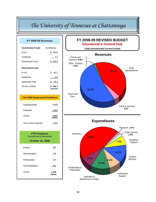# *The University of Tennessee at Chattanooga*

| FY 2008-09 Revenues                                                            |               |
|--------------------------------------------------------------------------------|---------------|
| <b>Unrestricted Funds</b>                                                      | (In Millions) |
| E & G                                                                          | \$100.8       |
| Auxiliaries                                                                    | 7.7           |
| <b>Unrestricted Total</b>                                                      | \$108.5       |
| <b>Restricted Funds</b>                                                        |               |
| E & G                                                                          | \$40.2        |
| Auxiliaries                                                                    | 0.0           |
| <b>Restricted Total</b>                                                        | \$40.2        |
| TOTAL FUNDS                                                                    | \$148.7       |
|                                                                                |               |
| <b>Fall 2008 Headcount Enrollment</b>                                          |               |
| Undergraduate                                                                  | 8,405         |
| Graduate                                                                       | 1,402         |
| <b>TOTAL</b>                                                                   | 9,807         |
| *First-Time Freshmen                                                           | 2,083         |
| <b>FTE Positions</b><br>(Unrestricted & Restricted)<br><b>October 31, 2008</b> |               |
| Faculty                                                                        | 455           |
| Administrative                                                                 | 105           |
| Professional                                                                   | 224           |
| Cler/Tech/Maint                                                                | 445           |
| <b>TOTAL</b>                                                                   | 1,229         |



Institutional Support

Scholarships & **Fellowships** 

> Operation & Maintenance of Plant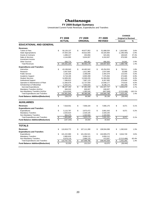#### **FY 2009 Budget Summary**

Unrestricted Current Funds Revenues, Expenditures and Transfers

|                                          |              |                |                   |                          |                |                           | <b>CHANGE</b>              |           |
|------------------------------------------|--------------|----------------|-------------------|--------------------------|----------------|---------------------------|----------------------------|-----------|
|                                          |              | <b>FY 2008</b> | FY 2009           |                          | FY 2009        |                           | <b>Original to Revised</b> |           |
|                                          |              | <b>ACTUAL</b>  | <b>ORIGINAL</b>   |                          | <b>REVISED</b> |                           | Amount                     | %         |
| <b>EDUCATIONAL AND GENERAL</b>           |              |                |                   |                          |                |                           |                            |           |
| <b>Revenues</b>                          |              |                |                   |                          |                |                           |                            |           |
| <b>Tuition &amp; Fees</b>                | \$           | 50,126,137     | \$<br>49,877,952  | \$                       | 51,688,034     | \$                        | 1,810,082                  | 3.6%      |
| <b>State Appropriations</b>              |              | 47,004,100     | 44,622,000        |                          | 43,325,600     |                           | (1,296,400)                | $-2.9%$   |
| <b>Grants &amp; Contracts</b>            |              | 1,089,217      | 453,856           |                          | 623,481        |                           | 169,625                    | 37.4%     |
| Sales & Services                         |              | 4,144,993      | 3,634,007         |                          | 4,310,507      |                           | 676,500                    | 18.6%     |
| Investment Income                        |              |                |                   |                          |                |                           |                            |           |
| <b>Other Sources</b>                     |              | 836,774        | 865,361           |                          | 890,302        |                           | 24,941                     | 2.9%      |
| <b>Total Revenues</b>                    | \$           | 103,201,220    | \$<br>99,453,176  | \$                       | 100,837,924    | \$                        | 1,384,748                  | 1.4%      |
| <b>Expenditures and Transfers</b>        |              |                |                   |                          |                |                           |                            |           |
| Instruction                              | \$           | 43,199,943     | \$<br>44,462,042  | \$                       | 45,254,553     | \$                        | 792,511                    | 1.8%      |
| Research                                 |              | 3,407,829      | 1,611,960         |                          | 1,637,648      |                           | 25,688                     | 1.6%      |
| <b>Public Service</b>                    |              |                |                   |                          |                |                           |                            | 5.0%      |
|                                          |              | 2,138,100      | 2,288,836         |                          | 2,404,379      |                           | 115,543                    |           |
| Academic Support                         |              | 8,718,195      | 6,900,399         |                          | 7,375,064      |                           | 474,665                    | 6.9%      |
| <b>Student Services</b>                  |              | 14,909,262     | 13,569,205        |                          | 14,384,650     |                           | 815,445                    | 6.0%      |
| <b>Institutional Support</b>             |              | 7,396,813      | 7,887,133         |                          | 8,267,083      |                           | 379,950                    | 4.8%      |
| Operation & Maintenance of Plant         |              | 11,083,679     | 12,737,559        |                          | 13,508,177     |                           | 770,618                    | 6.0%      |
| Scholarships & Fellowships               |              | 5,253,371      | 7,933,915         |                          | 8,196,173      |                           | 262,258                    | 3.3%      |
| Sub-total Expenditures                   | $\mathbf{s}$ | 96,107,192     | \$<br>97,391,049  | $\mathbf{\hat{S}}$       | 101,027,727    | \$                        | 3,636,678                  | 3.7%      |
| Mandatory Transfers (In)/Out             |              | 840,010        | 630,007           |                          | 630,007        |                           |                            |           |
| Non-Mandatory Transfers (In)/Out         |              | 6,014,644      | 1,365,540         |                          | (847, 946)     |                           | (2, 213, 486)              | $-162.1%$ |
| <b>Total Expenditures and Transfers</b>  | \$           | 102,961,846    | \$<br>99,386,596  | \$                       | 100,809,788    | \$                        | 1,423,192                  | 1.4%      |
| <b>Fund Balance Addition/(Reduction)</b> | \$           | 239,374        | \$<br>66,580      | \$                       | 28,136         | \$                        | (38, 444)                  |           |
| <b>AUXILIARIES</b>                       |              |                |                   |                          |                |                           |                            |           |
| <b>Revenues</b>                          | \$           | 7,618,551      | \$<br>7,658,104   | \$                       | 7,666,175      | \$                        | 8,071                      | 0.1%      |
| <b>Expenditures and Transfers</b>        |              |                |                   |                          |                |                           |                            |           |
| Expenditures                             | \$           | 5,115,797      | \$<br>3,873,472   | \$                       | 3,881,543      | \$                        | 8,071                      | 0.2%      |
| <b>Mandatory Transfers</b>               |              | 2,025,623      | 2,429,105         |                          | 2,429,105      |                           |                            |           |
| Non-Mandatory Transfers                  |              | 664,475        | 1,320,593         |                          | 1,320,593      |                           |                            |           |
| <b>Total Expenditures and Transfers</b>  | \$           | 7,805,895      | \$<br>7,623,170   | $\bullet$                | 7,631,241      | $\boldsymbol{\mathsf{s}}$ | 8,071                      | 0.1%      |
| <b>Fund Balance Addition/(Reduction)</b> | \$           | (187, 344)     | \$<br>34,934      | \$                       | 34,934         | \$                        |                            |           |
|                                          |              |                |                   |                          |                |                           |                            |           |
| <b>TOTALS</b>                            |              |                |                   |                          |                |                           |                            |           |
| <b>Revenues</b>                          | \$           | 110,819,772    | \$<br>107,111,280 | \$                       | 108,504,099    | \$                        | 1,392,819                  | 1.3%      |
| <b>Expenditures and Transfers</b>        |              |                |                   |                          |                |                           |                            |           |
| Expenditures                             | \$           | 101,222,990    | \$<br>101,264,521 | \$                       | 104,909,270    | \$                        | 3.644.749                  | 3.6%      |
| <b>Mandatory Transfers</b>               |              | 2,865,633      | 3,059,112         |                          | 3,059,112      |                           |                            |           |
| Non-Mandatory Transfers                  |              | 6,679,119      | 2,686,133         |                          | 472,647        |                           | (2, 213, 486)              | $-82.4%$  |
| <b>Total Expenditures and Transfers</b>  | \$           | 110,767,742    | \$<br>107,009,766 | \$                       | 108,441,029    | \$                        | 1,431,263                  | 1.3%      |
| <b>Fund Balance Addition/(Reduction)</b> | \$           | 52,030         | \$<br>101,514     | $\bar{\bar{\mathbf{s}}}$ | 63,070         |                           | (38, 444)                  |           |
|                                          |              |                |                   |                          |                |                           |                            |           |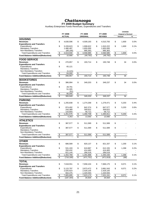**FY 2009 Budget Summary**

Auxiliary Enterprises Funds Revenues, Expenditures and Transfers

|                                          |                          |               |                         |                        |                 |                |                         | <b>CHANGE</b>              |      |
|------------------------------------------|--------------------------|---------------|-------------------------|------------------------|-----------------|----------------|-------------------------|----------------------------|------|
|                                          |                          | FY 2008       |                         | FY 2009                |                 | FY 2009        |                         | <b>Original to Revised</b> |      |
|                                          |                          | <b>ACTUAL</b> |                         | <b>ORIGINAL</b>        |                 | <b>REVISED</b> |                         | Amount                     | %    |
| <b>HOUSING</b>                           |                          |               |                         |                        |                 |                |                         |                            |      |
| <b>Revenues</b>                          | \$                       | 4,630,596     | \$                      | 4,509,193              | \$              | 4,510,793      | \$                      | 1,600                      | 0.0% |
| <b>Expenditures and Transfers</b>        |                          |               |                         |                        |                 |                |                         |                            |      |
| Expenditures                             | \$                       | 3,228,623     | \$                      | 1.908.622              | \$              | 1,910,222      | \$                      | 1,600                      | 0.1% |
| <b>Mandatory Transfers</b>               |                          | 1,480,497     |                         | 1,655,000              |                 | 1,655,000      |                         |                            |      |
| Non-Mandatory Transfers                  |                          | (89, 190)     |                         | 995,363                |                 | 995,363        |                         |                            |      |
| <b>Total Expenditures and Transfers</b>  | \$                       | 4,619,930     | \$                      | 4,558,985              | \$              | 4,560,585      | \$                      | 1,600                      | 0.0% |
| <b>Fund Balance Addition/(Reduction)</b> | $\overline{\mathcal{S}}$ | 10,666        | \$                      | (49, 792)              | \$              | (49, 792)      | \$                      |                            |      |
| <b>FOOD SERVICE</b>                      |                          |               |                         |                        |                 |                |                         |                            |      |
| <b>Revenues</b>                          | \$                       | 270,957       | \$                      | 193,714                | \$              | 193,748        | \$                      | 34                         | 0.0% |
| <b>Expenditures and Transfers</b>        |                          |               |                         |                        |                 |                |                         |                            |      |
| Expenditures                             | \$                       | 65,121        |                         |                        |                 |                |                         |                            |      |
| <b>Mandatory Transfers</b>               |                          |               |                         |                        |                 |                |                         |                            |      |
| Non-Mandatory Transfers                  |                          | (1, 121)      |                         |                        |                 |                |                         |                            |      |
| <b>Total Expenditures and Transfers</b>  | $\overline{\mathbf{e}}$  | 64,000        | \$                      |                        | \$              |                | \$                      |                            |      |
| <b>Fund Balance Addition/(Reduction)</b> | \$                       | 206,957       | \$                      | 193,714                | \$              | 193,748        | \$                      | 34                         |      |
| <b>BOOKSTORES</b>                        |                          |               |                         |                        |                 |                |                         |                            |      |
| <b>Revenues</b>                          | \$                       | 386,994       | \$                      | 349,203                | \$              | 349,237        | \$                      | 34                         | 0.0% |
| <b>Expenditures and Transfers</b>        |                          |               |                         |                        |                 |                |                         |                            |      |
| Expenditures                             | \$                       | 28.791        |                         |                        |                 |                |                         |                            |      |
| <b>Mandatory Transfers</b>               |                          | 51,305        |                         |                        |                 |                |                         |                            |      |
| Non-Mandatory Transfers                  |                          | (51)          |                         |                        |                 |                |                         |                            |      |
| <b>Total Expenditures and Transfers</b>  | \$                       | 80.045        | \$                      |                        | \$              |                | \$                      |                            |      |
| <b>Fund Balance Addition/(Reduction)</b> | \$                       | 306,949       | \$                      | 349,203                | \$              | 349,237        | \$                      | 34                         |      |
| <b>PARKING</b>                           |                          |               |                         |                        |                 |                |                         |                            |      |
| <b>Revenues</b>                          | \$                       | 1,255,838     | \$                      | 1,274,268              | \$              | 1,279,471      | \$                      | 5.203                      | 0.4% |
| <b>Expenditures and Transfers</b>        |                          |               |                         |                        |                 |                |                         |                            |      |
| Expenditures                             | \$                       | 874,492       | \$                      | 842,374                | \$              | 847,577        | \$                      | 5,203                      | 0.6% |
| <b>Mandatory Transfers</b>               |                          | 243,389       |                         | 359,622                |                 | 359,622        |                         |                            |      |
| Non-Mandatory Transfers                  |                          | 133,693       |                         | 58,712                 |                 | 58,712         |                         |                            |      |
| <b>Total Expenditures and Transfers</b>  | $\frac{1}{2}$            | 1,251,575     | \$                      | 1,260,708              | \$              | 1,265,911      | \$                      | 5,203                      | 0.4% |
| <b>Fund Balance Addition/(Reduction)</b> | \$                       | 4,263         | \$                      | 13,560                 | \$              | 13,560         | \$                      |                            |      |
| <b>ATHLETICS</b>                         |                          |               |                         |                        |                 |                |                         |                            |      |
| <b>Revenues</b>                          | \$                       | 387,577       | \$                      | 511,589                | \$              | 511,589        | \$                      |                            |      |
| <b>Expenditures and Transfers</b>        |                          |               |                         |                        |                 |                |                         |                            |      |
| Expenditures                             | \$                       | 387,577       | \$                      | 511,589                | \$              | 511,589        | \$                      |                            |      |
| <b>Mandatory Transfers</b>               |                          |               |                         |                        |                 |                |                         |                            |      |
| Non-Mandatory Transfers                  |                          |               |                         |                        |                 |                |                         |                            |      |
| <b>Total Expenditures and Transfers</b>  | \$                       | 387,577       | \$                      | 511,589                | \$              | 511,589        | \$                      | $\overline{\phantom{a}}$   |      |
| <b>Fund Balance Addition/(Reduction)</b> | \$                       |               | \$                      |                        | \$              |                | \$                      |                            |      |
| <b>OTHER</b>                             |                          |               |                         |                        |                 |                |                         |                            |      |
| <b>Revenues</b>                          | \$                       | 686,589       | \$                      | 820,137                | \$              | 821,337        | \$                      | 1,200                      | 0.1% |
| <b>Expenditures and Transfers</b>        |                          |               |                         |                        |                 |                |                         |                            |      |
| Expenditures                             | \$                       | 531,193       | \$                      | 610,887                | \$              | 612,155        | \$                      | 1,268                      | 0.2% |
| <b>Mandatory Transfers</b>               |                          | 250,432       |                         | 414,483                |                 | 414,483        |                         |                            |      |
| Non-Mandatory Transfers                  |                          | 621,144       |                         | 266,518                |                 | 266,518        |                         |                            |      |
| <b>Total Expenditures and Transfers</b>  | \$                       | 1,402,769     | \$                      | 1,291,888              | \$              | 1,293,156      | \$                      | 1,268                      | 0.1% |
| <b>Fund Balance Addition/(Reduction)</b> | \$                       | (716, 180)    | \$                      | $\overline{(471,751)}$ | \$              | (471, 819)     | \$                      | (68)                       |      |
|                                          |                          |               |                         |                        |                 |                |                         |                            |      |
| <b>TOTAL</b>                             |                          |               |                         |                        |                 |                |                         |                            |      |
| <b>Revenues</b>                          | \$                       | 7,618,551     | \$                      | 7,658,104              | \$              | 7,666,175      | \$                      | 8,071                      | 0.1% |
| <b>Expenditures and Transfers</b>        |                          |               |                         |                        |                 |                |                         |                            |      |
| Expenditures                             | \$                       | 5,115,797     | \$                      | 3,873,472              | \$              | 3,881,543      | \$                      | 8,071                      | 0.2% |
| <b>Mandatory Transfers</b>               |                          | 2,025,623     |                         | 2,429,105              |                 | 2,429,105      |                         |                            |      |
| Non-Mandatory Transfers                  |                          | 664,475       |                         | 1,320,593              |                 | 1,320,593      |                         |                            |      |
| <b>Total Expenditures and Transfers</b>  | $\frac{1}{2}$            | 7,805,895     | \$                      | 7,623,170              | $$\mathbb{S}$$  | 7,631,241      | \$                      | 8,071                      | 0.1% |
| <b>Fund Balance Addition/(Reduction)</b> | $\overline{\$}$          | (187, 344)    | $\sqrt[6]{\frac{1}{2}}$ | 34,934                 | $\overline{\$}$ | 34,934         | $\sqrt[6]{\frac{1}{2}}$ |                            |      |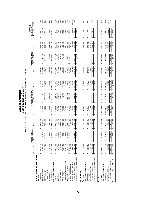Unrestricted and Restricted Current Funds Revenues, Expenditures and Transfers

|                                         |                  | ℥<br>FY 2008 ACT                            |                         |                                  | FY 2009 ORIGINAL         |                   |                   | FY 2009 REVISED  |                           | <b>Original to Revised</b><br>CHANGE |                        |
|-----------------------------------------|------------------|---------------------------------------------|-------------------------|----------------------------------|--------------------------|-------------------|-------------------|------------------|---------------------------|--------------------------------------|------------------------|
|                                         | Unrestricted     | Restricted                                  | Total                   | Unrestricted                     | Restricted               | Total             | Unrestricted      | Restricted       | Total                     | Amount                               | వ్                     |
| EDUCATIONAL AND GENERAL                 |                  |                                             |                         |                                  |                          |                   |                   |                  |                           |                                      |                        |
| Revenues                                |                  |                                             |                         |                                  |                          |                   |                   |                  |                           |                                      |                        |
| Tuition & Fees                          | 50,126,137<br>မာ |                                             | 50,126,137<br>θĤ        | 49,877,952<br>မာ                 |                          | 49,877,952<br>မာ  | 51,688,034<br>မာ  |                  | မာ                        | 1,810,082<br>မာ                      |                        |
| State Appropriations                    | 47,004,100       | 856,797<br>↮                                | 47,860,897              | 44,622,000                       | 821,500<br>မာ            | 45,443,500        | 43,325,600        | 819,700          | 51,688,034<br>44,145,300  | (1, 298, 200)                        | 3.6%<br>-2.9%          |
| Grants & Contracts                      | 1,089,217        | 31,567,096                                  | 32,656,313              | 453,856                          | 29,883,735               | 30,337,591        | 623,481           | 31,440,898       | 32,064,379                | 1,726,788                            | 5.7%                   |
| Sales & Services                        | 4,144,993        |                                             | 4,144,993               | 3,634,007                        |                          | 3,634,007         | 4,310,507         |                  | 4,310,507                 | 676,500                              | 18.6%                  |
| Investment Income                       |                  |                                             |                         |                                  |                          |                   |                   |                  |                           |                                      |                        |
| Other Sources                           | 836,774          | 7,760,949                                   | 8,597,723               | 865,361                          | 6,968,553                | 7,833,914         | 890,302           | 7,924,244        | 8,814,546                 | 980,632                              | 12.5%                  |
| <b>Total Revenues</b>                   | 103,201,220<br>↮ | 40,184,842<br>Ø                             | 143,386,063<br>Ģ        | 99,453,176<br>↮                  | 37,673,788<br>↮          | 137,126,964<br>↮  | 100,837,924<br>Ģ  | 40,184,842<br>↮  | 141,022,766<br>မာ         | 3,895,802<br>↮                       | 2.8%                   |
| Expenditures and Transfers              |                  |                                             |                         |                                  |                          |                   |                   |                  |                           |                                      |                        |
| Instruction                             | 43,199,943<br>69 | 5,991,719<br>↮                              | 49,191,662<br>↮         | 44,462,042<br>↮                  | 5,497,380<br>မာ          | 49,959,422<br>မာ  | 45,254,553<br>↮   | 6,247,380<br>↮   | 51,501,933<br>↮           | 1,542,511<br>မာ                      | $3.1\%$                |
| Research                                | 3,407,829        | 4,684,081                                   | 8,091,910               | 1,611,960                        | 4,059,487                | 5,671,447         | 1,637,648         | 4,684,080        | 6,321,728                 | 650,281                              | 11.5%                  |
| Public Service                          | 2,138,100        |                                             | 4,766,407               | 2,288,836                        | 2,504,650                | 4,793,486         | 2,404,379         | 2,628,307        | 5,032,686                 | 239,200                              | 5.0%                   |
| Academic Support                        | 8,718,195        | 2,628,307<br>1,612,064<br>636,441<br>79,904 | 0,330,259               | 6,900,399                        | 1,507,846                | 8,408,245         | 7,375,064         | 1,612,064        | 8,987,128                 | 578,883                              | 6.9%<br>5.8%           |
| <b>Student Services</b>                 | 14,909,262       |                                             | 5,545,703               | 13,569,205                       | 547,620                  | 14,116,825        | 4,384,650         | 547,620          | 4,932,270                 | 815,445                              |                        |
| Institutional Support                   | 7,396,813        |                                             | 7,476,717               | 7,887,133                        | 75,058                   | 7,962,191         | 8,267,083         | 75,058           | 8,342,141                 | 379,950                              |                        |
| Operation & Maintenance of Plant        | 11,083,679       | 58,470                                      | 1,142,148               | 12,737,559                       |                          | 12,737,559        | 3,508,177         |                  | 3,508,177                 | 770,618                              | $4.8%$<br>6.0%<br>1.7% |
| Scholarships & Fellowships              | 5.253.371        | 24,208,331                                  | 29,461.703              | 7,933,915                        | 24,110,967               | 32,044,882        | 8,196,173         | 24,408,331       | 32,604,504                | 559,622                              |                        |
| Sub-total Expenditures                  | 96,107,192<br>မာ | 39,899,318<br>မာ                            | 136,006,510<br>မာ       | 97,391,049<br>မာ                 | 38,303,008<br>မာ         | 135,694,057<br>မာ | 101,027,727<br>မာ | 40,202,840<br>မာ | 141,230,567<br>မာ         | 5,536,510<br>မာ                      | 4.1%                   |
| Mandatory Transfers (In)/Out            | 840,010          |                                             | 840,010                 | 630,007                          |                          | 630,007           | 630,007           |                  | 630,007                   |                                      |                        |
| <b>Von-Mandatory Transfers (In)/Out</b> | 6.014.644        |                                             | 6.014.644               | 1,365.540                        |                          | 1,365.540         | 847,946)          |                  | 847.946)                  | (2,213,486)                          | $-162.1%$              |
| Total Expenditures and Transfers        | 102,961,846<br>↔ | 39,899,318<br>↮                             | 142,861,164<br>မာ       | 99,386,596<br>$\pmb{\varphi}$    | 38,303,008<br>6          | 137,689,604<br>မာ | 100,809,788<br>မာ | 40,202,840<br>မာ | 141,012,628<br>မာ         | 3,323,024<br>↮                       | 2.4%                   |
| Revenues Less Expend. & Transfers       | 239,374<br>မာ    | 285,525<br>↮                                | 524,899<br>69           | 66,580<br>$\boldsymbol{\varphi}$ | (629, 220)<br>69         | (562, 640)<br>မာ  | 28,136<br>မာ      | (17, 998)<br>↮   | 10,138<br>↮               | 572,778<br>မာ                        |                        |
| <b>AUXILIARIES</b>                      |                  |                                             |                         |                                  |                          |                   |                   |                  |                           |                                      |                        |
|                                         |                  |                                             |                         |                                  |                          |                   |                   |                  |                           |                                      |                        |
| Revenues                                | 7,618,551<br>69  |                                             | 7,618,551<br>↮          | 7,658,104<br>↮                   |                          | 7,658,104<br>မာ   | 7,666,175<br>မာ   |                  | 7,666,175<br>↮            | 8,071<br>69                          | 0.1%                   |
| Expenditures and Transfers              |                  |                                             |                         |                                  |                          |                   |                   |                  |                           |                                      |                        |
| Expenditures                            | 5,115,797<br>tA  |                                             | 5,115,797<br>6Ĥ         | 3,873,472<br>69                  |                          | 3,873,472<br>69   | 3,881,543<br>69   |                  | 3,881,543<br>↮            | 8,071<br>မာ                          | $0.2\%$                |
| Mandatory Transfers                     | 2,025,623        |                                             | 2,025,623               | 2,429,105                        |                          | 2,429,105         | 2,429,105         |                  | 2,429,105                 |                                      |                        |
| Non-Mandatory Transfers                 | 664,475          |                                             | 664,475                 | 1,320,593                        |                          | 1,320,593         | 1,320,593         |                  | 1,320,593                 |                                      |                        |
| Total Expenditures and Transfers        | 7,805,895<br>မာ  | ↮                                           | 7,805,895<br>69         | 7,623,170<br>မာ                  |                          | 7,623,170         | 7,631,241         |                  | 7,631,241<br>69           | 8,071<br>↮                           | 0.1%                   |
| Revenues Less Expend. & Transfers       | (187, 344)<br>69 | $\boldsymbol{\varphi}$                      | (187, 344)<br><b>SA</b> | 34,934<br>↮                      | မာ                       | 34,934<br>69      | 34,934<br>↮       | 69               | 34,934<br>↮               | 69                                   |                        |
| <b>TOTALS</b>                           |                  |                                             |                         |                                  |                          |                   |                   |                  |                           |                                      |                        |
| Revenues                                | 110,819,772<br>↮ | 40,184,842<br>↮                             | 151,004,614<br>↔        | 107, 111, 280<br>$\omega$        | 37,673,788<br>↮          | 144,785,068<br>↔  | \$108,504,099     | 40,184,842<br>↮  | 148,688,941<br>$\omega$   | 3,903,873<br>↮                       | 2.7%                   |
| Expenditures and Transfers              |                  |                                             |                         |                                  |                          |                   |                   |                  |                           |                                      |                        |
| Expenditures                            | 101,222,990<br>↮ | $\infty$<br>39,899,3<br>↮                   | 141,122,307<br>မာ       | 101,264,521<br>မာ                | 38,303,008<br>မာ         | 139,567,529<br>69 | 104,909,270<br>မာ | 40,202,840<br>မာ | 145,112,110<br>မာ         | 5,544,581<br>↮                       | 4.0%                   |
| Mandatory Transfers                     | 2,865,633        |                                             | 2,865,633               | 3,059,112                        |                          | 3,059,112         | 3,059,112         |                  | 3,059,112                 |                                      |                        |
| Non-Mandatory Transfers                 | 6.679.119        |                                             | 6,679,119               | 2,686,133                        |                          | 2,686,133         | 472,647           |                  | 472,647                   | (2,213,486)                          | $-82.4%$               |
| Total Expenditures and Transfers        | 110,767,742<br>G | ≌<br>39,899,3<br>$\epsilon$                 | 150,667,060             | 107,009,766<br>Ġ.                | 38,303,008<br>$\epsilon$ | 145,312,774<br>Ġ, | 108,441,029<br>G  | 40,202,840       | 148,643,869<br>$\epsilon$ | 3,331,095<br>GF.                     | 2.3%                   |
| Revenues Less Expend. & Transfers       | 52,030<br>G      | 285,525<br>69                               | 337,554<br>$\Theta$     | 101,514<br>G                     | (629, 220)<br>69         | (527, 706)<br>G)  | 63,070<br>G)      | (17, 998)<br>မာ  | 45,072<br>↮               | 572,778<br>G)                        |                        |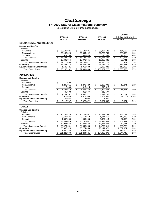### **FY 2009 Natural Classifications Summary**

Unrestricted Current Funds Expenditures

|                                                  | FY 2008                 |                | FY 2009                 | FY 2009                 |                         | <b>CHANGE</b><br><b>Original to Revised</b> |               |
|--------------------------------------------------|-------------------------|----------------|-------------------------|-------------------------|-------------------------|---------------------------------------------|---------------|
|                                                  | <b>ACTUAL</b>           |                | <b>ORIGINAL</b>         | <b>REVISED</b>          |                         | Amount                                      | $\frac{9}{6}$ |
| <b>EDUCATIONAL AND GENERAL</b>                   |                         |                |                         |                         |                         |                                             |               |
| <b>Salaries and Benefits</b><br>Salaries         |                         |                |                         |                         |                         |                                             |               |
| Academic                                         | \$<br>30,136,826        | \$             | 30,122,991              | \$<br>30,287,183        | \$                      | 164,192                                     | 0.5%          |
| Non-Academic                                     | 22,463,326              |                | 22,384,092              | 22,782,760              |                         | 398,668                                     | 1.8%          |
| <b>Students</b>                                  | 924,298                 |                | 688,643                 | 716,499                 |                         | 27,856                                      | 4.0%          |
| <b>Total Salaries</b>                            | \$<br>53,524,450        | \$             | 53,195,726              | \$<br>53,786,442        | \$                      | 590,716                                     | 1.1%          |
| <b>Benefits</b>                                  | 18,691,044              |                | 18,973,945              | 19,033,686              |                         | 59,741                                      | 0.3%          |
| <b>Total Salaries and Benefits</b>               | \$<br>72,215,493        | \$             | 72,169,671              | \$<br>72,820,128        | $\overline{\mathbf{s}}$ | 650,457                                     | 0.9%          |
| Operating                                        | 22,283,278              |                | 23,302,490              | 26,176,711              |                         | 2,874,221                                   | 12.3%         |
| <b>Equipment and Capital Outlay</b>              | 1,608,421               |                | 1,918,888               | 2,030,888               |                         | 112,000                                     | 5.8%          |
| <b>Total Expenditures</b>                        | \$<br>96,107,192        | $\mathfrak{S}$ | 97.391.049              | \$<br>101.027.727       | \$                      | 3,636,678                                   | 3.7%          |
| <b>AUXILIARIES</b>                               |                         |                |                         |                         |                         |                                             |               |
| <b>Salaries and Benefits</b><br><b>Salaries</b>  |                         |                |                         |                         |                         |                                             |               |
| Academic                                         | \$<br>600               |                |                         |                         |                         |                                             |               |
| Non-Academic                                     | 1,243,311               | \$             | 1,273,720               | \$<br>1,288,991         | \$                      | 15,271                                      | 1.2%          |
| <b>Students</b>                                  | 113,668                 |                | 310,615                 | 310,615                 |                         |                                             |               |
| <b>Total Salaries</b>                            | \$<br>1,357,579         | \$             | 1,584,335               | \$<br>1,599,606         | $\overline{\mathbf{s}}$ | 15,271                                      | 1.0%          |
| <b>Benefits</b>                                  | 406,608                 |                | 312,577                 | 312,577                 |                         |                                             |               |
| <b>Total Salaries and Benefits</b>               | \$<br>1.764.187         | \$             | 1,896,912               | \$<br>1,912,183         | $\overline{\mathbf{s}}$ | 15,271                                      | 0.8%          |
| Operating                                        | 3,319,646               |                | 1,971,560               | 1,964,360               |                         | (7,200)                                     | $-0.4%$       |
| <b>Equipment and Capital Outlay</b>              | 31,964                  |                | 5,000                   | 5,000                   |                         |                                             |               |
| <b>Total Expenditures</b>                        | \$<br>5,115,797         | \$             | 3,873,472               | \$<br>3,881,543         | \$                      | 8,071                                       | 0.2%          |
| <b>TOTALS</b>                                    |                         |                |                         |                         |                         |                                             |               |
| <b>Salaries and Benefits</b>                     |                         |                |                         |                         |                         |                                             |               |
| Salaries                                         |                         |                |                         |                         |                         |                                             |               |
| Academic                                         | \$<br>30,137,426        | \$             | 30,122,991              | \$<br>30,287,183        | \$                      | 164.192                                     | 0.5%          |
| Non-Academic                                     | 23,706,637              |                | 23,657,812              | 24,071,751              |                         | 413,939                                     | 1.7%          |
| <b>Students</b>                                  | 1,037,966               |                | 999,258                 | 1,027,114               |                         | 27,856                                      | 2.8%          |
| <b>Total Salaries</b>                            | \$<br>54,882,029        | \$             | 54,780,061              | \$<br>55,386,048        | \$                      | 605,987                                     | 1.1%          |
| <b>Benefits</b>                                  | 19,097,652              |                | 19,286,522              | 19,346,263              |                         | 59,741                                      | 0.3%          |
| <b>Total Salaries and Benefits</b>               | \$<br>73,979,681        | \$             | 74,066,583              | \$<br>74,732,311        | \$                      | 665,728                                     | 0.9%<br>11.3% |
| Operating<br><b>Equipment and Capital Outlay</b> | 25,602,924<br>1,640,385 |                | 25,274,050<br>1,923,888 | 28,141,071<br>2,035,888 |                         | 2,867,021<br>112,000                        | 5.8%          |
|                                                  | \$                      |                |                         | \$                      |                         |                                             | 3.6%          |
| <b>Total Expenditures</b>                        | 101,222,990             | \$             | 101,264,521             | 104,909,270             | \$                      | 3,644,749                                   |               |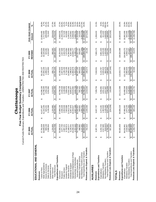|                                                                                                                                                                            |                                                                                                               |                                                                                                                        | Chattanooga                                                                                                             |                                                                                                                             |                                                                                                                        |                                                                                                                  |                                          |
|----------------------------------------------------------------------------------------------------------------------------------------------------------------------------|---------------------------------------------------------------------------------------------------------------|------------------------------------------------------------------------------------------------------------------------|-------------------------------------------------------------------------------------------------------------------------|-----------------------------------------------------------------------------------------------------------------------------|------------------------------------------------------------------------------------------------------------------------|------------------------------------------------------------------------------------------------------------------|------------------------------------------|
|                                                                                                                                                                            |                                                                                                               |                                                                                                                        | Current Funds Revenues, Expenditures and Transfers - UNRESTRICTED AND RESTRICTED<br>Five-Year Budget Summary Comparison |                                                                                                                             |                                                                                                                        |                                                                                                                  |                                          |
|                                                                                                                                                                            | FY 2005<br>ACTUAL                                                                                             | FY 2006<br>ACTUAL                                                                                                      | <b>ACTUAL</b><br>FY 2007                                                                                                | FY 2008<br>ACTUAL                                                                                                           | REVISED<br>FY 2009                                                                                                     | FIVE-YEAR CHANGE<br>Amount                                                                                       | ಸಿ                                       |
| EDUCATIONAL AND GENERAL                                                                                                                                                    |                                                                                                               |                                                                                                                        |                                                                                                                         |                                                                                                                             |                                                                                                                        |                                                                                                                  |                                          |
| State Appropriations<br>Grants & Contracts<br>Investment Income<br>Sales & Services<br>Tuition & Fees<br>Revenues                                                          | 40,608,600<br>909,150<br>37,781,539<br>3,588,564<br>↔                                                         | 41,310,100<br>3,136,368<br>825,241<br>41,671,907<br>↮                                                                  | 43,788,200<br>1,050,136<br>44,396,150<br>3,352,992<br>↮                                                                 | 47,004,100<br>1,089,217<br>4,144,993<br>50,126,137<br>↮                                                                     | 43,325,600<br>51,688,034<br>623,481<br>4,310,507<br>↔                                                                  | (285, 669)<br>13,906,495<br>2,717,000<br>721,943<br>↮                                                            | 36.8%<br>6.7%<br>$-31.4%$<br>20.1%       |
| Expenditures and Transfers<br><b>Total Revenues</b><br>Other Sources                                                                                                       | 1,224,856<br>84,112,709<br>↮                                                                                  | 1,104,865<br>88,048,481<br>↔                                                                                           | 1,213,815<br>93,801,294<br>↮                                                                                            | 836,774<br>103,201,220<br>↮                                                                                                 | 890,302<br>100,837,924<br>$\boldsymbol{\varphi}$                                                                       | (334, 554)<br>16,725,215<br>↮                                                                                    | $-27.3%$<br>19.9%                        |
| Academic Support<br>Student Services<br>Public Service<br>Instruction<br>Research                                                                                          | 35,586,018<br>6,759,974<br>3,077,793<br>2,087,151<br>1,189,277<br>↮                                           | 2,002,546<br>7,563,696<br>11,913,779<br>37,888,136<br>2,936,428<br>↮                                                   | 7,899,478<br>10,789,728<br>2,108,890<br>12,552,166<br>2,440,539<br>↮                                                    | 2,138,100<br>8,718,195<br>43, 199, 943<br>3,407,829<br>14,909,262<br>↮                                                      | 2,404,379<br>7,375,064<br>45,254,553<br>1,637,648<br>14,384,650<br>↮                                                   | (1,440,145)<br>9,668,535<br>317,228<br>615,090<br>3,195,373<br>↮                                                 | 27.2%<br>46.8%<br>15.2%<br>9.1%<br>28.6% |
| Operation & Maintenance of Plant<br>Scholarships & Fellowships<br>Institutional Support                                                                                    | 4,707,432<br>10,240,142<br>6,126,431                                                                          | 6,007,870<br>4,947,348<br>10,333,017                                                                                   | 10,524,052<br>4,940,728<br>6,855,977                                                                                    | 7,396,813<br>11,083,679<br>5,253,371                                                                                        | 8,267,083<br>8,196,173<br>13,508,177                                                                                   | 3,268,035<br>2,140,652<br>3,488,741                                                                              | 74.1%<br>26.6%<br>34.9%<br>31.9%         |
| Revenues Less Expend. & Transfers<br><b>Total Expenditures and Transfers</b><br>Non-Mandatory Transfers (In)/Out<br>Mandatory Transfers (In)/Out<br>Sub-total Expenditures | 79,774,218<br>83,410,293<br>702,416<br>498,982<br>3,137,092<br>$\boldsymbol{\varphi}$<br>$\Theta$<br>$\Theta$ | 87,009,123<br>1,039,358<br>83,592,821<br>509,601<br>2,906,701<br>$\boldsymbol{\varphi}$<br>$\Theta$<br>↔               | 88,111,556<br>4,088,269<br>1,019,046<br>582,422<br>92,782,247<br>$\Theta$<br>$\Theta$<br>↔                              | 102,961,846<br>96,107,192<br>840,010<br>6,014,644<br>239,374<br>$\Theta$<br>$\boldsymbol{\omega}$<br>$\boldsymbol{\varphi}$ | (847, 946)<br>100,809,788<br>28,136<br>630,007<br>101,027,727<br>$\boldsymbol{\varphi}$<br>$\boldsymbol{\varphi}$<br>↔ | (3,985,038)<br>(674, 280)<br>21,253,509<br>131,025<br>17,399,495<br>$\Theta$<br>↮<br>↔                           | 26.3%<br>$-127.0%$<br>20.9%              |
| <b>AUXILIARIES</b><br>Revenues                                                                                                                                             | 6,307,751<br>$\Theta$                                                                                         | 6,637,737<br>↮                                                                                                         | 7,309,754<br>↮                                                                                                          | 7,618,551<br>$\boldsymbol{\varphi}$                                                                                         | 7,666,175<br>↮                                                                                                         | 1,358,424<br>↮                                                                                                   | 21.5%                                    |
| Revenues Less Expend. & Transfers<br>Total Expenditures and Transfers<br>Expenditures and Transfers<br>Non-Mandatory Transfers<br>Mandatory Transfers<br>Expenditures      | (510, 037)<br>2,017,685<br>4,242,743<br>557,360<br>5,750,391<br>⊷<br>$\Theta$<br>↮                            | (234, 209)<br>1,135,245<br>1,363,520<br>6,871,946<br>4,373,181<br>$\qquad \qquad \bullet$<br>↔<br>↮                    | 1,831,411<br>,206,059<br>103,695<br>4,356,991<br>1,017,657<br>$\Theta$<br>$\boldsymbol{\varphi}$<br>↮                   | (187, 344)<br>664,475<br>2,025,623<br>7,805,895<br>5,115,797<br>↮<br>↮<br>↮                                                 | 3,881,543<br>2,429,105<br>1,320,593<br>34,934<br>7,631,241<br>↮<br>↮<br>↮                                              | (361, 200)<br>(522, 426)<br>411,420<br>1,830,630<br>,880,850<br>↮<br>↮<br>↮                                      | $-8.5%$<br>20.4%<br>$-358.9%$<br>32.7%   |
| <b>TOTALS</b><br>Revenues                                                                                                                                                  | 90,420,459<br>↮                                                                                               | 94,686,218<br>↮                                                                                                        | 101, 111, 048<br>↮                                                                                                      | 110,819,772<br>↮                                                                                                            | 108,504,099<br>↮                                                                                                       | 18,083,640<br>↮                                                                                                  | 20.0%                                    |
| Revenues Less Expend. & Transfers<br>Total Expenditures and Transfers<br>Expenditures and Transfers<br>Non-Mandatory Transfers<br>Mandatory Transfers<br>Expenditures      | 2,627,055<br>89,160,683<br>1,259,776<br>84,016,961<br>2,516,667<br>$\boldsymbol{\varphi}$<br>↔<br>↮           | 1,873,120<br>4,041,946<br>93,881,069<br>805,149<br>87,966,002<br>$\boldsymbol{\varphi}$<br>$\boldsymbol{\varphi}$<br>↮ | 2,413,833<br>5,105,925<br>99,988,306<br>92,468,548<br>1,122,741<br>$\boldsymbol{\varphi}$<br>$\Theta$<br>↮              | 101,222,990<br>2,865,633<br>6,679,119<br>110,767,742<br>52,030<br>$\boldsymbol{\varphi}$<br>$\boldsymbol{\varphi}$<br>↮     | 108,441,029<br>104,909,270<br>3,059,112<br>63,070<br>472,647<br>$\boldsymbol{\varphi}$<br>↮<br>$\Theta$                | (2, 154, 408)<br>(1, 196, 706)<br>20,892,309<br>542,445<br>19,280,346<br>$\Theta$<br>↮<br>$\boldsymbol{\varphi}$ | 21.6%<br>24.9%<br>$-82.0%$<br>21.6%      |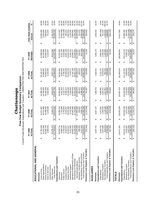|                                                                                                                                                                                                          |                                                                                               |                                                                                                                              | Chattanooga                                                                                                                 |                       |                                                                                                                                            |                                         |                                                                                            |                                          |                                                                                             |                                                                  |
|----------------------------------------------------------------------------------------------------------------------------------------------------------------------------------------------------------|-----------------------------------------------------------------------------------------------|------------------------------------------------------------------------------------------------------------------------------|-----------------------------------------------------------------------------------------------------------------------------|-----------------------|--------------------------------------------------------------------------------------------------------------------------------------------|-----------------------------------------|--------------------------------------------------------------------------------------------|------------------------------------------|---------------------------------------------------------------------------------------------|------------------------------------------------------------------|
|                                                                                                                                                                                                          | Current Funds Revenues, Expenditures and Transfers - UNRESTRICTED AND RESTRICTED              |                                                                                                                              | Five-Year Budget Summary Comparison                                                                                         |                       |                                                                                                                                            |                                         |                                                                                            |                                          |                                                                                             |                                                                  |
|                                                                                                                                                                                                          | 2005<br>TUAL<br>노<br>نخ                                                                       | FY 2006<br><b>ACTUAL</b>                                                                                                     | ACTUAL<br>FY 2007                                                                                                           |                       | FY 2008<br>ACTUAL                                                                                                                          | REVISED<br>FY 2009                      |                                                                                            |                                          | FIVE-YEAR CHANGE<br>Amount                                                                  | ℅                                                                |
| EDUCATIONAL AND GENERAL                                                                                                                                                                                  |                                                                                               |                                                                                                                              |                                                                                                                             |                       |                                                                                                                                            |                                         |                                                                                            |                                          |                                                                                             |                                                                  |
| State Appropriations<br>Grants & Contracts<br>Investment Income<br>Sales & Services<br>Tuition & Fees<br>Revenues                                                                                        | 24,495,735<br>37,781,539<br>11,621,400<br>3,588,564<br>↮                                      | 24,489,953<br>42,311,888<br>3,136,368<br>41,671,907<br>မာ                                                                    | 44,705,500<br>28,240,238<br>44,396,150<br>3,352,992<br>↮                                                                    |                       | 32,656,313<br>4,144,993<br>47,860,897<br>50,126,137<br>↮                                                                                   | ക                                       | 32,064,379<br>44,145,300<br>51,688,034<br>4,310,507                                        | ↮                                        | 13,906,495<br>2,523,900<br>721,943<br>7,568,644                                             | 36.8%<br>6.1%<br>30.9%<br>20.1%                                  |
| <b>Total Revenues</b><br>Other Sources                                                                                                                                                                   | 0,276,373<br>7,763,610<br>မာ                                                                  | 8,304,175<br>119,914,291<br>$\boldsymbol{\varphi}$                                                                           | 8,802,876<br>129,497,756<br>$\boldsymbol{\varphi}$                                                                          |                       | 143,386,063<br>8,597,723<br>$\boldsymbol{\varphi}$                                                                                         | ↮                                       | 8,814,546<br>141,022,766                                                                   | $\Theta$                                 | (1,461,827)<br>23,259,156                                                                   | $-14.2\%$<br>19.8%                                               |
| Operation & Maintenance of Plant<br>Expenditures and Transfers<br>Institutional Support<br>Academic Support<br><b>Student Services</b><br>Public Service<br>Instruction<br>Research                      | 0,643,315<br>6,212,885<br>6,793,024<br>9,956,194<br>8,542,927<br>10,328,731<br>2,244,617<br>↔ | 10,462,560<br>13,032,068<br>6,132,482<br>43,390,134<br>7,701,880<br>5,793,844<br>9,426,057<br>↮                              | 7,016,069<br>5,521,243<br>9,595,314<br>13,248,349<br>10,563,918<br>46,464,858<br>6,132,777<br>↮                             |                       | 8,091,910<br>10,330,259<br>15,545,703<br>11, 142, 148<br>49,191,662<br>4,766,407<br>7,476,717<br>↔                                         | ↮                                       | 5,032,686<br>8,987,128<br>14,932,270<br>6,321,728<br>51,501,933<br>8,342,141<br>13,508,177 | ↮                                        | (3,634,466)<br>(1,760,338)<br>11, 173, 202<br>2,687,653<br>2,129,256<br>2,864,862<br>44,201 | $-25.9%$<br>5.2%<br>21.9%<br>27.7%<br>$-36.5%$<br>34.3%<br>26.9% |
| Revenues Less Expend. & Transfers<br><b>Total Expenditures and Transfers</b><br>Non-Mandatory Transfers (In)/Out<br>Mandatory Transfers (In)/Out<br>Scholarships & Fellowships<br>Sub-total Expenditures | (752, 462)<br>0,158,306<br>4,879,998<br>498,982<br>3,137,092<br>8,516,073<br>↮<br>↮<br>မာ     | (1, 167, 938)<br>117,665,928<br>21,726,902<br>121,082,230<br>509,601<br>2,906,701<br>↮<br>$\Theta$<br>$\boldsymbol{\varphi}$ | 25,542,549<br>24,085,078<br>4,088,269<br>28,755,769<br>582,422<br>741,987<br>$\Theta$<br>$\boldsymbol{\varphi}$<br>$\Theta$ |                       | 840,010<br>6.014,644<br>42,861,164<br>29,461,703<br>136,006,510<br>524,899<br>$\boldsymbol{\varphi}$<br>$\Theta$<br>$\boldsymbol{\varphi}$ | $\Theta$<br>$\boldsymbol{\varphi}$<br>↮ | (847, 946)<br>141,012,628<br>10,138<br>32,604,504<br>630,007<br>141,230,567                | $\Theta$<br>မာ<br>↮                      | (3,985,038)<br>131,025<br>762,600<br>12,446,198<br>26,350,569<br>22,496,555                 | 61.7%<br>26.3%<br>22.9%<br>$-127.0%$<br>19.0%                    |
| Expenditures and Transfers<br>AUXILIARIES<br>Revenues                                                                                                                                                    | 6,307,751<br>↮                                                                                | 6,637,737<br>↮                                                                                                               | 7,309,754<br>↮                                                                                                              |                       | 7,618,551<br>↮                                                                                                                             | ↮                                       | 7,666,175                                                                                  | ↮                                        | 1,358,424                                                                                   | 21.5%                                                            |
| Revenues Less Expend. & Transfers<br>Total Expenditures and Transfers<br>Non-Mandatory Transfers<br>Mandatory Transfers<br>Expenditures                                                                  | (510, 037)<br>2,017,685<br>4,242,743<br>557,360<br>5,750,391<br>$\Theta$<br>↔<br>↮            | (234, 209)<br>1,135,245<br>6,871,946<br>1,363,520<br>4,373,181<br>$\Theta$<br>↮<br>မာ                                        | 103,695<br>1,831,411<br>4,356,991<br>,206,059<br>1,017,657<br>$\Theta$<br>ക<br>↮                                            |                       | (187, 344)<br>2,025,623<br>664,475<br>7,805,895<br>5,115,797<br>$\Theta$<br>↔<br>↮                                                         | ↮<br>↮<br>↮                             | 2,429,105<br>1,320,593<br>3,881,543<br>34,934<br>7,631,241                                 | မာ<br>↮<br>↮                             | (361, 200)<br>(522,426)<br>411,420<br>1,880,850<br>1,830,630                                | $-8.5%$<br>20.4%<br>$-358.9%$<br>32.7%                           |
| <b>TOTALS</b><br>Revenues                                                                                                                                                                                | 4,071,361<br>ക                                                                                | 126,552,028<br>↮                                                                                                             | 136,807,510<br>↮                                                                                                            |                       | 151,004,614<br>↮                                                                                                                           | ↮                                       | 148,688,941                                                                                | ↮                                        | 24,617,580                                                                                  | 19.8%                                                            |
| Revenues Less Expend. & Transfers<br>Total Expenditures and Transfers<br>Expenditures and Transfers<br>Non-Mandatory Transfers<br>Mandatory Transfers<br>Expenditures                                    | (195, 102)<br>2,627,055<br>4,266,463<br>9,122,741<br>2,516,667<br>₽<br>↮<br>↮<br>↔            | (1,402,147)<br>1,873,120<br>4,041,946<br>127,954,176<br>122,039,109<br>$\Theta$<br>⇔∥<br>↮                                   | 128,442,069<br>2,413,833<br>5,105,925<br>845,682<br>35,961,828<br>$\frac{1}{2}$<br>↮                                        | $\boldsymbol{\omega}$ | 2,865,633<br>6,679,119<br>50,667,060<br>337,554<br>141, 122, 307<br>$\boldsymbol{\varphi}$<br>↮                                            | မာ မာ<br>↮                              | 148,643,869<br>145, 112, 110<br>45,072<br>3,059,112<br>472,647                             | $\boldsymbol{\varphi}$<br>↮<br>$\bullet$ | (2, 154, 408)<br>542,445<br>24,377,406<br>25,989,369<br>240, 174                            | 21.8%<br>21.6%<br>$-82.0%$<br>19.6%                              |

25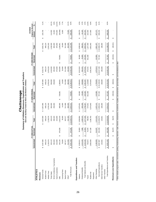|                                  |                        |                                  |                 | Summary of Athletics Revenues, Expenditures and Transfers | Chattanooga                       |                 |                 |                            |                       |                                      |         |
|----------------------------------|------------------------|----------------------------------|-----------------|-----------------------------------------------------------|-----------------------------------|-----------------|-----------------|----------------------------|-----------------------|--------------------------------------|---------|
|                                  |                        |                                  |                 | E&G and Auxiliary Funds for Men's and Women's Athletics   |                                   |                 |                 |                            |                       |                                      |         |
|                                  |                        | FY 2008 ACTUAI                   |                 |                                                           | FY 2009 ORIGINAL                  |                 |                 | FY 2009 REVISED            |                       | <b>Original to Revised</b><br>CHANGE |         |
|                                  | Unrestricted           | Restricted                       | Total           | Unrestricted                                              | Restricted                        | Total           | Unrestricted    | Restricted                 | Total                 | Amount                               | న్      |
| <b>ATHLETICS</b>                 |                        |                                  |                 |                                                           |                                   |                 |                 |                            |                       |                                      |         |
| Revenues                         |                        |                                  |                 |                                                           |                                   |                 |                 |                            |                       |                                      |         |
| General Funds                    | 4,407,580<br>မာ        |                                  | 4,407,580<br>↮  | 4,307,966<br>မာ                                           |                                   | 4,307,966<br>မာ | 4,533,702<br>မာ |                            | 4,533,702<br>မာ       | 225,736<br>↮                         | 5.1%    |
| Student Fees                     | 648,124                |                                  | 648,124         | 648,124                                                   |                                   | 648,124         | 648,124         |                            | 648,124               |                                      |         |
| Athletic Fees                    | 2,130,576              |                                  | 2,130,576       | 2,078,333                                                 |                                   | 2,078,333       | 2,078,333       |                            | 2,078,333             |                                      |         |
| <b>Ticket Sales</b>              | 633,123                |                                  | 633,123         | 904,000                                                   |                                   | 904,000         | 1,018,500       |                            | 1,018,500             | 114,500                              | 18.1%   |
| NCAA Conference, Tournaments     | 394,920                |                                  | 394,920         | 250,000                                                   |                                   | 250,000         | 265,000         |                            | 265,000               | 15,000                               | 3.8%    |
| Game Guarantees                  | 415,000                |                                  | 415,000         |                                                           |                                   |                 | 475,000         |                            | 475,000               | 475,000                              | 114.5%  |
| Gifts                            | 344,135                | 678,283<br>↮                     | 1,022,419       | 480,000                                                   | 728,801<br>↮                      | 1,208,801       | 420,000         | 728,801<br>↮               | 1,148,801             | (60,000)                             | $-5.9%$ |
| Licensing Fees                   | 78,000                 |                                  | 78,000          | 14,000                                                    |                                   | 14,000          | 20,000          |                            | 20,000                | 6,000                                | 7.7%    |
| Sports Camps                     | 387,577                |                                  | 387,577         | 511,589                                                   |                                   | 511,589         | 511,589         |                            | 511,589               |                                      |         |
| Other*                           | 512,393                |                                  | 512,393         | 360,000                                                   |                                   | 360,000         | 432,000         |                            | 432,000               | 72,000                               | 14.1%   |
| <b>Total Revenues</b>            | \$9,951,428            | 678,283<br>$\bullet$             | \$10,629,712    | \$9,554,012                                               | 728,801<br>$\pmb{\varphi}$        | \$10,282,813    | \$10,402,248    | 728,801<br>$\pmb{\varphi}$ | \$11,131,049          | 848,236<br>$\pmb{\varphi}$           | 8.0%    |
| Expenditures and Transfers       |                        |                                  |                 |                                                           |                                   |                 |                 |                            |                       |                                      |         |
| Salaries                         | 3,030,011              | 26,883<br>↮                      | 3,056,894<br>မာ | 2,875,831<br>မာ                                           | 80,000<br>↮                       | 2,955,831<br>မာ | 3,013,910<br>မာ | 80,000<br>↮                | 3,093,910<br>မာ       | 138,079<br>↮                         | 4.5%    |
| Employee Benefits                | 1,013,435              | 7,080                            | 1,020,515       | 920,266                                                   | 25,600                            | 945,866         | 964,451         | 25,600                     | 990,051               | 44,185                               | 4.3%    |
| Total Salaries and Benefits      | 4,043,446<br>↮         | 33,964<br>$\Theta$               | 4,077,409<br>မာ | 3,796,097<br>မာ                                           | 105,600<br>⇔                      | 3,901,697<br>မာ | 3,978,361<br>မာ | 105,600<br>↮               | 4,083,961<br>$\theta$ | 182,264<br>↮                         | 4.5%    |
| Travel                           | 703,872                | 76,979                           | 780,852         | 574,931                                                   | 551,038                           | 1,125,969       | 676,431         | 551,038                    | 1,227,469             | 101,500                              | 13.0%   |
| Student Aid                      | 2,863,556              | 317,228                          | 3,180,783       | 3,374,843                                                 |                                   | 3,374,843       | 3,591,843       |                            | 3,591,843             | 217,000                              | 6.8%    |
| Equipment                        |                        |                                  |                 |                                                           |                                   |                 |                 |                            |                       |                                      |         |
| Other Operating                  | 2,196,993              | 214,037                          | 2,411,031       | 1,623,141                                                 | 110,684                           | 1,733,825       | 1,970,613       | 110,684                    | 2,081,297             | 347,472                              | 14.4%   |
| Sub-total Expenditures           | 9,807,867<br>$\theta$  | 642,208<br>$\theta$              | \$10,450,075    | 9,369,012<br>$\theta$                                     | 767,322<br>$\theta$               | \$10,136,334    | \$10,217,248    | 767,322<br>$\theta$        | \$10,984,570          | 848,236<br>$\theta$                  | 8.1%    |
| Debt Service Transfers           | 143,561                |                                  | 143,561         | 185,000                                                   |                                   | 185,000         | 185,000         |                            | 185,000               |                                      |         |
| Other Transfers                  |                        |                                  |                 |                                                           |                                   |                 |                 |                            |                       |                                      |         |
| Total Expenditures and Transfers | 9,951,428<br>$\bullet$ | 642,208<br>$\boldsymbol{\omega}$ | \$10,593,636    | 9,554,012<br>$\boldsymbol{\theta}$                        | 767,322<br>$\boldsymbol{\varphi}$ | \$10,321,334    | \$10,402,248    | 767,322<br>↮               | \$11,169,570          | 848,236<br>$\boldsymbol{\varphi}$    | 8.0%    |
| Revenues Less Expenditures       | ↮                      | 36,076<br>↮                      | 36,076<br>↮     | ↮                                                         | (38, 521)<br>↮                    | (38, 521)<br>↮  | ↮               | (38, 521)<br>↮             | (38,521)<br>↮         | ↮                                    |         |

\* Other includes program sales, concessions, parking, broadcasting, television, radio, internets, investments, royalties, advertisements, sponsorships, and miscellaneous other. \* Other includes program sales, concessions, parking, broadcasting, television, radio, internet, endowments, investments, royalties, advertisements, sponsorships, and miscellaneous other.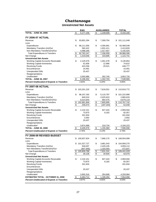## **Unrestricted Net Assets**

|                                                       | <b>E&amp;G</b>               | <b>AUXILIARIES</b>                 | <b>TOTAL</b>                  |
|-------------------------------------------------------|------------------------------|------------------------------------|-------------------------------|
| <b>TOTAL - JUNE 30, 2006</b>                          | \$<br>5,177,156              | \$<br>1,239,009                    | \$<br>6,416,165               |
|                                                       |                              |                                    |                               |
| FY 2006-07 ACTUAL                                     |                              |                                    |                               |
| Revenue                                               | \$<br>93,801,294             | \$<br>7,309,754                    | \$<br>101,111,048             |
| Less:                                                 |                              |                                    |                               |
| Expenditures                                          | \$<br>88,111,556             | \$<br>4,356,991                    | \$<br>92,468,548              |
| Mandatory Transfers (In)/Out                          | 582,422                      | 1,831,411                          | 2,413,833                     |
| Non-Mandatory Transfers(In)/Out                       | 4,088,269                    | 1,017,657                          | 5,105,925                     |
| <b>Total Expenditures &amp; Transfers</b>             | \$<br>92,782,247             | 7,206,059<br>\$                    | \$<br>99,988,306              |
| Net Change                                            | $\overline{\$}$<br>1,019,046 | \$<br>103,695                      | \$<br>1,122,741               |
| <b>Unrestricted Net Assets</b>                        |                              |                                    |                               |
| <b>Working Capital-Accounts Receivable</b>            | \$<br>2,129,376              | \$<br>1,001,478                    | \$<br>3,130,854               |
| <b>Working Capital-Inventories</b>                    | 61,656                       | 12,966                             | 74,622                        |
| <b>Revolving Funds</b>                                | 423,256                      | 25,521                             | 448,777                       |
| Encumbrances                                          | 10,491                       |                                    | 10,491                        |
| <b>Unexpended Gifts</b>                               | 20,437                       |                                    | 20,437                        |
| Reappropriations                                      |                              |                                    |                               |
| Unallocated                                           | 3,550,986                    | 302,740                            | 3,853,726                     |
| <b>TOTAL - JUNE 30, 2007</b>                          | \$<br>6,196,202              | \$<br>1,342,704                    | \$<br>7,538,906               |
| <b>Percent Unallocated of Expend. &amp; Transfers</b> | 3.83%                        | 4.20%                              | 3.85%                         |
| FY 2007-08 ACTUAL                                     |                              |                                    |                               |
|                                                       |                              |                                    |                               |
| Revenue                                               | \$<br>103,201,220            | \$<br>7,618,551                    | 110,819,772<br>\$             |
| Less:                                                 |                              |                                    |                               |
| Expenditures                                          | \$<br>96,107,192<br>840,010  | \$<br>5,115,797<br>2,025,623       | \$<br>101,222,990             |
| Mandatory Transfers (In)/Out                          |                              |                                    | 2,865,633                     |
| Non-Mandatory Transfers(In)/Out                       | 6,014,644                    | 664,475                            | 6,679,119<br>110,767,742      |
| <b>Total Expenditures &amp; Transfers</b>             | 102,961,846<br>\$<br>\$      | \$<br>7,805,895<br>$\overline{\$}$ | \$<br>$\overline{\mathbf{e}}$ |
| Net Change<br><b>Unrestricted Net Assets</b>          | 239,374                      | (187, 344)                         | 52,030                        |
|                                                       |                              |                                    | \$                            |
| Working Capital-Accounts Receivable                   | \$<br>2,132,151              | \$<br>827,443                      | 2,959,594                     |
| <b>Working Capital-Inventories</b>                    | 73,875                       | 8,182                              | 82,057                        |
| <b>Revolving Funds</b><br>Encumbrances                | 331,934                      |                                    | 331,934                       |
|                                                       | 2,692                        |                                    | 2,692                         |
| <b>Unexpended Gifts</b>                               | 20,437                       |                                    | 20,437                        |
| Reappropriations<br>Unallocated                       | 3,874,488                    | 319,734                            | 4,194,223                     |
| <b>TOTAL - JUNE 30, 2008</b>                          | \$<br>6,435,576              | \$<br>1,155,360                    | \$<br>7,590,936               |
|                                                       |                              |                                    |                               |
| <b>Percent Unallocated of Expend. &amp; Transfers</b> | 3.76%                        | 4.10%                              | 3.79%                         |
| FY 2008-09 REVISED BUDGET                             |                              |                                    |                               |
| Revenue                                               | \$<br>100,837,924            | \$<br>7,666,175                    | 108,504,099<br>\$             |
| Less:                                                 |                              |                                    |                               |
| Expenditures                                          | \$101,027,727                | 3,881,543<br>\$                    | \$104,909,270                 |
| Mandatory Transfers (In)/Out                          | 630,007                      | 2,429,105                          | 3,059,112                     |
| Non-Mandatory Transfers(In)/Out                       | (847, 946)                   | 1,320,593                          | 472,647                       |
| <b>Total Expenditures &amp; Transfers</b>             | \$<br>100,809,788            | \$<br>7,631,241                    | 108,441,029<br>\$             |
| Net Change                                            | \$<br>28,136                 | $\overline{\$}$<br>34,934          | \$<br>63,070                  |
| <b>Unrestricted Net Assets</b>                        |                              |                                    |                               |
| Working Capital-Accounts Receivable                   | \$<br>2,132,151              | \$<br>827,443                      | \$<br>2,959,594               |
| <b>Working Capital-Inventories</b>                    | 73,875                       | 8,182                              | 82,057                        |
| <b>Revolving Funds</b>                                | 331,934                      |                                    | 331,934                       |
| Encumbrances                                          |                              |                                    |                               |
| <b>Unexpended Gifts</b>                               | 20,437                       |                                    | 20,437                        |
| Reappropriations                                      |                              |                                    |                               |
| Unallocated                                           | 3,905,316                    | 354,668                            | 4,259,984                     |
| <b>ESTIMATED TOTAL - OCTOBER 31, 2008</b>             | \$<br>6,463,712              | $$\mathfrak{D}$$<br>1,190,294      | \$<br>7,654,006               |
| <b>Percent Unallocated of Expend. &amp; Transfers</b> | 3.87%                        | 4.65%                              | 3.93%                         |
|                                                       |                              |                                    |                               |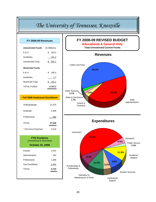# *The University of Tennessee, Knoxville*

| FY 2008-09 Revenues                                                            |               |
|--------------------------------------------------------------------------------|---------------|
| <b>Unrestricted Funds</b>                                                      | (In Millions) |
| E & G                                                                          | \$<br>434.0   |
| Auxiliaries                                                                    | 151.2         |
| <b>Unrestricted Total</b>                                                      | \$585.1       |
| <b>Restricted Funds</b>                                                        |               |
| E & G                                                                          | \$180.3       |
| Auxiliaries                                                                    | $-1.7$        |
| <b>Restricted Total</b>                                                        | \$ 182.1      |
| <b>TOTAL FUNDS</b>                                                             | \$ 767.2      |
|                                                                                |               |
| <b>Fall 2008 Headcount Enrollment</b>                                          |               |
| Undergraduate                                                                  | 21,475        |
| Graduate                                                                       | 5,309         |
| Professional                                                                   | 464           |
| <b>TOTAL</b>                                                                   | 27,248        |
| * First-time Freshmen                                                          | 4,216         |
| <b>FTE Positions</b><br>(Unrestricted & Restricted)<br><b>October 31, 2008</b> |               |
| Faculty                                                                        | 1,541         |
| Administrative                                                                 | 342           |
| Professional                                                                   | 1,386         |
| Cler/Tech/Maint                                                                | <u>2,454</u>  |
| <b>TOTAL</b>                                                                   | 5,723         |
|                                                                                |               |

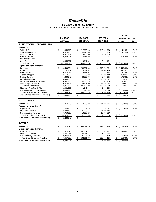# *Knoxville*

#### **FY 2009 Budget Summary**

Unrestricted Current Funds Revenues, Expenditures and Transfers

|                                          |                |                |                   |                     |               | <b>CHANGE</b>              |           |
|------------------------------------------|----------------|----------------|-------------------|---------------------|---------------|----------------------------|-----------|
|                                          |                | <b>FY 2008</b> | FY 2009           | FY 2009             |               | <b>Original to Revised</b> |           |
|                                          |                | <b>ACTUAL</b>  | <b>ORIGINAL</b>   | <b>REVISED</b>      |               | <b>Amount</b>              | %         |
| <b>EDUCATIONAL AND GENERAL</b>           |                |                |                   |                     |               |                            |           |
| <b>Revenues</b>                          |                |                |                   |                     |               |                            |           |
| <b>Tuition &amp; Fees</b>                | \$             | 211,853,269    | \$<br>217,993,763 | \$<br>218,004,888   | \$            | 11,125                     | 0.0%      |
| <b>State Appropriations</b>              |                | 198,919,700    | 188,740,300       | 183,099,600         |               | (5,640,700)                | $-3.0%$   |
| <b>Grants &amp; Contracts</b>            |                | 16,977,917     | 16,420,000        | 16,420,000          |               |                            |           |
| Sales & Services                         |                | 9,462,371      | 7,541,300         | 7,444,015           |               | (97, 285)                  | $-1.3%$   |
| Investment Income                        |                |                |                   |                     |               |                            |           |
| <b>Other Sources</b>                     |                | 10,354,821     | 9,011,031         | 9,011,031           |               |                            |           |
| <b>Total Revenues</b>                    | \$             | 447,568,078    | \$<br>439,706,394 | \$<br>433,979,534   | \$            | (5,726,860)                | $-1.3%$   |
| <b>Expenditures and Transfers</b>        |                |                |                   |                     |               |                            |           |
| Instruction                              | \$             | 189,599,584    | \$<br>208,591,139 | \$<br>203,472,231   | \$            | (5, 118, 908)              | $-2.5%$   |
| Research                                 |                | 21,207,752     | 14,381,243        | 21,608,428          |               | 7,227,185                  | 50.3%     |
| <b>Public Service</b>                    |                | 10,318,742     | 9,468,204         | 9,948,598           |               | 480,394                    | 5.1%      |
| Academic Support                         |                | 53,519,997     | 51,775,469        | 52,232,772          |               | 457,303                    | 0.9%      |
| <b>Student Services</b>                  |                | 44,360,249     | 43,335,297        | 43,286,395          |               | (48,902)                   | $-0.1%$   |
| <b>Institutional Support</b>             |                | 23,368,940     | 22,134,548        | 22,673,197          |               | 538,649                    | 2.4%      |
| Operation & Maintenance of Plant         |                | 50,367,845     | 50,475,398        | 50,545,879          |               | 70,481                     | 0.1%      |
| Scholarships & Fellowships               |                | 30,012,515     | 36,321,500        | 36,345,192          |               | 23,692                     | 0.1%      |
| Sub-total Expenditures                   | $\mathfrak{L}$ | 422,755,623    | \$<br>436,482,798 | \$<br>440,112,692   | \$            | 3,629,894                  | 0.8%      |
| Mandatory Transfers (In)/Out             |                | 1,681,565      | 1,949,404         | 1,949,404           |               |                            |           |
| Non-Mandatory Transfers (In)/Out         |                | 18,446,208     | 1,274,192         | (2,815,708)         |               | (4,089,900)                | $-321.0%$ |
| <b>Total Expenditures and Transfers</b>  | \$             | 442,883,396    | \$<br>439,706,394 | \$<br>439,246,388   | $\frac{1}{2}$ | (460,006)                  | $-0.1%$   |
| <b>Fund Balance Addition/(Reduction)</b> | \$             | 4,684,683      | \$                | \$<br>(5, 266, 854) | \$            | (5, 266, 854)              |           |
|                                          |                |                |                   |                     |               |                            |           |
| <b>AUXILIARIES</b>                       |                |                |                   |                     |               |                            |           |
| <b>Revenues</b>                          | \$             | 144,810,006    | \$<br>152,355,036 | \$<br>151, 155, 036 | \$            | (1,200,000)                | $-0.8%$   |
| <b>Expenditures and Transfers</b>        |                |                |                   |                     |               |                            |           |
| Expenditures                             | \$             | 113,064,873    | \$<br>111,235,135 | \$<br>110,035,135   | \$            | (1,200,000)                | $-1.1%$   |
| <b>Mandatory Transfers</b>               |                | 12,749,492     | 21,189,374        | 21,189,374          |               |                            |           |
| Non-Mandatory Transfers                  |                | 17,759,598     | 19,930,527        | 19,930,527          |               |                            |           |
| <b>Total Expenditures and Transfers</b>  | \$             | 143,573,963    | \$<br>152,355,036 | \$<br>151,155,036   | \$            | (1,200,000)                | $-0.8%$   |
| <b>Fund Balance Addition/(Reduction)</b> | \$             | 1,236,043      | \$                | \$                  | \$            |                            |           |
|                                          |                |                |                   |                     |               |                            |           |
| <b>TOTALS</b>                            |                |                |                   |                     |               |                            |           |
| <b>Revenues</b>                          | \$             | 592,378,084    | \$<br>592,061,430 | \$<br>585,134,570   | \$            | (6,926,860)                | $-1.2%$   |
| <b>Expenditures and Transfers</b>        |                |                |                   |                     |               |                            |           |
| Expenditures                             | \$             | 535,820,495    | \$<br>547,717,933 | \$<br>550, 147, 827 | \$            | 2,429,894                  | 0.4%      |
| <b>Mandatory Transfers</b>               |                | 14,431,057     | 23,138,778        | 23,138,778          |               |                            |           |
| Non-Mandatory Transfers                  |                | 36,205,806     | 21,204,719        | 17,114,819          |               | (4,089,900)                | $-19.3%$  |
| <b>Total Expenditures and Transfers</b>  | \$             | 586,457,358    | \$<br>592,061,430 | \$<br>590,401,424   | \$            | (1,660,006)                | $-0.3%$   |
| <b>Fund Balance Addition/(Reduction)</b> | \$             | 5,920,725      | \$                | \$<br>(5,266,854)   | \$            | (5,266,854)                |           |
|                                          |                |                |                   |                     |               |                            |           |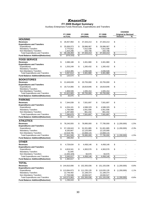# *Knoxville*

#### **FY 2009 Budget Summary**

Auxiliary Enterprises Funds Revenues, Expenditures and Transfers

|                                          |                   |                    |                       |                |                       | <b>CHANGE</b>              |         |
|------------------------------------------|-------------------|--------------------|-----------------------|----------------|-----------------------|----------------------------|---------|
|                                          | FY 2008           | FY 2009            |                       | FY 2009        |                       | <b>Original to Revised</b> |         |
|                                          | <b>ACTUAL</b>     | ORIGINAL           |                       | <b>REVISED</b> |                       | Amount                     | %       |
| <b>HOUSING</b>                           |                   |                    |                       |                |                       |                            |         |
| <b>Revenues</b>                          | \$<br>29,457,950  | \$<br>37, 343, 213 | \$                    | 37,343,213     | \$                    |                            |         |
| <b>Expenditures and Transfers</b>        |                   |                    |                       |                |                       |                            |         |
| Expenditures                             | \$<br>25,936,073  | \$<br>29,996,067   | \$                    | 29,996,067     | \$                    |                            |         |
| <b>Mandatory Transfers</b>               | 2,775,912         | 7,012,438          |                       | 7,012,438      |                       |                            |         |
| Non-Mandatory Transfers                  | 1,424,298         | 334,708            |                       | 334,708        |                       |                            |         |
| <b>Total Expenditures and Transfers</b>  | \$<br>30,136,283  | \$<br>37,343,213   | \$                    | 37,343,213     | $\boldsymbol{\theta}$ |                            |         |
| <b>Fund Balance Addition/(Reduction)</b> | \$<br>(678, 333)  | \$                 | \$                    |                | \$                    |                            |         |
| <b>FOOD SERVICE</b>                      |                   |                    |                       |                |                       |                            |         |
| <b>Revenues</b>                          | \$<br>3,388,188   | \$<br>3,301,980    | \$                    | 3,301,980      | \$                    |                            |         |
| <b>Expenditures and Transfers</b>        |                   |                    |                       |                |                       |                            |         |
| Expenditures                             | \$<br>1,253,249   | \$<br>1,265,432    | \$                    | 1,265,432      | \$                    |                            |         |
| <b>Mandatory Transfers</b>               |                   |                    |                       |                |                       |                            |         |
| Non-Mandatory Transfers                  | 2,014,365         | 2,036,548          |                       | 2,036,548      |                       |                            |         |
| <b>Total Expenditures and Transfers</b>  | \$<br>3,267,614   | \$<br>3,301,980    | \$                    | 3,301,980      | \$                    | $\overline{\phantom{a}}$   |         |
| <b>Fund Balance Addition/(Reduction)</b> | \$<br>120,574     | \$                 | \$                    |                | \$                    |                            |         |
| <b>BOOKSTORES</b>                        |                   |                    |                       |                |                       |                            |         |
| <b>Revenues</b>                          | \$<br>21,649,639  | \$<br>20,755,000   | \$                    | 20,755,000     | \$                    |                            |         |
| <b>Expenditures and Transfers</b>        |                   |                    |                       |                |                       |                            |         |
| Expenditures                             | \$<br>19,714,066  | \$<br>18,819,846   | \$                    | 18,819,846     | \$                    |                            |         |
| <b>Mandatory Transfers</b>               |                   |                    |                       |                |                       |                            |         |
| Non-Mandatory Transfers                  | 1,908,599         | 1,935,154          |                       | 1,935,154      |                       |                            |         |
| <b>Total Expenditures and Transfers</b>  | \$<br>21,622,665  | \$<br>20,755,000   | \$                    | 20,755,000     | \$                    |                            |         |
| <b>Fund Balance Addition/(Reduction)</b> | \$<br>26,975      | \$                 | \$                    |                | \$                    |                            |         |
| <b>PARKING</b>                           |                   |                    |                       |                |                       |                            |         |
| <b>Revenues</b>                          | \$<br>7,344,039   | \$<br>7,501,697    | \$                    | 7,501,697      | \$                    |                            |         |
| <b>Expenditures and Transfers</b>        |                   |                    |                       |                |                       |                            |         |
| Expenditures                             | \$<br>4,204,101   | \$<br>4,588,329    | \$                    | 4,588,329      | \$                    |                            |         |
| <b>Mandatory Transfers</b>               | 1,758,908         | 2,051,936          |                       | 2,051,936      |                       |                            |         |
| Non-Mandatory Transfers                  | 1,297,869         | 861,432            |                       | 861,432        |                       |                            |         |
| <b>Total Expenditures and Transfers</b>  | \$<br>7,260,879   | \$<br>7,501,697    | \$                    | 7,501,697      | $\boldsymbol{\theta}$ | $\overline{\phantom{a}}$   |         |
| <b>Fund Balance Addition/(Reduction)</b> | \$<br>83,161      | \$                 | \$                    |                | \$                    |                            |         |
|                                          |                   |                    |                       |                |                       |                            |         |
| <b>ATHLETICS</b>                         |                   |                    |                       |                |                       |                            |         |
| <b>Revenues</b>                          | \$<br>78,240,555  | \$<br>78,995,000   | \$                    | 77,795,000     | \$                    | (1,200,000)                | $-1.5%$ |
| <b>Expenditures and Transfers</b>        |                   |                    |                       |                |                       |                            |         |
| Expenditures                             | \$<br>57,138,043  | \$<br>52,201,885   | \$                    | 51,001,885     | \$                    | (1,200,000)                | $-2.3%$ |
| <b>Mandatory Transfers</b>               | 8,183,667         | 12,125,000         |                       | 12,125,000     |                       |                            |         |
| Non-Mandatory Transfers                  | 12,619,795        | 14,668,115         |                       | 14,668,115     |                       |                            |         |
| <b>Total Expenditures and Transfers</b>  | \$<br>77,941,506  | \$<br>78,995,000   | \$                    | 77,795,000     | \$                    | (1,200,000)                | $-1.5%$ |
| <b>Fund Balance Addition/(Reduction)</b> | \$<br>299,050     | \$                 | \$                    |                | \$                    |                            |         |
| <b>OTHER</b>                             |                   |                    |                       |                |                       |                            |         |
| Revenues                                 | \$<br>4,729,634   | \$<br>4,458,146    | \$                    | 4,458,146      | \$                    |                            |         |
| <b>Expenditures and Transfers</b>        |                   |                    |                       |                |                       |                            |         |
| Expenditures                             | \$<br>4,819,341   | \$<br>4,363,576    | \$                    | 4,363,576      | \$                    |                            |         |
| <b>Mandatory Transfers</b>               | 31,005            |                    |                       |                |                       |                            |         |
| Non-Mandatory Transfers                  | (1,505,329)       | 94,570             |                       | 94,570         |                       |                            |         |
| <b>Total Expenditures and Transfers</b>  | \$<br>3,345,017   | \$<br>4,458,146    | $\boldsymbol{\theta}$ | 4,458,146      |                       |                            |         |
| <b>Fund Balance Addition/(Reduction)</b> | \$<br>1,384,617   | \$                 | \$                    |                | $\frac{6}{3}$         |                            |         |
| <b>TOTAL</b>                             |                   |                    |                       |                |                       |                            |         |
| <b>Revenues</b>                          | \$<br>144,810,006 | \$<br>152,355,036  | \$                    | 151,155,036    | \$                    | (1,200,000)                | $-0.8%$ |
| <b>Expenditures and Transfers</b>        |                   |                    |                       |                |                       |                            |         |
| Expenditures                             | \$<br>113,064,873 | \$111,235,135      | \$                    | 110,035,135    | \$                    | (1,200,000)                | $-1.1%$ |
| <b>Mandatory Transfers</b>               | 12,749,492        | 21,189,374         |                       | 21,189,374     |                       |                            |         |
| Non-Mandatory Transfers                  | 17,759,598        | 19,930,527         |                       | 19,930,527     |                       |                            |         |
| <b>Total Expenditures and Transfers</b>  | \$<br>143,573,963 | \$<br>152,355,036  | \$                    | 151,155,036    | \$                    | (1,200,000)                | $-0.8%$ |
| <b>Fund Balance Addition/(Reduction)</b> | \$<br>1,236,043   | \$                 | \$                    |                | \$                    |                            |         |
|                                          |                   |                    |                       |                |                       |                            |         |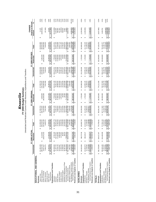| Knoxville | FY 2009 Budget Summary | tad and Poetricted Current Eugeneeuse Expanditures |
|-----------|------------------------|----------------------------------------------------|
|-----------|------------------------|----------------------------------------------------|

tures and Transfers Unrestricted and Restricted Current Funds Revenues, Expenditures and Transfers s, ō ទ្ធ **Unrestricted and Restr** 

|                                                                       |                                    | ₹<br>FY 2008 ACTI                    |                                       |                          | FY 2009 ORIGINAL  |                                       |                                       | FY 2009 REVISED      |                          | <b>Original to Revised</b><br>CHANGE |                     |
|-----------------------------------------------------------------------|------------------------------------|--------------------------------------|---------------------------------------|--------------------------|-------------------|---------------------------------------|---------------------------------------|----------------------|--------------------------|--------------------------------------|---------------------|
|                                                                       | Unrestricted                       | Restricted                           | Total                                 | Unrestricted             | Restricted        | Total                                 | Unrestricted                          | Restricted           | Total                    | Amount                               | ಽ                   |
| EDUCATIONAL AND GENERAL                                               |                                    |                                      |                                       |                          |                   |                                       |                                       |                      |                          |                                      |                     |
| Revenues                                                              |                                    |                                      |                                       |                          |                   |                                       |                                       |                      |                          |                                      |                     |
| Tuition & Fees                                                        | 211,853,269<br>မာ                  |                                      | 211,853,269<br>ĠĤ,                    | 217,993,763<br>မာ        |                   | 217,993,763<br>မာ                     | 218,004,888<br>↮                      |                      | 218,004,888<br>မာ        | 11,125<br>69                         | $0.0\%$             |
| State Appropriations                                                  | 198,919,700                        | 6,113,832<br>↮                       | 205,033,532                           | 188,740,300              | 5,509,600<br>69   | 194,249,900                           | 183,099,600                           | 5,494,400<br>မာ      | 188,594,000              | (5,655,900)                          | $-2.9%$             |
| Grants & Contracts                                                    | 16,977,917                         | 150,074,242                          | 167,052,159                           | 16,420,000               | 148,540,000       | 164,960,000                           | 16,420,000                            | 148,540,000          | 164,960,000              |                                      |                     |
| Sales & Services                                                      | 9,462,371                          |                                      | 9,462,371                             | 7,541,300                |                   | 7,541,300                             | 7,444,015                             |                      | 7,444,015                | (97, 285)                            | $-1.3%$             |
| Investment Income                                                     |                                    |                                      |                                       |                          |                   |                                       |                                       |                      |                          |                                      |                     |
| Other Sources                                                         | 10,354,821                         | 27,238,536                           | 37,593,357                            | 9.011.031                | 26,275,400        | 35.286.431                            | 9.011.031                             | 26,289,500           | 35,300,531               | 14,100                               | 0.0%                |
| <b>Total Revenues</b>                                                 | 447,568,078<br>๚                   | 183,426,610<br>↔                     | 630,994,688<br>မာ                     | 439,706,394<br>4         | 180,325,000<br>ω  | 620,031,394<br>6                      | 433,979,534<br>6                      | 180,323,900<br>ø     | 614,303,434<br>69        | (5,727,960)<br>↮                     | $-0.9%$             |
| Expenditures and Transfers                                            |                                    |                                      |                                       |                          |                   |                                       |                                       |                      |                          |                                      |                     |
| Instruction                                                           | 189,599,584<br>69                  | 8,793,195<br>↮                       | 198,392,779<br>မာ                     | 208,591,139<br>မာ        | 7,750,000<br>မာ   | 216,341,139<br>↮                      | 203,472,231<br>မာ                     | 7,750,000<br>↮       | 211,222,231<br>မာ        | (5, 118, 908)<br>↮                   | 2.4%                |
| Research                                                              | 21,207,752                         | 65,743,911                           | 86,951,663                            | 14,381,243               | 65,000,000        | 79,381,243                            | 21,608,428                            | 64,998,900           | 86,607,328               | 7,226,085                            | 9.1%                |
| <b>Public Service</b>                                                 | 10,318,742                         | 27,162,892                           | 37,481,634                            | 9,468,204                | 27,500,000        | 36,968,204                            | 9,948,598                             | 27,500,000           | 37,448,598               | 480,394                              | 1.3%                |
| Academic Support                                                      | 53,519,997                         | 6,085,640                            | 59,605,637                            | 51,775,469               | 6,325,000         | 58,100,469                            | 52,232,772                            | 6,325,000            | 58,557,772               | 457,303                              | 0.8%                |
| Student Services                                                      | 44,360,249                         | 2,476,061                            | 46,836,309                            | 43,335,297               | 1,875,000         | 45,210,297                            | 43,286,395                            | 1,875,000            | 45,161,395               | (48, 902)                            | $-0.1%$             |
| Institutional Support                                                 | 23,368,940                         | 90,567                               | 23,459,508                            | 22,134,548               | 95,000            | 22,229,548                            | 22,673,197                            | 95,000               | 22,768,197               | 538,649                              | 2.4%                |
| Operation & Maintenance of Plant                                      | 50,367,845                         | 58,676                               | 50,426,520                            | 50,475,398               | 55,000            | 50,530,398                            | 50,545,879                            | 55,000               | 50,600,879               | 70,481                               | 0.1%                |
| Scholarships & Fellowships                                            | 30,012,515                         | 70,563,504                           | 00,576,019                            | 36,321,500               | 71,725,000        | 08,046,500                            | 36,345,192                            | 71,725,000           | 08,070,192               | 23,692                               | 0.0%                |
| Sub-total Expenditures                                                | 422,755,623<br>↮                   | 180,974,446<br>မာ                    | 603,730,068<br>↮                      | 436,482,798<br>မာ        | 180,325,000<br>မာ | 616,807,798<br>မာ                     | 440, 112, 692<br>မာ                   | 180,323,900<br>မာ    | 620,436,592<br>မာ        | 3,628,794<br>$\boldsymbol{\varphi}$  | 0.6%                |
| Mandatory Transfers (In)/Out                                          | 1,681,565                          |                                      | 1,681,565                             | 1,949,404                |                   | 1,949,404                             | 1,949,404                             |                      | 1,949,404                |                                      |                     |
| Non-Mandatory Transfers (In)/Out                                      | 18,446.208                         |                                      | 18,446.208                            | 1,274,192                |                   | 1,274,192                             | (2.815.708)                           |                      | (2.815.708)              | (4.089.900)                          | $-321.0%$           |
| Total Expenditures and Transfers                                      | 442,883,396<br>မာ                  | \$180,974,446                        | 623,857,841<br>မာ                     | 439,706,394<br>မာ        | 180,325,000<br>မာ | 620,031,394<br>ఱ                      | 439,246,388<br>မာ                     | 180,323,900<br>မာ    | 619,570,288<br>↮         | (461, 106)<br>မာ                     | $-0.1%$             |
| Revenues Less Expend. & Transfers                                     | 4,684,683<br>s,                    | 2,452,164<br>မာ                      | 7,136,846<br>69                       | မာ                       |                   | ↮                                     | (5,266,854)<br>မာ                     | မာ                   | (5, 266, 854)<br>မာ      | (5,266,854)<br>↮                     |                     |
|                                                                       |                                    |                                      |                                       |                          |                   |                                       |                                       |                      |                          |                                      |                     |
| <b>AUXILIARIES</b>                                                    |                                    |                                      |                                       |                          |                   |                                       |                                       |                      |                          |                                      |                     |
| Revenues                                                              | 144,810,006<br>↮                   | 990,737.66<br>မာ                     | 145,800,743<br>မာ                     | \$ 152,355,036           | 1,725,000<br>↮    | 154,080,036<br>$\boldsymbol{\varphi}$ | 151,155,036<br>$\boldsymbol{\varphi}$ | 1,725,000<br>↮       | 152,880,036<br>↮         | (1, 200, 000)<br>↮                   | $-0.8%$             |
| Expenditures and Transfers                                            |                                    |                                      |                                       |                          |                   |                                       |                                       |                      |                          |                                      |                     |
| Expenditures                                                          | 113,064,873<br>မာ                  | 466,193.27<br>↮                      | 113,531,066<br>မာ                     | 111,235,135<br>မာ        | 1,725,000<br>↮    | 112,960,135<br>မာ                     | 110,035,135<br>မာ                     | 1,725,000<br>↮       | 111,760,135<br>မာ        | (1, 200, 000)<br>↮                   | $-1.1%$             |
| Mandatory Transfers                                                   | 12,749,492                         |                                      | 12,749,492                            | 21,189,374               |                   | 21,189,374                            | 21,189,374                            |                      | 21,189,374               |                                      |                     |
| Non-Mandatory Transfers                                               | 17,759,598                         |                                      | 17,759,598                            | 19,930,527               |                   | 19,930,527                            | 19,930,527                            |                      | 19,930,527               |                                      |                     |
| Revenues Less Expend. & Transfers<br>Total Expenditures and Transfers | 143,573,963<br>1,236,043<br>↮<br>↮ | 466, 193.27<br>524,544.39<br>↮<br>69 | 144,040,156<br>1,760,587<br>GF.<br>69 | 152,355,036<br>69<br>↮   | 1,725,000         | 154,080,036<br>6<br>69                | 151, 155, 036<br>↮<br><b>GB</b>       | 1,725,000<br>↮<br>69 | 152,880,036<br>↮<br>69   | (1, 200, 000)<br>$\Theta$<br>↮       | $-0.8%$             |
|                                                                       |                                    |                                      |                                       |                          |                   |                                       |                                       |                      |                          |                                      |                     |
| <b>TOTALS</b>                                                         |                                    |                                      |                                       |                          |                   |                                       |                                       |                      |                          |                                      |                     |
| Expenditures and Transfers<br>Revenues                                | 592,378,084<br>မာ                  | 184,417,347<br>မာ                    | 776,795,431<br>↮                      | 592,061,430<br>↮         | 182,050,000<br>69 | 774,111,430<br>မာ                     | 585, 134, 570<br>မာ                   | \$ 182,048,900       | 767,183,470<br>မာ        | (6, 927, 960)<br>↮                   | $-0.9%$             |
| Expenditures                                                          | 535,820,495<br>မာ                  | 181,440,639<br>မာ                    | 717,261,134<br>မာ                     | 547,717,933<br>မာ        | 182,050,000<br>↮  | 729,767,933<br>မာ                     | 550, 147, 827<br>မာ                   | 182,048,900<br>မာ    | 732, 196, 727<br>မာ      | 2,428,794<br>↮                       | 0.3%                |
| Non-Mandatory Transfers<br>Mandatory Transfers                        | 36,205,806<br>14,431,057           |                                      | 36,205,806<br>14,431,057              | 21,204,719<br>23,138,778 |                   | 21,204,719<br>23,138,778              | 17,114,819<br>23,138,778              |                      | 17,114,819<br>23,138,778 | (4,089,900)                          |                     |
| Total Expenditures and Transfers                                      | 586,457,358<br>49                  | 181,440,639<br>Ģ                     | 767,897,997<br>↮                      | 592,061,430<br>69        | 182,050,000<br>6  | 774,111,430<br>69                     | 590,401,424<br>↮                      | 182,048,000<br>s,    | 772,450,324<br>↮         | (1,661,106)<br>ω,                    | $-19.3%$<br>$-0.2%$ |
| Revenues Less Expend. & Transfers                                     | 5,920,725<br>မာ                    | 2,976,708<br>↮                       | 8,897,434<br>မာ                       | 69                       |                   | မာ                                    | (5, 266, 854)<br>မာ                   | ↮                    | (5, 266, 854)<br>မာ      | (5, 266, 854)<br>4                   |                     |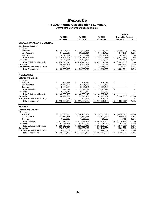# *Knoxville*

## **FY 2009 Natural Classifications Summary**

Unrestricted Current Funds Expenditures

|                                     |                    |                   |                   | <b>CHANGE</b>              |         |
|-------------------------------------|--------------------|-------------------|-------------------|----------------------------|---------|
|                                     | FY 2008            | FY 2009           | FY 2009           | <b>Original to Revised</b> |         |
|                                     | <b>ACTUAL</b>      | <b>ORIGINAL</b>   | <b>REVISED</b>    | Amount                     | %       |
| <b>EDUCATIONAL AND GENERAL</b>      |                    |                   |                   |                            |         |
| <b>Salaries and Benefits</b>        |                    |                   |                   |                            |         |
| Salaries                            |                    |                   |                   |                            |         |
| Academic                            | \$.<br>126,834,599 | 127,573,347<br>S  | \$124,076,956     | \$<br>(3,496,391)          | $-2.7%$ |
| Non-Academic                        | 94,220,197         | 89,902,314        | 90,442,493        | 540,179                    | 0.6%    |
| <b>Students</b>                     | 4,046,911          | 3,510,641         | 3,552,104         | 41,463                     | 1.2%    |
| <b>Total Salaries</b>               | 225,101,707        | \$<br>220,986,302 | \$<br>218,071,553 | \$<br>(2,914,749)          | $-1.3%$ |
| <b>Benefits</b>                     | 71,812,034         | 73,459,207        | 73,524,661        | 65,454                     | 0.1%    |
| <b>Total Salaries and Benefits</b>  | 296,913,740<br>\$. | \$<br>294.445.509 | 291.596.214       | \$<br>(2,849,295)          | $-1.0%$ |
| Operating                           | 108,131,879        | 129,807,663       | 136,270,599       | 6,462,936                  | 5.0%    |
| <b>Equipment and Capital Outlay</b> | 17,710,003         | 12,229,626        | 12,245,879        | 16,253                     | 0.1%    |
| <b>Total Expenditures</b>           | 422,755,623<br>\$  | 436,482,798<br>\$ | 440,112,692<br>\$ | 3,629,894<br>\$            | 0.8%    |
| <b>AUXILIARIES</b>                  |                    |                   |                   |                            |         |
| <b>Salaries and Benefits</b>        |                    |                   |                   |                            |         |
| Salaries                            |                    |                   |                   |                            |         |
| Academic                            | \$<br>711,728      | \$<br>576,984     | \$<br>576,984     | \$                         |         |
| Non-Academic                        | 29,660,294         | 28,234,709        | 28,234,709        |                            |         |
| <b>Students</b>                     | 2,505,128          | 2,881,484         | 2,881,484         |                            |         |
| <b>Total Salaries</b>               | \$<br>32,877,149   | \$<br>31,693,177  | \$<br>31,693,177  | \$                         |         |
| <b>Benefits</b>                     | 9,221,278          | 8,891,963         | 8,891,963         |                            |         |
| <b>Total Salaries and Benefits</b>  | \$<br>42,098,428   | \$<br>40,585,140  | \$<br>40,585,140  | \$                         |         |
| Operating                           | 68,411,394         | 69,675,487        | 68,475,487        | (1,200,000)                | $-1.7%$ |
| <b>Equipment and Capital Outlay</b> | 2,555,051          | 974,508           | 974,508           |                            |         |
| <b>Total Expenditures</b>           | 113,064,873<br>S   | 111,235,135<br>\$ | \$<br>110,035,135 | \$<br>(1,200,000)          | $-1.1%$ |
| <b>TOTALS</b>                       |                    |                   |                   |                            |         |
| <b>Salaries and Benefits</b>        |                    |                   |                   |                            |         |
| <b>Salaries</b>                     |                    |                   |                   |                            |         |
| Academic                            | \$.<br>127,546,326 | 128,150,331<br>S  | \$<br>124,653,940 | (3,496,391)<br>\$          | $-2.7%$ |
| Non-Academic                        | 123,880,491        | 118,137,023       | 118,677,202       | 540,179                    | 0.5%    |
| <b>Students</b>                     | 6,552,038          | 6,392,125         | 6,433,588         | 41,463                     | 0.6%    |
| <b>Total Salaries</b>               | 257,978,856<br>\$  | \$<br>252,679,479 | 249,764,730<br>\$ | \$<br>(2,914,749)          | $-1.2%$ |
| <b>Benefits</b>                     | 81,033,312         | 82,351,170        | 82,416,624        | 65,454                     | 0.1%    |
| <b>Total Salaries and Benefits</b>  | 339,012,168<br>\$  | \$ 335,030,649    | \$ 332,181,354    | \$<br>(2,849,295)          | $-0.9%$ |
| Operating                           | 176,543,274        | 199,483,150       | 204,746,086       | 5,262,936                  | 2.6%    |
| <b>Equipment and Capital Outlay</b> | 20,265,054         | 13,204,134        | 13,220,387        | 16,253                     | 0.1%    |
| <b>Total Expenditures</b>           | 535,820,495<br>S   | 547,717,933<br>\$ | \$<br>550,147,827 | 2,429,894<br>\$            | 0.4%    |
|                                     |                    |                   |                   |                            |         |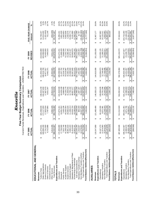|                                                                       |                                      |                                        | Current Funds Revenues, Expenditures and Transfers - UNRESTRICTED<br>Five-Year Budget Summary Comparison |                                                      |                                                         |                                                       |                    |
|-----------------------------------------------------------------------|--------------------------------------|----------------------------------------|----------------------------------------------------------------------------------------------------------|------------------------------------------------------|---------------------------------------------------------|-------------------------------------------------------|--------------------|
|                                                                       | FY 2005<br><b>CTUAL</b><br>ৰ         | FY 2006<br>ACTUAL                      | FY 2007<br>ACTUAL                                                                                        | FY 2008<br>ACTUAL                                    | REVISED<br>FY 2009                                      | FIVE-YEAR CHANGE                                      |                    |
| EDUCATIONAL AND GENERAL                                               |                                      |                                        |                                                                                                          |                                                      |                                                         | Amount                                                | న్                 |
| Revenues                                                              |                                      |                                        |                                                                                                          |                                                      |                                                         |                                                       |                    |
| Tuition & Fees                                                        | 65,276,641<br>ക                      | 184,458,636<br>↮                       | 196,523,239<br>↮                                                                                         | 211,853,269<br>↮                                     | 218,004,888<br>↮                                        | 52,728,247<br>↮                                       | 31.9%              |
| State Appropriations                                                  | 69,086,200                           | 172,117,000                            | 84,467,600                                                                                               | 198,919,700                                          | 183,099,600                                             | 14,013,400                                            | 8.3%               |
| Grants & Contracts<br>Sales & Services                                | 17,741,920<br>6,722,866              | 17,823,534<br>7,767,865                | 17,907,970<br>8,021,307                                                                                  | 16,977,917                                           | 16,420,000<br>7,444,015                                 | (1,321,920)<br>721,149                                | $-7.5%$<br>10.7%   |
| Investment Income                                                     |                                      |                                        |                                                                                                          | 9,462,371                                            |                                                         |                                                       |                    |
| Other Sources                                                         | 9.414.440                            | 562,428                                | 10.812.415                                                                                               | 10,354,821                                           | 9.011.031                                               | (403, 409)                                            | $-4.3%$            |
| <b>Total Revenues</b>                                                 | 68,242,067<br>$\boldsymbol{\omega}$  | 390,729,463<br>$\boldsymbol{\varphi}$  | 417,732,531<br>↔                                                                                         | 447,568,078<br>$\boldsymbol{\varphi}$                | 433,979,534<br>$\boldsymbol{\varphi}$                   | 65,737,467<br>$\boldsymbol{\varphi}$                  | 17.9%              |
| Expenditures and Transfers                                            |                                      |                                        |                                                                                                          |                                                      |                                                         |                                                       |                    |
| Instruction                                                           | 72,406,800                           | 174,873,161<br>↔                       | 181,818,508<br>↮                                                                                         | 189,599,584<br>မာ                                    | 203,472,231<br>↮                                        | 31.065.431<br>↮                                       | 18.0%              |
| Research                                                              | 17,756,500                           | 18,051,552                             | 18,436,199                                                                                               | 21,207,752                                           | 21,608,428                                              | 3,851,928                                             | 21.7%<br>41.7%     |
| Academic Support<br>Public Service                                    | 7,022,745<br>42,299,936              | 7,435,239<br>45,034,454                | 9,999,995<br>50,126,170                                                                                  | 10,318,742<br>53,519,997                             | 9,948,598<br>52,232,772                                 | 2,925,853<br>9,932,836                                | 23.5%              |
| <b>Student Services</b>                                               | 38,991,819                           | 39,083,026                             | 41,939,055                                                                                               | 44,360,249                                           | 43,286,395                                              | 4,294,576                                             | 11.0%              |
| Institutional Support                                                 | 9,390,423                            | 11,448,213                             | 12,700,182                                                                                               | 23,368,940                                           | 22,673,197                                              | 13,282,774                                            | 141.5%             |
| Operation & Maintenance of Plant                                      | 41,413,910                           | 44,015,744                             | 48,837,377                                                                                               | 50,367,845                                           | 50,545,879                                              | 9,131,969                                             | 22.1%              |
| Scholarships & Fellowships                                            | 23,953,161                           | 29,166,659                             | 28,608,822                                                                                               | 30,012,515                                           | 36,345,192                                              | 12,392,031                                            | 51.7%              |
| Sub-total Expenditures                                                | 53,235,294<br>မာ                     | 369,108,048<br>$\Theta$                | 392,466,308<br>↔                                                                                         | 422,755,623<br>$\boldsymbol{\varphi}$                | 440, 112, 692<br>↔                                      | 86,877,398<br>$\Theta$                                | 24.6%              |
| Mandatory Transfers (In)/Out                                          | 1,916,607                            | 800,409                                | 1,687,387                                                                                                | 1,681,565                                            | 1,949,404                                               | 32,797                                                | 1.7%               |
| Total Expenditures and Transfers<br>Non-Mandatory Transfers (In)/Out  | 12,579,652<br>67,731,554<br>↮        | 18,327,203<br>388,235,660<br>$\bullet$ | 412,507,602<br>18,353,907<br>$ \boldsymbol{\omega} $                                                     | 18,446,208<br>442,883,396<br>$ \boldsymbol{\omega} $ | (2, 815, 708)<br>439,246,388<br>$ \boldsymbol{\omega} $ | (15,395,360)<br>71,514,834<br>$ \boldsymbol{\omega} $ | $-122.4%$<br>19.4% |
| Fund Balance Addition/(Reduction)                                     | 510,514                              | 2,493,804<br>↮                         | 5,224,929<br>↔                                                                                           | 4,684,683<br>↮                                       | (5,266,854)<br>↮                                        | (5,777,368)<br>$\boldsymbol{\varphi}$                 |                    |
| AUXILIARIES                                                           |                                      |                                        |                                                                                                          |                                                      |                                                         |                                                       |                    |
|                                                                       |                                      |                                        |                                                                                                          |                                                      |                                                         |                                                       |                    |
| Expenditures and Transfers<br>Revenues                                | 19,247,859<br>ക                      | 121,483,486<br>↮                       | 146,320,122<br>↮                                                                                         | 144,810,006<br>↮                                     | 151,155,036<br>↮                                        | 31,907,177<br>↮                                       | 26.8%              |
| Expenditures                                                          | 93,197,273<br>↔                      | 90,153,333<br>↮                        | 109,009,635<br>↮                                                                                         | 113,064,873<br>↮                                     | 110,035,135<br>↮                                        | 16,837,862<br>↮                                       | 18.1%              |
| Mandatory Transfers                                                   | 11,074,063                           | 9,071,381                              | 10,701,296                                                                                               | 12,749,492                                           | 21,189,374                                              | 10,115,311                                            | 91.3%              |
| Non-Mandatory Transfers                                               | 20,147,879<br>15,876,544             | 20,239,444<br>19,464,158               | 44,054,995<br>24.344.065                                                                                 | 17.759.598<br>43,573,963                             | 19,930,527                                              | 4,053,983<br>31,007,157                               | 25.5%<br>25.8%     |
| Fund Balance Addition/(Reduction)<br>Total Expenditures and Transfers | (900, 020)                           | 2,019,328<br>မှာ မှာ                   | 2,265,126<br>မှာ မှာ                                                                                     | 1,236,043<br>↮<br>$\bullet$                          | 51,155,036<br>မာ မာ                                     | 900,020<br>မှာ မှာ                                    |                    |
|                                                                       |                                      |                                        |                                                                                                          |                                                      |                                                         |                                                       |                    |
| <b>TOTALS</b>                                                         |                                      |                                        |                                                                                                          |                                                      |                                                         |                                                       |                    |
| Expenditures and Transfers<br>Revenues                                | 87,489,926<br>↮                      | 512,212,949<br>↔                       | 564,052,652<br>↮                                                                                         | 592,378,084<br>↮                                     | 585,134,570<br>↮                                        | 97,644,644<br>↔                                       | 20.0%              |
| Expenditures                                                          | 46,432,567<br>↮                      | 459,261,381<br>↮                       | 501,475,942<br>↮                                                                                         | 535,820,495<br>↮                                     | 550, 147, 827<br>↮                                      | 103,715,260<br>↔                                      | 23.2%              |
| Non-Mandatory Transfers<br>Mandatory Transfers                        | 12,990,670<br>28,456,196             | 9,871,790<br>38,566,647                | 12,388,683<br>42,697,972                                                                                 | 36,205,806<br>14,431,057                             | 23,138,778<br>17,114,819                                | (11, 341, 377)<br>10,148,108                          | 78.1%<br>$-39.9%$  |
| Total Expenditures and Transfers                                      | 87,879,433<br>$\boldsymbol{\varphi}$ | 507,699,817<br>s                       | 556,562,597<br>မျ                                                                                        | 586,457,358<br>မာ $\Vert$                            | 590,401,424<br>$\theta$                                 | 102,521,991<br>Φ                                      | 21.0%              |
| Fund Balance Addition/(Reduction)                                     | (389, 506)                           | 4,513,132<br>↔                         | 7,490,055<br>↔                                                                                           | 5,920,725<br>↔                                       | (5,266,854)                                             | (4, 877, 348)<br>↔                                    |                    |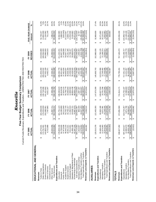|                                                                       | Current Funds Revenues, Expenditures and Transfers - UNRESTRICTED AND RESTRICTED |                                                           | Five-Year Budget Summary Comparison                 |                                            |                                              |                                                                  |                   |
|-----------------------------------------------------------------------|----------------------------------------------------------------------------------|-----------------------------------------------------------|-----------------------------------------------------|--------------------------------------------|----------------------------------------------|------------------------------------------------------------------|-------------------|
|                                                                       | FY 2005<br><b>CTUAL</b><br>ৰ                                                     | FY 2006<br>ACTUAL                                         | FY 2007<br>ACTUAL                                   | FY 2008<br>ACTUAL                          | REVISED<br>FY 2009                           | FIVE-YEAR CHANGE<br>Amount                                       | న్                |
| EDUCATIONAL AND GENERAL                                               |                                                                                  |                                                           |                                                     |                                            |                                              |                                                                  |                   |
| Revenues                                                              |                                                                                  |                                                           |                                                     |                                            |                                              |                                                                  |                   |
| Tuition & Fees                                                        | 65,276,641<br>↮                                                                  | 184,458,636<br>↮                                          | 196,523,239<br>↮                                    | 211,853,269<br>↮                           | 218,004,888<br>↮                             | 52,728,247<br>ക                                                  | 31.9%             |
| State Appropriations<br>Grants & Contracts                            | 43,805,418<br>74,791,901                                                         | 178,253,939<br>150,490,061                                | 190,718,086<br>161,421,662                          | 205,033,532<br>167,052,159                 | 188,594,000<br>164,960,000                   | 13,802,099<br>21,154,582                                         | 7.9%<br>14.7%     |
| Sales & Services                                                      | 6,722,866                                                                        | 7,767,865                                                 | 8,021,307                                           | 9,462,371                                  | 7,444,015                                    | 721,149                                                          | 10.7%             |
| Investment Income                                                     |                                                                                  |                                                           |                                                     |                                            |                                              |                                                                  |                   |
| <b>Total Revenues</b><br>Other Sources                                | 28,020,058<br>18,616,884<br>↮                                                    | 552,538,211<br>31,567,711<br>↮                            | 37,456,488<br>594,140,782                           | 630,994,688<br>37,593,357<br>↮             | 614,303,434<br>35,300,531                    | 95,686,550<br>7,280,473                                          | 18.5%<br>26.0%    |
| Expenditures and Transfers                                            |                                                                                  |                                                           | $\bullet$                                           |                                            | $ \boldsymbol{\varphi} $                     | မာ                                                               |                   |
| Instruction                                                           | 78,659,246<br>↮                                                                  | 181,701,123<br>↮                                          | 188,493,623<br>↮                                    | 98,392,779<br>↮                            | 211,222,231<br>↮                             | 32,562,985<br>↮                                                  | 18.2%             |
| Research                                                              | 84,708,826                                                                       | 84,295,899                                                | 86,818,036                                          | 86,951,663                                 | 86,607,328                                   | 1,898,502                                                        | 2.2%              |
| Public Service                                                        | 37,973,638                                                                       | 39,111,949                                                | 37,624,215                                          | 37,481,634                                 | 37,448,598                                   | (525,040)                                                        | $-1.4%$           |
| Academic Support                                                      | 48,443,215                                                                       | 50,702,725                                                | 55,749,779                                          | 59,605,637                                 | 58,557,772                                   | 10,114,557                                                       | 20.9%             |
| <b>Student Services</b>                                               | 40,551,621                                                                       | 40,700,157                                                | 43,948,893                                          | 46,836,309                                 | 45,161,395                                   | 4,609,774                                                        | 11.4%             |
| Institutional Support                                                 | 9,514,601                                                                        | 11,562,533                                                | 12,809,584                                          | 23,459,508                                 | 22,768,197                                   | 13,253,596                                                       | 139.3%            |
| Operation & Maintenance of Plant<br>Scholarships & Fellowships        | 41,466,196<br>62,397,220                                                         | 44,018,721                                                | 48,854,438                                          | 50,426,520<br>00,576,019                   | 50,600,879<br>08,070,192                     | 9,134,683<br>45,672,972                                          | 22.0%<br>73.2%    |
| Sub-total Expenditures                                                | 503,714,563<br>↮                                                                 | 76,967,979<br>529,061,087<br>↔                            | 88,826,116<br>563,124,683<br>$\boldsymbol{\varphi}$ | 603,730,068<br>↮                           | 620,436,592<br>↮                             | 116,722,029<br>↔                                                 | 23.2%             |
| Mandatory Transfers (In)/Out                                          | 1,916,607                                                                        | 800,409                                                   | 1,687,387                                           | 1,681,565                                  | 1,949,404                                    | 32,797                                                           | 1.7%              |
| Non-Mandatory Transfers (In)/Out                                      | 12,579,652                                                                       | 18,327,203                                                | 18,353,907                                          | 18.446.208                                 | (2, 815, 708)                                | (15, 395, 360)                                                   | $-122.4%$         |
| Total Expenditures and Transfers                                      | 518,210,822<br>$\boldsymbol{\varphi}$                                            | 548,188,699<br>$\boldsymbol{\varphi}$                     | 583,165,977<br>မာ                                   | 623,857,841<br>မာ                          | 619,570,288<br>$\boldsymbol{\varphi}$        | 101,359,466<br>ക                                                 | 19.6%             |
| Revenues Less Expend. & Transfers                                     | 406,062<br>မာ                                                                    | 4,349,513<br>$\Theta$                                     | 10,974,804<br>$\Theta$                              | 7,136,846<br>$\boldsymbol{\varphi}$        | (5,266,854)<br>$\boldsymbol{\varphi}$        | (5,672,916)<br>$\boldsymbol{\varphi}$                            |                   |
| <b>AUXILIARIES</b>                                                    |                                                                                  |                                                           |                                                     |                                            |                                              |                                                                  |                   |
| Revenues                                                              | 20,010,378<br>ఱ                                                                  | 122,453,355<br>↮                                          | 147,673,390<br>↮                                    | 145,800,743<br>↮                           | 152,880,036<br>↮                             | 32,869,658<br>↮                                                  | 27.4%             |
| Expenditures and Transfers                                            |                                                                                  |                                                           |                                                     |                                            |                                              |                                                                  |                   |
| Expenditures                                                          | 93,488,455<br>↔                                                                  | 90,663,180<br>↔                                           | 109,627,504<br>↮                                    | 113,531,066<br>↔                           | 111,760,135<br>↮                             | 18,271,680<br>↔                                                  | 19.5%             |
| Non-Mandatory Transfers<br>Mandatory Transfers                        | 15,876,544<br>11,074,063                                                         | 20.239,444<br>9,071,381                                   | 10,701,296<br>24,344,065                            | 17,759,598<br>12,749,492                   | 21,189,374<br>19,930,527                     | 4,053,983<br>10, 115, 311                                        | 91.3%<br>25.5%    |
| Total Expenditures and Transfers                                      | 20,439,061<br>↮                                                                  | 19,974,005<br>⊷                                           | 144,672,865<br>↮                                    | 144,040,156<br>↮                           | 152,880,036<br>↮                             | 32,440,975<br>↮                                                  | 26.9%             |
| Revenues Less Expend. & Transfers                                     | (428, 683)<br>↔                                                                  | 2,479,350<br>↮                                            | 3,000,525<br>↮                                      | 1,760,587<br>↮                             | ↮                                            | 428,683<br>↮                                                     |                   |
| <b>TOTALS</b>                                                         |                                                                                  |                                                           |                                                     |                                            |                                              |                                                                  |                   |
| Revenues                                                              | 338,627,262<br>ఱ                                                                 | 674,991,566<br>↮                                          | 741,814,171<br>↮                                    | 776,795,431<br>↮                           | 767,183,470<br>↮                             | 128,556,208<br>↮                                                 | 20.1%             |
| Expenditures and Transfers                                            |                                                                                  |                                                           |                                                     |                                            |                                              |                                                                  |                   |
| Mandatory Transfers<br>Expenditures                                   | 12,990,670<br>597,203,017<br>↮                                                   | 9,871,790<br>619,724,267<br>↮                             | 12,388,683<br>672,752,187<br>↮                      | 717,261,134<br>14,431,057<br>↮             | 23,138,778<br>732, 196, 727<br>↮             | 134,993,710<br>10,148,108<br>↮                                   | 22.6%<br>78.1%    |
| Non-Mandatory Transfers                                               | 28,456,196                                                                       | 38,566,647                                                | 42,697,972                                          | 36,205,806                                 | 17,114,819                                   | (11, 341, 377)                                                   | $-39.9%$<br>21.0% |
| Revenues Less Expend. & Transfers<br>Total Expenditures and Transfers | (22.621)<br>38,649,883<br>↮                                                      | 6.828.862<br>668, 162, 704<br>$\blacktriangleright$<br>G, | 727,838,842<br>13.975.329<br>$\bullet$<br>$\Theta$  | 8.897.434<br>766'268'29.<br>$\bullet$<br>e | 772,450,324<br>(5.266.854)<br>$\bullet$<br>Ģ | (5.244.233)<br>133,800,441<br>$\blackleftrightarrow$<br>$\theta$ |                   |

Knoxville *Knoxville*

Five-Year Budget Summary Comparison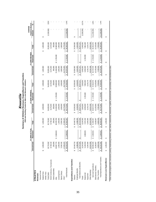|                                  |                       |                |                        | Summary of Athletics Revenues, Expenditures and Transfers<br>E&G and Auxiliary Funds for Men's and Women's Athletics | Knoxville        |                  |                        |                 |                        |                                      |          |
|----------------------------------|-----------------------|----------------|------------------------|----------------------------------------------------------------------------------------------------------------------|------------------|------------------|------------------------|-----------------|------------------------|--------------------------------------|----------|
|                                  |                       | FY 2008 ACTUA  |                        |                                                                                                                      | FY 2009 ORIGINAL |                  |                        | FY 2009 REVISED |                        | <b>Original to Revised</b><br>CHANGE |          |
|                                  | Unrestricted          | Restricted     | Total                  | Unrestricted                                                                                                         | Restricted       | Total            | <b>Unrestricted</b>    | Restricted      | Total                  | Amount                               | వ్       |
| <b>ATHLETICS</b>                 |                       |                |                        |                                                                                                                      |                  |                  |                        |                 |                        |                                      |          |
| Revenues                         |                       |                |                        |                                                                                                                      |                  |                  |                        |                 |                        |                                      |          |
| General Funds                    |                       |                |                        |                                                                                                                      |                  |                  |                        |                 |                        |                                      |          |
| Student Fees                     | 1,000,000<br>မာ       |                | 1,000,000<br>↮         | 1,000,000<br>↮                                                                                                       |                  | 1,000,000<br>မာ  | 1,000,000<br>မာ        |                 | 1,000,000<br>↮         | ↮                                    |          |
| Athletic Fees                    |                       |                |                        |                                                                                                                      |                  |                  |                        |                 |                        |                                      |          |
| <b>Ticket Sales</b>              | 30,776,552            |                | 30,776,552             | 34,465,000                                                                                                           |                  | 34,465,000       | 33,265,000             |                 | 33,265,000             | (1,200,000)                          | $-3.5%$  |
| NCAA Conference, Tournaments     | 8,739,132             |                | 8,739,132              | 9,175,000                                                                                                            |                  | 9,175,000        | 9,175,000              |                 | 9,175,000              |                                      |          |
| Game Guarantees                  | 250,000               |                | 250,000                | 300,000                                                                                                              |                  | 300,000          | 300,000                |                 | 300,000                |                                      |          |
| Gifts                            | 23,997,774            | 931<br>\$2,380 | 26,378,705             | 21,260,000                                                                                                           | \$1,725,000      | 22,985,000       | 21,260,000             | \$1,725,000     | 22,985,000             |                                      |          |
| Licensing Fees                   | 1,300,000             |                | 1,300,000              | 1,300,000                                                                                                            |                  | 1,300,000        | 1,300,000              |                 | 1,300,000              |                                      |          |
| Sports Camps                     | 2,354,181             |                | 2,354,181              | 1,500,000                                                                                                            |                  | 1,500,000        | 1,500,000              |                 | 1,500,000              |                                      |          |
| Other*                           | 17,003,337            |                | 17,003,337             | 16,775,000                                                                                                           |                  | 16,775,000       | 16,775,000             |                 | 16,775,000             |                                      |          |
| <b>Total Revenues</b>            | \$ 85,420,976         | \$2,380,931    | 87,801,907<br>Ø        | 85,775,000<br>4                                                                                                      | \$1,725,000      | 87,500,000<br>G) | 84,575,000<br>$\Theta$ | \$1,725,000     | 86,300,000<br>Ø,       | \$(1,200,000)                        | $-1.4%$  |
| Expenditures and Transfers       |                       |                |                        |                                                                                                                      |                  |                  |                        |                 |                        |                                      |          |
| Salaries                         | 24,440,710            |                | 24,440,710<br>မာ       | 24,206,582<br>မာ                                                                                                     |                  | 24,206,582<br>မာ | 24,206,582<br>မာ       |                 | 24,206,582<br>မာ       | ↮                                    |          |
| Employee Benefits                | 5,286,935             |                | 5,286,935              | 5,164,829                                                                                                            |                  | 5,164,829        | 5,164,829              |                 | 5,164,829              |                                      |          |
| Total Salaries and Benefits      | 29,727,645<br>↮       | ↮              | 29,727,645<br>↮        | 29,371,411<br>$\Theta$                                                                                               |                  | 29,371,411<br>မာ | 29,371,411<br>မာ       | 69              | 29,371,411<br>69       | ↮                                    |          |
| Travel                           | 8,144,583             |                | 8,144,583              | 7,640,050                                                                                                            |                  | 7,640,050        | 6,440,050              |                 | 6,440,050              | (1, 200, 000)                        | $-15.7%$ |
| Student Aid                      | 5, 193, 253           | 931<br>2,380   | 7,574,184              | 6,256,000                                                                                                            | 1,725,000        | 7,981,000        | 6,256,000              | 1,725,000       | 7,981,000              |                                      |          |
| Equipment                        | 5,394,990             |                | 5,394,990              | 3,126,179                                                                                                            |                  | 3,126,179        | 3,126,179              |                 | 3,126,179              |                                      |          |
| Other Operating                  | 20,524,555            |                | 20,524,555             | 19,534,336                                                                                                           |                  | 19,534,336       | 19,534,336             |                 | 19,534,336             |                                      |          |
| Sub-total Expenditures           | 68,985,026<br>မာ      | 931<br>\$2,380 | 71,365,957<br>$\Theta$ | 65,927,976<br>မာ                                                                                                     | \$1,725,000      | 67,652,976<br>မာ | 64,727,976<br>မာ       | \$1,725,000     | 66,452,976<br>$\Theta$ | $$$ $(1,200,000)$                    | $-1.8%$  |
| Debt Service Transfers           | 8,183,667             |                | 8,183,667              | 12,125,000                                                                                                           |                  | 12, 125,000      | 12,125,000             |                 | 12,125,000             |                                      |          |
| Other Transfers                  | 6,953,233             |                | 6,953,233              | 7,722,024                                                                                                            |                  | 7,722,024        | 7,722,024              |                 | 7,722,024              |                                      |          |
| Total Expenditures and Transfers | \$84,121,926          | \$2,380,931    | 86,502,857<br>↮        | 85,775,000<br>မာ                                                                                                     | \$1,725,000      | 87,500,000<br>69 | 84,575,000<br>6        | \$1,725,000     | 86,300,000<br>69       | \$(1,200,000)                        | $-1.4%$  |
| Revenues Less Expenditures       | 1,299,050<br>$\theta$ | $\Theta$       | 1,299,050<br>↮         | ↮                                                                                                                    | မာ               | ↮                | ↮                      | ↮               | ↮                      | ↮                                    |          |

\* Other includes program sales, concessions, parking, broadcasting, television, radio, internet, endowments, investments, royalties, advertisements, sponsorships, and miscellaneous other. \* Other includes program sales, concessions, parking, broadcasting, television, radio, internet, endowments, investments, sponsorships, and miscellaneous other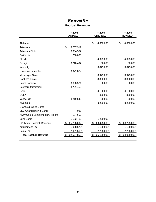#### *Knoxville*

#### **Football Revenues**

|                                 | FY 2008<br><b>ACTUAL</b> | FY 2009<br><b>ORIGINAL</b> |                         | FY 2009<br><b>REVISED</b> |
|---------------------------------|--------------------------|----------------------------|-------------------------|---------------------------|
| Alabama                         |                          | \$<br>4,650,000            | \$                      | 4,650,000                 |
|                                 |                          |                            |                         |                           |
| Arkansas                        | \$<br>3,707,319          |                            |                         |                           |
| <b>Arkansas State</b>           | 3,064,567                |                            |                         |                           |
| California                      | 250,000                  |                            |                         |                           |
| Florida                         |                          | 4,625,000                  |                         | 4,625,000                 |
| Georgia                         | 3,710,407                | 30,000                     |                         | 30,000                    |
| Kentucky                        |                          | 3,875,000                  |                         | 3,875,000                 |
| Louisiana-Lafayette             | 3,071,822                |                            |                         |                           |
| Mississippi State               |                          | 3,975,000                  |                         | 3,975,000                 |
| Northern Illinois               |                          | 3,300,000                  |                         | 3,300,000                 |
| South Carolina                  | 3,698,521                | 30,000                     |                         | 30,000                    |
| Southern Mississippi            | 3,701,450                |                            |                         |                           |
| <b>UAB</b>                      |                          | 4,100,000                  |                         | 4,100,000                 |
| <b>UCLA</b>                     |                          | 330,000                    |                         | 330,000                   |
| Vanderbilt                      | 3,219,549                | 30,000                     |                         | 30,000                    |
| Wyoming                         |                          | 3,280,000                  |                         | 3,280,000                 |
| Orange & White Game             |                          |                            |                         |                           |
| SEC Championship Game           | 4,085                    |                            |                         |                           |
| Away Game Complimentary Tickets | 187,662                  |                            |                         |                           |
| <b>Bowl Game</b>                | 1,182,710                | 1,200,000                  |                         |                           |
| Sub-total Football Revenue      | \$<br>25,798,092         | \$<br>29,425,000           | $\sqrt[6]{\frac{1}{2}}$ | 28,225,000                |
| <b>Amusement Tax</b>            | (1,098,673)              | (1,100,000)                |                         | (1,100,000)               |
| Sales Tax                       | (2,031,560)              | (2,225,000)                |                         | (2,225,000)               |
| <b>Total Football Revenue</b>   | \$<br>22,667,859         | \$<br>26,100,000           | \$                      | 24,900,000                |
|                                 |                          |                            |                         |                           |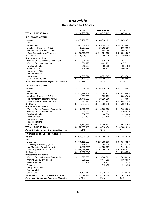#### *Knoxville* **Unrestricted Net Assets**

|                                                       | E&G                            | <b>AUXILIARIES</b>                 | <b>TOTAL</b>                    |
|-------------------------------------------------------|--------------------------------|------------------------------------|---------------------------------|
| <b>TOTAL - JUNE 30, 2006</b>                          | \$<br>18,955,574               | \$<br>10,515,265                   | \$<br>29,470,839                |
| <b>FY 2006-07 ACTUAL</b>                              |                                |                                    |                                 |
| Revenue                                               | \$<br>417,732,531              | \$<br>146,320,122                  | \$<br>564,052,652               |
| Less:                                                 |                                |                                    |                                 |
| Expenditures                                          | \$<br>392,466,308              | \$<br>109,009,635                  | \$501,475,942                   |
| Mandatory Transfers (In)/Out                          | 1,687,387                      | 10,701,296                         | 12,388,683                      |
| Non-Mandatory Transfers(In)/Out                       | 18,353,907                     | 24,344,065                         | 42,697,972                      |
| <b>Total Expenditures &amp; Transfers</b>             | 412,507,602<br>\$              | \$<br>144,054,995                  | \$<br>556,562,597               |
| Net Change                                            | \$<br>5,224,929                | \$<br>2,265,126                    | \$<br>7,490,055                 |
| <b>Unrestricted Net Assets</b>                        |                                |                                    |                                 |
| Working Capital-Accounts Receivable                   | \$<br>3,008,948                | \$<br>4,516,200                    | \$<br>7,525,147                 |
| <b>Working Capital-Inventories</b>                    | 576,190                        | 3,401,201                          | 3,977,391                       |
| <b>Revolving Funds</b>                                | 210,965                        | 20,533                             | 231,498                         |
| Encumbrances                                          | 3,716,486                      | 790,611                            | 4,507,097                       |
| <b>Unexpended Gifts</b>                               |                                |                                    |                                 |
| Reappropriations                                      |                                |                                    |                                 |
| Unallocated                                           | 16,667,914                     | 4,051,847                          | 20,719,761                      |
| <b>TOTAL - JUNE 30, 2007</b>                          | \$<br>24,180,503               | \$<br>12,780,391                   | \$<br>36,960,894                |
| <b>Percent Unallocated of Expend. &amp; Transfers</b> | 4.04%                          | 2.81%                              | 3.72%                           |
| <b>FY 2007-08 ACTUAL</b>                              |                                |                                    |                                 |
| Revenue                                               | 447,568,078<br>\$              | \$<br>144,810,006                  | \$<br>592,378,084               |
| Less:                                                 |                                |                                    |                                 |
| Expenditures                                          | \$<br>422,755,623              | \$<br>113,064,873                  | \$535,820,495                   |
| Mandatory Transfers (In)/Out                          | 1,681,565                      | 12,182,202                         | 13,863,766                      |
| Non-Mandatory Transfers(In)/Out                       | 18,446,208                     | 18,326,889                         | 36,773,097                      |
| <b>Total Expenditures &amp; Transfers</b>             | \$<br>442,883,396              | \$<br>143,573,963                  | \$<br>586,457,358               |
| Net Change                                            | \$<br>4,684,683                | \$<br>1,236,043                    | \$<br>5,920,725                 |
| <b>Unrestricted Net Assets</b>                        |                                |                                    |                                 |
| Working Capital-Accounts Receivable                   | \$<br>3,375,300                | \$<br>3,660,523                    | \$<br>7,035,823                 |
| <b>Working Capital-Inventories</b>                    | 826,287                        | 3,477,251                          | 4,303,539                       |
| <b>Revolving Funds</b><br>Encumbrances                | 202,303                        | 20,533                             | 222,836                         |
| <b>Unexpended Gifts</b>                               | 4,320,732                      | 912,495                            | 5,233,228                       |
| Reappropriations                                      |                                |                                    |                                 |
| Unallocated                                           | 20,140,564                     | 5,945,631                          | 26,086,195                      |
| <b>TOTAL - JUNE 30, 2008</b>                          | \$<br>28,865,186               | \$<br>14,016,434                   | \$<br>42,881,619                |
| <b>Percent Unallocated of Expend. &amp; Transfers</b> | 4.55%                          | 4.14%                              | 4.45%                           |
|                                                       |                                |                                    |                                 |
| FY 2008-09 REVISED BUDGET                             |                                |                                    |                                 |
| Revenue                                               | 433,979,534<br>\$              | 151,155,036<br>\$                  | \$<br>585,134,570               |
| Less:                                                 |                                | 110,035,135                        |                                 |
| Expenditures<br>Mandatory Transfers (In)/Out          | \$<br>440,112,692<br>1,949,404 | \$<br>21,189,374                   | \$<br>550,147,827<br>23,138,778 |
| Non-Mandatory Transfers(In)/Out                       | (2,815,708)                    | 19,930,527                         | 17,114,819                      |
| <b>Total Expenditures &amp; Transfers</b>             | \$<br>439,246,388              | \$<br>151,155,036                  | \$<br>590,401,424               |
| Net Change                                            | \$<br>(5,266,854)              | $\overline{\boldsymbol{\epsilon}}$ | \$<br>(5,266,854)               |
| <b>Unrestricted Net Assets</b>                        |                                |                                    |                                 |
| Working Capital-Accounts Receivable                   | \$<br>3,375,300                | \$<br>3,660,523                    | \$<br>7,035,823                 |
| <b>Working Capital-Inventories</b>                    | 826,287                        | 3,477,251                          | 4,303,539                       |
| <b>Revolving Funds</b>                                | 202,303                        | 20,533                             | 222,836                         |
| Encumbrances                                          |                                | 912,495                            | 912,495                         |
| <b>Unexpended Gifts</b>                               |                                |                                    |                                 |
| Reappropriations                                      |                                |                                    |                                 |
| Unallocated                                           | 19,194,442                     | 5,945,631                          | 25,140,073                      |
| <b>ESTIMATED TOTAL - OCTOBER 31, 2008</b>             | 23,598,332<br>\$               | \$<br>14,016,434                   | \$<br>37,614,765                |
| <b>Percent Unallocated of Expend. &amp; Transfers</b> | 4.37%                          | 3.93%                              | 4.26%                           |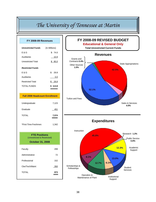#### *The University of Tennessee at Martin*

| FY 2008-09 Revenues                                                            |               |
|--------------------------------------------------------------------------------|---------------|
| <b>Unrestricted Funds</b>                                                      | (In Millions) |
| E & G                                                                          | \$74.0        |
| Auxiliaries                                                                    | <u> 10.9</u>  |
| <b>Unrestricted Total</b>                                                      | \$ 85.0       |
| <b>Restricted Funds</b>                                                        |               |
| E & G                                                                          | \$28.8        |
| Auxiliaries                                                                    | 0.0           |
| <b>Restricted Total</b>                                                        | \$28.8        |
| <b>TOTAL FUNDS</b>                                                             | \$113.8       |
|                                                                                |               |
| <b>Fall 2008 Headcount Enrollment</b>                                          |               |
| Undergraduate                                                                  | 7,123         |
| Graduate                                                                       | 451           |
| <b>TOTAL</b>                                                                   | 7,574         |
| *First-Time Freshmen                                                           | 1,342         |
| <b>FTE Positions</b><br>(Unrestricted & Restricted)<br><b>October 31, 2008</b> |               |
| Faculty                                                                        | 299           |
| Administrative                                                                 | 72            |
| Professional                                                                   | 152           |
| Cler/Tech/Maint                                                                | 350           |
| <b>TOTAL</b>                                                                   | 873           |



**Expenditures**

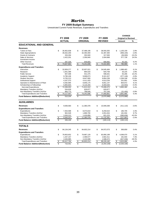#### *Martin*

#### **FY 2009 Budget Summary**

|                                          |                         |                |              |                 |                         |                |                          | <b>CHANGE</b>              |          |
|------------------------------------------|-------------------------|----------------|--------------|-----------------|-------------------------|----------------|--------------------------|----------------------------|----------|
|                                          |                         | <b>FY 2008</b> |              | FY 2009         |                         | FY 2009        |                          | <b>Original to Revised</b> |          |
|                                          |                         | <b>ACTUAL</b>  |              | <b>ORIGINAL</b> |                         | <b>REVISED</b> |                          | <b>Amount</b>              | %        |
| <b>EDUCATIONAL AND GENERAL</b>           |                         |                |              |                 |                         |                |                          |                            |          |
| <b>Revenues</b>                          |                         |                |              |                 |                         |                |                          |                            |          |
| <b>Tuition &amp; Fees</b>                | \$                      | 35,952,638     | \$           | 37,488,196      | \$                      | 38,593,355     | \$                       | 1,105,159                  | 2.9%     |
| <b>State Appropriations</b>              |                         | 35,632,200     |              | 32,393,400      |                         | 31,487,300     |                          | (906, 100)                 | $-2.8%$  |
| <b>Grants &amp; Contracts</b>            |                         | 333,294        |              | 353,500         |                         | 317,500        |                          | (36,000)                   | $-10.2%$ |
| Sales & Services                         |                         | 2,422,201      |              | 2,356,940       |                         | 2,934,668      |                          | 577,728                    | 24.5%    |
| Investment Income                        |                         |                |              |                 |                         |                |                          |                            |          |
| <b>Other Sources</b>                     |                         | 287,328        |              | 649,800         |                         | 689,982        |                          | 40,182                     | 6.2%     |
| <b>Total Revenues</b>                    | \$                      | 74,627,662     | \$           | 73,241,836      | \$                      | 74,022,805     | $\overline{\mathcal{S}}$ | 780,969                    | 1.1%     |
| <b>Expenditures and Transfers</b>        |                         |                |              |                 |                         |                |                          |                            |          |
| Instruction                              | \$                      | 32,859,277     | \$           | 32,657,021      | \$                      | 34,645,484     | \$                       | 1,988,463                  | 6.1%     |
| Research                                 |                         | 1,001,389      |              | 894,533         |                         | 920,758        |                          | 26,225                     | 2.9%     |
| <b>Public Service</b>                    |                         | 607,408        |              | 541,375         |                         | 596,641        |                          | 55,266                     | 10.2%    |
| Academic Support                         |                         | 9,790,106      |              | 9,698,673       |                         | 9,321,527      |                          | (377, 146)                 | $-3.9%$  |
| <b>Student Services</b>                  |                         | 8,755,213      |              | 8,647,900       |                         | 9,854,238      |                          | 1,206,338                  | 13.9%    |
| <b>Institutional Support</b>             |                         | 4,337,373      |              | 4,411,433       |                         | 4,613,234      |                          | 201,801                    | 4.6%     |
| Operation & Maintenance of Plant         |                         | 9,392,685      |              | 8,846,175       |                         | 9,651,147      |                          | 804,972                    | 9.1%     |
| Scholarships & Fellowships               |                         | 5,855,604      |              | 6,116,200       |                         | 6,093,646      |                          | (22, 554)                  | $-0.4%$  |
| Sub-total Expenditures                   | \$                      | 72,599,055     | $\mathbf{s}$ | 71,813,310      | \$                      | 75,696,675     | \$                       | 3,883,365                  | 5.4%     |
| Mandatory Transfers (In)/Out             |                         | 534,629        |              | 629,877         |                         | 629,877        |                          |                            |          |
| Non-Mandatory Transfers (In)/Out         |                         | 983,773        |              | 798,649         |                         | 767,249        |                          | (31, 400)                  | $-3.9%$  |
| <b>Total Expenditures and Transfers</b>  | \$                      | 74,117,457     | \$           | 73,241,836      | \$                      | 77,093,801     | \$                       | 3,851,965                  | 5.3%     |
| <b>Fund Balance Addition/(Reduction)</b> | $\overline{\mathbf{s}}$ | 510,204        | \$           |                 | $\overline{\mathbf{s}}$ | (3,070,996)    | \$                       | (3,070,996)                |          |
| <b>AUXILIARIES</b>                       |                         |                |              |                 |                         |                |                          |                            |          |
| <b>Revenues</b>                          | \$                      | 9,506,583      | \$           | 11,360,378      | \$                      | 10,949,268     | \$                       | (411, 110)                 | $-3.6%$  |
| <b>Expenditures and Transfers</b>        |                         |                |              |                 |                         |                |                          |                            |          |
| Expenditures                             | \$                      | 7,354,598      | \$           | 8,073,819       | \$                      | 8,259,524      | \$                       | 185,705                    | 2.3%     |
| Mandatory Transfers (In)/Out             |                         | 902,528        |              | 1,869,700       |                         | 2,051,634      |                          | 181,934                    | 9.7%     |
| Non-Mandatory Transfers (In)/Out         |                         | 1,043,212      |              | 1,416,859       |                         | 821,223        |                          | (595, 636)                 | $-42.0%$ |
| <b>Total Expenditures and Transfers</b>  | \$                      | 9,300,337      | \$           | 11,360,378      | \$                      | 11,132,381     | \$                       | (227, 997)                 | $-2.0%$  |
| <b>Fund Balance Addition/(Reduction)</b> | \$                      | 206,246        | \$           |                 | $\overline{\mathbf{s}}$ | (183, 113)     | \$                       | (183, 113)                 |          |
|                                          |                         |                |              |                 |                         |                |                          |                            |          |
| <b>TOTALS</b>                            |                         |                |              |                 |                         |                |                          |                            |          |
| <b>Revenues</b>                          | \$                      | 84,134,245     | \$           | 84,602,214      | \$                      | 84,972,073     | \$                       | 369,859                    | 0.4%     |
| <b>Expenditures and Transfers</b>        |                         |                |              |                 |                         |                |                          |                            |          |
| Expenditures                             | \$                      | 79,953,652     | \$           | 79,887,129      | \$                      | 83,956,199     | \$                       | 4,069,070                  | 5.1%     |
| Mandatory Transfers (In)/Out             |                         | 1,437,157      |              | 2,499,577       |                         | 2,681,511      |                          | 181,934                    | 7.3%     |
| Non-Mandatory Transfers (In)/Out         |                         | 2,026,985      |              | 2,215,508       |                         | 1,588,472      |                          | (627, 036)                 | $-28.3%$ |
| <b>Total Expenditures and Transfers</b>  | \$                      | 83,417,794     | \$           | 84,602,214      | \$                      | 88,226,182     | \$                       | 3,623,968                  | 4.3%     |
| <b>Fund Balance Addition/(Reduction)</b> | \$                      | 716,451        | \$           |                 | \$                      | (3,254,109)    | \$                       | (3,254,109)                |          |
|                                          |                         |                |              |                 |                         |                |                          |                            |          |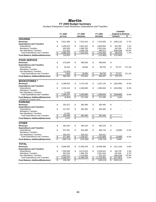#### *Martin*

**FY 2009 Budget Summary** Auxiliary Enterprises Funds Revenues, Expenditures and Transfers

|                                                                           |                         | FY 2008       | FY 2009          | FY 2009          |                          | <b>CHANGE</b><br><b>Original to Revised</b> |          |
|---------------------------------------------------------------------------|-------------------------|---------------|------------------|------------------|--------------------------|---------------------------------------------|----------|
|                                                                           |                         | <b>ACTUAL</b> | <b>ORIGINAL</b>  | <b>REVISED</b>   |                          | Amount                                      | %        |
| <b>HOUSING</b>                                                            |                         |               |                  |                  |                          |                                             |          |
| <b>Revenues</b>                                                           | \$                      | 5,811,286     | \$<br>7,521,610  | \$<br>7,315,500  | \$                       | (206, 110)                                  | $-2.7%$  |
| <b>Expenditures and Transfers</b>                                         |                         |               |                  |                  |                          |                                             |          |
| Expenditures                                                              | \$                      | 4,256,254     | \$<br>4,561,202  | \$<br>4,884,694  | \$                       | 323,492                                     | 7.1%     |
| <b>Mandatory Transfers</b>                                                |                         | 902,528       | 1,869,700        | 2,051,634        |                          | 181,934                                     | 9.7%     |
| Non-Mandatory Transfers                                                   |                         | 521,552       | 1,090,708        | 495,072          |                          | (595, 636)                                  | $-54.6%$ |
| <b>Total Expenditures and Transfers</b>                                   | \$                      | 5,680,333     | \$<br>7,521,610  | \$<br>7,431,400  | \$                       | (90, 210)                                   | $-1.2%$  |
| <b>Fund Balance Addition/(Reduction)</b>                                  | \$                      | 130.953       | \$               | \$<br>(115,900)  | \$                       | (115,900)                                   |          |
|                                                                           |                         |               |                  |                  |                          |                                             |          |
| <b>FOOD SERVICE</b>                                                       |                         |               |                  |                  |                          |                                             |          |
| <b>Revenues</b>                                                           | \$                      | 573,949       | \$<br>490,000    | \$<br>490,000    | \$                       |                                             |          |
| <b>Expenditures and Transfers</b>                                         |                         |               |                  |                  |                          |                                             |          |
| Expenditures                                                              | \$                      | 20,164        | \$<br>19,056     | \$<br>89,793     | \$                       | 70.737                                      | 371.2%   |
| <b>Mandatory Transfers</b>                                                |                         |               |                  |                  |                          |                                             |          |
| Non-Mandatory Transfers                                                   |                         | (12,561)      |                  |                  |                          |                                             |          |
| <b>Total Expenditures and Transfers</b>                                   | \$                      | 7,603         | \$<br>19,056     | \$<br>89,793     | \$                       | 70,737                                      | 371.2%   |
| <b>Fund Balance Addition/(Reduction)</b>                                  | \$                      | 566,346       | \$<br>470.944    | \$<br>400,207    | \$                       | (70, 737)                                   |          |
| <b>BOOKSTORES</b> *                                                       |                         |               |                  |                  |                          |                                             |          |
| <b>Revenues</b>                                                           | \$                      | 2,298,633     | \$<br>2,472,129  | \$<br>2,267,129  | \$                       | (205,000)                                   | $-8.3%$  |
| <b>Expenditures and Transfers</b>                                         |                         |               |                  |                  |                          |                                             |          |
| Expenditures                                                              | \$                      | 2,234,102     | \$<br>2,200,690  | \$<br>1,995,834  | \$                       | (204, 856)                                  | $-9.3%$  |
| <b>Mandatory Transfers</b>                                                |                         |               |                  |                  |                          |                                             |          |
| Non-Mandatory Transfers                                                   |                         | 71,435        |                  |                  |                          |                                             |          |
| <b>Total Expenditures and Transfers</b>                                   | \$                      | 2,305,537     | \$<br>2,200,690  | \$<br>1,995,834  | S                        | (204, 856)                                  | $-9.3%$  |
| <b>Fund Balance Addition/(Reduction)</b><br>* Includes the Computer Store | $\overline{\mathbb{S}}$ | (6,904)       | \$<br>271,439    | \$<br>271,295    | $\overline{\mathcal{S}}$ | (144)                                       |          |
| <b>PARKING</b>                                                            |                         |               |                  |                  |                          |                                             |          |
| <b>Revenues</b>                                                           | \$                      | 331,072       | \$<br>382,485    | \$<br>382,485    | \$                       |                                             |          |
| <b>Expenditures and Transfers</b>                                         |                         |               |                  |                  |                          |                                             |          |
| Expenditures                                                              | \$                      | 317,047       | \$<br>382,485    | \$<br>382,485    | \$                       |                                             |          |
| <b>Mandatory Transfers</b>                                                |                         |               |                  |                  |                          |                                             |          |
| Non-Mandatory Transfers                                                   |                         | 12,452        |                  |                  |                          |                                             |          |
| <b>Total Expenditures and Transfers</b>                                   | \$                      | 329,499       | \$<br>382,485    | \$<br>382,485    | \$                       | $\overline{a}$                              |          |
| <b>Fund Balance Addition/(Reduction)</b>                                  | \$                      | 1,572         | \$               | \$               | \$                       |                                             |          |
|                                                                           |                         |               |                  |                  |                          |                                             |          |
| <b>OTHER</b>                                                              |                         |               |                  |                  |                          |                                             |          |
| <b>Revenues</b>                                                           | \$                      | 491,643       | \$<br>494,154    | \$<br>494,154    | \$                       |                                             |          |
| <b>Expenditures and Transfers</b>                                         |                         |               |                  |                  |                          |                                             |          |
| Expenditures                                                              | \$                      | 527,031       | \$<br>910,386    | \$<br>906,718    | \$                       | (3,668)                                     | $-0.4%$  |
| <b>Mandatory Transfers</b>                                                |                         |               |                  |                  |                          |                                             |          |
| Non-Mandatory Transfers                                                   |                         | 450,333       | 326,151          | 326,151          |                          |                                             |          |
| <b>Total Expenditures and Transfers</b>                                   | \$                      | 977,364       | \$<br>1,236,537  | \$<br>1,232,869  | \$                       | (3,668)                                     | $-0.3%$  |
| <b>Fund Balance Addition/(Reduction)</b>                                  | \$                      | (485, 721)    | \$<br>(742, 383) | \$<br>(738, 715) | \$                       | 3,668                                       |          |
| <b>TOTAL</b>                                                              |                         |               |                  |                  |                          |                                             |          |
| <b>Revenues</b>                                                           | \$                      | 9,506,583     | \$<br>11,360,378 | \$<br>10,949,268 | \$                       | (411, 110)                                  | $-3.6%$  |
| <b>Expenditures and Transfers</b>                                         |                         |               |                  |                  |                          |                                             |          |
| Expenditures                                                              | \$                      | 7,354,598     | \$<br>8,073,819  | \$<br>8,259,524  | \$                       | 185,705                                     | 2.3%     |
| <b>Mandatory Transfers</b>                                                |                         | 902,528       | 1,869,700        | 2,051,634        |                          | 181,934                                     | 9.7%     |
| Non-Mandatory Transfers                                                   |                         | 1,043,212     | 1,416,859        | 821,223          |                          | (595, 636)                                  | $-42.0%$ |
| <b>Total Expenditures and Transfers</b>                                   | \$                      | 9,300,337     | \$<br>11,360,378 | \$<br>11,132,381 | \$                       | (227, 997)                                  | $-2.0%$  |
| <b>Fund Balance Addition/(Reduction)</b>                                  | \$                      | 206,246       | \$               | \$<br>(183, 113) | \$                       | (183, 113)                                  |          |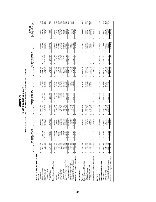| FY 2009 Budget Summary | rtad and Restricted Current Eurole Revenues Expenditure |
|------------------------|---------------------------------------------------------|
|                        |                                                         |

## Unrestricted and Restricted Current Funds Revenues, Expenditures and Transfers Unrestricted and Restricted

|                                                                      |                                   | FY 2008 ACTUAL              |                             |                                          | FY 2009 ORIGINAL       |                                                  |                                | FY 2009 REVISED                   |                             | <b>Original to Revised</b><br>CHANGE |                       |
|----------------------------------------------------------------------|-----------------------------------|-----------------------------|-----------------------------|------------------------------------------|------------------------|--------------------------------------------------|--------------------------------|-----------------------------------|-----------------------------|--------------------------------------|-----------------------|
|                                                                      | Unrestricted                      | Restricted                  | Total                       | Unrestricted                             | Restricted             | Total                                            | Unrestricted                   | Restricted                        | Total                       | Amount                               | వ్                    |
| EDUCATIONAL AND GENERAL                                              |                                   |                             |                             |                                          |                        |                                                  |                                |                                   |                             |                                      |                       |
| Revenues                                                             |                                   |                             |                             |                                          |                        |                                                  |                                |                                   |                             |                                      |                       |
| Tuition & Fees                                                       | 35,952,638<br>69                  |                             | 35,952,638<br>↮             | 37,488,196<br>32,393,400<br><b>SA</b>    |                        | 37,488,196                                       | 38,593,355<br>31,487,300<br>69 |                                   | 38,593,355<br>69            | 1,105,159<br><b>SA</b>               |                       |
| <b>State Appropriations</b>                                          | 35,632,200                        | 100<br>330,<br>မာ           | 35,962,300                  |                                          | 316,500<br>69          | 32,709,900                                       |                                | 315,100<br>↮                      | 31,802,400                  | (907, 500)                           | 2.9%<br>-2.8%         |
| Grants & Contracts                                                   | 333,294                           | 467<br>24,730,              | 25,063,761                  | 353,500                                  | 25,557,100             | 25,910,600                                       | 317,500                        | 25,557,100                        | 25,874,600                  | $(36,000)$<br>577,728                | $-0.1%$               |
| Sales & Services                                                     | 2,422,201                         |                             | 2,422,201                   | 2,356,940                                |                        | 2,356,940                                        | 2,934,668                      |                                   | 2,934,668                   |                                      | 24.5%                 |
| Investment Income<br>Other Sources                                   | 287,328                           | 3,118                       | 3,405,405                   | 649,800                                  | 2,950,000              | 3,599,800                                        | 689,982                        | 2,950,000                         | 3,639,982                   | 40,182                               |                       |
| <b>Total Revenues</b>                                                | 74,627,662<br>↮                   | $rac{6}{2}$<br>28,178<br>69 | 102,806,306<br>69           | 73,241,836<br>↮                          | 28,823,600<br>Ø        | 102,065,436<br>မာ                                | 74,022,805<br>မာ               | 28,822,200<br>ω                   | 102,845,005<br>↮            | 779,569<br>↮                         | $\frac{1.1\%}{0.8\%}$ |
| Expenditures and Transfers                                           |                                   |                             |                             |                                          |                        |                                                  |                                |                                   |                             |                                      |                       |
| Instruction                                                          | 32,859,277<br>69                  | 997<br>2,803,<br>↮          | 35,663,274<br>69            | 32,657,021<br>မာ                         | 3,167,200<br>မာ        | 35,824,221<br>မာ                                 | 34,645,484<br>မာ               | 3,167,100<br>↮                    | 37,812,584<br>69            | 1,988,363<br>69                      | 5.6%                  |
| Research                                                             | 1,001,389                         | ,439<br>$\frac{1}{8}$       | 1,082,827                   | 894,533                                  | 99,100                 | 993,633                                          | 920,758                        | 99,100                            | 1,019,858                   | 26,225                               | 2.6%                  |
| Public Service                                                       | 607,408                           | 541<br>1,603,               | 2,210,949                   | 541,375                                  | 1,658,800              | 2,200,175                                        | 596,641                        | 1,658,800                         | 2,255,441                   | 55,266                               | 2.5%<br>-3.6%         |
| Academic Support                                                     | 9,790,106                         | ,586<br>717.                | 10,507,692                  | 9,698,673                                | 727,200                | 10,425,873                                       | 9,321,527                      | 727,200                           | 10,048,727                  | (377, 146)                           |                       |
| Student Services                                                     | 8,755,213                         | ,942<br>520,                | 9,276,156                   | 8,647,900                                | 562,000<br>53,300      | 9,209,900                                        | 9,854,238                      | 562,000<br>53,300                 | 10,416,238                  | ,206,338                             | 13.1%                 |
| Institutional Support                                                | 4,337,373                         | 800<br>\$                   | 4,402,172                   | 4,411,433                                |                        | 4,464,733                                        | 4,613,234                      |                                   | 4,666,534                   | 201,801                              | 4.5%                  |
| Operation & Maintenance of Plant                                     | 9,392,685                         | ,690                        | 9,394,375                   | 8,846,175                                |                        | 8,846,175                                        | 9,651,147                      |                                   | 9,651,147                   | 804,972                              | 9.1%                  |
| Scholarships & Fellowships                                           | 5,855,604                         | ,464<br>21,930,             | 27,786,068                  | 6,116,200                                | 22,556,000             | 28,672,200                                       | 6,093,646                      | 22,556,000                        | 28,649,646                  | (22,554)                             | $-0.1\%$<br>3.9%      |
| Sub-total Expenditures                                               | 72,599,055<br>↮                   | 458<br>27,724<br>မာ         | 100,323,513<br>မာ           | 71,813,310<br>↮                          | 28,823,600<br>Ø        | 100,636,910<br>↮                                 | 75,696,675<br>↮                | 28,823,500<br>Ø                   | 104,520,175<br>မာ           | 3,883,265<br>↮                       |                       |
| Mandatory Transfers (In)/Out                                         | 534,629                           |                             | 534,629                     | 629,877                                  |                        | 629,877                                          | 629,877                        |                                   | 629,877                     |                                      |                       |
| Total Expenditures and Transfers<br>Non-Mandatory Transfers (In)/Out | 983,773<br>74,117,457<br><b>∽</b> | 458<br>27,724<br>↮          | 101,841,916<br>983,773<br>Ø | 798,649<br>73,241,836<br>$\pmb{\varphi}$ | 28,823,600<br>$\omega$ | 798,649<br>102,065,436<br>$\qquad \qquad \omega$ | 767.249<br>77,093,801<br>↮     | 28,823,500<br>$\pmb{\varphi}$     | 767,249<br>105,917,301<br>↮ | (31,400)<br>3,851,865<br>↮           | $-3.9%$<br>3.8%       |
|                                                                      |                                   |                             |                             |                                          |                        |                                                  |                                |                                   |                             |                                      |                       |
| Revenues Less Expend. & Transfers                                    | 510,204<br>မာ                     | ,186<br>454<br>မာ           | 964,390<br>↮                | ↮                                        | မာ                     | မာ                                               | (3,070,996)<br>မာ              | (1,300)<br>↮                      | (3,072,296)<br>မာ           | (3,072,296)<br>မာ                    |                       |
| AUXILIARIES                                                          |                                   |                             |                             |                                          |                        |                                                  |                                |                                   |                             |                                      |                       |
| Revenues                                                             | 9,506,583<br>69                   |                             | 9,506,583<br>မာ             | 11,360,378<br>↮                          |                        | 11,360,378<br>69                                 | 10,949,268<br>မာ               |                                   | 10,949,268<br>↮             | (411, 110)<br>မာ                     | $-3.6%$               |
| Expenditures and Transfers                                           |                                   |                             |                             |                                          |                        |                                                  |                                |                                   |                             |                                      |                       |
| Expenditures                                                         | 7,354,598<br>69                   |                             | 7,354,598<br>↮              | 8,073,819<br>69                          |                        | 8,073,819<br>GG.                                 | 8,259,524<br>2,051,634<br>မာ   |                                   | 8,259,524<br>2,051,634<br>↮ | 185,705<br>69                        | 2.3%                  |
| Mandatory Transfers                                                  | 902,528                           |                             | 902,528                     | 1,869,700                                |                        | 1,869,700                                        |                                |                                   |                             | 181,934                              | 9.7%                  |
| Non-Mandatory Transfers                                              | 1,043,212                         |                             | ,043,212                    | 1,416,859                                |                        | 1,416,859                                        | 821,223                        |                                   | 821,223                     | 595,636)                             | $-42.0\%$             |
| Total Expenditures and Transfers                                     | 9,300,337<br>G                    | 69                          | 9,300,37<br>G               | 11,360,378<br>69                         | GB                     | .360.378<br>69                                   | .132.381<br>G                  |                                   | ,132,381<br><b>GB</b>       | (227,997<br><b>SA</b>                |                       |
| Revenues Less Expend. & Transfers                                    | 206,246<br>G,                     | 69                          | 206,246<br>↮                | မာ                                       | 69                     | tA                                               | (183, 113)<br>↮                | မာ                                | (183, 113)<br>↮             | (183, 113)<br>↮                      |                       |
| <b>TOTALS</b>                                                        |                                   |                             |                             |                                          |                        |                                                  |                                |                                   |                             |                                      |                       |
| Revenues                                                             | 84,134,245<br>G                   | 644<br>28,178,<br>69        | 112,312,889<br>မာ           | 84,602,214<br>↮                          | 28,823,600<br>မာ       | \$113,425,814                                    | 84,972,073<br>↮                | 28,822,200<br>69                  | \$ 113,794,273              | 368,459<br>↮                         | 0.3%                  |
| Expenditures and Transfers                                           |                                   |                             |                             |                                          |                        |                                                  |                                |                                   |                             |                                      |                       |
| Expenditures                                                         | 79,953,652<br>မာ                  | 458<br>27,724,<br>မာ        | 107,678,111<br>မာ           | 79,887,129<br>ΘĤ,                        | 28,823,600<br>မာ       | 108,710,729<br>မာ                                | 83,956,199<br>မာ               | 28,823,500<br>မာ                  | 112,779,699<br>မာ           | 4,068,970<br>ΘĤ,                     | 3.7%                  |
| Non-Mandatory Transfers<br>Mandatory Transfers                       | 2,026,985<br>1,437,157            |                             | 2,026,985<br>1,437,157      | 2,215,508<br>2,499,577                   |                        | 2,215,508<br>2,499,577                           | 1,588,472<br>2,681,511         |                                   | 1,588,472<br>2,681,511      | (627, 036)<br>181,934                | 7.3%                  |
| Total Expenditures and Transfers                                     | 83,417,794                        | 458<br>27,724<br>G,         | 111.142.253                 | 84,602,214                               | 28,823,600<br>G        | 113,425,814<br>U                                 | 88,226,182                     | 28,823,500                        | 117,049,682                 | 3,623,868                            | $-28.3%$<br>3.2%      |
| Revenues Less Expend. & Transfers                                    | 716,451<br>69                     | 454,186<br>↮                | 1,170,636<br>↮              | S                                        | 69                     | G                                                | (3,254,109)<br>မာ              | (1,300)<br>$\boldsymbol{\varphi}$ | (3,255,409)<br>↮            | (3,255,409)<br>$\theta$              |                       |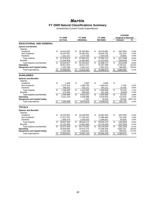#### *Martin*

#### **FY 2009 Natural Classifications Summary**

Unrestricted Current Funds Expenditures

|                                     |    |                |                 |                 |     |                |                         | <b>CHANGE</b>              |         |
|-------------------------------------|----|----------------|-----------------|-----------------|-----|----------------|-------------------------|----------------------------|---------|
|                                     |    | <b>FY 2008</b> |                 | FY 2009         |     | FY 2009        |                         | <b>Original to Revised</b> |         |
|                                     |    | <b>ACTUAL</b>  |                 | <b>ORIGINAL</b> |     | <b>REVISED</b> |                         | Amount                     | %       |
| <b>EDUCATIONAL AND GENERAL</b>      |    |                |                 |                 |     |                |                         |                            |         |
| <b>Salaries and Benefits</b>        |    |                |                 |                 |     |                |                         |                            |         |
| Salaries                            |    |                |                 |                 |     |                |                         |                            |         |
| Academic                            | \$ | 19,419,285     | \$              | 20.046.862      | \$. | 19,578,881     | \$                      | (467, 981)                 | $-2.3%$ |
| Non-Academic                        |    | 16,347,557     |                 | 16,381,651      |     | 16,602,755     |                         | 221,104                    | 1.3%    |
| <b>Students</b>                     |    | 1,312,137      |                 | 1,473,708       |     | 1,503,536      |                         | 29,828                     | 2.0%    |
| <b>Total Salaries</b>               | \$ | 37,078,979     | \$              | 37,902,221      | \$  | 37,685,172     | \$                      | (217, 049)                 | $-0.6%$ |
| <b>Benefits</b>                     |    | 13,549,958     |                 | 14,352,600      |     | 14,153,000     |                         | (199,600)                  | $-1.4%$ |
| <b>Total Salaries and Benefits</b>  | \$ | 50,628,937     | \$              | 52,254,821      | \$  | 51,838,172     | \$                      | (416, 649)                 | $-0.8%$ |
| Operating                           |    | 20,817,819     |                 | 18,517,277      |     | 22,257,288     |                         | 3,740,011                  | 20.2%   |
| <b>Equipment and Capital Outlay</b> |    | 1,152,298      |                 | 1,041,212       |     | 1,601,215      |                         | 560,003                    | 53.8%   |
| <b>Total Expenditures</b>           | \$ | 72,599,055     | \$              | 71,813,310      | \$  | 75,696,675     | \$                      | 3,883,365                  | 5.4%    |
|                                     |    |                |                 |                 |     |                |                         |                            |         |
| <b>AUXILIARIES</b>                  |    |                |                 |                 |     |                |                         |                            |         |
| <b>Salaries and Benefits</b>        |    |                |                 |                 |     |                |                         |                            |         |
| <b>Salaries</b>                     |    |                |                 |                 |     |                |                         |                            |         |
| Academic                            | \$ | 1,409          | \$              | 3,063           | \$  | 3,063          | \$                      |                            |         |
| Non-Academic                        |    | 1,270,318      |                 | 1,380,769       |     | 1,382,914      |                         | 2,145                      | 0.2%    |
| <b>Students</b>                     |    | 496,342        |                 | 532,121         |     | 563,121        |                         | 31,000                     | 5.8%    |
| <b>Total Salaries</b>               | \$ | 1,768,069      | \$              | 1,915,953       | \$  | 1,949,098      | \$                      | 33,145                     | 1.7%    |
| <b>Benefits</b>                     |    | 575,400        |                 | 599,268         |     | 591,268        |                         | (8,000)                    | $-1.3%$ |
| <b>Total Salaries and Benefits</b>  | \$ | 2,343,469      | \$              | 2,515,221       | \$  | 2,540,366      | \$                      | 25,145                     | 1.0%    |
| Operating                           |    | 5,011,129      |                 | 5,556,898       |     | 5,678,918      |                         | 122,020                    | 2.2%    |
| <b>Equipment and Capital Outlay</b> |    |                |                 | 1,700           |     | 40,240         |                         | 38,540                     | 2267.1% |
| <b>Total Expenditures</b>           | \$ | 7,354,598      | $\overline{\$}$ | 8,073,819       | \$  | 8,259,524      | \$                      | 185,705                    | 2.3%    |
| <b>TOTALS</b>                       |    |                |                 |                 |     |                |                         |                            |         |
| <b>Salaries and Benefits</b>        |    |                |                 |                 |     |                |                         |                            |         |
| Salaries                            |    |                |                 |                 |     |                |                         |                            |         |
| Academic                            | \$ | 19,420,694     | \$              | 20,049,925      | \$  | 19,581,944     | \$                      | (467, 981)                 | $-2.3%$ |
| Non-Academic                        |    | 17,617,875     |                 | 17,762,420      |     | 17,985,669     |                         | 223,249                    | 1.3%    |
| <b>Students</b>                     |    | 1,808,479      |                 | 2,005,829       |     | 2,066,657      |                         | 60,828                     | 3.0%    |
| <b>Total Salaries</b>               | \$ | 38,847,048     | \$              | 39,818,174      | \$  | 39,634,270     | \$                      | (183,904)                  | $-0.5%$ |
| <b>Benefits</b>                     |    | 14,125,358     |                 | 14,951,868      |     | 14,744,268     |                         | (207,600)                  | $-1.4%$ |
| <b>Total Salaries and Benefits</b>  | S  | 52,972,406     | \$              | 54,770,042      | \$  | 54,378,538     | $\overline{\mathbb{S}}$ | (391, 504)                 | $-0.7%$ |
| Operating                           |    | 25,828,948     |                 | 24,074,175      |     | 27,936,206     |                         | 3,862,031                  | 16.0%   |
| <b>Equipment and Capital Outlay</b> |    | 1,152,298      |                 | 1,042,912       |     | 1,641,455      |                         | 598,543                    | 57.4%   |
| <b>Total Expenditures</b>           | \$ | 79,953,652     | \$              | 79,887,129      | \$  | 83,956,199     | \$                      | 4,069,070                  | 5.1%    |
|                                     |    |                |                 |                 |     |                |                         |                            |         |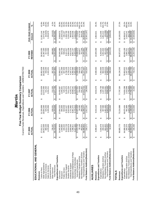|                                                                      |                                                                   |                                     | Martin                   |                             |                          |                        |                          |                        |                          |                                                   |                   |
|----------------------------------------------------------------------|-------------------------------------------------------------------|-------------------------------------|--------------------------|-----------------------------|--------------------------|------------------------|--------------------------|------------------------|--------------------------|---------------------------------------------------|-------------------|
|                                                                      | Current Funds Revenues, Expenditures and Transfers - UNRESTRICTED | Five-Year Budget Summary Comparison |                          |                             |                          |                        |                          |                        |                          |                                                   |                   |
|                                                                      | FY 2005<br>ACTUAL                                                 | FY 2006<br>ACTUAL                   |                          | FY 2007<br><b>ACTUAL</b>    |                          |                        | FY 2008<br><b>ACTUAL</b> |                        | REVISED<br>FY 2009       | FIVE-YEAR CHANGE<br>Amount                        | $\aleph$          |
| EDUCATIONAL AND GENERAL                                              |                                                                   |                                     |                          |                             |                          |                        |                          |                        |                          |                                                   |                   |
| Revenues                                                             |                                                                   |                                     |                          |                             |                          |                        |                          |                        |                          |                                                   |                   |
| State Appropriations<br>Tuition & Fees                               | 28,912,600<br>27,012,211<br>↔                                     | ↮                                   | 29,604,300<br>31,326,958 | မာ                          | 31,672,300<br>33,310,639 | မာ                     | 35,952,638<br>35,632,200 | ↮                      | 38,593,355<br>31,487,300 | 2,574,700<br>11,581,144<br>မာ                     | 8.9%<br>42.9%     |
| Grants & Contracts<br>Sales & Services                               | 380,325<br>1,678,689                                              |                                     | 425,253<br>2,205,956     |                             | 421,432<br>2,261,011     |                        | 333,294<br>2,422,201     |                        | 317,500<br>2,934,668     | (62, 825)<br>1,255,979                            | $-16.5%$<br>74.8% |
| Investment Income                                                    |                                                                   |                                     |                          |                             |                          |                        |                          |                        |                          |                                                   |                   |
| <b>Total Revenues</b><br>Other Sources                               | 58,719,123<br>735,297<br>$\Theta$                                 | $\boldsymbol{\varphi}$              | 64,200,668<br>638,201    | ↔                           | 212,325<br>67,877,706    | ↔                      | 287,328<br>74,627,662    | $\boldsymbol{\varphi}$ | 689,982<br>74,022,805    | (45,315)<br>15,303,682<br>$\boldsymbol{\varphi}$  | $-6.2%$<br>26.1%  |
| Expenditures and Transfers                                           |                                                                   |                                     |                          |                             |                          |                        |                          |                        |                          |                                                   |                   |
| Instruction<br>Research                                              | 24,945,809<br>1,949,880<br>↮                                      | ↮                                   | 895,606<br>27,694,323    | ↮                           | 1,055,831<br>30,455,067  | ↮                      | 1,001,389<br>32,859,277  | ↮                      | 34,645,484<br>920,758    | (1,029,122)<br>9,699,675<br>↮                     | $-52.8%$<br>38.9% |
| Public Service                                                       | 440,444                                                           |                                     | 504,558                  |                             | 520,113                  |                        | 607,408                  |                        | 596,641                  | 156,197                                           | 35.5%             |
| Academic Support                                                     | 8,014,728                                                         |                                     | 8,302,427                |                             | 9,145,075                |                        | 9,790,106                |                        | 9,321,527                | 1,306,799                                         | 16.3%             |
| Institutional Support<br><b>Student Services</b>                     | 6,619,078<br>3,656,595                                            |                                     | 6,919,865<br>3,721,862   |                             | 7,611,254<br>4,143,771   |                        | 8,755,213<br>4,337,373   |                        | 9,854,238<br>4,613,234   | 3,235,160<br>956,639                              | 48.9%             |
| Operation & Maintenance of Plant                                     | 7,296,811                                                         |                                     | 8,061,472                |                             | 8,508,241                |                        | 9,392,685                |                        | 9,651,147                | 2,354,336                                         | 26.2%<br>32.3%    |
| Scholarships & Fellowships<br>Sub-total Expenditures                 | 5,047,405<br>57,970,750<br>မာ                                     | $\boldsymbol{\varphi}$              | 5,725,816<br>61,825,929  | $\boldsymbol{\varphi}$      | 5,578,200<br>67,017,551  | $\boldsymbol{\varphi}$ | 72,599,055<br>5,855,604  | $\boldsymbol{\varphi}$ | 75,696,675<br>6,093,646  | 17,725,925<br>1,046,241<br>$\boldsymbol{\varphi}$ | 20.7%<br>30.6%    |
| Mandatory Transfers (In)/Out                                         | 55,148                                                            |                                     | 94,283                   |                             | 254,658                  |                        | 534,629                  |                        | 629,877                  | 574,729                                           | 042.1%            |
| Total Expenditures and Transfers<br>Non-Mandatory Transfers (In)/Out | 463,054<br>58,488,953<br>$\boldsymbol{\varphi}$                   | $\pmb{\leftrightarrow}$             | 368,265<br>62,288,477    | 5<br>$\boldsymbol{\varphi}$ | .913,715<br>641,507      | $\boldsymbol{\Theta}$  | 983,773<br>74,117,457    | $\boldsymbol{\varphi}$ | 767,249<br>77,093,801    | 304,195<br>18,604,848<br>$\bullet$                | 65.7%<br>31.8%    |
| Fund Balance Addition/(Reduction)                                    | 230,171<br>↔                                                      | ↮                                   | 1,912,191                | ↮                           | (36,009)                 | ↮                      | 510,204                  | $\boldsymbol{\varphi}$ | (3,070,996)              | (3,301,167)<br>$\boldsymbol{\varphi}$             |                   |
| <b>AUXILIARIES</b>                                                   |                                                                   |                                     |                          |                             |                          |                        |                          |                        |                          |                                                   |                   |
| Revenues                                                             | 8,086,647<br>↮                                                    | ↮                                   | 9,016,219                | ↮                           | 9,919,478                | ↮                      | 9,506,583                | ↮                      | 10,949,268               | 2,862,621<br>↮                                    | 35.4%             |
| Expenditures and Transfers<br>Expenditures                           | 7,028,478<br>↮                                                    | ↮                                   | 7,050,526                | ↮                           | 7,586,738                | ↮                      | 7,354,598                | ↮                      | 8,259,524                | 1,231,046<br>↮                                    | 17.5%             |
| Mandatory Transfers (In)/Out                                         | 200,222                                                           |                                     | 397,586                  |                             | 1,167,390                |                        | 902,528                  |                        | 2,051,634                | 1,851,412                                         | 924.7%            |
| Total Expenditures and Transfers<br>Non-Mandatory Transfers (In)/Out | 841,622<br>8,070,322                                              | $\Theta$                            | 1,461,463<br>8,909,574   | $\boldsymbol{\omega}$       | 9,868,469<br>1,114,341   |                        | 1,043,212<br>9,300,337   | $\Theta$               | 821,223<br>11,132,381    | (20, 399)<br>3,062,060                            | $-2.4\%$<br>37.9% |
| Fund Balance Addition/(Reduction)                                    | 16,326<br>မှာ မှာ                                                 | $\boldsymbol{\varphi}$              | 106,645                  | $\boldsymbol{\varphi}$      | 51,009                   | မာ မာ                  | 206,246                  | $\boldsymbol{\varphi}$ | (183, 113)               | (199, 439)<br>မှ မှ                               |                   |
| <b>TOTALS</b>                                                        |                                                                   |                                     |                          |                             |                          |                        |                          |                        |                          |                                                   |                   |
| Expenditures and Transfers<br>Revenues                               | 66,805,770<br>↮                                                   | ↮                                   | 73,216,888               | ↮                           | 77,797,184               | ↮                      | 84,134,245               | ↮                      | 84,972,073               | 18,166,303<br>↔                                   | 27.2%             |
| Mandatory Transfers (In)/Out<br>Expenditures                         | 64,999,228<br>255,370<br>$\Theta$                                 | ↮                                   | 491,869<br>68,876,454    | ↮                           | 74,604,288<br>1,422,048  | ↮                      | 79,953,652<br>1,437,157  | ↮                      | 83,956,199<br>2,681,511  | 2,426,141<br>18,956,971<br>↮                      | 950.0%<br>29.2%   |
| Total Expenditures and Transfers<br>Non-Mandatory Transfers (In)/Out | 66,559,274<br>1,304,676<br>$\boldsymbol{\varphi}$                 | $\boldsymbol{\varphi}$              | 1,829,728<br>71,198,052  | $\boldsymbol{\varphi}$      | 1,755,848<br>77,782,184  | $\Theta$               | 2,026,985<br>83,417,794  | $\Theta$               | 1,588,472<br>88,226,182  | 283,796<br>21,666,908<br>$\boldsymbol{\varphi}$   | 21.8%<br>32.6%    |
| Fund Balance Addition/(Reduction)                                    | 246,496<br>↔                                                      | $\boldsymbol{\varphi}$              | 2,018,836                | $\boldsymbol{\varphi}$      | 15,000                   | $\boldsymbol{\varphi}$ | 716,451                  | $\boldsymbol{\varphi}$ | (3,254,109)              | (3,500,605)<br>$\Theta$                           |                   |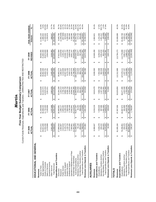|                                                                  |                        |                          |                         | Five-Year Budget Summary Comparison |                        |                            |                         | Current Funds Revenues, Expenditures and Transfers - UNRESTRICTED AND RESTRICTED |                        |                           |                                                 |                  |
|------------------------------------------------------------------|------------------------|--------------------------|-------------------------|-------------------------------------|------------------------|----------------------------|-------------------------|----------------------------------------------------------------------------------|------------------------|---------------------------|-------------------------------------------------|------------------|
|                                                                  |                        | FY 2005<br><b>ACTUAL</b> |                         | FY 2006<br>ACTUAL                   |                        | ACTUAL<br>FY 2007          |                         | FY 2008<br><b>ACTUAL</b>                                                         |                        | <b>REVISED</b><br>FY 2009 | FIVE-YEAR CHANGE<br>Amount                      | వ్               |
| EDUCATIONAL AND GENERAL                                          |                        |                          |                         |                                     |                        |                            |                         |                                                                                  |                        |                           |                                                 |                  |
| Revenues                                                         |                        |                          |                         |                                     |                        |                            |                         |                                                                                  |                        |                           |                                                 |                  |
| Tuition & Fees                                                   |                        | 27,012,211               | ↮                       | 31,326,958                          | ↮                      | 33,310,639                 | ക                       | 35,952,638                                                                       | ↮                      | 38,593,355                | 11,581,144<br>↮                                 | 42.9%            |
| <b>State Appropriations</b><br>Grants & Contracts                |                        | 11,554,256<br>29,821,946 |                         | 11,732,303<br>30,468,432            |                        | 12,525,319<br>32, 132, 574 |                         | 35,962,300<br>25,063,761                                                         |                        | 31,802,400<br>25,874,600  | 1,980,454<br>14,320,344                         | 6.6%<br>123.9%   |
| Sales & Services                                                 |                        | 1,678,689                |                         | 2,205,956                           |                        | 2,261,011                  |                         | 2,422,201                                                                        |                        | 2,934,668                 | 1,255,979                                       | 74.8%            |
| Investment Income                                                |                        | 2,941,435                |                         | 3,207,688                           |                        | 2,880,839                  |                         | 3,405,405                                                                        |                        | 3,639,982                 |                                                 | 23.7%            |
| <b>Total Revenues</b><br>Other Sources                           | ↮                      | 73,008,537               | $\qquad \qquad \bullet$ | 78,941,337                          | ↮                      | 83,110,381                 | $\qquad \qquad \bullet$ | 102,806,306                                                                      | ↮                      | 102,845,005               | 29,836,468<br>698,547<br>$\boldsymbol{\varphi}$ | 40.9%            |
| Expenditures and Transfers                                       |                        |                          |                         |                                     |                        |                            |                         |                                                                                  |                        |                           |                                                 |                  |
| Instruction                                                      | ↔                      | 27,866,816               | ↮                       | 30,800,961                          | ↮                      | 33,184,338                 | ↮                       | 35,663,274                                                                       | ↮                      | 37,812,584                | 9,945,768<br>↮                                  | 35.7%            |
| Research                                                         |                        | 2,064,907                |                         | 1,085,117                           |                        | 1,163,214                  |                         | 1,082,827                                                                        |                        | 1,019,858                 | (1,045,049)                                     | $-50.6%$         |
| Public Service                                                   |                        | 2,613,010                |                         | 2,805,462                           |                        | 2,736,192                  |                         | 2,210,949                                                                        |                        | 2,255,441                 | (357,569)                                       | $-13.7%$         |
| Academic Support                                                 |                        | 9,125,173                |                         | 9,189,154                           |                        | 9,868,758                  |                         | 10,507,692                                                                       |                        | 10,048,727                | 923,554                                         | 10.1%            |
| Institutional Support<br><b>Student Services</b>                 |                        | 7,130,720                |                         | 7,960,599<br>3,790,169              |                        | 8,288,700<br>4,194,825     |                         | 9,276,156<br>4,402,172                                                           |                        | 10,416,238<br>4,666,534   | 3,285,518<br>991,040                            | 46.1%            |
| Operation & Maintenance of Plant                                 |                        | 3,675,494<br>7,300,851   |                         | 8,062,841                           |                        | 8,508,241                  |                         | 9,394,375                                                                        |                        | 9,651,147                 | 2,350,296                                       | 27.0%<br>32.2%   |
| Scholarships & Fellowships                                       |                        | 12,491,502               |                         | 13,123,044                          |                        | 13,946,390                 |                         | 27,786,068                                                                       |                        | 28,649,646<br>104,520,175 | 16,158,144                                      | 129.4%           |
| Sub-total Expenditures                                           | ↮                      | 72,268,473               | $\boldsymbol{\varphi}$  | 76,817,347                          | $\Theta$               | 81,890,658                 | $\leftrightarrow$       | 100,323,513                                                                      | $\boldsymbol{\varphi}$ |                           | 32,251,702<br>$\boldsymbol{\varphi}$            | 44.6%            |
| Non-Mandatory Transfers (In)/Out<br>Mandatory Transfers (In)/Out |                        | 55,148<br>463,054        |                         | 368,265<br>94,283                   |                        | 254,658<br>641,507         |                         | 983,773<br>534,629                                                               |                        | 767,249<br>629,877        | 574,729<br>304,195                              | 65.7%<br>1042.1% |
| Total Expenditures and Transfers                                 | ↮                      | 72,786,676               | ↮                       | ,279,895<br>77                      | ↮                      | 82,786,822                 | $\boldsymbol{\varphi}$  | 101,841,916                                                                      | ↮                      | 105,917,301               | 33,130,625<br>↔                                 | 45.5%            |
| Revenues Less Expend. & Transfers                                | ↮                      | 221,861                  | $\boldsymbol{\varphi}$  | 1,661,442                           | $\boldsymbol{\varphi}$ | 323,559                    | $\boldsymbol{\varphi}$  | 964,390                                                                          | ↔                      | (3,072,296)               | (3,294,157)<br>↔                                |                  |
|                                                                  |                        |                          |                         |                                     |                        |                            |                         |                                                                                  |                        |                           |                                                 |                  |
| AUXILIARIES                                                      |                        |                          |                         |                                     |                        |                            |                         |                                                                                  |                        |                           |                                                 |                  |
| Revenues                                                         | ↮                      | 8,086,647                | ↮                       | 9,016,219                           | ↮                      | 9,919,478                  | ↮                       | 9,506,583                                                                        | ↮                      | 10,949,268                | 2,862,621<br>↮                                  | 35.4%            |
| Expenditures and Transfers                                       |                        |                          |                         |                                     |                        |                            |                         |                                                                                  |                        |                           |                                                 |                  |
| Mandatory Transfers (In)/Out<br>Expenditures                     | ↮                      | 7,028,478<br>200,222     | ↮                       | 7,050,526<br>397,586                | ↮                      | 1,167,390<br>7,586,738     | ↮                       | 7,354,598<br>902,528                                                             | ↮                      | 2,051,634<br>8,259,524    | 1,231,046<br>1,851,412<br>↮                     | 17.5%<br>924.7%  |
| Non-Mandatory Transfers (In)/Out                                 |                        | 841,622                  |                         | 1,461,463                           |                        | 1,114,341                  |                         | 1,043,212                                                                        |                        | 821,223                   | (20, 399)                                       | $-2.4%$          |
| Total Expenditures and Transfers                                 | ↮                      | 8,070,322                | ↮                       | 8,909,574                           | ↮                      | 9,868,469                  | မာ                      | 9,300,337                                                                        | ↮                      | 11,132,381                | 3,062,060<br>↮                                  | 37.9%            |
| Revenues Less Expend. & Transfers                                | ↮                      | 16,326                   | ↮                       | 106,645                             | ↮                      | 51,009                     | ↮                       | 206,246                                                                          | ↮                      | (183, 113)                | (199, 439)<br>↮                                 |                  |
| <b>TOTALS</b>                                                    |                        |                          |                         |                                     |                        |                            |                         |                                                                                  |                        |                           |                                                 |                  |
| Revenues                                                         | ↮                      | 81,095,184               | ↮                       | 87,957,556                          | ↮                      | 93,029,859                 | ↮                       | 112,312,889                                                                      | ↮                      | 113,794,273               | 32,699,089<br>↮                                 | 40.3%            |
| Expenditures and Transfers                                       |                        |                          |                         |                                     |                        |                            |                         |                                                                                  |                        |                           |                                                 |                  |
| Expenditures                                                     | ↮                      | 79,296,951               | ↮                       | 83,867,872                          | ↮                      | 89,477,395                 | ↮                       | 107,678,111                                                                      | ↮                      | 112,779,699               | 33,482,748<br>↮                                 | 42.2%            |
| Non-Mandatory Transfers (In)/Out<br>Mandatory Transfers (In)/Out |                        | 255,370<br>1,304,676     |                         | 491,869<br>1,829,728                |                        | 1,422,048<br>1,755,848     |                         | 2,026,985<br>1,437,157                                                           |                        | 1,588,472<br>2,681,511    | 283,796<br>2,426,141                            | 21.8%<br>950.0%  |
| Total Expenditures and Transfers                                 | \$                     | 80,856,997               | မှာ မှာ                 | 86,189,469                          | မှ မ                   | 92,655,291                 | ⇔∥                      | 111, 142, 253                                                                    | $\theta$               | 117,049,682               | 36,192,685<br>$\theta$                          | 44.8%            |
| Revenues Less Expend. & Transfers                                | $\boldsymbol{\varphi}$ | 238,187                  |                         | 1,768,087                           |                        | 374,568                    | $\boldsymbol{\Theta}$   | 1,170,636                                                                        |                        | (3,255,409)               | (3,493,596)                                     |                  |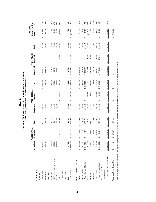|                                  |                                     |                                | Summary of Athletics Revenues, Expenditures and Transfers | E&G and Auxiliary Funds for Men's and Women's Athletics |                            |                |                       |                                  |                       |                                      |          |
|----------------------------------|-------------------------------------|--------------------------------|-----------------------------------------------------------|---------------------------------------------------------|----------------------------|----------------|-----------------------|----------------------------------|-----------------------|--------------------------------------|----------|
|                                  |                                     | FY 2008 ACTUAL                 |                                                           |                                                         | FY 2009 ORIGINAL           |                |                       | FY 2009 REVISED                  |                       | <b>Original to Revised</b><br>CHANGE |          |
|                                  | Unrestricted                        | icted<br>Restri                | Total                                                     | Unrestricted                                            | Restricted                 | Total          | Unrestricted          | Restricted                       | Total                 | Amount                               | వ్       |
| ATHLETICS                        |                                     |                                |                                                           |                                                         |                            |                |                       |                                  |                       |                                      |          |
| Revenues                         |                                     |                                |                                                           |                                                         |                            |                |                       |                                  |                       |                                      |          |
| General Funds                    | 3,853,587<br>Ø                      |                                | 3,853,587<br>မာ                                           | 3,906,630<br>↮                                          |                            | 3,906,630<br>↮ | 4,077,855<br>$\theta$ |                                  | \$4,077,855           | 53,043<br>↮                          | 1.4%     |
| Student Fees                     | 1,849,776                           |                                | 1,849,776                                                 | 1,785,000                                               |                            | 1,785,000      | 1,850,000             |                                  | 1,850,000             | 64,776)                              | $-3.5%$  |
| Athletic Fees                    |                                     |                                |                                                           |                                                         |                            |                |                       |                                  |                       |                                      |          |
| <b>Ticket Sales</b>              | 115,129                             |                                | 115,129                                                   | 105,000                                                 |                            | 105,000        | 105,000               |                                  | 105,000               | (10, 129)                            | $-8.8%$  |
| NCAA Conference, Tournaments     | 325,604                             |                                | 325,604                                                   | 270,000                                                 |                            | 270,000        | 307,628               |                                  | 307,628               | (55,604)                             | $-17.1%$ |
| Game Guarantees                  | 352,500                             |                                | 352,500                                                   | 470,900                                                 |                            | 470,900        | 982,000               |                                  | 982,000               | 118,400                              | 33.6%    |
| Gifts                            |                                     | 05,868<br><u>୪</u><br>↮        | 605,868                                                   |                                                         | 350,000<br>↮               | 350,000        |                       | 375,000<br>↮                     | 375,000               | (255, 868)                           | $-42.2%$ |
| Licensing Fees                   |                                     |                                |                                                           |                                                         |                            |                |                       |                                  |                       |                                      |          |
| Sports Camps                     |                                     |                                |                                                           |                                                         |                            |                |                       |                                  |                       |                                      |          |
| Other*                           | 147,326                             |                                | 147,326                                                   | 146,620                                                 |                            | 146,620        | 175,620               |                                  | 175,620               | (706)                                | $-0.5%$  |
| <b>Total Revenues</b>            | \$ 6,643,922                        | 05,868<br>8<br>$\pmb{\varphi}$ | 7,249,790<br>↮                                            | 6,684,150<br>s                                          | 350,000<br>$\pmb{\varphi}$ | \$7,034,150    | \$7,498,103           | 375,000<br>↮                     | 7,873,103<br>s        | (215, 640)<br>Ø                      | $-3.0%$  |
|                                  |                                     |                                |                                                           |                                                         |                            |                |                       |                                  |                       |                                      |          |
| Expenditures and Transfers       |                                     |                                |                                                           |                                                         |                            |                |                       |                                  |                       |                                      |          |
| Salaries                         | \$1,817,116                         | 3,284<br>↮                     | \$1,820,400                                               | 1,885,588<br>မာ                                         |                            | 1,885,588<br>ക | 1,911,767<br>$\theta$ |                                  | 1,911,767<br>မာ       | 65,188<br>↮                          | 3.6%     |
| Employee Benefits                | 632,801                             | 348                            | 633,149                                                   | 703,000                                                 |                            | 703,000        | 703,000               |                                  | 703,000               | 69,851                               | 11.0%    |
| Total Salaries and Benefits      | 2,449,916<br>$\boldsymbol{\varphi}$ | 3,632<br>↮                     | 2,453,549<br>↮                                            | 2,588,588<br>↮                                          | $\Theta$                   | 2,588,588<br>↮ | 2,614,767<br>$\theta$ |                                  | 2,614,767<br>$\theta$ | 135,039<br>↮                         | 5.5%     |
| Travel                           | 535,079                             | 91,618                         | 626,697                                                   | 443,665                                                 | 30,000                     | 473,665        | 506,195               | 90,000                           | 596,195               | (153, 032)                           | $-24.4%$ |
| Student Aid                      | 2,696,507                           | 59,640                         | 2,756,147                                                 | 2,651,383                                               | 15,000                     | 2,666,383      | 2,802,621             | 20,000                           | 2,822,621             | (89, 764)                            | $-3.3%$  |
| Equipment                        | 1,506                               | 24,300                         | 25,806                                                    | 12,240                                                  |                            | 12,240         | 171,000               |                                  | 171,000               | (13,566)                             | $-52.6%$ |
| Other Operating                  | 960,914                             | 254,507                        | 1,215,421                                                 | 988,274                                                 | 305,000                    | 1,293,274      | 1,403,520             | 265,000                          | 1,668,520             | 77,853                               | 6.4%     |
| Sub-total Expenditures           | 6,643,922<br>↮                      | 433,697<br>$\theta$            | 7,077,620<br>$\theta$                                     | 6,684,150<br>$\theta$                                   | 350,000<br>↔               | \$7,034,150    | \$7,498,103           | 375,000<br>↮                     | \$7,873,103           | (43,470)<br>$\theta$                 | $-0.6%$  |
| Debt Service Transfers           |                                     |                                |                                                           |                                                         |                            |                |                       |                                  |                       |                                      |          |
| Other Transfers                  |                                     |                                |                                                           |                                                         |                            |                |                       |                                  |                       |                                      |          |
| Total Expenditures and Transfers | \$ 6,643,922                        | \$ 433,697                     | 7,077,620<br>$\boldsymbol{\varphi}$                       | 6,684,150<br>$\boldsymbol{\varphi}$                     | 350,000<br>H,              | \$7,034,150    | \$7,498,103           | 375,000<br>$\boldsymbol{\omega}$ | 7,873,103<br>Ø        | (43, 470)<br>$\boldsymbol{\varphi}$  | $-0.6%$  |
| Revenues Less Expenditures       | $\widehat{\circ}$<br>↮              | 72,171<br>÷,<br>↮              | 172, 171<br>↮                                             | ↮                                                       | ↮                          | ↮              | ↮                     | ↮                                | ↮                     | (172, 171)<br>↮                      |          |
|                                  |                                     |                                |                                                           |                                                         |                            |                |                       |                                  |                       |                                      |          |

*Marti*

*n*

# \* Other includes program sales, concessions, parking, broadcasting, television, radio, internet, endowments, investments, royalties, advertisements, sponsorships, and miscellaneous other.

\* Other includes program sales, concessions, parking, broadcasting, television, radio, internet, endowments, investments, royalties, advertisements, sponsorships, and miscellaneous other.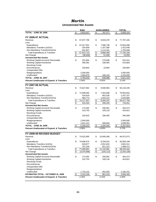|                                                       |                         | <b>E&amp;G</b> | <b>AUXILIARIES</b> | <b>TOTAL</b>      |
|-------------------------------------------------------|-------------------------|----------------|--------------------|-------------------|
| <b>TOTAL - JUNE 30, 2006</b>                          | \$                      | 4,819,027      | \$<br>787,077      | \$<br>5,606,104   |
|                                                       |                         |                |                    |                   |
| <b>FY 2006-07 ACTUAL</b>                              |                         |                |                    |                   |
| Revenue                                               | \$                      | 67,877,706     | \$<br>9,919,478    | \$<br>77,797,184  |
| Less:                                                 |                         |                |                    |                   |
| Expenditures                                          | \$                      | 67,017,551     | \$<br>7,586,738    | \$<br>74,604,288  |
| Mandatory Transfers (In)/Out                          |                         | 254,658        | 1,167,390          | 1,422,048         |
| Non-Mandatory Transfers(In)/Out                       |                         | 641,507        | 1,114,341          | 1,755,848         |
| <b>Total Expenditures &amp; Transfers</b>             | \$                      | 67,913,715     | \$<br>9,868,469    | \$<br>77,782,184  |
| Net Change                                            | \$                      | (36,009)       | \$<br>51,009       | \$<br>15,000      |
| <b>Unrestricted Net Assets</b>                        |                         |                |                    |                   |
| Working Capital-Accounts Receivable                   | \$                      | 251,804        | \$<br>270,638      | \$<br>522,441     |
| <b>Working Capital-Inventories</b>                    |                         | 306,391        | 108,492            | 414,883           |
| <b>Revolving Funds</b>                                |                         |                |                    |                   |
| Encumbrances                                          |                         | 229,844        | 10,840             | 240,684           |
| <b>Unexpended Gifts</b>                               |                         |                |                    |                   |
| Reappropriations                                      |                         | 2,000,000      |                    | 2,000,000         |
| Unallocated                                           |                         | 1,994,979      | 448,116            | 2,443,095         |
| <b>TOTAL - JUNE 30, 2007</b>                          | \$                      | 4,783,018      | \$<br>838,086      | \$<br>5,621,104   |
| <b>Percent Unallocated of Expend. &amp; Transfers</b> |                         | 2.94%          | 4.54%              | 3.14%             |
|                                                       |                         |                |                    |                   |
| <b>FY 2007-08 ACTUAL</b>                              |                         |                |                    |                   |
| Revenue                                               | \$                      | 74,627,662     | \$<br>9,506,583    | \$<br>84,134,245  |
| Less:                                                 |                         |                |                    |                   |
| Expenditures                                          | \$                      | 72,599,055     | \$<br>7,354,598    | \$<br>79,953,652  |
| Mandatory Transfers (In)/Out                          |                         | 534,629        | 902,528            | 1,437,157         |
| Non-Mandatory Transfers(In)/Out                       |                         | 983,773        | 1,043,212          | 2,026,985         |
| <b>Total Expenditures &amp; Transfers</b>             | $\frac{1}{2}$           | 74,117,457     | \$<br>9,300,337    | \$<br>83,417,794  |
| Net Change                                            | $\overline{\mathbf{S}}$ | 510,204        | \$<br>206,246      | \$<br>716,451     |
| <b>Unrestricted Net Assets</b>                        |                         |                |                    |                   |
| Working Capital-Accounts Receivable                   | \$                      | 173,392        | \$<br>290,081      | \$<br>463,473     |
| <b>Working Capital-Inventories</b>                    |                         | 315,703        | 109,118            | 424,821           |
| <b>Revolving Funds</b>                                |                         |                |                    |                   |
| Encumbrances                                          |                         | 162,815        | 186,493            | 349,308           |
| <b>Unexpended Gifts</b>                               |                         |                |                    |                   |
| Reappropriations                                      |                         | 2,000,000      |                    | 2,000,000         |
| Unallocated                                           |                         | 2,641,312      | 458,640            | 3,099,952         |
| <b>TOTAL - JUNE 30, 2008</b>                          | \$                      | 5,293,222      | \$<br>1,044,332    | \$<br>6,337,554   |
| <b>Percent Unallocated of Expend. &amp; Transfers</b> |                         | 3.56%          | 4.93%              | 3.72%             |
|                                                       |                         |                |                    |                   |
|                                                       |                         |                |                    |                   |
| FY 2008-09 REVISED BUDGET                             |                         |                |                    |                   |
| Revenue                                               | \$                      | 74,022,805     | \$<br>10,949,268   | \$<br>84,972,073  |
| Less:                                                 |                         |                |                    |                   |
| Expenditures                                          | \$                      | 75,696,675     | \$<br>8,259,524    | \$<br>83,956,199  |
| Mandatory Transfers (In)/Out                          |                         | 629,877        | 2,051,634          | 2,681,511         |
| Non-Mandatory Transfers(In)/Out                       |                         | 767,249        | 821,223            | 1,588,472         |
| <b>Total Expenditures &amp; Transfers</b>             | \$                      | 77,093,801     | \$<br>11,132,381   | \$<br>88,226,182  |
| Net Change                                            | \$                      | (3,070,996)    | \$<br>(183, 113)   | \$<br>(3,254,109) |
| <b>Unrestricted Net Assets</b>                        |                         |                |                    |                   |
| Working Capital-Accounts Receivable                   | \$                      | 173,392        | \$<br>290,081      | \$<br>463,473     |
| <b>Working Capital-Inventories</b>                    |                         | 315,703        | 109,118            | 424,821           |
| <b>Revolving Funds</b>                                |                         |                |                    |                   |
| Encumbrances                                          |                         |                |                    |                   |
| <b>Unexpended Gifts</b>                               |                         |                |                    |                   |
| Reappropriations                                      |                         |                |                    |                   |
| Unallocated                                           |                         | 1,733,131      | 462,020            | 2,195,151         |
| <b>ESTIMATED TOTAL - OCTOBER 31, 2008</b>             | \$                      | 2,222,226      | \$<br>861,219      | \$<br>3,083,445   |
| <b>Percent Unallocated of Expend. &amp; Transfers</b> |                         | 2.25%          | 4.15%              | 2.49%             |
|                                                       |                         |                |                    |                   |

#### *Martin* **Unrestricted Net Assets**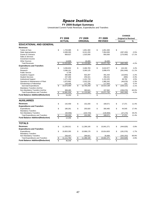#### **FY 2009 Budget Summary**

|                                          |                         |                |                         |                 |                      |                |               | <b>CHANGE</b>              |               |
|------------------------------------------|-------------------------|----------------|-------------------------|-----------------|----------------------|----------------|---------------|----------------------------|---------------|
|                                          |                         | <b>FY 2008</b> |                         | FY 2009         |                      | FY 2009        |               | <b>Original to Revised</b> |               |
|                                          |                         | <b>ACTUAL</b>  |                         | <b>ORIGINAL</b> |                      | <b>REVISED</b> |               | Amount                     | $\frac{9}{6}$ |
| <b>EDUCATIONAL AND GENERAL</b>           |                         |                |                         |                 |                      |                |               |                            |               |
| <b>Revenues</b>                          |                         |                |                         |                 |                      |                |               |                            |               |
| <b>Tuition &amp; Fees</b>                | \$                      | 1,703,085      | \$                      | 1,851,300       | \$                   | 1,851,300      | \$            |                            |               |
| <b>State Appropriations</b>              |                         | 8,389,300      |                         | 8,241,200       |                      | 7,954,000      |               | (287, 200)                 | $-3.5%$       |
| <b>Grants &amp; Contracts</b>            |                         | 908,627        |                         | 1,025,000       |                      | 850,000        |               | (175,000)                  | $-17.1%$      |
| Sales & Services                         |                         |                |                         |                 |                      |                |               |                            |               |
| Investment Income                        |                         |                |                         |                 |                      |                |               |                            |               |
| <b>Other Sources</b>                     |                         | 14,839         |                         | 16,400          |                      | 16,400         |               |                            |               |
| <b>Total Revenues</b>                    | \$                      | 11,015,852     | \$                      | 11,133,900      | \$                   | 10,671,700     | \$            | (462, 200)                 | $-4.2%$       |
| <b>Expenditures and Transfers</b>        |                         |                |                         |                 |                      |                |               |                            |               |
| Instruction                              | \$                      | 3,266,832      | \$                      | 3,466,783       | \$                   | 3,610,977      | \$            | 144,194                    | 4.2%          |
| Research                                 |                         | 3,396,161      |                         | 3,260,125       |                      | 2,898,476      |               | (361, 649)                 | $-11.1%$      |
| <b>Public Service</b>                    |                         | 5,738          |                         |                 |                      |                |               |                            |               |
| Academic Support                         |                         | 480,668        |                         | 502,287         |                      | 491,444        |               | (10, 843)                  | $-2.2%$       |
| <b>Student Services</b>                  |                         | 237,266        |                         | 259,321         |                      | 258,431        |               | (890)                      | $-0.3%$       |
| <b>Institutional Support</b>             |                         | 1,271,159      |                         | 1,101,733       |                      | 1,151,525      |               | 49,792                     | 4.5%          |
| Operation & Maintenance of Plant         |                         | 1,875,862      |                         | 2,032,220       |                      | 1,985,342      |               | (46, 878)                  | $-2.3%$       |
| Scholarships & Fellowships               |                         | 139,408        |                         | 117,790         |                      | 117,943        |               | 153                        | 0.1%          |
| Sub-total Expenditures                   | $\overline{\mathbf{s}}$ | 10,673,094     | $\overline{\mathbb{S}}$ | 10,740,259      | \$                   | 10,514,138     | \$            | (226, 121)                 | $-2.1%$       |
| Mandatory Transfers (In)/Out             |                         |                |                         |                 |                      |                |               |                            |               |
| Non-Mandatory Transfers (In)/Out         |                         | 308,465        |                         | 393,641         |                      | 157,562        |               | (236,079)                  | $-60.0%$      |
| <b>Total Expenditures and Transfers</b>  | \$                      | 10,981,559     | \$                      | 11,133,900      | $\pmb{\mathfrak{z}}$ | 10,671,700     | $\frac{3}{2}$ | (462, 200)                 | $-4.2%$       |
| <b>Fund Balance Addition/(Reduction)</b> | \$                      | 34,293         | \$                      |                 |                      |                | \$            |                            |               |
|                                          |                         |                |                         |                 |                      |                |               |                            |               |
| <b>AUXILIARIES</b>                       |                         |                |                         |                 |                      |                |               |                            |               |
| <b>Revenues</b>                          | \$                      | 142,459        | \$                      | 152,200         | \$                   | 169,571        | \$            | 17,371                     | 11.4%         |
| <b>Expenditures and Transfers</b>        |                         |                |                         |                 |                      |                |               |                            |               |
| Expenditures                             | \$                      | 180,261        | \$                      | 255,920         | \$                   | 300,465        | \$            | 44,545                     | 17.4%         |
| <b>Mandatory Transfers</b>               |                         |                |                         |                 |                      |                |               |                            |               |
| Non-Mandatory Transfers                  |                         | (50,058)       |                         | (103, 720)      |                      | (130, 894)     |               | (27, 174)                  | 26.2%         |
| <b>Total Expenditures and Transfers</b>  | \$                      | 130,203        | \$                      | 152,200         | \$                   | 169,571        | $\frac{1}{2}$ | 17,371                     | 11.4%         |
| <b>Fund Balance Addition/(Reduction)</b> | \$                      | 12,256         |                         |                 |                      |                | \$            |                            |               |
|                                          |                         |                |                         |                 |                      |                |               |                            |               |
| <b>TOTALS</b>                            |                         |                |                         |                 |                      |                |               |                            |               |
| <b>Revenues</b>                          | \$                      | 11,158,311     | \$                      | 11,286,100      | \$                   | 10,841,271     | \$            | (444, 829)                 | $-3.9%$       |
| <b>Expenditures and Transfers</b>        |                         |                |                         |                 |                      |                |               |                            |               |
| Expenditures                             | \$                      | 10,853,355     | \$                      | 10,996,179      | \$                   | 10,814,603     | \$            | (181, 576)                 | $-1.7%$       |
| <b>Mandatory Transfers</b>               |                         |                |                         |                 |                      |                |               |                            |               |
| Non-Mandatory Transfers                  |                         | 258,407        |                         | 289,921         |                      | 26,668         |               | (263, 253)                 | $-90.8%$      |
| <b>Total Expenditures and Transfers</b>  | \$                      | 11,111,762     | \$                      | 11,286,100      | $\bullet$            | 10,841,271     | \$            | (444, 829)                 | $-3.9%$       |
| <b>Fund Balance Addition/(Reduction)</b> | $\mathbf{\$}$           | 46,549         | \$                      |                 | \$                   |                | \$            |                            |               |
|                                          |                         |                |                         |                 |                      |                |               |                            |               |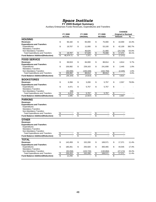**FY 2009 Budget Summary**

Auxiliary Enterprises Funds Revenues, Expenditures and Transfers

|                                                                    |                               |                     |          |                      |          |                      |          | <b>CHANGE</b>              |                |
|--------------------------------------------------------------------|-------------------------------|---------------------|----------|----------------------|----------|----------------------|----------|----------------------------|----------------|
|                                                                    |                               | FY 2008             |          | FY 2009              |          | FY 2009              |          | <b>Original to Revised</b> |                |
|                                                                    |                               | <b>ACTUAL</b>       |          | <b>ORIGINAL</b>      |          | <b>REVISED</b>       |          | <b>Amount</b>              | ℅              |
| <b>HOUSING</b>                                                     |                               |                     |          |                      |          |                      |          |                            |                |
| <b>Revenues</b>                                                    | \$                            | 66.182              | \$       | 65.000               | \$       | 75.000               | \$       | 10,000                     | 15.4%          |
| <b>Expenditures and Transfers</b>                                  |                               |                     |          |                      |          |                      |          |                            |                |
| Expenditures                                                       | \$                            | 19,707              | \$       | 11,000               | \$       | 53,100               | \$       | 42,100                     | 382.7%         |
| <b>Mandatory Transfers</b>                                         |                               |                     |          |                      |          |                      |          |                            | $-53.0%$       |
| Non-Mandatory Transfers<br><b>Total Expenditures and Transfers</b> | $\boldsymbol{\mathsf{s}}$     | 19.707              | \$       | 46,629<br>57,629     | \$       | 21,900<br>75.000     | \$       | (24, 729)<br>17,371        | 30.1%          |
|                                                                    | $\overline{\mathbb{S}}$       | 46,474.71           | \$       | 7,371                | \$       |                      | \$       | (7, 371)                   |                |
| <b>Fund Balance Addition/(Reduction)</b>                           |                               |                     |          |                      |          |                      |          |                            |                |
| <b>FOOD SERVICE</b>                                                |                               |                     |          |                      |          |                      |          |                            |                |
| <b>Revenues</b>                                                    | \$                            | 69,919              | \$       | 84,000               | \$       | 88,814               | \$       | 4,814                      | 5.7%           |
| <b>Expenditures and Transfers</b>                                  |                               |                     |          |                      |          |                      |          |                            |                |
| Expenditures                                                       | \$                            | 156,082             | \$       | 239,163              | \$       | 241,608              | \$       | 2,445                      | 1.0%           |
| <b>Mandatory Transfers</b>                                         |                               |                     |          |                      |          |                      |          |                            |                |
| Non-Mandatory Transfers                                            |                               | (50,000)            |          | (150, 349)           |          | (152, 794)           |          | (2, 445)                   | 1.6%           |
| <b>Total Expenditures and Transfers</b>                            | $\overline{\mathcal{S}}$      | 106,082             | \$       | 88,814               | \$       | 88,814               | \$       |                            | 0.0%           |
| <b>Fund Balance Addition/(Reduction)</b>                           | \$                            | (36, 164)           | \$       | (4, 814)             | \$       |                      | \$       | 4,814                      |                |
| <b>BOOKSTORES</b>                                                  |                               |                     |          |                      |          |                      |          |                            |                |
| <b>Revenues</b>                                                    | \$                            | 6,358               | \$       | 3,200                | \$       | 5,757                | \$       | 2,557                      | 79.9%          |
| <b>Expenditures and Transfers</b>                                  |                               |                     |          |                      |          |                      |          |                            |                |
| Expenditures                                                       | \$                            | 4.471               | \$       | 5.757                | \$       | 5.757                | \$       |                            |                |
| <b>Mandatory Transfers</b>                                         |                               |                     |          |                      |          |                      |          |                            |                |
| Non-Mandatory Transfers                                            |                               | (58)                |          |                      |          |                      |          |                            |                |
| <b>Total Expenditures and Transfers</b>                            | S                             | 4.413               | \$       | 5,757                | \$       | 5,757                | \$       |                            |                |
| <b>Fund Balance Addition/(Reduction)</b>                           | $\overline{\mathcal{S}}$      | 1,945               | \$       | (2,557)              | \$       |                      | \$       | 2,557                      |                |
| <b>PARKING</b>                                                     |                               |                     |          |                      |          |                      |          |                            |                |
| <b>Revenues</b>                                                    |                               |                     |          |                      |          |                      |          |                            |                |
| <b>Expenditures and Transfers</b>                                  |                               |                     |          |                      |          |                      |          |                            |                |
| Expenditures                                                       |                               |                     |          |                      |          |                      |          |                            |                |
| <b>Mandatory Transfers</b>                                         |                               |                     |          |                      |          |                      |          |                            |                |
| Non-Mandatory Transfers                                            |                               |                     |          |                      |          |                      |          |                            |                |
| <b>Total Expenditures and Transfers</b>                            | \$                            |                     | \$       |                      | \$       |                      | \$       |                            |                |
| <b>Fund Balance Addition/(Reduction)</b>                           | \$                            |                     | \$       |                      | \$       |                      | \$       |                            |                |
| <b>OTHER</b>                                                       |                               |                     |          |                      |          |                      |          |                            |                |
| <b>Revenues</b>                                                    |                               |                     |          |                      |          |                      |          |                            |                |
| <b>Expenditures and Transfers</b>                                  |                               |                     |          |                      |          |                      |          |                            |                |
| Expenditures                                                       |                               |                     |          |                      |          |                      |          |                            |                |
| <b>Mandatory Transfers</b>                                         |                               |                     |          |                      |          |                      |          |                            |                |
| Non-Mandatory Transfers<br><b>Total Expenditures and Transfers</b> |                               |                     |          |                      |          |                      |          |                            |                |
|                                                                    | \$<br>$\overline{\mathbb{S}}$ |                     | \$<br>\$ |                      | \$<br>\$ |                      | \$<br>\$ |                            |                |
| <b>Fund Balance Addition/(Reduction)</b>                           |                               |                     |          |                      |          |                      |          |                            |                |
| <b>TOTAL</b>                                                       |                               |                     |          |                      |          |                      |          |                            |                |
| <b>Revenues</b>                                                    | \$                            | 142.459             | \$       | 152.200              | \$       | 169.571              | \$       | 17,371                     | 11.4%          |
| <b>Expenditures and Transfers</b>                                  |                               |                     |          |                      |          |                      |          |                            |                |
| Expenditures                                                       | \$                            | 180,261             | \$       | 255,920              | \$       | 300,465              | \$       | 44,545                     | 17.4%          |
| <b>Mandatory Transfers</b>                                         |                               |                     |          |                      |          |                      |          |                            |                |
| Non-Mandatory Transfers<br><b>Total Expenditures and Transfers</b> | \$                            | (50.058)<br>130,203 | \$       | (103,720)<br>152,200 | \$       | (130,894)<br>169,571 |          | (27, 174)<br>17,371        | 26.2%<br>11.4% |
| <b>Fund Balance Addition/(Reduction)</b>                           |                               | 12,256              | \$       |                      | \$       |                      | \$<br>\$ |                            |                |
|                                                                    |                               |                     |          |                      |          |                      |          |                            |                |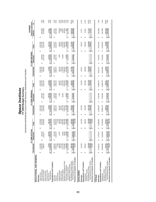|                                                                             |                  |                       |                       | Unrestricted and Restricted Current Funds Revenues, Expenditures and Transfers<br>FY 2009 Budget Summary<br>Space Institute |                       |    |                       |                             |                 |                       |        |                                      |                      |
|-----------------------------------------------------------------------------|------------------|-----------------------|-----------------------|-----------------------------------------------------------------------------------------------------------------------------|-----------------------|----|-----------------------|-----------------------------|-----------------|-----------------------|--------|--------------------------------------|----------------------|
|                                                                             |                  | <b>FY 2008 ACTUAL</b> |                       |                                                                                                                             | FY 2009 ORIGINAL      |    |                       |                             | FY 2009 REVISED |                       |        | <b>Original to Revised</b><br>CHANGE |                      |
|                                                                             | Unrestricted     | Restricted            | <b>Total</b>          | Unrestricted                                                                                                                | Restricted            |    | Total                 | Unrestricted                | Restricted      | Total                 | Amount | se.                                  |                      |
| EDUCATIONAL AND GENERAL                                                     |                  |                       |                       |                                                                                                                             |                       |    |                       |                             |                 |                       |        |                                      |                      |
| Revenues                                                                    |                  |                       |                       |                                                                                                                             |                       |    |                       |                             |                 |                       |        |                                      |                      |
| Tuition & Fees                                                              | ,703,085         |                       | 1,703,085             | 1,851,300<br>G                                                                                                              |                       |    | 1,851,300             | 1,851,300<br>G              |                 | 1,851,300<br>G        | G      |                                      |                      |
| State Appropriations                                                        | 3,389,300        | 925,700               | 9,315,000             | 8,241,200                                                                                                                   | 887,500<br>G          |    | 9,128,700             | 7,954,000                   | 883,900<br>69   | 8,837,900             |        | $(290, 800)$<br>$(175, 000)$         | $-3.2%$              |
| Grants & Contracts                                                          | 908,627          | 2,530,377             | 3,439,005             | ,025,000                                                                                                                    | 2,617,100             |    | 3,642,100             | 850,000                     | 2,617,100       | 3,467,100             |        |                                      | $-4.8%$              |
| Sales & Services                                                            |                  |                       |                       |                                                                                                                             |                       |    |                       |                             |                 |                       |        |                                      |                      |
| Investment Income                                                           |                  |                       |                       |                                                                                                                             |                       |    |                       |                             |                 |                       |        |                                      |                      |
| Other Sources                                                               | 14,839           |                       | 281,335               | 16,400                                                                                                                      | 198,000               |    | 214,400               | 16,400                      | 215,331         | 231,731               |        | 17,331                               | 8.1%                 |
| <b>Total Revenues</b>                                                       | 11,015,852<br>6Ĥ | 266,495               | 14,738,425            | 11,133,900                                                                                                                  | 3,702,600<br>$\Theta$ | s  | 14,836,500            | 10,671,700                  | 3,716,331       | 14,388,031            | s      | (448, 469)                           | $-3.0%$              |
| Expenditures and Transfers                                                  |                  |                       |                       |                                                                                                                             |                       |    |                       |                             |                 |                       |        |                                      |                      |
| Instruction                                                                 | 3,266,832        | 160<br>181.           | 3,447,992             | 3,466,783<br>မာ                                                                                                             | 154,000<br>Θ          | မာ | 3,620,783             | 3,610,977                   | 154,000<br>မာ   | 3,764,977<br>မာ       | မာ     | 144,194                              | 4.0%                 |
| Research                                                                    | 3,396,161        | 3,594,279             | 6,990,440             | 3,260,125                                                                                                                   | 3,508,000             |    | 6,768,125             | 2,898,476                   | 3,521,731       | 6,420,207             |        | 347,918)                             | $-5.1%$              |
| Public Service                                                              | 5,738            |                       | 5,738                 |                                                                                                                             |                       |    |                       |                             |                 |                       |        |                                      |                      |
| Academic Support                                                            | 480,668          | 11,397                | 492,066               | 502,287                                                                                                                     | 7,200                 |    | 509,487               | 491,444                     | 7,200           | 498,644               |        | (10, 843)                            | $-2.1%$              |
| <b>Student Services</b>                                                     | 237,266          |                       | 237,266               | 259,321                                                                                                                     |                       |    | 259,321               | 258,431                     |                 | 258,431               |        | (890)                                | $-0.3%$              |
| Institutional Support                                                       | 1,271,159        | 21,925                | ,293,083              | 1,101,733                                                                                                                   | 19,400                |    | ,121,133              | 1,151,525                   | 19,400          | ,170,925              |        | 49,792                               | 4.4%                 |
| Operation & Maintenance of Plant                                            | ,875,862         | 26,634                | ,902,496              | 2,032,220                                                                                                                   |                       |    | 2,032,220             | ,985,342                    |                 | ,985,342              |        | (46, 878)                            | $-2.3%$<br>0.1%      |
| Scholarships & Fellowships                                                  | 139,408          | 13,900                | 153,308               | 117.790                                                                                                                     | 14,000                |    | 131,790               | 117.943                     | 14,000          | 131,943               |        | 153                                  |                      |
| Sub-total Expenditures                                                      | 10,673,094<br>G  | 295<br>3,849.         | 14,522,389            | 10,740,259<br>69                                                                                                            | 3,702,600<br>G        | 69 | 14,442,859            | 10,514,138<br>69            | 3,716,331<br>မာ | 14,230,469<br>မာ      | မာ     | (212, 390)                           | $-1.5%$              |
| Mandatory Transfers (In)/Out                                                | 308,465          |                       |                       | 393,641                                                                                                                     |                       |    |                       |                             |                 |                       |        |                                      |                      |
| Total Expenditures and Transfers<br><b>Von-Mandatory Transfers (In)/Out</b> | 10,981,559<br>မာ | 3,849,295             | 14,830,854<br>308,465 | 11,133,900<br>မာ                                                                                                            | 3,702,600<br>မာ       | မာ | 14,836,500<br>393,641 | 10,671,700<br>157,562<br>မာ | 3,716,331       | 157,562<br>14,388,031 | ↮      | (236,079)<br>(448,469)               | $-60.0\%$<br>$-3.0%$ |
| Revenues Less Expend. & Transfers                                           | 34,293           | (126, 722)            | (92, 430)             |                                                                                                                             |                       |    |                       |                             |                 |                       |        |                                      |                      |

### **AUXILIARIES**

Mandatory Transfers

Expenditures<br>Mandatory Transfes<br>Mandatory Transfers<br>Total Expenditures and Transfers<br>**Revenues Less Expend. & Transfers** 

| <b>AUXILIARIES</b>                                          |                                                                                    |  |              |                                       |  |               |              |            |                             |                         |            |                           |                |
|-------------------------------------------------------------|------------------------------------------------------------------------------------|--|--------------|---------------------------------------|--|---------------|--------------|------------|-----------------------------|-------------------------|------------|---------------------------|----------------|
| Revenues                                                    | 142,459                                                                            |  |              | 142,459                               |  | 152,200       |              | 152,200    | 169,571                     |                         | 169,571    | 17,371                    | 11.4%          |
| Expenditures and Transfers                                  |                                                                                    |  |              |                                       |  |               |              |            |                             |                         |            |                           |                |
| Expenditures                                                | 180,261                                                                            |  |              | 180,261                               |  | 255,920       |              | 255,920    | 300,465                     |                         | 300,465    | 44,545                    | 17.4%          |
| <b>Jandatory Transfers</b>                                  |                                                                                    |  |              |                                       |  |               |              |            |                             |                         |            |                           |                |
|                                                             |                                                                                    |  |              |                                       |  | 103,720       |              | 103,720    |                             |                         | (130, 894) |                           | 26.2%<br>11.4% |
| Non-Mandatory Transfers<br>Total Expenditures and Transfers | $\begin{array}{r}\n (50,058) \\ \hline\n 130,203 \\ \hline\n 12,256\n \end{array}$ |  | $\mathbb{I}$ | $\frac{(50,058)}{130,203}$<br>130,203 |  | 152,200       |              | 152,200    | $\frac{(130,894)}{169,571}$ |                         | 169,571    | $\frac{(27,174)}{17,371}$ |                |
| Revenues Less Expend. & Transfers                           |                                                                                    |  |              |                                       |  |               |              |            |                             |                         |            |                           |                |
| <b>TOTALS</b>                                               |                                                                                    |  |              |                                       |  |               |              |            |                             |                         |            |                           |                |
| Revenues                                                    | $$11,158,311$ $$3,722,573$                                                         |  |              | 14,880,883                            |  | 11,286,100 \$ | 3,702,600 \$ | 14,988,700 | $$10,841,271$ \$            | 3,716,331 \$ 14,557,602 |            | (431,098)                 | $-2.9%$        |
| Expenditures and Transfers                                  |                                                                                    |  |              |                                       |  |               |              |            |                             |                         |            |                           |                |

expenditures a 19,853,954,179 \$ 14,859,12,17 \$ 3,850,1700;1700; \$ 3,82,589,174 \$ 10,002,120,179 \$ 12,899,179 \$ 14,530,000,120,179 \$ 14,698,000,179 \$ 14,698,000,120,179 \$ 14,531,603,000,120,179 \$ 14,530,000,120,179 \$ 14,530

\$ 10,996,179 289,921<br>11,286,100

\$ 14,702,650

\$3,849,295

\$ 10,853,355

 $$3,702,600$ 

 $-1.1%$  $-90.8%$ <br> $-2.9%$ 

 $(263, 253)$ <br> $(431, 098)$  $(167, 845)$  $\theta$ 

 $\leftrightarrow$ 

26,668  $$ 14,530,934$ 

 $\bullet$ 

3,716,331

 $\bullet$ 

289,921<br>14,988,700  $$ 14,698,779$ 

 $\bullet$ 

3,702,600

φ

 $\boldsymbol{\omega}$ 

 $\begin{array}{r}\n 258,407 \\
\hline\n 5 \quad 14,961,057 \\
\hline\n 6 \quad (80,174)\n \end{array}$ 

 $\frac{$8 \quad 3,849,295}{1,26,722}$ 

 $\begin{array}{r}\n 258,407 \\
\hline\n 5 \quad 11,111,762 \\
\hline\n 5 \quad 46,549\n \end{array}$ 

 $$3,716,331$ 

 $$10,814,603$ 26,668  $10,841,271$ 

Non-Mandatory Transfers 258,407 258,407 258,921 258,921 289,921 289,921 289,921 289,921 28,668 26,668 26,668 26,668 26,668 26,668 276,407 289,9253) -90.8% Total Expenditures and Transfers 11,111,1262 \$ 14,000,000 \$ 11,286,11,295 \$ 14,000,000,000,000,000,000,000,000 \$ 14,000 \$ 10,000 \$ 14,11,11,10,8 \$ 14,557,602 \$ 14,717,1038 \$ 14,571 \$ 14,712,602 \$ (421,370,098,098,098,098,0

**Revenues Less Expend. & Transfers** 46,549 \$ (126,722) \$ (80,174) \$ - \$ - \$ - \$ - \$ - \$ - \$ - \$

#### 49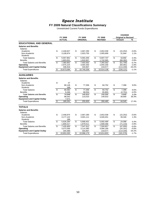#### **FY 2009 Natural Classifications Summary**

Unrestricted Current Funds Expenditures

|                                     |            |               |                           |                 |                         |                |                          | <b>CHANGE</b>              |          |
|-------------------------------------|------------|---------------|---------------------------|-----------------|-------------------------|----------------|--------------------------|----------------------------|----------|
|                                     |            | FY 2008       |                           | FY 2009         |                         | FY 2009        |                          | <b>Original to Revised</b> |          |
|                                     |            | <b>ACTUAL</b> |                           | <b>ORIGINAL</b> |                         | <b>REVISED</b> |                          | Amount                     | %        |
| <b>EDUCATIONAL AND GENERAL</b>      |            |               |                           |                 |                         |                |                          |                            |          |
| <b>Salaries and Benefits</b>        |            |               |                           |                 |                         |                |                          |                            |          |
| <b>Salaries</b>                     |            |               |                           |                 |                         |                |                          |                            |          |
| Academic                            | \$         | 2,448,927     | \$                        | 2,667,290       | \$                      | 2,652,038      | \$                       | (15, 252)                  | $-0.6%$  |
| Non-Academic                        |            | 3,108,974     |                           | 2,923,755       |                         | 2,955,699      |                          | 31,944                     | 1.1%     |
| <b>Students</b>                     |            |               |                           |                 |                         |                |                          |                            |          |
| <b>Total Salaries</b>               | \$         | 5,557,901     | \$                        | 5,591,045       | \$                      | 5,607,737      | \$                       | 16,692                     | 0.3%     |
| <b>Benefits</b>                     |            | 1,803,051     |                           | 1,810,957       |                         | 1,742,565      |                          | (68, 392)                  | $-3.8%$  |
| <b>Total Salaries and Benefits</b>  | \$         | 7,360,952     | \$                        | 7,402,002       | \$                      | 7,350,302      | \$                       | (51,700)                   | $-0.7%$  |
| Operating                           |            | 2,975,224     |                           | 3,004,350       |                         | 2,944,259      |                          | (60,091)                   | $-2.0%$  |
| <b>Equipment and Capital Outlay</b> |            | 336,918       |                           | 333,907         |                         | 219,577        |                          | (114, 330)                 | $-34.2%$ |
| <b>Total Expenditures</b>           | \$         | 10,673,094    | \$                        | 10,740,259      | \$                      | 10,514,138     | \$                       | (226, 121)                 | $-2.1%$  |
| <b>AUXILIARIES</b>                  |            |               |                           |                 |                         |                |                          |                            |          |
| <b>Salaries and Benefits</b>        |            |               |                           |                 |                         |                |                          |                            |          |
| <b>Salaries</b>                     |            |               |                           |                 |                         |                |                          |                            |          |
| Academic                            | \$         | 47            |                           |                 |                         |                |                          |                            |          |
| Non-Academic                        |            | 68,148        | \$                        | 77,356          | \$                      | 84,752         | \$                       | 7,396                      | 9.6%     |
| <b>Students</b>                     |            | 188           |                           |                 |                         |                |                          |                            |          |
| <b>Total Salaries</b>               | \$         | 68,382        | \$                        | 77,356          | \$                      | 84,752         | \$                       | 7,396                      | 9.6%     |
| <b>Benefits</b>                     |            | 6,266         |                           | 68,554          |                         | 65,803         |                          | (2,751)                    | $-4.0%$  |
| <b>Total Salaries and Benefits</b>  | \$         | 74.648        | \$                        | 145.910         | $\overline{\mathbf{s}}$ | 150,555        | \$                       | 4.645                      | 3.2%     |
| Operating                           |            | 98,042        |                           | 110,010         |                         | 149,910        |                          | 39,900                     | 36.3%    |
| <b>Equipment and Capital Outlay</b> |            | 7,571         |                           |                 |                         |                |                          |                            |          |
| <b>Total Expenditures</b>           | $\sqrt{2}$ | 180,261       | $\overline{\mathfrak{s}}$ | 255,920         | $\sqrt{2}$              | 300,465        | $\overline{\mathcal{E}}$ | 44.545                     | 17.4%    |
| <b>TOTALS</b>                       |            |               |                           |                 |                         |                |                          |                            |          |
| <b>Salaries and Benefits</b>        |            |               |                           |                 |                         |                |                          |                            |          |
| <b>Salaries</b>                     |            |               |                           |                 |                         |                |                          |                            |          |
| Academic                            | \$         | 2,448,974     | \$                        | 2,667,290       | \$                      | 2,652,038      | \$                       | (15, 252)                  | $-0.6%$  |
| Non-Academic                        |            | 3,177,122     |                           | 3,001,111       |                         | 3,040,451      |                          | 39,340                     | 1.3%     |
| <b>Students</b>                     |            | 188           |                           |                 |                         |                |                          |                            |          |
| <b>Total Salaries</b>               | \$         | 5,626,284     | \$                        | 5,668,401       | \$                      | 5,692,489      | \$                       | 24.088                     | 0.4%     |
| <b>Benefits</b>                     |            | 1,809,317     |                           | 1,879,511       |                         | 1,808,368      |                          | (71, 143)                  | $-3.8%$  |
| <b>Total Salaries and Benefits</b>  | \$         | 7,435,600     | \$                        | 7,547,912       | $\overline{\mathbf{S}}$ | 7,500,857      | $\overline{\mathcal{S}}$ | (47, 055)                  | $-0.6%$  |
| Operating                           |            | 3,073,266     |                           | 3,114,360       |                         | 3,094,169      |                          | (20, 191)                  | $-0.6%$  |
| <b>Equipment and Capital Outlay</b> |            | 344,489       |                           | 333,907         |                         | 219,577        |                          | (114, 330)                 | $-34.2%$ |
| <b>Total Expenditures</b>           | \$         | 10,853,355    | \$                        | 10,996,179      | \$                      | 10,814,603     | \$                       | (181, 576)                 | $-1.7%$  |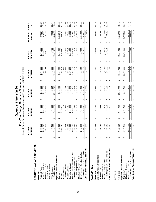|                                                                                                                                           |                                                 |                                   |                                   | Space Institute                   |                            |                                                                                                          |                      |                                    |                             |                                    |                                                  |                                       |                         |
|-------------------------------------------------------------------------------------------------------------------------------------------|-------------------------------------------------|-----------------------------------|-----------------------------------|-----------------------------------|----------------------------|----------------------------------------------------------------------------------------------------------|----------------------|------------------------------------|-----------------------------|------------------------------------|--------------------------------------------------|---------------------------------------|-------------------------|
|                                                                                                                                           |                                                 |                                   |                                   |                                   |                            | Current Funds Revenues, Expenditures and Transfers - UNRESTRICTED<br>Five-Year Budget Summary Comparison |                      |                                    |                             |                                    |                                                  |                                       |                         |
|                                                                                                                                           |                                                 | FY 2005<br>ACTUAL                 |                                   | FY 2006<br>ACTUAL                 |                            | FY 2007<br>ACTUAL                                                                                        |                      | FY 2008<br><b>ACTUAL</b>           |                             | REVISED<br>FY 2009                 |                                                  | FIVE-YEAR CHANGE<br>Amount            | S,                      |
| EDUCATIONAL AND GENERAL                                                                                                                   |                                                 |                                   |                                   |                                   |                            |                                                                                                          |                      |                                    |                             |                                    |                                                  |                                       |                         |
| State Appropriations<br>Grants & Contracts<br>nvestment Income<br>Sales & Services<br>Tuition & Fees<br>Revenues                          | ↮                                               | 1,178,016<br>7,325,800<br>642,912 | ↮                                 | 1,404,026<br>875,550<br>7,540,900 | ↮                          | 7,919,600<br>870,999<br>1,429,366                                                                        | ↮                    | 1,703,085<br>8,389,300<br>908,627  | ↮                           | 1,851,300<br>7,954,000<br>850,000  | ↮                                                | 628,200<br>207,088<br>673,284         | 57.2%<br>8.6%<br>32.2%  |
| <b>Total Revenues</b><br>Other Sources                                                                                                    | ക                                               | 9,166,208<br>19,481               | $\boldsymbol{\varphi}$            | 78,353<br>898,829<br>တ            | $\boldsymbol{\varphi}$     | 28,654<br>0,248,618                                                                                      | ↮                    | 14,839<br>1,015,852                | $\boldsymbol{\varphi}$      | 16,400<br>10,671,700               | ↮                                                | (3,081)<br>505,492                    | $-15.8%$<br>16.4%       |
| Expenditures and Transfers<br>Public Service<br>Instruction<br>Research                                                                   | ↮                                               | 2,582,434<br>2,343,648            | ↮                                 | 2,964,733<br>2,003<br>2,778,453   | ↮                          | 3,218,455<br>3,020,587                                                                                   | ↮                    | 5,738<br>3,266,832<br>3,396,161    | ↮                           | 2,898,476<br>3,610,977             | ↮                                                | 1,028,543<br>554,828                  | 39.8%<br>23.7%          |
| Institutional Support<br>Academic Support<br><b>Student Services</b>                                                                      |                                                 | 750,858<br>191,841<br>353,577     |                                   | 179,716<br>1,058,048<br>391,112   |                            | 920,378<br>222,622<br>381,237                                                                            |                      | 1,271,159<br>237,266<br>480,668    |                             | 491,444<br>1,151,525<br>258,431    |                                                  | 66,590<br>400,667<br>137,867          | 39.0%<br>34.7%<br>53.4% |
| Operation & Maintenance of Plant<br>Scholarships & Fellowships<br>Sub-total Expenditures                                                  | $\boldsymbol{\varphi}$                          | 7,745,612<br>1,463,569<br>59,686  | ↔                                 | 9,165,706<br>1,608,506<br>183,135 | $\boldsymbol{\varphi}$     | ,712,760<br>9,637,593<br>152,262                                                                         | ↮                    | 10,673,094<br>1,875,862<br>139,408 | ↮                           | 10,514,138<br>1,985,342<br>117,943 | $\boldsymbol{\varphi}$                           | 521,773<br>2,768,526<br>58,257        | 35.7%<br>97.6%<br>35.7% |
| Fund Balance Addition/(Reduction)<br>Total Expenditures and Transfers<br>Non-Mandatory Transfers (In)/Out<br>Mandatory Transfers (In)/Out | $\boldsymbol{\omega}$<br>$\boldsymbol{\varphi}$ | 1,402,920<br>9,148,532<br>17,676  | $\Theta$<br>$\boldsymbol{\Theta}$ | (7,083)<br>740,206<br>9,905,912   | $\Theta$<br>$\Theta$       | (107, 923)<br>718,949<br>0,356,542                                                                       | $\Theta$<br>$\Theta$ | 308,465<br>10,981,559<br>34,293    | ↔<br>$\boldsymbol{\varphi}$ | 10,671,700<br>157,562              | $\boldsymbol{\varphi}$<br>$\boldsymbol{\varphi}$ | (17, 676)<br>(1,245,358)<br>1,523,168 | $-88.8%$<br>16.6%       |
| AUXILIARIES<br>Revenues                                                                                                                   | ↔                                               | 68,982                            | ↔                                 | 65,411                            | ↮                          | 66,386                                                                                                   | ↮                    | 142,459                            | ↮                           | 169,571                            | ↮                                                | 100,589                               | 145.8%                  |
| Expenditures and Transfers<br>Mandatory Transfers<br>Expenditures                                                                         | ↮                                               | 64,841                            | ↮                                 | 25,744                            | ↮                          | 53,809                                                                                                   | ↮                    | 180,261                            | ↮                           | 300,465                            | ↮                                                | 235,624                               | 363.4%                  |
| Fund Balance Addition/(Reduction)<br>Total Expenditures and Transfers<br>Non-Mandatory Transfers                                          | $\bullet$<br>↔                                  | (16, 820)<br>85,802<br>20,961     | မာ<br>↔                           | (3, 439)<br>43,106<br>68,851      | $\Theta$<br>မျ             | 10,490<br>64,299<br>2,087                                                                                | ↮<br>ωH              | (50, 058)<br>130,203<br>12,256     | ↔<br>⊷                      | (130, 894)<br>169,571              | ↮<br>$\boldsymbol{\omega}$                       | (151, 855)<br>16,820<br>83,769        | $-724.5%$<br>97.6%      |
| Expenditures and Transfers<br><b>TOTALS</b><br>Revenues                                                                                   | ↮                                               | 9,235,190                         | ↔                                 | 9,964,240                         | ↮                          | 10,315,005                                                                                               | ↮                    | 11,158,311                         | ↮                           | 10,841,271                         | ↮                                                | 1,606,081                             | 17.4%                   |
| Mandatory Transfers<br>Expenditures                                                                                                       | ↮                                               | 7,810,453                         | ↮                                 | 9,191,451                         | ↮                          | 9,691,402                                                                                                | ↮                    | 10,853,355                         | ↮                           | 10,814,603                         | ↮                                                | 3,004,150                             | 38.5%                   |
| Fund Balance Addition/(Reduction)<br>Total Expenditures and Transfers<br>Non-Mandatory Transfers                                          | မာ မာ                                           | 9,234,334<br>856<br>1,423,881     | မှ မ                              | (10, 523)<br>783,312<br>9,974,763 | ↔<br>$\boldsymbol{\omega}$ | (105, 836)<br>729,439<br>10,420,841                                                                      | ↔<br>$\Theta$        | 11,111,762<br>46,549<br>258,407    | $\boldsymbol{\varphi}$<br>↮ | 26,668<br>10,841,271               | မှာ မှာ                                          | (1,397,213)<br>(856)<br>1,606,937     | $-98.1%$<br>17.4%       |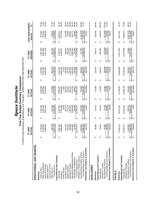|                                                                                                                                           |                                    |                                            |                                                  | Space Institute                              |                        | Five-Year Budget Summary Comparison        |                        | Current Funds Revenues, Expenditures and Transfers - UNRESTRICTED AND RESTRICTED |                             |                                              |                                                               |                                  |
|-------------------------------------------------------------------------------------------------------------------------------------------|------------------------------------|--------------------------------------------|--------------------------------------------------|----------------------------------------------|------------------------|--------------------------------------------|------------------------|----------------------------------------------------------------------------------|-----------------------------|----------------------------------------------|---------------------------------------------------------------|----------------------------------|
|                                                                                                                                           |                                    | FY 2005<br>ACTUAL                          |                                                  | FY 2006<br><b>ACTUAL</b>                     |                        | FY 2007<br>ACTUAL                          |                        | FY 2008<br>ACTUAL                                                                |                             | <b>REVISED</b><br>FY 2009                    | FIVE-YEAR CHANGE<br>Amount                                    | $\mathcal{S}_6$                  |
| EDUCATIONAL AND GENERAL                                                                                                                   |                                    |                                            |                                                  |                                              |                        |                                            |                        |                                                                                  |                             |                                              |                                                               |                                  |
| State Appropriations<br>Grants & Contracts<br>Sales & Services<br>Tuition & Fees<br>Revenues                                              | $\Theta$                           | 1,178,016<br>8,159,600<br>2,380,904        | ↔                                                | 1,404,026<br>8,392,200<br>3,023,491          | ↮                      | 8,808,900<br>3,318,990<br>1,429,366        | $\Theta$               | 1,703,085<br>9,315,000<br>3,439,005                                              | ↮                           | 1,851,300<br>8,837,900<br>3,467,100          | 678,300<br>1,086,196<br>673,284<br>$\Theta$                   | 57.2%<br>8.3%<br>45.6%           |
| Expenditures and Transfers<br>Investment Income<br><b>Total Revenues</b><br>Other Sources                                                 | $\Theta$                           | 138,708<br>11,857,228                      | $\boldsymbol{\varphi}$                           | 13,006,930<br>187,214                        | $\Theta$               | 172,450<br>13,729,706                      | $\boldsymbol{\varphi}$ | 281,335<br>14,738,425                                                            | $\Theta$                    | 231,731<br>14,388,03                         | 93,023<br>2,530,803<br>$\boldsymbol{\varphi}$                 | 67.1%<br>21.3%                   |
| Public Service<br>Instruction<br>Research                                                                                                 | ↮                                  | 2,666,530<br>4,962,969                     | ↔                                                | 3,067,229<br>2,003<br>5,745,692              | ↔                      | 6,504,934<br>9,291<br>3,285,367            | ↮                      | 5,738<br>3,447,992<br>6,990,440                                                  | ↔                           | 6,420,207<br>3,764,977                       | 1,457,238<br>1,098,447<br>↮                                   | 41.2%<br>29.4%                   |
| Operation & Maintenance of Plant<br>Institutional Support<br>Academic Support<br><b>Student Services</b>                                  |                                    | 374,345<br>750,858<br>1,463,569<br>191,841 |                                                  | 1,608,506<br>397,174<br>179,716<br>1,060,301 |                        | 1,712,760<br>393,253<br>222,622<br>946,497 |                        | 1,293,083<br>492,066<br>237,266<br>1,902,496                                     |                             | 1,170,925<br>1,985,342<br>498,644<br>258,431 | 124,299<br>66,590<br>521,773<br>420,067                       | 33.2%<br>34.7%<br>55.9%<br>35.7% |
| Scholarships & Fellowships<br>Sub-total Expenditures                                                                                      | $\Theta$                           | 67,359<br>10,477,471                       | $\Theta$                                         | 194,835<br>12,255,457                        | $\boldsymbol{\varphi}$ | 160,612<br>13,235,337                      | ↔                      | 14,522,389<br>153,308                                                            | မာ                          | 131,943<br>14,230,469                        | 3,752,998<br>64,584<br>$\boldsymbol{\varphi}$                 | 95.9%<br>35.8%                   |
| Revenues Less Expend. & Transfers<br>Total Expenditures and Transfers<br>Non-Mandatory Transfers (In)/Out<br>Mandatory Transfers (In)/Out | $\boldsymbol{\varphi}$<br>$\Theta$ | (23, 162)<br>1,402,920<br>11,880,391       | ↮<br>$\Theta$                                    | 740,206<br>,995,663<br>11,267<br><u>بہ</u>   | ↔<br>မာ                | (224, 580)<br>13,954,286<br>718,949        | $\Theta$<br>↮          | (92, 430)<br>308,465<br>14,830,854                                               | ↔<br>မာ                     | 157,562<br>14,388,031                        | (1,245,358)<br>2,507,640<br>23,162<br>↔<br>↮                  | $-88.8%$<br>21.1%                |
| AUXILIARIES<br>Revenues                                                                                                                   | ↮                                  | 68,982                                     | ↮                                                | 65,411                                       | ↮                      | 66,386                                     | ↮                      | 142,459                                                                          | ↮                           | 169,571                                      | 100,589<br>↮                                                  | 145.8%                           |
| Expenditures and Transfers<br>Expenditures                                                                                                | $\Theta$                           | 64,841                                     | $\Theta$                                         | 25,744                                       | ↮                      | 53,809                                     | ↮                      | 180,261                                                                          | ↮                           | 300,465                                      | 235,624<br>$\Theta$                                           | 363.4%                           |
| Revenues Less Expend. & Transfers<br>Total Expenditures and Transfers<br>Non-Mandatory Transfers<br>Mandatory Transfers                   | $\boldsymbol{\varphi}$<br>↔        | 85,802<br>(16, 820)<br>20,961              | $\boldsymbol{\varphi}$<br>$\boldsymbol{\varphi}$ | (3, 439)<br>43,106<br>68,851                 | ↮<br>↮                 | 10,490<br>64,299<br>2,087                  | ↮<br>$\Theta$          | (50, 058)<br>130,203<br>12,256                                                   | $\boldsymbol{\varphi}$<br>↮ | (130, 894)<br>169,571                        | (151, 855)<br>16,820<br>83,769<br>$\boldsymbol{\varphi}$<br>↮ | $-724.5%$<br>97.6%               |
| <b>TOTALS</b><br>Revenues                                                                                                                 | ↔                                  | 11,926,210                                 | $\Theta$                                         | 13,072,341                                   | ↮                      | 13,796,092                                 | ↮                      | 14,880,883                                                                       | ↮                           | 14,557,602                                   | 2,631,392<br>↮                                                | 22.1%                            |
| Expenditures and Transfers<br>Expenditures                                                                                                | ↮                                  | 10,542,312                                 | ↮                                                | 12,281,201                                   | ↮                      | 13,289,146                                 | ↮                      | 14,702,650                                                                       | ↮                           | 14,530,934                                   | 3,988,622<br>↮                                                | 37.8%                            |
| Revenues Less Expend. & Transfers<br>Total Expenditures and Transfers<br>Non-Mandatory Transfers<br>Mandatory Transfers                   | မာ $\left\  \omega \right\ $       | 11,966,193<br>(39, 983)<br>1,423,881       | မှာ မှာ                                          | 13,064,513<br>783,312<br>7,828               | မာ မာ                  | (222, 493)<br>729,439<br>14,018,585        | မှ မ                   | (80, 174)<br>258,407<br>14,961,057                                               | မှာ မှာ                     | 14,557,602<br>26,668                         | (1,397,213)<br>2,591,409<br>39,983<br>မာ မာ                   | $-98.1%$<br>21.7%                |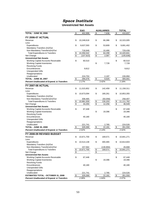#### *Space Institute* **Unrestricted Net Assets**

|                                                       |                                  | E&G        |                         | <b>AUXILIARIES</b> |                 | <b>TOTAL</b> |
|-------------------------------------------------------|----------------------------------|------------|-------------------------|--------------------|-----------------|--------------|
| <b>TOTAL - JUNE 30, 2006</b>                          | $\overline{\boldsymbol{\theta}}$ | 402,999    | $\overline{\mathbf{e}}$ | 7,838              | \$              | 410,837      |
| <b>FY 2006-07 ACTUAL</b>                              |                                  |            |                         |                    |                 |              |
|                                                       | \$                               |            | \$                      |                    | \$              |              |
| Revenue<br>Less:                                      |                                  | 10,248,618 |                         | 66,386             |                 | 10,315,005   |
| Expenditures                                          | \$                               | 9,637,593  | \$                      | 53,809             | \$              | 9,691,402    |
| Mandatory Transfers (In)/Out                          |                                  |            |                         |                    |                 |              |
| Non-Mandatory Transfers(In)/Out                       |                                  | 718,949    |                         | 10,490             |                 | 729,439      |
| <b>Total Expenditures &amp; Transfers</b>             | \$                               | 10,356,542 | $\frac{1}{2}$           | 64,299             | \$              | 10,420,841   |
| Net Change                                            | \$                               | (107, 923) | \$                      | 2,087              | \$              | (105, 836)   |
| <b>Unrestricted Net Assets</b>                        |                                  |            |                         |                    |                 |              |
| Working Capital-Accounts Receivable                   | \$                               | 60,510     |                         |                    | \$              | 60,510       |
| <b>Working Capital-Inventories</b>                    |                                  |            | \$                      | 7,728              |                 | 7,728        |
| <b>Revolving Funds</b>                                |                                  |            |                         |                    |                 |              |
| Encumbrances                                          |                                  | 9,812      |                         |                    |                 | 9,812        |
| <b>Unexpended Gifts</b>                               |                                  |            |                         |                    |                 |              |
| Reappropriations                                      |                                  |            |                         |                    |                 |              |
| Unallocated                                           |                                  | 224,753    |                         | 2,197              |                 | 226,950      |
| <b>TOTAL - JUNE 30, 2007</b>                          | \$                               | 295,076    | \$                      | 9,925              | \$              | 305,001      |
| <b>Percent Unallocated of Expend. &amp; Transfers</b> |                                  | 2.17%      |                         | 3.42%              |                 | 2.18%        |
| FY 2007-08 ACTUAL                                     |                                  |            |                         |                    |                 |              |
|                                                       |                                  |            |                         |                    |                 |              |
| Revenue<br>Less:                                      | \$                               | 11,015,852 | \$                      | 142,459            | \$              | 11,158,311   |
| Expenditures                                          | \$                               | 10,673,094 | \$                      | 180,261            | \$              | 10,853,355   |
| Mandatory Transfers (In)/Out                          |                                  |            |                         |                    |                 |              |
| Non-Mandatory Transfers(In)/Out                       |                                  | 308,465    |                         | (50,058)           |                 | 258,407      |
| <b>Total Expenditures &amp; Transfers</b>             | \$                               | 10,981,559 |                         | 130,203            | $\frac{1}{2}$   | 11,111,762   |
| Net Change                                            | \$                               | 34,293     | $\frac{6}{3}$           | 12,256             | $\overline{\$}$ | 46,549       |
| <b>Unrestricted Net Assets</b>                        |                                  |            |                         |                    |                 |              |
| Working Capital-Accounts Receivable                   | \$                               | 67,448     |                         |                    | \$              | 67,448       |
| <b>Working Capital-Inventories</b>                    |                                  |            | \$                      | 19,396             |                 | 19,396       |
| <b>Revolving Funds</b>                                |                                  |            |                         |                    |                 |              |
| Encumbrances                                          |                                  | 40,180     |                         |                    |                 | 40,180       |
| <b>Unexpended Gifts</b>                               |                                  |            |                         |                    |                 |              |
| Reappropriations                                      |                                  |            |                         |                    |                 |              |
| Unallocated                                           |                                  | 221,741    |                         | 2,785              |                 | 224,526      |
| <b>TOTAL - JUNE 30, 2008</b>                          | \$                               | 329,369    | \$                      | 22,181             | \$              | 351,550      |
| <b>Percent Unallocated of Expend. &amp; Transfers</b> |                                  | 2.02%      |                         | 2.14%              |                 | 2.02%        |
| FY 2008-09 REVISED BUDGET                             |                                  |            |                         |                    |                 |              |
| Revenue                                               | \$                               |            |                         |                    |                 |              |
| Less:                                                 |                                  | 10,671,700 | \$                      | 169,571            | \$              | 10,841,271   |
| Expenditures                                          | \$                               | 10,514,138 | \$                      | 300,465            | \$              | 10,814,603   |
| Mandatory Transfers (In)/Out                          |                                  |            |                         |                    |                 |              |
| Non-Mandatory Transfers(In)/Out                       |                                  | 157,562    |                         | (130, 894)         |                 | 26,668       |
| <b>Total Expenditures &amp; Transfers</b>             | \$                               | 10,671,700 | $\frac{1}{2}$           | 169,571            | \$              | 10,841,271   |
| Net Change                                            | $\overline{\mathbf{e}}$          | ۰.         | $\boldsymbol{\theta}$   | $\blacksquare$     | \$              | $\sim$       |
| <b>Unrestricted Net Assets</b>                        |                                  |            |                         |                    |                 |              |
| Working Capital-Accounts Receivable                   | \$                               | 67,448     |                         |                    | \$              | 67,448       |
| <b>Working Capital-Inventories</b>                    |                                  |            | \$                      | 19,396             |                 | 19,396       |
| <b>Revolving Funds</b>                                |                                  |            |                         |                    |                 |              |
| Encumbrances                                          |                                  | 40,180     |                         |                    |                 | 40,180       |
| <b>Unexpended Gifts</b>                               |                                  |            |                         |                    |                 |              |
| Reappropriations                                      |                                  |            |                         |                    |                 |              |
| Unallocated                                           |                                  | 221,741    |                         | 2,785              |                 | 224,526      |
| <b>ESTIMATED TOTAL - OCTOBER 31, 2008</b>             | \$                               | 329,369    | $\frac{1}{2}$           | 22,181             | $\frac{1}{2}$   | 351,550      |
| <b>Percent Unallocated of Expend. &amp; Transfers</b> |                                  | 2.08%      |                         | 1.64%              |                 | 2.07%        |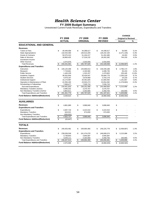#### *Health Science Center*

#### **FY 2009 Budget Summary**

|                                          |               |                |                          |                 |                     |                       | <b>CHANGE</b>              |          |
|------------------------------------------|---------------|----------------|--------------------------|-----------------|---------------------|-----------------------|----------------------------|----------|
|                                          |               | <b>FY 2008</b> |                          | FY 2009         | FY 2009             |                       | <b>Original to Revised</b> |          |
|                                          |               | <b>ACTUAL</b>  |                          | <b>ORIGINAL</b> | <b>REVISED</b>      |                       | Amount                     | %        |
| <b>EDUCATIONAL AND GENERAL</b>           |               |                |                          |                 |                     |                       |                            |          |
| <b>Revenues</b>                          |               |                |                          |                 |                     |                       |                            |          |
| <b>Tuition &amp; Fees</b>                | \$            | 40,446,568     | \$                       | 44,288,517      | \$<br>44,338,517    | \$                    | 50,000                     | 0.1%     |
| <b>State Appropriations</b>              |               | 132,544,300    |                          | 130,513,200     | 126,242,100         |                       | (4,271,100)                | $-3.3%$  |
| <b>Grants &amp; Contracts</b>            |               | 50,575,313     |                          | 51,434,217      | 51,452,480          |                       | 18,263                     | 0.0%     |
| Sales & Services                         |               | 18,800,432     |                          | 17,518,132      | 18,262,282          |                       | 744,150                    | 4.2%     |
| Investment Income                        |               |                |                          |                 |                     |                       |                            |          |
| <b>Other Sources</b>                     |               | 2,074,979      |                          | 2,033,559       | 2,033,559           |                       |                            |          |
| <b>Total Revenues</b>                    |               | 244,441,591    | \$                       | 245,787,625     | \$<br>242,328,938   | \$                    | (3, 458, 687)              | $-1.4%$  |
| <b>Expenditures and Transfers</b>        |               |                |                          |                 |                     |                       |                            |          |
| Instruction                              | \$            | 140,120,268    | \$                       | 143,669,014     | \$<br>146,449,188   | \$                    | 2,780,174                  | 1.9%     |
| Research                                 |               | 7,719,661      |                          | 4,193,582       | 4,286,735           |                       | 93,153                     | 2.2%     |
| <b>Public Service</b>                    |               | 1,440,229      |                          | 1,315,157       | 1,470,602           |                       | 155,445                    | 11.8%    |
| Academic Support                         |               | 36,552,844     |                          | 33,434,547      | 35,684,776          |                       | 2,250,229                  | 6.7%     |
| <b>Student Services</b>                  |               | 4,079,197      |                          | 3,678,959       | 3,703,179           |                       | 24,220                     | 0.7%     |
| <b>Institutional Support</b>             |               | 15, 174, 997   |                          | 20,491,825      | 21,683,492          |                       | 1,191,667                  | 5.8%     |
| Operation & Maintenance of Plant         |               | 22,356,160     |                          | 23,933,274      | 22,654,382          |                       | (1, 278, 892)              | $-5.3%$  |
| Scholarships & Fellowships               |               | 7,008,477      |                          | 7,535,710       | 7,535,710           |                       |                            | $\sim$   |
| Sub-total Expenditures                   | $\mathbf{s}$  | 234,451,833    | \$                       | 238,252,068     | \$<br>243,468,064   | \$                    | 5,215,996                  | 2.2%     |
| Mandatory Transfers (In)/Out             |               | 3,095,332      |                          | 3,270,757       | 3,270,757           |                       |                            | $\omega$ |
| Non-Mandatory Transfers (In)/Out         |               | 3,854,611      |                          | 4,264,800       | 4,458,700           |                       | 193,900                    | 4.5%     |
| <b>Total Expenditures and Transfers</b>  | \$            | 241,401,776    | \$                       | 245,787,625     | \$<br>251, 197, 521 | \$                    | 5,409,896                  | 2.2%     |
| <b>Fund Balance Addition/(Reduction)</b> | $\mathbf{\$}$ |                | \$                       |                 | \$                  | \$                    | (8,868,583)                |          |
|                                          |               | 3,039,815      |                          |                 | (8,868,583)         |                       |                            |          |
| <b>AUXILIARIES</b>                       |               |                |                          |                 |                     |                       |                            |          |
| <b>Revenues</b>                          | \$            | 4,861,890      | \$                       | 3,896,840       | \$<br>3,896,840     | \$                    |                            |          |
| <b>Expenditures and Transfers</b>        |               |                |                          |                 |                     |                       |                            |          |
| Expenditures                             | \$            | 4,587,716      | \$                       | 3,222,010       | \$<br>3,222,010     | \$                    |                            |          |
| <b>Mandatory Transfers</b>               |               | 643.521        |                          | 674,830         | 674,830             |                       |                            |          |
| Non-Mandatory Transfers                  |               | (305, 501)     |                          |                 |                     |                       |                            |          |
| <b>Total Expenditures and Transfers</b>  | \$            | 4,925,737      | $\overline{\mathcal{G}}$ | 3,896,840       | \$<br>3,896,840     | $\boldsymbol{\theta}$ | $\sim$                     |          |
| <b>Fund Balance Addition/(Reduction)</b> | \$            | (63, 847)      | \$                       |                 | \$                  | \$                    |                            |          |
|                                          |               |                |                          |                 |                     |                       |                            |          |
| <b>TOTALS</b>                            |               |                |                          |                 |                     |                       |                            |          |
| <b>Revenues</b>                          | \$            | 249,303,481    | \$                       | 249,684,465     | \$<br>246,225,778   | \$                    | (3,458,687)                | $-1.4%$  |
| <b>Expenditures and Transfers</b>        |               |                |                          |                 |                     |                       |                            |          |
| Expenditures                             | \$            | 239,039,549    | \$                       | 241,474,078     | \$<br>246,690,074   | \$                    | 5,215,996                  | 2.2%     |
| <b>Mandatory Transfers</b>               |               | 3,738,853      |                          | 3,945,587       | 3,945,587           |                       |                            | ×.       |
| Non-Mandatory Transfers                  |               | 3,549,111      |                          | 4,264,800       | 4,458,700           |                       | 193,900                    | 4.5%     |
| <b>Total Expenditures and Transfers</b>  | \$            | 246,327,513    | \$                       | 249,684,465     | \$<br>255,094,361   | \$                    | 5,409,896                  | 2.2%     |
| <b>Fund Balance Addition/(Reduction)</b> |               |                |                          |                 |                     |                       |                            |          |
|                                          | \$            | 2,975,968      | \$                       |                 | \$<br>(8,868,583)   | \$                    | (8,868,583)                |          |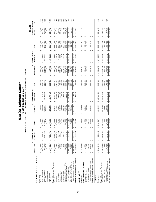## **y** Unrestricted and Restricted Current Funds Revenues, Expenditures and Transfers

|                                                                      |                                       | FY 2008 ACTUAL                    |                                     |                                | FY 2009 ORIGINAL    |                                |                                | FY 2009 REVISED                      |                                | <b>Original to Revised</b><br>CHANGE |              |
|----------------------------------------------------------------------|---------------------------------------|-----------------------------------|-------------------------------------|--------------------------------|---------------------|--------------------------------|--------------------------------|--------------------------------------|--------------------------------|--------------------------------------|--------------|
|                                                                      | Unrestricted                          | Restricted                        | Total                               | Unrestricted                   | Restricted          | Total                          | Unrestricted                   | Restricted                           | Total                          | Amount                               | వ్           |
| EDUCATIONAL AND GENERAL                                              |                                       |                                   |                                     |                                |                     |                                |                                |                                      |                                |                                      |              |
| Revenues                                                             |                                       |                                   |                                     |                                |                     |                                |                                |                                      |                                |                                      |              |
| Tuition & Fees                                                       | 40,446,568<br>↮                       |                                   | 40,446,568<br>٥Ą                    | 44,288,517                     |                     | 44,288,517<br>٥Ą               | 44,338,517<br><b>SA</b>        |                                      | 44,338,517<br>မာ               | 50,000<br>မာ                         | 0.1%         |
| State Appropriations                                                 | 132,544,300                           | S<br>1,639,50<br>120,476,06<br>မာ | 34,183,800                          | 130,513,200                    | 5,571,900<br>G      | 136,085,100                    | 126,242,100                    | 2,568,500<br>69                      | 128,810,600                    | (7, 274, 500)                        | $-5.3%$      |
| Grants & Contracts                                                   | 50,575,313                            | ଟ୍ର                               | 17,051,375                          | 51,434,217                     | 118,664,000         | 70,098,217                     | 51,452,480                     | 120,200,000                          | 17,652,480                     | 1,554,263<br>744,150                 | 0.9%<br>4.2% |
| Investment Income<br>Sales & Services                                | 18,800,432                            |                                   | 18,800,432                          | 17,518,132                     |                     | 17,518,132                     | 18,262,282                     |                                      | 18,262,282                     |                                      |              |
| Other Sources                                                        | 2,074,979                             |                                   | 23,196,111                          | 2,033,559                      | 12,906,758          | 14,940,317                     | 2,033,559                      | 14,625,258                           | 16,658,817                     | 1,718,500                            | 11.5%        |
| <b>Total Revenue</b>                                                 | 244,441,591<br>$\boldsymbol{\varphi}$ | 21,121,133<br>143,236,695<br>↮    | 387,678,286<br>69                   | 245,787,625<br>69              | 137, 142, 658<br>↮  | 382,930,283<br>မာ              | 242,328,938<br>မာ              | 137,393,758<br>Ø                     | 379,722,696<br>မာ              | (3, 207, 587)<br>မာ                  | $-0.8%$      |
| Expenditures and Transfers                                           |                                       |                                   |                                     |                                |                     |                                |                                |                                      |                                |                                      |              |
| Instruction                                                          | 140, 120, 268<br>69                   | 89<br>71,357,9<br>69              | 211,478,234<br>↮                    | 143,669,014<br>မာ              | 68,580,000<br>69    | 212,249,014<br>မာ              | 146,449,188<br>မာ              | 69,620,000<br>မာ                     | 216,069,188<br>↮               | 3,820,174<br>↮                       | 1.8%         |
| Research                                                             | 7,719,661                             | 51,232,159                        | 58,951,821                          | 4,193,582                      | 53,400,000          | 57,593,582                     | 4,286,735                      | 52,232,000                           | 56,518,735                     | (1,074,847)                          | $-1.9%$      |
| Public Service                                                       | 1,440,229                             | 10,325,257                        | 11,765,486                          | 1,315,157                      | 9,880,000           | 11,195,157                     | 1,470,602                      | 10,130,000                           | 11,600,602                     | 405,445                              | 3.6%         |
| Academic Support                                                     | 36,552,844                            | 1,018,334                         | 37,571,178                          | 33,434,547                     | 1,104,000           | 34,538,547                     | 35,684,776                     | 1,054,000                            | 36,738,776                     | 2,200,229                            | 6.4%         |
| Student Services                                                     | 4,079,197                             | 353                               | 4,080,050                           | 3,678,959                      | 10,000              | 3,688,959                      | 3,703,179                      | 1,000                                | 3,704,179                      | 15,220                               | 0.4%         |
| Institutional Support                                                | 15,174,997                            | 1,116,730                         | 16,291,727                          | 20,491,825                     | 920,000             | 21,411,825                     | 21,683,492                     | 1,000,000                            | 22,683,492                     | 1,271,667                            | 5.9%         |
| Operation & Maintenance of Plant                                     | 22,356,160                            |                                   | 22,356,160                          | 23,933,274                     |                     | 23,933,274                     | 22,654,382                     |                                      | 22,654,382                     | (1,278,892)                          | $-5.3%$      |
| Scholarships & Fellowships                                           | 7.008.477                             | 2,572,069                         | 9,580,546                           | 7.535.710                      | 2,900,000           | 10,435,710                     | 7,535,710                      | 2,663,000                            | 10.198.710                     | (237,000)                            | $-2.3%$      |
| Sub-total Expenditures                                               | 234,451,833<br>မာ                     | 137,623,368<br>Ø                  | 372,075,201<br>မာ                   | 238,252,068<br>မာ              | \$ 136,794,000      | 375,046,068<br>မာ              | 243,468,064<br>မာ              | 136,700,000<br>Ø                     | 380, 168, 064<br>မာ            | 5,121,996<br>↮                       | 1.4%         |
| Mandatory Transfers (In)/Out                                         | 3,095,332<br>3,854,611                |                                   | 3,095,332<br>3.854.611              | 4,264,800<br>3,270,757         |                     | 4.264.800<br>3,270,757         | 4.458.700<br>3,270,757         |                                      | 4.458.700<br>3,270,757         | 193,900                              |              |
| Total Expenditures and Transfers<br>Non-Mandatory Transfers (In)/Out | 241,401,776<br>မာ                     | ω,                                | 379,025,144<br>မာ                   | 245,787,625                    | 136,794,000<br>69   | 382,581,625<br>s               | 251,197,521<br>မာ              | 136,700,000<br>မာ                    | 387,897,521<br>↮               | 5,315,896<br>⇔∥                      | 4.5%<br>1.4% |
|                                                                      |                                       | 137,623,368<br>5,613,327          |                                     | မာ မာ                          |                     |                                |                                |                                      |                                |                                      |              |
| Revenues Less Expend. & Transfers                                    | 3,039,815<br>↮                        | ↮                                 | 8,653,142<br>မာ                     |                                | 348,658             | 348,658<br>↮                   | (8,868,583)<br>↮               | 693,758<br>မာ                        | (8, 174, 825)<br>↮             | (8,523,483)<br>မာ                    |              |
| <b>AUXILIARIES</b>                                                   |                                       |                                   |                                     |                                |                     |                                |                                |                                      |                                |                                      |              |
| Revenues                                                             | 4,861,890<br>69                       |                                   | 4,861,890<br>G <sub>O</sub>         | 3,896,840<br>မာ                |                     | 3,896,840<br>tA                | 3,896,840<br>မာ                |                                      | 3,896,840<br>မာ                | <b>SA</b>                            |              |
| Expenditures and Transfers                                           |                                       |                                   |                                     |                                |                     |                                |                                |                                      |                                |                                      |              |
| Expenditures                                                         | 4,587,716<br>69                       |                                   | 4,587,716<br>မာ                     | 3,222,010<br>မာ                |                     | 3,222,010<br>မာ                | 3,222,010<br>မာ                |                                      | 3,222,010<br>↮                 | tA                                   |              |
| Mandatory Transfers                                                  | 305,501<br>643,521                    |                                   | (305, 501)<br>643,521               | 674,830                        |                     | 674,830                        | 674,830                        |                                      | 674,830                        |                                      |              |
| Total Expenditures and Transfers<br>Non-Mandatory Transfers          | 4,925,737<br>G,                       | ↮                                 | ,925,737<br><b>SA</b>               | 3,896,840<br>မာ                |                     | 3,896,840<br>↮                 | 3,896,840<br>↮                 | tA                                   | 3,896,840<br>မာ                |                                      |              |
| Revenues Less Expend. & Transfers                                    | (63, 847)<br>69                       | မာ                                | (63, 847)<br>69                     | 69                             |                     | G <sub>O</sub>                 | <b>SA</b>                      | မာ                                   | tA                             |                                      |              |
|                                                                      |                                       |                                   |                                     |                                |                     |                                |                                |                                      |                                |                                      |              |
| <b>TOTALS</b>                                                        |                                       |                                   |                                     |                                |                     |                                |                                |                                      |                                |                                      |              |
| Revenues                                                             | 249,303,481<br>↮                      | 8<br>143,236,6<br>မာ              | 392,540,176<br>မာ                   | 249,684,465<br>မာ              | 137, 142, 658<br>69 | 386,827,123<br>မာ              | 246,225,778<br>မာ              | 137,393,758<br>Ø                     | 383,619,536<br>69              | (3,207,587)<br>မာ                    | $-0.8%$      |
| Expenditures and Transfers                                           |                                       |                                   |                                     |                                |                     |                                |                                |                                      |                                |                                      |              |
| Mandatory Transfers<br>Expenditures                                  | 239,039,549<br>3,738,853<br>↮         | 8<br>137,623,3<br>မာ              | 376,662,917<br>3,738,853<br>မာ      | 241,474,078<br>3,945,587<br>မာ | 136,794,000<br>မာ   | 378,268,078<br>3,945,587<br>မာ | 246,690,074<br>3,945,587<br>မာ | 136,700,000<br>$\boldsymbol{\omega}$ | 383,390,074<br>3,945,587<br>မာ | 5,121,996<br>↮                       | 1.4%         |
| Non-Mandatory Transfers                                              | 3,549,111                             |                                   | 3,549,111                           | 4,264,800                      |                     | 4,264,800                      | 4,458,700                      |                                      | 4,458,700                      | 193,900                              | 4.5%         |
| Total Expenditures and Transfers                                     | 246,327,513<br>G,                     | 137,623,368<br>G,                 | 383,950,881                         | 249,684,465<br>69              | 136,794,000<br>69   | 386,478,465<br>G,              | 255,094,361<br>ĠĤ,             | 136,700,000<br>G,                    | 391,794,361                    | 5,315,896                            | 1.4%         |
| Revenues Less Expend. & Transfers                                    | 2,975,968<br>$\Theta$                 | 5,613,327<br>69                   | 8,589,295<br>$\boldsymbol{\varphi}$ | 4                              | 348,658             | 348,658<br>↮                   | (8,868,583)<br>မာ              | 693,758<br>↮                         | (8, 174, 825)<br>↮             | (8,523,483)<br>s                     |              |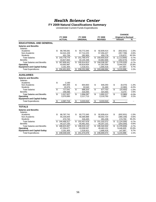#### *Health Science Center*

#### **FY 2009 Natural Classifications Summary**

Unrestricted Current Funds Expenditures

|                                     |                   |       |                         |                 |    |                |                          | <b>CHANGE</b>              |         |
|-------------------------------------|-------------------|-------|-------------------------|-----------------|----|----------------|--------------------------|----------------------------|---------|
|                                     | <b>FY 2008</b>    |       |                         | FY 2009         |    | FY 2009        |                          | <b>Original to Revised</b> |         |
|                                     | <b>ACTUAL</b>     |       |                         | <b>ORIGINAL</b> |    | <b>REVISED</b> |                          | Amount                     | %       |
| <b>EDUCATIONAL AND GENERAL</b>      |                   |       |                         |                 |    |                |                          |                            |         |
| <b>Salaries and Benefits</b>        |                   |       |                         |                 |    |                |                          |                            |         |
| <b>Salaries</b>                     |                   |       |                         |                 |    |                |                          |                            |         |
| Academic                            | \$<br>88,785,581  |       | \$                      | 93,772,345      | \$ | 92,839,414     | \$                       | (932, 931)                 | $-1.0%$ |
| Non-Academic                        | 54,541,439        |       |                         | 57,714,225      |    | 57,356,427     |                          | (357, 798)                 | $-0.6%$ |
| <b>Students</b>                     | 451,756           |       |                         | 282,905         |    | 459,778        |                          | 176,873                    | 62.5%   |
| <b>Total Salaries</b>               | 143,778,776<br>\$ |       | \$                      | 151,769,475     | \$ | 150,655,619    | \$                       | (1, 113, 856)              | $-0.7%$ |
| <b>Benefits</b>                     | 43,827,664        |       |                         | 44,145,338      |    | 43,882,668     |                          | (262, 670)                 | $-0.6%$ |
| <b>Total Salaries and Benefits</b>  | 187,606,441<br>\$ |       | \$                      | 195,914,813     | \$ | 194,538,287    | \$                       | (1,376,526)                | $-0.7%$ |
| Operating                           | 43,683,987        |       |                         | 40,818,834      |    | 47,263,359     |                          | 6,444,525                  | 15.8%   |
| <b>Equipment and Capital Outlay</b> | 3,161,405         |       |                         | 1,518,421       |    | 1,666,418      |                          | 147,997                    | 9.7%    |
| <b>Total Expenditures</b>           | 234,451,833       |       | S                       | 238,252,068     | S  | 243,468,064    | \$                       | 5,215,996                  | 2.2%    |
| <b>AUXILIARIES</b>                  |                   |       |                         |                 |    |                |                          |                            |         |
|                                     |                   |       |                         |                 |    |                |                          |                            |         |
| <b>Salaries and Benefits</b>        |                   |       |                         |                 |    |                |                          |                            |         |
| <b>Salaries</b>                     |                   |       |                         |                 |    |                |                          |                            |         |
| Academic                            | \$                | 2.160 |                         |                 |    |                |                          |                            |         |
| Non-Academic                        | 694,405           |       | \$                      | 654,663         | \$ | 646,293        | \$                       | (8,370)                    | $-1.3%$ |
| <b>Students</b>                     | 20,976            |       |                         | 33,540          |    | 31,460         |                          | (2,080)                    | $-6.2%$ |
| <b>Total Salaries</b>               | \$<br>717,541     |       | $\overline{\mathbf{s}}$ | 688,203         | \$ | 677,753        | $\overline{\mathcal{S}}$ | (10, 450)                  | $-1.5%$ |
| <b>Benefits</b>                     | 299.486           |       |                         | 316,094         |    | 324,464        |                          | 8,370                      | 2.6%    |
| <b>Total Salaries and Benefits</b>  | \$<br>1,017,027   |       | \$                      | 1.004.297       | \$ | 1,002,217      | \$                       | (2,080)                    | $-0.2%$ |
| Operating                           | 3,570,690         |       |                         | 2,217,713       |    | 2,219,793      |                          | 2,080                      | 0.1%    |
| <b>Equipment and Capital Outlay</b> |                   |       |                         |                 |    |                |                          |                            |         |
| <b>Total Expenditures</b>           | \$<br>4,587,716   |       | \$                      | 3,222,010       | \$ | 3,222,010      | \$                       |                            |         |
| <b>TOTALS</b>                       |                   |       |                         |                 |    |                |                          |                            |         |
| <b>Salaries and Benefits</b>        |                   |       |                         |                 |    |                |                          |                            |         |
| Salaries                            |                   |       |                         |                 |    |                |                          |                            |         |
| Academic                            | \$<br>88,787,741  |       | \$                      | 93,772,345      | \$ | 92,839,414     | \$                       | (932, 931)                 | $-1.0%$ |
| Non-Academic                        | 55,235,844        |       |                         | 58,368,888      |    | 58,002,720     |                          | (366, 168)                 | $-0.6%$ |
| <b>Students</b>                     | 472,732           |       |                         | 316,445         |    | 491,238        |                          | 174,793                    | 55.2%   |
| <b>Total Salaries</b>               | 144,496,317<br>\$ |       | \$                      | 152,457,678     | \$ | 151,333,372    | \$                       | (1, 124, 306)              | $-0.7%$ |
| <b>Benefits</b>                     | 44,127,150        |       |                         | 44,461,432      |    | 44,207,132     |                          | (254, 300)                 | $-0.6%$ |
| <b>Total Salaries and Benefits</b>  | 188,623,467<br>\$ |       |                         | \$196,919,110   |    | \$195,540,504  | \$                       | (1,378,606)                | $-0.7%$ |
| Operating                           | 47,254,677        |       |                         | 43,036,547      |    | 49,483,152     |                          | 6,446,605                  | 15.0%   |
| <b>Equipment and Capital Outlay</b> | 3,161,405         |       |                         | 1,518,421       |    | 1,666,418      |                          | 147,997                    | 9.7%    |
| <b>Total Expenditures</b>           | 239,039,549<br>\$ |       | \$                      | 241,474,078     | \$ | 246,690,074    | \$                       | 5,215,996                  | 2.2%    |
|                                     |                   |       |                         |                 |    |                |                          |                            |         |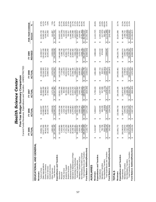|                                                             |                                      |                                      | Current Funds Revenues, Expenditures and Transfers - UNRESTRICTED<br>Five-Year Budget Summary Comparison |                                      |                                |                                 |                        |
|-------------------------------------------------------------|--------------------------------------|--------------------------------------|----------------------------------------------------------------------------------------------------------|--------------------------------------|--------------------------------|---------------------------------|------------------------|
|                                                             | FY 2005<br><b>CTUAL</b><br>⋖         | FY 2006<br>ACTUAL                    | FY 2007<br>ACTUAL                                                                                        | FY 2008<br>ACTUAL                    | REVISED<br><b>FY 2009</b>      | FIVE-YEAR CHANGE<br>Amoun       |                        |
| EDUCATIONAL AND GENERAL                                     |                                      |                                      |                                                                                                          |                                      |                                |                                 |                        |
| Revenues                                                    |                                      |                                      |                                                                                                          |                                      |                                |                                 |                        |
| State Appropriations<br>Tuition & Fees                      | 110,677,000<br>29,984,791<br>↔       | 113,890,000<br>34,042,807<br>↮       | 36,868,907<br>123,396,200<br>↔                                                                           | 132,544,300<br>40,446,568<br>↮       | 44,338,517<br>126,242,100<br>↔ | 14,353,726<br>15,565,100<br>↮   | 14.1%<br>47.9%         |
| Grants & Contracts                                          | 46,916,169                           | 48,965,318                           | 48,349,081                                                                                               | 50,575,313                           | 51,452,480                     | 4,536,311                       | 9.7%                   |
| Sales & Services                                            | 18,120,732                           | 18, 102, 174                         | 17,562,313                                                                                               | 18,800,432                           | 18,262,282                     | 141,550                         | 0.8%                   |
| nvestment Income<br>Other Sources                           | 1,892,492                            | 1,639,818                            | 2,171,361                                                                                                | 2,074,979                            | 2,033,559                      | 141,067                         | 7.5%                   |
| <b>Total Revenues</b>                                       | 207,591,185<br>ക                     | 216,640,116<br>↮                     | 228,347,861<br>$\boldsymbol{\varphi}$                                                                    | 244,441,591<br>↮                     | 242,328,938<br>↮               | 34,737,753<br>↮                 | 16.7%                  |
| Expenditures and Transfers                                  |                                      |                                      |                                                                                                          |                                      |                                |                                 |                        |
| Instruction                                                 | 21,628,951<br>ക                      | 126,539,184<br>↮                     | 133,951,795<br>↮                                                                                         | 140,120,268<br>↮                     | 146,449,188<br>↮               | 24,820,237<br>↮                 | 20.4%                  |
| Research                                                    | 5,926,980                            | 4,424,495                            | 5,030,064                                                                                                | 7,719,661                            | 4,286,735                      | (1,640,245)                     | $-27.7%$               |
| Academic Support<br>Public Service                          | 1,141,479<br>27,251,250              | 28,691,150<br>1,018,744              | 963,982<br>30,194,241                                                                                    | 1,440,229<br>36,552,844              | 1,470,602<br>35,684,776        | 8,433,526<br>329,123            | 28.8%<br>30.9%         |
| <b>Student Services</b>                                     | 2,907,862                            | 3,439,482                            | 3,859,801                                                                                                | 4,079,197                            | 3,703,179                      | 795,317                         | 27.4%                  |
| Institutional Support                                       | 10,615,284                           | 9,830,363                            | 10,752,522                                                                                               | 15, 174, 997                         | 21,683,492                     | 11,068,208                      | 104.3%                 |
| Operation & Maintenance of Plant                            | 20,108,784                           | 21,076,683                           | 22,024,242                                                                                               | 22,356,160                           | 22,654,382                     | 2,545,598                       | 12.7%                  |
| Scholarships & Fellowships                                  | 5,922,461<br>↔                       | 6,531,092                            | 6,662,257<br>↔                                                                                           | 234,451,833<br>7,008,477<br>$\Theta$ | 7,535,710                      | 1,613,249                       | 27.2%                  |
| Mandatory Transfers (In)/Out<br>Sub-total Expenditures      | 1,654,166<br>95,503,051              | 3,000,743<br>201,551,192<br>$\Theta$ | 213,438,904<br>3,042,743                                                                                 | 3,095,332                            | 243,468,064<br>3,270,757<br>ക  | 47,965,013<br>1,616,591<br>↮    | 24.5%<br>97.7%         |
| Non-Mandatory Transfers (In)/Out                            | 8,250,192                            | 9,016,853                            | 12,494,523                                                                                               | 3,854,611                            | 4,458,700                      | 3,791,492)                      | -46.0%                 |
| Total Expenditures and Transfers                            | 05,407,409<br>$\boldsymbol{\varphi}$ | 213,568,788<br>မာ မာ                 | 228,976,170<br>မှ မ                                                                                      | 241,401,776<br>$\bullet$             | 251, 197, 521<br>မာ မာ         | 45,790,112<br>$\leftrightarrow$ | 22.3%                  |
| Fund Balance Addition/(Reduction)                           | 2,183,776<br>$\epsilon$              | 3,071,328                            | (628, 309)                                                                                               | 3,039,815<br>$\boldsymbol{\varphi}$  | (8,868,583)                    | (11,052,359)<br>↔               |                        |
| <b>AUXILIARIES</b>                                          |                                      |                                      |                                                                                                          |                                      |                                |                                 |                        |
| Revenues                                                    | 5,310,587<br>ക                       | 5,928,617<br>↮                       | 5,760,243<br>↮                                                                                           | 4,861,890<br>↮                       | 3,896,840<br>↮                 | (1, 413, 747)<br>↮              | $-26.6%$               |
| Expenditures and Transfers<br>Expenditures                  | 4,777,826<br>ക                       | 5,420,694<br>↮                       | 5,437,093<br>↮                                                                                           | 4,587,716<br>↮                       | 3,222,010<br>↮                 | (1,555,816)<br>↮                | $-32.6%$               |
| Mandatory Transfers                                         | 792,706                              | 646,209                              | 547,099                                                                                                  | 643,521                              | 674,830                        | (117, 876)                      | $-14.9%$               |
| Total Expenditures and Transfers<br>Non-Mandatory Transfers | (502, 402)<br>5,068,129<br>↮         | (4,083)<br>6,062,821<br>$\Theta$     | (5, 775)<br>5,978,417<br>↮                                                                               | (305, 501)<br>4,925,737<br>↮         | 3,896,840<br>↮                 | (1,171,289)<br>502,402<br>↮     | $-100.0\%$<br>$-23.1%$ |
| Fund Balance Addition/(Reduction)                           | 242,458<br>↔                         | (134, 204)<br>↮                      | (218, 173)<br>$\boldsymbol{\varphi}$                                                                     | (63, 847)<br>↮                       | ↔                              | (242, 458)<br>↮                 |                        |
| <b>TOTALS</b>                                               |                                      |                                      |                                                                                                          |                                      |                                |                                 |                        |
| Revenues                                                    | 212,901,772<br>↔                     | 222,568,733<br>ക                     | 234,108,105<br>↮                                                                                         | 249,303,481<br>↮                     | 246,225,778<br>↮               | 33,324,006<br>↮                 | 15.7%                  |
| Expenditures and Transfers<br>Expenditures                  | 200,280,876<br>↮                     | 206,971,886<br>↮                     | 218,875,997<br>↮                                                                                         | 239,039,549<br>↮                     | 246,690,074<br>↮               | 46,409,198<br>↮                 | 23.2%                  |
| Mandatory Transfers                                         | 2,446,872                            | 3,646,952                            | 3,589,842                                                                                                | 3,738,853                            | 3,945,587                      | 1,498,715                       | 61.3%                  |
| Non-Mandatory Transfers                                     | 7,747,790                            | 9,012,770                            | 12,488,748                                                                                               | 3,549,111                            | 4,458,700                      | (3,289,090)                     | $-42.5%$               |
| Total Expenditures and Transfers                            | 210,475,538<br>⊷                     | 219,631,609<br>မာ မာ                 | 234,954,587<br>မာ မာ                                                                                     | 246,327,513<br>မှ မှ                 | 255,094,361<br>မာ မာ           | 44,618,823<br>$\Theta$          | 21.2%                  |
| Fund Balance Addition/(Reduction)                           | 2,426,234                            | 2,937,125                            | (846, 483)                                                                                               | 2,975,968                            | (8,868,583)                    | (11, 294, 817)<br>↮             |                        |

57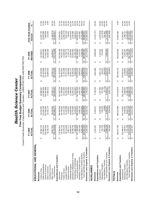|                                                             |                                       |                                                | Current Funds Revenues, Expenditures and Transfers - UNRESTRICTED AND RESTRICTED<br>Five-Year Budget Summary Comparison |                                      |                                       |                                                  |                       |
|-------------------------------------------------------------|---------------------------------------|------------------------------------------------|-------------------------------------------------------------------------------------------------------------------------|--------------------------------------|---------------------------------------|--------------------------------------------------|-----------------------|
|                                                             | FY 2005<br>ACTUAL                     | FY 2006<br>ACTUAL                              | FY 2007<br>ACTUAI                                                                                                       | FY 2008<br>ACTUAL                    | <b>REVISED</b><br>FY 2009             | FIVE-YEAR CHANGE<br>Amoun                        |                       |
| EDUCATIONAL AND GENERAL                                     |                                       |                                                |                                                                                                                         |                                      |                                       |                                                  |                       |
| Revenues                                                    |                                       |                                                |                                                                                                                         |                                      |                                       |                                                  |                       |
| Tuition & Fees                                              | 29,984,791<br>↔                       | 34,042,807<br>↮                                | 36,868,907<br>↮                                                                                                         | 40,446,568<br>↔                      | 44,338,517<br>↮                       | 14,353,726<br>↔                                  | 47.9%                 |
| State Appropriations                                        | 12,960,012                            | 115,645,108                                    | 125,568,399                                                                                                             | 34,183,800                           | 128,810,600                           | 15,850,588                                       | 14.0%                 |
| Grants & Contracts<br>Sales & Services                      | 64,293,444<br>18,120,732              | 18,102,174<br>167,560,381                      | 164,401,898<br>17,562,313                                                                                               | 171,051,375<br>18,800,432            | 171,652,480<br>18,262,282             | 7,359,036<br>141,550                             | 4.5%<br>0.8%          |
| Investment Income                                           |                                       |                                                |                                                                                                                         |                                      |                                       |                                                  |                       |
| Other Sources                                               | 19,857,691                            | 28,635,802                                     | 20,258,117                                                                                                              | 23,196,111                           | 16,658,817                            | (3, 198, 874)                                    | $-16.1%$              |
| <b>Total Revenues</b>                                       | 345,216,669<br>↮                      | 363,986,271<br>$\boldsymbol{\varphi}$          | 364,659,634<br>$\boldsymbol{\varphi}$                                                                                   | 387,678,286<br>$\boldsymbol{\omega}$ | 379,722,696<br>↮                      | 34,506,027<br>$\boldsymbol{\varphi}$             | 10.0%                 |
| Expenditures and Transfers                                  |                                       |                                                |                                                                                                                         |                                      |                                       |                                                  |                       |
| Instruction                                                 | 78,384,557<br>↮                       | 189,466,569<br>↮                               | 201,029,738<br>↮                                                                                                        | 211,478,234<br>↮                     | 216,069,188<br>↮                      | 37,684,631<br>↮                                  | 21.1%                 |
| Research                                                    | 64,762,704                            | 60,708,625                                     | 57,168,066                                                                                                              | 58,951,821                           | 56,518,735                            | (8,243,969)                                      | $-12.7%$              |
| Public Service                                              | 13,470,076                            | 13,223,136                                     | 10,011,958                                                                                                              | 11,765,486                           | 11,600,602                            | (1,869,474)                                      | $-13.9%$              |
| Academic Support                                            | 29,113,638                            | 31,433,296                                     | 32,335,452                                                                                                              | 37,571,178                           | 36,738,776                            | 7,625,138                                        | 26.2%                 |
| <b>Student Services</b>                                     | 2,957,717                             | 3,439,507                                      | 4,060,380                                                                                                               | 4,080,050                            | 3,704,179                             | 746,462                                          | 25.2%                 |
| Operation & Maintenance of Plant<br>Institutional Support   | 10,640,976<br>20,108,784              | 10,828,459<br>21,076,683                       | 11,649,153<br>22,024,242                                                                                                | 22,356,160<br>16,291,727             | 22,683,492<br>22,654,382              | 12,042,516<br>2,545,598                          | 113.2%<br>12.7%       |
| Scholarships & Fellowships                                  | 7,668,399                             | 8.146.637                                      | 9.074.047                                                                                                               | 9,580,546                            | 10,198,710                            | 2,530,311                                        | 33.0%                 |
| Sub-total Expenditures                                      | 27,106,852<br>↔                       | 338,322,913<br>$\boldsymbol{\varphi}$          | 347,353,035<br>↔                                                                                                        | 372,075,201<br>$\Theta$              | 380,168,064<br>↔                      | 53,061,212<br>↔                                  | 16.2%                 |
| Mandatory Transfers (In)/Out                                | 1,654,166                             | 3,000,743                                      | 3,042,743                                                                                                               | 3,095,332                            | 3,270,757                             | 1,616,591                                        | 97.7%                 |
| Non-Mandatory Transfers (In)/Out                            | 8,250,192                             | 9.016,853                                      | 12.494,523                                                                                                              | 3.854.611                            | 4,458,700                             | (3.791, 492)                                     | -46.0%                |
| Total Expenditures and Transfers                            | 37,011,210<br>$\Theta$                | 350,340,509<br>$\pmb{\leftrightarrow}$         | 362,890,302<br>$\boldsymbol{\omega}$                                                                                    | 379,025,144<br>$\bullet$             | 387,897,521<br>$\boldsymbol{\varphi}$ | 50,886,311<br>$\qquad \qquad \bullet$            | 15.1%                 |
| Revenues Less Expend. & Transfers                           | ,205,459<br>$\Theta$                  | 13,645,762<br>$\Theta$                         | 1,769,333<br>$\boldsymbol{\varphi}$                                                                                     | 8,653,142<br>↮                       | (8,174,825)<br>$\Theta$               | (16,380,284)<br>$\boldsymbol{\varphi}$           |                       |
| AUXILIARIES                                                 |                                       |                                                |                                                                                                                         |                                      |                                       |                                                  |                       |
| Revenues                                                    | 5,310,587<br>↮                        | 5,928,617<br>↮                                 | 5,760,243<br>↮                                                                                                          | 4,861,890<br>ക                       | 3,896,840<br>↮                        | (1, 413, 747)<br>↮                               | $-26.6%$              |
| Expenditures and Transfers                                  |                                       |                                                |                                                                                                                         |                                      |                                       |                                                  |                       |
| Expenditures                                                | 4,777,826<br>↔                        | 5,420,694<br>$\Theta$                          | 5,437,093<br>↮                                                                                                          | 4,587,716<br>↮                       | 3,222,010<br>↮                        | (1,555,816)<br>$\Theta$                          | $-32.6%$              |
| Mandatory Transfers                                         | 792,706                               | 646,209                                        | 547,099                                                                                                                 | 643,521                              | 674,830                               | (117, 876)                                       | $-14.9%$              |
| Total Expenditures and Transfers<br>Non-Mandatory Transfers | 502,402)<br>5,068,129<br>$\Theta$     | (4,083)<br>6,062,821<br>$\boldsymbol{\varphi}$ | 5,775)<br>5,978,417<br>$\Theta$                                                                                         | (305, 501)<br>4,925,737<br>↮         | 3,896,840<br>$\Theta$                 | (1,171,289)<br>502,402<br>$\boldsymbol{\varphi}$ | $-100.0%$<br>$-23.1%$ |
| 'n<br>Revenues Less Expend. & Transfer                      | 242,458<br>↔                          | (134, 204)<br>$\Theta$                         | (218, 173)<br>↮                                                                                                         | (63, 847)<br>$\boldsymbol{\varphi}$  | $\boldsymbol{\varphi}$                | (242, 458)<br>$\boldsymbol{\varphi}$             |                       |
| <b>TOTALS</b>                                               |                                       |                                                |                                                                                                                         |                                      |                                       |                                                  |                       |
| Revenues                                                    | 50,527,256<br>↮                       | 369,914,889<br>↔                               | 370,419,878<br>↮                                                                                                        | 392,540,176<br>↮                     | 383,619,536<br>↮                      | 33,092,280<br>↔                                  | 9.4%                  |
| Expenditures and Transfers                                  |                                       |                                                |                                                                                                                         |                                      |                                       |                                                  |                       |
| Expenditures                                                | 331,884,677<br>↮                      | 343,743,607<br>↮                               | 352,790,128<br>↮                                                                                                        | 376,662,917<br>↮                     | 383,390,074<br>↮                      | 51,505,397<br>↮                                  | 15.5%                 |
| Non-Mandatory Transfers<br>Mandatory Transfers              | 7,747,790<br>2,446,872                | 9,012,770<br>3,646,952                         | 12,488,748<br>3,589,842                                                                                                 | 3,738,853<br>3,549,111               | 4,458,700<br>3,945,587                | (3,289,090)<br>1,498,715                         | 61.3%<br>$-42.5%$     |
| Total Expenditures and Transfers                            | 42,079,339<br>$\qquad \qquad \bullet$ | 356,403,330                                    | 368,868,718                                                                                                             | 383,950,881                          | 391,794,361                           | 49,715,022                                       | 14.5%                 |
| Revenues Less Expend. & Transfers                           | 8,447,917                             | 13,511,559<br>မာ မာ                            | 1,551,159<br>မှ မှ                                                                                                      | 8.589.295<br>မာ                      | (8,174,825)<br>မှ မ                   | (16, 622, 742)<br>မာ $\vert$ မာ                  |                       |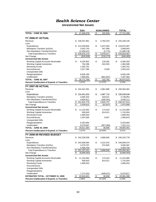#### *Health Science Center*

#### **Unrestricted Net Assets**

|                                                       | E&G               | <b>AUXILIARIES</b>                             | <b>TOTAL</b>                         |
|-------------------------------------------------------|-------------------|------------------------------------------------|--------------------------------------|
| <b>TOTAL - JUNE 30, 2006</b>                          | \$<br>27,400,078  | \$<br>320,928                                  | \$<br>27,721,006                     |
|                                                       |                   |                                                |                                      |
| <b>FY 2006-07 ACTUAL</b>                              |                   |                                                |                                      |
| Revenue                                               | \$<br>228,347,861 | \$<br>5,760,243                                | \$<br>234,108,105                    |
| Less:                                                 |                   |                                                |                                      |
| Expenditures                                          | 213,438,904<br>S  | \$<br>5,437,093                                | \$218,875,997                        |
| Mandatory Transfers (In)/Out                          | 3,042,743         | 547,099                                        | 3,589,842                            |
| Non-Mandatory Transfers(In)/Out                       | 12,494,523        | (5, 775)                                       | 12,488,748                           |
| <b>Total Expenditures &amp; Transfers</b>             | \$<br>228,976,170 | $\frac{1}{2}$<br>5,978,417                     | 234,954,587<br>\$                    |
| Net Change                                            | \$<br>(628,309)   | $\overline{\boldsymbol{\theta}}$<br>(218, 173) | \$<br>(846,483)                      |
| <b>Unrestricted Net Assets</b>                        |                   |                                                |                                      |
| <b>Working Capital-Accounts Receivable</b>            | \$<br>8,150,901   | \$<br>129,362                                  | \$<br>8,280,263                      |
| <b>Working Capital-Inventories</b>                    | 762,286           | 632,303                                        | 1,394,589                            |
| <b>Revolving Funds</b>                                | 1,355,701         |                                                | 1,355,701                            |
| Encumbrances                                          | 1,917,394         | 3,028                                          | 1,920,422                            |
| <b>Unexpended Gifts</b>                               |                   |                                                |                                      |
| Reappropriations<br>Unallocated                       | 6,636,185         |                                                | 6,636,185                            |
| <b>TOTAL - JUNE 30, 2007</b>                          | 7,949,301         | (661, 937)<br>\$<br>102,755                    | 7,287,364                            |
|                                                       | 26,771,768        |                                                | \$<br>26,874,523                     |
| Percent Unallocated of Expend. & Transfers            | 3.47%             | $-11.07%$                                      | 3.10%                                |
| <b>FY 2007-08 ACTUAL</b>                              |                   |                                                |                                      |
| Revenue                                               | \$<br>244,441,591 | \$<br>4,861,890                                | \$<br>249,303,481                    |
| Less:                                                 |                   |                                                |                                      |
| Expenditures                                          | 234,451,833<br>S. | \$<br>4,587,716                                | \$<br>239,039,549                    |
| Mandatory Transfers (In)/Out                          | 3,095,332         | 643,521                                        | 3,738,853                            |
| Non-Mandatory Transfers(In)/Out                       | 3,854,611         | (305, 501)                                     | 3,549,111                            |
| <b>Total Expenditures &amp; Transfers</b>             | 241,401,776<br>\$ | \$<br>4,925,737                                | 246,327,513<br>\$                    |
| Net Change                                            | \$<br>3,039,815   | $\overline{\$}$<br>(63, 847)                   | $\overline{\mathbf{e}}$<br>2,975,968 |
| <b>Unrestricted Net Assets</b>                        |                   |                                                |                                      |
| Working Capital-Accounts Receivable                   | \$<br>11,142,562  | \$<br>173,423                                  | \$<br>11,315,985                     |
| <b>Working Capital-Inventories</b>                    | 928,643           | 814,011                                        | 1,742,654                            |
| <b>Revolving Funds</b>                                | 1,699,453         |                                                | 1,699,453                            |
| Encumbrances                                          | 1,457,565         | 9,057                                          | 1,466,623                            |
| <b>Unexpended Gifts</b>                               |                   |                                                |                                      |
| Reappropriations                                      | 6,203,664         |                                                | 6,203,664                            |
| Unallocated                                           | 8,379,697         | (957, 584)                                     | 7,422,113                            |
| <b>TOTAL - JUNE 30, 2008</b>                          | \$<br>29,811,584  | \$<br>38,908                                   | \$<br>29,850,491                     |
| <b>Percent Unallocated of Expend. &amp; Transfers</b> | 3.47%             | $-19.44%$                                      | 3.01%                                |
| FY 2008-09 REVISED BUDGET                             |                   |                                                |                                      |
| Revenue                                               | S<br>242,328,938  | \$<br>3,896,840                                | 246,225,778<br>\$                    |
| Less:                                                 |                   |                                                |                                      |
| Expenditures                                          | \$<br>243,468,064 | \$<br>3,222,010                                | \$<br>246,690,074                    |
| Mandatory Transfers (In)/Out                          | 3,270,757         | 674,830                                        | 3,945,587                            |
| Non-Mandatory Transfers(In)/Out                       | 4,458,700         |                                                | 4,458,700                            |
| <b>Total Expenditures &amp; Transfers</b>             | \$<br>251,197,521 | \$<br>3,896,840                                | \$<br>255,094,361                    |
| Net Change                                            | \$<br>(8,868,583) | $\overline{\mathbf{e}}$                        | \$<br>(8,868,583)                    |
| <b>Unrestricted Net Assets</b>                        |                   |                                                |                                      |
| <b>Working Capital-Accounts Receivable</b>            | \$<br>11,142,562  | \$<br>173,423                                  | \$<br>11,315,985                     |
| <b>Working Capital-Inventories</b>                    | 928,643           | 814,011                                        | 1,742,654                            |
| <b>Revolving Funds</b>                                | 1,699,453         |                                                | 1,699,453                            |
| Encumbrances                                          |                   |                                                |                                      |
| <b>Unexpended Gifts</b>                               |                   |                                                |                                      |
| Reappropriations                                      |                   |                                                |                                      |
| Unallocated                                           | 7,172,343         | (948, 527)                                     | 6,223,817                            |
| <b>ESTIMATED TOTAL - OCTOBER 31, 2008</b>             | 20,943,001<br>\$  | $$\mathfrak{D}$$<br>38,908                     | \$<br>20,981,908                     |
| <b>Percent Unallocated of Expend. &amp; Transfers</b> | 2.86%             | $-24.34%$                                      | 2.44%                                |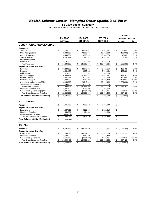#### *Health Science Center - Memphis Other Specialized Units*

#### **FY 2009 Budget Summary**

|                                                                    |                    |                |                   |                   |               | <b>CHANGE</b>              |                |
|--------------------------------------------------------------------|--------------------|----------------|-------------------|-------------------|---------------|----------------------------|----------------|
|                                                                    |                    | <b>FY 2008</b> | FY 2009           | <b>FY 2009</b>    |               | <b>Original to Revised</b> |                |
|                                                                    |                    | <b>ACTUAL</b>  | <b>ORIGINAL</b>   | <b>REVISED</b>    |               | Amount                     | %              |
| <b>EDUCATIONAL AND GENERAL</b>                                     |                    |                |                   |                   |               |                            |                |
| <b>Revenues</b>                                                    |                    |                |                   |                   |               |                            |                |
| <b>Tuition &amp; Fees</b>                                          | \$                 | 27,574,190     | \$<br>30,981,381  | \$<br>31,031,381  | \$            | 50,000                     | 0.2%           |
| <b>State Appropriations</b>                                        |                    | 72,988,500     | 72,063,000        | 69,962,000        |               | (2, 101, 000)              | $-2.9%$        |
| <b>Grants &amp; Contracts</b>                                      |                    | 14,494,984     | 13,866,515        | 13,884,778        |               | 18,263                     | 0.1%           |
| Sales & Services                                                   |                    | 8,031,291      | 7,425,525         | 7,477,107         |               | 51,582                     | 0.7%           |
| Investment Income                                                  |                    |                |                   |                   |               |                            |                |
| <b>Other Sources</b>                                               |                    | 1,576,033      | 1,532,559         | 1,532,559         |               |                            |                |
| <b>Total Revenues</b>                                              | \$                 | 124,664,998    | \$<br>125,868,980 | \$<br>123,887,825 | \$            | (1,981,155)                | $-1.6%$        |
| <b>Expenditures and Transfers</b>                                  |                    |                |                   |                   |               |                            |                |
| Instruction                                                        | \$                 | 36,230,282     | \$<br>42,845,692  | \$<br>42,982,154  | \$            | 136,462                    | 0.3%           |
| Research                                                           |                    | 3,881,188      | 3,603,835         | 3,789,161         |               | 185,326                    | 5.1%           |
| <b>Public Service</b>                                              |                    | 1,023,366      | 985,369           | 985,369           |               |                            | $\blacksquare$ |
| Academic Support                                                   |                    | 30,345,541     | 27,642,144        | 29,998,937        |               | 2,356,793                  | 8.5%           |
| <b>Student Services</b>                                            |                    | 3,495,965      | 3,230,698         | 3,351,262         |               | 120,564                    | 3.7%           |
| <b>Institutional Support</b>                                       |                    | 14,788,503     | 19,545,595        | 21,683,492        |               | 2,137,897                  | 10.9%          |
| Operation & Maintenance of Plant                                   |                    | 22,146,363     | 23,746,226        | 22,466,934        |               | (1, 279, 292)              | $-5.4%$        |
| Scholarships & Fellowships                                         |                    | 5,649,789      | 5,965,710         | 5,965,710         |               |                            |                |
| Sub-total Expenditures                                             | \$                 | 117,560,997    | \$<br>127,565,269 | \$<br>131,223,019 | $\mathcal{L}$ | 3,657,750                  | 2.9%           |
| Mandatory Transfers (In)/Out                                       |                    | 2,996,570      | 3,168,650         | 3,168,650         |               |                            |                |
| Non-Mandatory Transfers (In)/Out                                   |                    | 1,471,169      | (4,864,939)       | (1,635,261)       |               | 3,229,678                  | $-66.4%$       |
| <b>Total Expenditures and Transfers</b>                            | \$                 | 122,028,735    | \$<br>125,868,980 | \$<br>132,756,408 | \$            | 6,887,428                  | 5.5%           |
| <b>Fund Balance Addition/(Reduction)</b>                           | \$                 | 2,636,263      |                   | \$<br>(8,868,583) | \$            | (8,868,583)                |                |
| <b>AUXILIARIES</b>                                                 |                    |                |                   |                   |               |                            |                |
| <b>Revenues</b>                                                    | \$                 | 4,861,890      | \$<br>3,896,840   | \$<br>3,896,840   | \$            |                            |                |
| <b>Expenditures and Transfers</b>                                  |                    |                |                   |                   |               |                            |                |
|                                                                    | \$                 |                | \$                | \$                | \$            |                            |                |
| Expenditures                                                       |                    | 4,587,716      | 3,222,010         | 3,222,010         |               |                            |                |
| <b>Mandatory Transfers</b>                                         |                    | 643,521        | 674,830           | 674,830           |               |                            |                |
| Non-Mandatory Transfers<br><b>Total Expenditures and Transfers</b> | \$                 | (305, 501)     | \$                | \$<br>3,896,840   |               |                            |                |
|                                                                    |                    | 4,925,737      | 3,896,840         |                   | \$            |                            |                |
| <b>Fund Balance Addition/(Reduction)</b>                           | $\mathbf{\hat{s}}$ | (63, 847)      | \$                | \$                | \$            |                            |                |
| <b>TOTALS</b>                                                      |                    |                |                   |                   |               |                            |                |
| <b>Revenues</b>                                                    | \$                 | 129,526,888    | \$<br>129,765,820 | \$<br>127,784,665 | \$            | (1,981,155)                | $-1.5%$        |
| <b>Expenditures and Transfers</b>                                  |                    |                |                   |                   |               |                            |                |
| Expenditures                                                       | \$                 | 122, 148, 713  | \$<br>130,787,279 | \$<br>134,445,029 | \$            | 3,657,750                  | 2.8%           |
| <b>Mandatory Transfers</b>                                         |                    | 3,640,090      | 3,843,480         | 3,843,480         |               |                            |                |
| Non-Mandatory Transfers                                            |                    | 1,165,668      | (4,864,939)       | (1,635,261)       |               | 3,229,678                  | $-66.4%$       |
| <b>Total Expenditures and Transfers</b>                            | \$                 | 126,954,472    | \$<br>129,765,820 | \$<br>136,653,248 | \$            | 6,887,428                  | 5.3%           |
| <b>Fund Balance Addition/(Reduction)</b>                           | \$                 | 2,572,416      | \$                | \$<br>(8,868,583) | \$            | (8,868,583)                |                |
|                                                                    |                    |                |                   |                   |               |                            |                |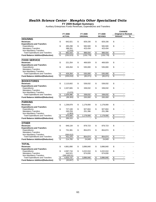#### *Health Science Center - Memphis Other Specialized Units*

**FY 2009 Budget Summary**

Auxiliary Enterprises Funds Revenues, Expenditures and Transfers

|                                                                    |          |                            |          |                 |                                 |                |                         | <b>CHANGE</b>              |   |
|--------------------------------------------------------------------|----------|----------------------------|----------|-----------------|---------------------------------|----------------|-------------------------|----------------------------|---|
|                                                                    |          | FY 2008                    |          | FY 2009         |                                 | FY 2009        |                         | <b>Original to Revised</b> |   |
|                                                                    |          | <b>ACTUAL</b>              |          | <b>ORIGINAL</b> |                                 | <b>REVISED</b> |                         | <b>Amount</b>              | % |
| <b>HOUSING</b>                                                     |          |                            |          |                 |                                 |                |                         |                            |   |
| <b>Revenues</b>                                                    | \$       | 642,021                    | \$       | 829,156         | \$                              | 829,156        | \$                      |                            |   |
| <b>Expenditures and Transfers</b>                                  |          |                            |          |                 |                                 |                |                         |                            |   |
| Expenditures                                                       | \$       | 495,298                    | \$       | 565,500         | \$                              | 565,500        | \$                      |                            |   |
| <b>Mandatory Transfers</b>                                         |          | 398,261                    |          | 423,434         |                                 | 423,434        |                         |                            |   |
| Non-Mandatory Transfers<br><b>Total Expenditures and Transfers</b> | \$       | (1,016)                    | \$       | 988,934         | \$                              | 988,934        | \$                      |                            |   |
|                                                                    | \$       | 892,543                    | \$       |                 | \$                              |                | \$                      |                            |   |
| <b>Fund Balance Addition/(Reduction)</b>                           |          | (250, 523)                 |          | (159, 778)      |                                 | (159, 778)     |                         |                            |   |
| <b>FOOD SERVICE</b>                                                |          |                            |          |                 |                                 |                |                         |                            |   |
| <b>Revenues</b>                                                    | \$       | 221,254                    | \$       | 469,929         | \$                              | 469,929        | \$                      |                            |   |
| <b>Expenditures and Transfers</b>                                  |          |                            |          |                 |                                 |                |                         |                            |   |
| Expenditures                                                       | \$       | 426,264                    | \$       | 535,000         | \$                              | 535,000        | \$                      |                            |   |
| <b>Mandatory Transfers</b>                                         |          |                            |          |                 |                                 |                |                         |                            |   |
| Non-Mandatory Transfers                                            |          |                            |          |                 |                                 |                |                         |                            |   |
| <b>Total Expenditures and Transfers</b>                            | \$       | 426,264                    | \$       | 535,000         | \$                              | 535,000        | \$                      |                            |   |
| <b>Fund Balance Addition/(Reduction)</b>                           | \$       | (205, 010)                 | \$       | (65,071)        | \$                              | (65,071)       | $\overline{\mathbb{S}}$ |                            |   |
|                                                                    |          |                            |          |                 |                                 |                |                         |                            |   |
| <b>BOOKSTORES</b>                                                  |          |                            |          |                 |                                 |                |                         |                            |   |
| <b>Revenues</b>                                                    | \$       | 2,115,602                  | \$       | 539,032         | \$                              | 539,032        | \$                      |                            |   |
| <b>Expenditures and Transfers</b>                                  |          |                            |          |                 |                                 |                |                         |                            |   |
| Expenditures                                                       | \$       | 2,207,665                  | \$       | 339,032         | \$                              | 339,032        | \$                      |                            |   |
| <b>Mandatory Transfers</b>                                         |          |                            |          |                 |                                 |                |                         |                            |   |
| Non-Mandatory Transfers                                            |          | (2,670)                    |          |                 |                                 |                |                         |                            |   |
| <b>Total Expenditures and Transfers</b>                            | \$<br>\$ | 2,204,995                  | \$<br>\$ | 339,032         | $\boldsymbol{\mathsf{s}}$<br>\$ | 339,032        | \$<br>$\overline{\$}$   |                            |   |
| <b>Fund Balance Addition/(Reduction)</b>                           |          | (89, 393)                  |          | 200,000         |                                 | 200,000        |                         |                            |   |
| <b>PARKING</b>                                                     |          |                            |          |                 |                                 |                |                         |                            |   |
| <b>Revenues</b>                                                    | \$       | 1,236,879                  | \$       | 1,179,000       | \$                              | 1,179,000      | \$                      |                            |   |
| <b>Expenditures and Transfers</b>                                  |          |                            |          |                 |                                 |                |                         |                            |   |
| Expenditures                                                       | \$       | 727,108                    | \$       | 927,604         | \$                              | 927,604        | \$                      |                            |   |
| <b>Mandatory Transfers</b>                                         |          | 245,259                    |          | 251,396         |                                 | 251,396        |                         |                            |   |
| Non-Mandatory Transfers                                            |          | (1,803)                    |          |                 |                                 |                |                         |                            |   |
| <b>Total Expenditures and Transfers</b>                            | \$       | 970,565                    | \$       | 1,179,000       | \$                              | 1,179,000      | \$                      |                            |   |
| <b>Fund Balance Addition/(Reduction)</b>                           | \$       | 266,315                    | \$       |                 | \$                              |                | \$                      |                            |   |
|                                                                    |          |                            |          |                 |                                 |                |                         |                            |   |
| <b>OTHER</b>                                                       |          |                            |          |                 |                                 |                |                         |                            |   |
| <b>Revenues</b>                                                    | \$       | 646,134                    | \$       | 879,723         | \$                              | 879,723        | \$                      |                            |   |
| <b>Expenditures and Transfers</b>                                  |          |                            |          |                 |                                 |                |                         |                            |   |
| Expenditures<br><b>Mandatory Transfers</b>                         | \$       | 731,381                    | \$       | 854,874         | \$                              | 854,874        | \$                      |                            |   |
| Non-Mandatory Transfers                                            |          | (300, 012)                 |          |                 |                                 |                |                         |                            |   |
| <b>Total Expenditures and Transfers</b>                            | \$       | 431,370                    | \$       | 854,874         | \$                              | 854,874        | \$                      |                            |   |
| <b>Fund Balance Addition/(Reduction)</b>                           | \$       | 214,765                    | \$       | 24,849          | \$                              | 24,849         | \$                      |                            |   |
|                                                                    |          |                            |          |                 |                                 |                |                         |                            |   |
| <b>TOTAL</b>                                                       |          |                            |          |                 |                                 |                |                         |                            |   |
| <b>Revenues</b>                                                    | \$       | 4,861,890                  | \$       | 3,896,840       | \$                              | 3,896,840      | \$                      |                            |   |
| <b>Expenditures and Transfers</b>                                  |          |                            |          |                 |                                 |                |                         |                            |   |
| Expenditures                                                       | \$       | 4,587,716                  | \$       | 3,222,010       | \$                              | 3,222,010      | \$                      |                            |   |
| <b>Mandatory Transfers</b><br>Non-Mandatory Transfers              |          | 643,521                    |          | 674,830         |                                 | 674,830        |                         |                            |   |
| <b>Total Expenditures and Transfers</b>                            | \$       | (305, 500.51)<br>4,925,737 | \$       | 3,896,840       | \$                              | 3,896,840      | \$                      | $\sim$                     |   |
| <b>Fund Balance Addition/(Reduction)</b>                           | \$       | (63, 847)                  | \$       |                 | \$                              |                | \$                      |                            |   |
|                                                                    |          |                            |          |                 |                                 |                |                         |                            |   |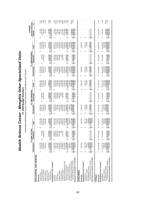| ı                                                                 |                                                      |
|-------------------------------------------------------------------|------------------------------------------------------|
| י<br>ביבוד                                                        |                                                      |
| -<br>-<br>-<br>-<br>-<br>י<br>י<br>l<br>$\frac{1}{2}$             | $\begin{array}{c} \n 0 \\ 1 \\ 0 \\ 1\n \end{array}$ |
| į                                                                 |                                                      |
|                                                                   |                                                      |
| ì<br>֧֧֖֧ׅ֧֧֧֧֧֧֧֧֧֧֚֚֚֚֚֚֚֚֚֚֚֚֚֚֚֚֚֚֚֚֚֚֚֚֚֡֓֝֝֝֬֝֓֝֓֝֓֝֬֝֓֝֬֝֬ |                                                      |

*s*

Unrestricted and Restricted Current Funds Revenues, Expenditures and Transfers Unrestricted and Restricted Current Funds Revenues, Expenditures and Transfers **y FY 2009 Budget Summar**

 $-16.3%$ <br> $+19.3%$ <br> $+19.5%$  $8.2%$ <br>3.4%<br>10.8% -66.4%<br>3.1%  $28888$ <br> $0.8988$ <br> $0.06$ <br> $0.06$ 5.2%<br>-3.0%  $-5.4%$ <br> $-1.3%$ <br>0.9%  $-2.9%$ %200 \$ 27,574,27,27 \$ 28,190,190,190,190,190,190 \$ 30,980,380 \$ 30,981,380,380 \$ 30,031,742,122 \$ 50,000 \$ 50,000 \$ 50,000 \$ 50,000 \$ 50,000 \$ 50,000 \$ 50,000 \$ 50,000 \$ 50,000 \$ 50,000 \$ 50,000 \$ 50,000 \$ 50,000 \$ 50,000 State Appropriations 72,988,500 273,600 \$ 73,262,100 72,063,000 3,262,300 \$ 75,325,300 69,962,000 261,600 \$ 70,223,600 (5,101,700) -6.8% Grants & Contracts 13,884,062 13,884,062 13,486,515 13,866,515 13,486,515 13,886,515 13,470,000 27,584,778 27,584,778 274,2884,778 274,2884,778 274,263 0.9% Sales & Services 8,031,291 74,4725,525 7,425,525 7,425,525 7,425,525 7,475,525 7,477,107 7,477,107 51,582 0.7% Other Sources 1,572,9,968 7,156,001 1,532,559 4,858,058 6,390,617 1,532,559 4,858,058 6,390,000 7,195,000 5.07<br>Отношенно 1,576,033,576,617 5.572,619,617 5.2% Total Revenues \$ 124,664,664,684,684,693,680,638,627 \$ 127,630,639,638,637,639,638,637,6326 \$ 124,404,404,404,585,688,688,680 \$ 147,638 \$ 147,638 \$ 147,638 \$ 124,644,858 \$ 143,687,636 \$ 143,687,637,637,637,638,688,688,688, Instruction 36,230,202 \$ 36,000,000,000,000 \$ 3,500,000 \$ 3,600,000 \$ 3,600,000 \$ 3,600,000 \$ 3,560,000 \$ 3,600<br>Instruction \$ 3,600,000,000 \$ 3,500,000,000,000 \$ 46,892,154 \$ 3,600,000 \$ 3,600 \$ 3,600,000 \$ 0.4% Research 3,881,1888 12,030,050,000 12,230,404 14,000,000,000,000 14,000,000,000,000 14,000 12,000,000 10,000 12,000,000 12,139,161 8,360,000 10,000 12,139,168 3,789,168 3,789,168 3,789,168 3,789,168 3,789,168 3,789,168 3,7 Public Service 2,789,366 2,899,985 2,899,989,989,989,989,989 2,639,989 985,369 2,629,789 2,800,000 3,785,369 2,800,000 2,800,000 2,800,000 2,800,000 2,800,000 2,800,000 2,800,000 2,800,000 2,800,000 2,800,000 2,800,000 2,8 Academic Support 30,345,541 1,653,186 31,998,728 27,642,144 1,600,000 29,242,144 29,998,937 1,650,000 31,648,937 2,406,793 8.2% Student Services 3,495,965 853 3,496,818 3,230,698 10,000 3,240,698 3,351,262 1,000 3,352,262 111,564 3.4% Institutional Support 1,116,780,503,593 11,16,790 19,545,595 19,595 20,465,595 20,465,595 20,465,595 20,000 20,000 1,1000 1,1087 10.8% Operation & Plant 22,146,363 22,146,363 22,146,226 23,746,226 23,746,226 23,746,234 22,466,934 22,466,934 22,146,293 22,146,293 22,146,293 22,146,293 22,146,293 22,146,293 22,146,293 22,146,293 22,146,293 22,146,293 22,146 Scholarships & Fellowships 5,649,789,78,710 1,700,000,710 1,700,000,710 1,700,000,710 1,700,000 1,700,000 1,700,000 1,700,000 1,700,000 7,700,000 7,700,000 7,700,000 7,700,000 7,700,000 7,700,000 7,700,000 7,700,000 7,700, Sub-total Expenditures 118,000,000,000,000 \$ 19,321,575,269 \$ 136,875,000 \$ 127,462,000 \$ 136,900,000 \$ 136,900 \$ 130,000 \$ 148,900,000,000 \$ 148,900 \$ 130,000 \$ 131,224,000 \$ 19,000 \$ 150,224,000 \$ 1,318,000 \$ 1,318,000 \$ Non-Mandatory Transfers (In)/Out 1,471,169 1,169 1,471,169 1,471,169 1,471,169 1,484,939 (1,635,261) 3,029,078 1,471,169 1,471,169 1,471,169 1,471,169 1,471,169 1,629,678 1,69,078 1,471,169 1,69,078 1,471,169 1,471,169 1,6 Total Expenditures and Transfers \$ 122,028,735 \$ 122,028,735 \$ 123,735,880 \$ 147,340 \$ 147,340 \$ 123,756,408 \$ 147,340 \$ 151,151,151,154,428 \$ 147,3428 \$ 123,756,428 \$ 19 19 001 \$ 151 447,3428 \$ 123,756,408 \$ 147,343 \$ 151 Total Expenditures and Transfers 5, 12,2028,735 5, 141,343,397 5, 125,868,980 5, 21,340,000 5, 132,766,408 5, 19,001,000 5, 151,757,408 5, 4,548,4<u>28</u> 3,1%<br>Revenues Less Expend & Transfers \$ 3,236263 \$ 3,2967 \$ 3,059,230 \$ **Revenues** 129,526,888 \$ 19,737,630 \$ 149,264,517 \$ 129,765,820 \$ 21,590,358 \$ 151,356,178 \$ 127,784,665 \$ 19,152,658 \$ 146,937,323 \$ (4,418,855) \$ -2.9% Mandatory Transfers (In)/Out 11:0056,570 2,996,570 3,168,650 3,168,650 3,168,650 3,168,650 3,168,650 3,168,650 3,168,650 3,168,650 3,168,650 3,168,650 3,168,650 3,168,650 3,168,650 3,168,650 3,168,650 3,168,650 3,168,650 3 **Revenues** 4,861,890 \$ 4,861,890 \$ 3,896,840 \$ 3,896,840 \$ 3,896,840 \$ 3,896,840 \$ - \$ - - \$ \$ 3,010(202,010 \$ 3,010(202,010 \$ 3,010(202,010 \$ 3,222,010 \$ 3,222,010 \$ 3,222,020;010 \$ - \$ - \$ - \$ - \$ Mandatory Transfers 643,521 643,521 674,830 674,830 674,830 674,830 - - - \$ 3,925,827 \$ \$ 3,925,926,87 \$ \$ 3,926,936,8 \$ - \$ 3,989,998,6; \$ - \$ 3,996,998,6; \$ - \$ 3,896,827 \$ - \$ 3,896,820 \$ - \$ 3,896,820 \$ - \$ 3,896,820 \$ - \$ 3,896,820,840 \$ - \$ 3,896,820,820 \$ - \$ 3,896,820,820 \$ - \$ 3,896, **Original to Revised Original to Revised %**CHANGE **CHANGE** 50,000<br>(5,101,700)<br>248,263 176,462<br>(2,364,674) 2,406,793<br>111,564 4,548,428<br>(8,967,283)  $(4,418,855)$ 333,000 150,000  $(1,279,292)$ 51,582  $(100, 000)$ 2,217,897 1,318,750 3,229,678 **Revenues Less Expend. & Transfers** (63,847) \$ - \$ (63,847) \$ - \$ - \$ - \$ - \$ - \$ - \$ - \$  $(4, 418, 85)$ Amount **Unrestricted Restricted Total Unrestricted Restricted Total Unrestricted Restricted Total Amount**  $\boldsymbol{\omega}$  $\epsilon$  $\boldsymbol{\omega}$ Ø 31,031,381<br>70,223,600<br>27,584,778<br>7,477,107 31,648,937<br>3,352,262<br>22,683,492 151,757,408<br>(8,716,925) 6,723,617<br>43,040,483 46,582,154<br>12,139,161 3,785,369 3,168,650 3,896,840 3,222,010 674,830 146,937,323 22,466,934 '.565.710 150,224,019  $(1,635,261)$ **Total**  $\omega$  $\boldsymbol{\omega}$ မာ  $\theta$ မာ FY 2009 REVISED **FY 2009 REVISED**  $\begin{array}{c} 3,600,000 \\ 8,350,000 \\ 2,800,000 \\ 1,650,000 \end{array}$  $(1,000,000,1)$ 261,600 19,001,000 19,152,658 13,700,000 5,191,058 1,600,000 19,001,000 151,658 Restricted  $\omega$ G ↮ 31,031,381<br>69,962,000<br>13,884,778 1,532,559<br>123,887,825 29,998,937<br>3,351,262<br>21,683,492 22,466,934<br>5,965,710 132,756,408<br>(8,868,583) 42,982,154<br>3,789,161 **Unrestricted** 985,369 3,168,650 3,896,840 3,222,010 674,830 127,784,665 7,477,107 131,223,019  $(1,635,261)$ **ROG RAD**  $\theta$  $\theta$  $\epsilon$  $\theta$ Ø 30,981,381<br>75,325,300<br>27,336,515 46,405,692<br>14,503,835 29,242,144<br>3,240,698<br>20,465,595 7,665,710<br>148,905,269 7,425,525 6,390,617<br>147,459,338 3,635,369 3,168,650  $(4,864,939)$ 47,208,980<br>250,358 3,896,840 3,222,010 674,830 151,356,178 23,746,226 Total  $\boldsymbol{\omega}$  $\epsilon$  $\epsilon$  $\epsilon$ ↮ FY 2009 ORIGINAL **FY 2009 ORIGINAL** 1,600,000<br>10,000<br>920,000 3,560,000<br>10,900,000 3,262,300 13,470,000 4,858,058 2,650,000 1.700.000 21,340,000  $$21,590,358$ 250,358 21,340,000 Restricted  $\omega$ s<br>S 30,981,381<br>72,063,000<br>13,866,515<br>7,425,525 985,369<br>27,642,144<br>3,230,698<br>3,245,595<br>23,746,226<br>5,965,710<br>5,168,650<br>3,168,650 1,532,559<br>25,868,980 42,845,692<br>3,603,835 129,765,820 Unrestricted  $(4,864,939)$ 3,896,840 3,222,010 674,830 BOR<sub>B40</sub> 25,868,9 Ø Ø ↮ 27,574,190<br>73,262,100<br>28,379,046 39,923,842<br>12,231,044 31,998,728<br>3,496,818 7,156,001<br>144,402,627 -; : : : ; ; ; ;<br>7, 158, 960 Non-Mandatory Transfers (305,501) (305,501) 4,014,672 15,905,233 22,146,363 136,875,659 2,996,570 1,471,169 3,059,230 4,861,890 4,587,716  $(63.847)$ 149,264,517 8,031,291 41,343,397 643,521 **Total**  $\omega$  $\omega$  $\epsilon$  $\epsilon$  $\epsilon$ **FY 2008 ACTUAL** FY 2008 ACTUAL 1,116,730 273,600 3,693,560<br>8,349,856 19,737,630 13,884,062 5,579,968 2,991,306 1,653,186 1,509,171 19,314,662 19,314,662 422,96 Restricted  $\boldsymbol{\omega}$ ↮ 27,574,190<br>72,988,500<br>14,494,984<br>8,031,291  $\begin{array}{r} 30,345,541 \\ 30,345,5641 \\ 3,495,965 \\ 14,788,503 \\ 22,146,363 \\ \hline 5,649,789 \\ \hline 117,560,997 \end{array}$ 1,576,033<br>124,664,998 36,230,282<br>3,881,188  $(305, 501)$  $(63, 847)$ 129,526,888 2,996,570 122,028,735 Unrestricted 1,023,366 1,471,169 2,636,263 4,861,890 4,587,716 643,521  $\omega$  $\omega$  $\theta$  $\theta$ Ġ, ക မာ  $\epsilon$ EDUCATIONAL AND GENERAL **EDUCATIONAL AND GENERAL** Revenues Less Expend. & Transfers Revenues Less Expend. & Transfers Mandatory Transfers (In)/Out<br>Non-Mandatory Transfers (In)/Out<br>Total Expenditures and Transfers Operation & Maintenance of Plant **Expenditures and Transfers** Expenditures and Transfers **Expenditures and Transfers Expenditures and Transfers** Scholarships & Fellowships Sub-total Expenditures Tuition & Fees<br>State Appropriations<br>Grants & Contracts Mandatory Transfers Institutional Support Investment Income<br>Other Sources Academic Support<br>Student Services Investment Income **AUXILIARIES AUXILIARIES** Sales & Services **Total Revenues** Public Service Expenditures Instruction **TOTALS** Revenues **Revenues** Research Revenues Revenues

**Expenditures and Transfers**

Mandatory Transfers

Expenditures

Expenditures and Transfers

Expenditures 122,148,713 \$ 19,314,662 \$ 141,463,375 \$ 130,787,279 \$ 21,340,000 \$ 152,127,279 \$ 134,445,029 \$ 19,001,000 \$ 153,446,029 \$ 1,318,750 \$ 0.9% , 2009-2009 3,640,090 3,090-2009 3,090-2009 3,090-2009 3,090-2009 3,090-2009 3,090-2009 3,090-3,090 3,090-3,090 3,090 3,090 3,090 3,090 3,090 3,090 3,090 3,090 3,090 3,090 3,090 3,090 3,090 3,090 3,090 3,090 3,090 3,090 3, Non-Mandatory Transfers 1,165,668 1,165,668 1,165,668 (4,864,939) (1,635,261) (1,635,261) 3,229,678 1,165,688 -66.4% Total Expenditures and Transfers \$ 12,48,534,8 \$ 12,48,532,48,134 \$ 146,820 \$ 146,820 \$ 146,9248 \$ 129,820,000 \$ 146,4474 \$ 155,654,248 \$ 155,654,248 \$ 155,654,248 \$ 155,654,248 \$ 155,654,248 \$ 155,654,248 \$ 3.0%

130,787,279<br>3,843,480

 $\omega$ 

141,463,375 3,640,090

 $\omega$ 

19,314,662

 $\omega$ 

122, 148, 713

 $\omega$ 

3,640,090

.165

4,864,939)

165.668

 $$21,340,000$ 

**Revenues Less Expend. & Transfers** 2,572,416 \$ 422,967 \$ 2,995,383 \$ - \$ 250,358 \$ 250,358 \$ (8,868,583) \$ 151,658 \$ (8,716,925) \$ (8,967,283) \$

2,995,383

Ģ

422,967

9,314,662

 $\frac{126,954,472}{2,572,416}$ 

 $\omega$ 

Revenues Less Expend. & Transfers Non-Mandatory Transfers<br>Total Expenditures and Transfers

250,358

21,340,000

-66.4%<br>3.0%

 $\begin{array}{r}\n 3,229,678 \\
\hline\n 6 & 4,548,428 \\
\hline\n 6 & (8,967,283)\n \end{array}$ 

 $(1,635,261)$ <br>55,654,248

 $(8,716,925)$ 

Ģ

151,658

e.

 $(8,868,583)$ 

 $\theta$ 

136,653,248

 $0.9%$ 

1,318,750

 $\omega$ 

153,446,029 3,843,480

 $\omega$ 

19,001,000 19,001,000

 $\boldsymbol{\omega}$ 

\$134,445,029

152, 127, 279 4,864,939) 250,358

 $\omega$ 

3,843,480

3,843,480 261)

 $(1.635.2)$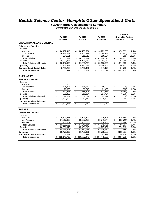#### *Health Science Center- Memphis Other Specialized Units*

**FY 2009 Natural Classifications Summary**

Unrestricted Current Funds Expenditures

|                                     |    |               |                                  |                 |                         |                |                          | <b>CHANGE</b>              |         |
|-------------------------------------|----|---------------|----------------------------------|-----------------|-------------------------|----------------|--------------------------|----------------------------|---------|
|                                     |    | FY 2008       |                                  | FY 2009         |                         | FY 2009        |                          | <b>Original to Revised</b> |         |
|                                     |    | <b>ACTUAL</b> |                                  | <b>ORIGINAL</b> |                         | <b>REVISED</b> |                          | <b>Amount</b>              | %       |
| <b>EDUCATIONAL AND GENERAL</b>      |    |               |                                  |                 |                         |                |                          |                            |         |
| <b>Salaries and Benefits</b>        |    |               |                                  |                 |                         |                |                          |                            |         |
| Salaries                            |    |               |                                  |                 |                         |                |                          |                            |         |
| Academic                            | \$ | 26,197,418    | \$                               | 28,103,504      | \$                      | 28,779,893     | \$                       | 676,389                    | 2.4%    |
| Non-Academic                        |    | 36,323,063    |                                  | 38,342,592      |                         | 38,095,251     |                          | (247, 341)                 | $-0.6%$ |
| <b>Students</b>                     |    | 284,531       |                                  | 211,515         |                         | 288,884        |                          | 77,369                     | 36.6%   |
| <b>Total Salaries</b>               | \$ | 62,805,012    | \$                               | 66,657,611      | \$                      | 67,164,028     | \$                       | 506,417                    | 0.8%    |
| <b>Benefits</b>                     |    | 20,392,454    |                                  | 25,175,119      |                         | 25,942,967     |                          | 767,848                    | 3.1%    |
| <b>Total Salaries and Benefits</b>  | \$ | 83,197,466    | \$                               | 91,832,730      | $\mathfrak{L}$          | 93,106,995     | \$                       | 1,274,265                  | 1.4%    |
| Operating                           |    | 31,901,319    |                                  | 34,282,118      |                         | 36,568,845     |                          | 2,286,727                  | 6.7%    |
| <b>Equipment and Capital Outlay</b> |    | 2,462,212     |                                  | 1,450,421       |                         | 1,547,179      |                          | 96,758                     | 6.7%    |
| <b>Total Expenditures</b>           | \$ | 117,560,997   | \$                               | 127,565,269     | \$                      | 131,223,019    | \$                       | 3,657,750                  | 2.9%    |
| <b>AUXILIARIES</b>                  |    |               |                                  |                 |                         |                |                          |                            |         |
| <b>Salaries and Benefits</b>        |    |               |                                  |                 |                         |                |                          |                            |         |
| Salaries                            |    |               |                                  |                 |                         |                |                          |                            |         |
| Academic                            | \$ | 2,160         |                                  |                 |                         |                |                          |                            |         |
| Non-Academic                        |    | 694,405       | \$                               | 654,663         | \$                      | 646,293        | \$                       | (8,370)                    | $-1.3%$ |
| <b>Students</b>                     |    | 20,976        |                                  | 33,540          |                         | 31,460         |                          | (2,080)                    | $-6.2%$ |
| <b>Total Salaries</b>               | \$ | 717,541       | \$                               | 688,203         | $\overline{\mathbf{s}}$ | 677.753        | $\overline{\mathbf{s}}$  | (10, 450)                  | $-1.5%$ |
| <b>Benefits</b>                     |    | 299,486       |                                  | 316,094         |                         | 324,464        |                          | 8,370                      | 2.6%    |
| <b>Total Salaries and Benefits</b>  | \$ | 1,017,027     | \$                               | 1,004,297       | \$                      | 1,002,217      | \$                       | (2,080)                    | $-0.2%$ |
| Operating                           |    | 3,570,690     |                                  | 2,217,713       |                         | 2,219,793      |                          | 2,080                      | 0.1%    |
| <b>Equipment and Capital Outlay</b> |    |               |                                  |                 |                         |                |                          |                            |         |
| <b>Total Expenditures</b>           | \$ | 4,587,716     | $\overline{\boldsymbol{\theta}}$ | 3,222,010       | \$                      | 3,222,010      | $\overline{\mathbf{e}}$  |                            |         |
| <b>TOTALS</b>                       |    |               |                                  |                 |                         |                |                          |                            |         |
| <b>Salaries and Benefits</b>        |    |               |                                  |                 |                         |                |                          |                            |         |
| Salaries                            |    |               |                                  |                 |                         |                |                          |                            |         |
| Academic                            | \$ | 26,199,578    | \$                               | 28,103,504      | \$                      | 28,779,893     | \$                       | 676,389                    | 2.4%    |
| Non-Academic                        |    | 37,017,468    |                                  | 38,997,255      |                         | 38,741,544     | \$                       | (255, 711)                 | $-0.7%$ |
| <b>Students</b>                     |    | 305,507       |                                  | 245,055         |                         | 320,344        |                          | 75,289                     | 30.7%   |
| <b>Total Salaries</b>               | \$ | 63,522,553    | \$                               | 67,345,814      | \$                      | 67,841,781     | $\overline{\mathcal{S}}$ | 495,967                    | 0.7%    |
| <b>Benefits</b>                     |    | 20,691,940    |                                  | 25,491,213      |                         | 26,267,431     |                          | 776,218                    | 3.0%    |
| <b>Total Salaries and Benefits</b>  | \$ | 84,214,493    | \$                               | 92,837,027      | \$                      | 94,109,212     | \$                       | 1,272,185                  | 1.4%    |
| Operating                           |    | 35,472,009    |                                  | 36,499,831      |                         | 38,788,638     |                          | 2,288,807                  | 6.3%    |
| <b>Equipment and Capital Outlay</b> |    | 2,462,212     |                                  | 1,450,421       |                         | 1,547,179      |                          | 96,758                     | 6.7%    |
| <b>Total Expenditures</b>           | S  | 122,148,713   | \$                               | 130,787,279     | \$                      | 134,445,029    | \$                       | 3,657,750                  | 2.8%    |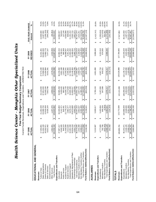| <b>Health Sciet</b>                                                                              | nce                                                            | $\mathbf{r}$<br>Center                                                       | Current Funds Revenues, Expenditures and Transfers - UNRESTRICTED<br>Five-Year Budget Summary Comparison<br>Memphis | Other Specialized                                                                         | Units                                                             |                                                                 |                              |
|--------------------------------------------------------------------------------------------------|----------------------------------------------------------------|------------------------------------------------------------------------------|---------------------------------------------------------------------------------------------------------------------|-------------------------------------------------------------------------------------------|-------------------------------------------------------------------|-----------------------------------------------------------------|------------------------------|
|                                                                                                  | $-Y$ 2005<br><b>INUTO</b>                                      | FY 2006<br>ACTUAL                                                            | FY 2007<br>ACTUAL                                                                                                   | FY 2008<br>ACTUAL                                                                         | REVISED<br>FY 2009                                                | FIVE-YEAR CHANGE<br>Amount                                      | న్                           |
| EDUCATIONAL AND GENERAL                                                                          |                                                                |                                                                              |                                                                                                                     |                                                                                           |                                                                   |                                                                 |                              |
| State Appropriations<br>Grants & Contracts<br>Tuition & Fees<br>Revenues                         | 61,464,100<br>17,394,801<br>16,092,971<br>↮                    | 21,262,349<br>63,089,700<br>15,818,458<br>ക                                  | 67,851,500<br>24,110,830<br>15,048,184<br>↮                                                                         | 27,574,190<br>72,988,500<br>14,494,984<br>↮                                               | 69,962,000<br>13,884,778<br>31,031,381<br>↮                       | (2,208,193)<br>13,636,580<br>8,497,900<br>↮                     | 13.8%<br>78.4%<br>.13.7%     |
| Investment Income<br><b>Total Revenues</b><br>Sales & Services<br>Other Sources                  | 104,556,194<br>8,022,402<br>1,581,921<br>↔                     | 1,247,370<br>8,426,104<br>109,843,982<br>$\pmb{\leftrightarrow}$             | 1,696,544<br>116,360,846<br>7,653,788<br>$\boldsymbol{\omega}$                                                      | 1,576,033<br>124,664,998<br>8,031,291<br>$\pmb{\leftrightarrow}$                          | 1,532,559<br>123,887,825<br>7,477,107<br>⊷                        | (49, 362)<br>(545,295)<br>19,331,631<br>$ \boldsymbol{\omega} $ | $-3.1%$<br>18.5%<br>$-6.8%$  |
| Expenditures and Transfers                                                                       |                                                                |                                                                              |                                                                                                                     |                                                                                           |                                                                   |                                                                 |                              |
| <b>Public Service</b><br>Instruction<br>Research                                                 | 3,048,345<br>848,223<br>27,997,217<br>↮                        | 30,345,883<br>3,141,371<br>845,401<br>↮                                      | 33,585,458<br>3,409,445<br>963,982<br>↮                                                                             | 3,881,188<br>1,023,366<br>36,230,282<br>↮                                                 | 985,369<br>3,789,161<br>42,982,154<br>↮                           | 740,816<br>137,146<br>14,984,937<br>↮                           | 53.5%<br>24.3%<br>16.2%      |
| Academic Support<br><b>Student Services</b>                                                      | 21,438,939<br>2,412,626                                        | 22,779,210<br>2,882,377                                                      | 24,036,729<br>3,273,058                                                                                             | 3,495,965<br>30,345,541                                                                   | 3,351,262<br>29,998,937                                           | 938,636<br>8,559,998                                            | 39.9%<br>38.9%               |
| Operation & Maintenance of Plant<br>Institutional Support                                        | 9,934,219<br>0,492,338                                         | 20,873,689<br>9,676,152                                                      | 10,600,389<br>21,832,017                                                                                            | 14,788,503<br>22,146,363                                                                  | 21,683,492<br>22,466,934                                          | 2,532,715<br>11,191,154                                         | 106.7%<br>12.7%              |
| Scholarships & Fellowships                                                                       | 4,303,737                                                      | 4,903,231                                                                    | 5,130,658                                                                                                           | 5,649,789                                                                                 | 5,965,710                                                         | 1,661,973                                                       | 38.6%                        |
| Non-Mandatory Transfers (In)/Out<br>Mandatory Transfers (In)/Out<br>Sub-total Expenditures       | 90,475,645<br>1,553,399<br>9,088,614<br>$\boldsymbol{\varphi}$ | 95,447,315<br>8,355,389<br>2,902,637<br>မာ                                   | 102,831,736<br>2,947,470<br>11,385,000<br>$\boldsymbol{\varphi}$                                                    | 2,996,570<br>1,471,169<br>117,560,997<br>↮                                                | (1,635,261)<br>131,223,019<br>3,168,650<br>$\boldsymbol{\varphi}$ | 10,723,875<br>40,747,374<br>1,615,251<br>$\Theta$               | 45.0%<br>104.0%<br>$-118.0%$ |
| Total Expenditures and Transfers                                                                 | 01.117.658<br>s                                                | 06,705,340<br>$\boldsymbol{\varphi}$                                         | 17,164,205<br>↮                                                                                                     | 22,028,735<br>$\boldsymbol{\varphi}$                                                      | 32,756,408<br>↮                                                   | 31,638,750<br>↮                                                 | 31.3%                        |
| Fund Balance Addition/(Reduction)                                                                | 3,438,536<br>$\boldsymbol{\varphi}$                            | 3,138,641<br>$\Theta$                                                        | (803, 359)<br>↮                                                                                                     | (803,359)<br>$\Theta$                                                                     | (8,868,583)<br>$\boldsymbol{\varphi}$                             | (12,307,119)<br>$\Theta$                                        |                              |
| AUXILIARIES                                                                                      |                                                                |                                                                              |                                                                                                                     |                                                                                           |                                                                   |                                                                 |                              |
| Expenditures and Transfers<br>Revenues                                                           | 5,310,587<br>↮                                                 | 5,928,617<br>↮                                                               | 5,760,243<br>↮                                                                                                      | 4,861,890<br>↮                                                                            | 3,896,840<br>↮                                                    | (1, 413, 747)<br>↮                                              | $-26.6%$                     |
| Mandatory Transfers<br>Expenditures                                                              | 4,777,826<br>792,706<br>↮                                      | 5,420,694<br>646,209<br>↮                                                    | 547,099<br>5,437,093<br>↮                                                                                           | 4,587,716<br>643,521<br>↮                                                                 | 3,222,010<br>674,830<br>↮                                         | (1,555,816)<br>(117, 876)<br>↮                                  | $-32.6%$<br>$-14.9%$         |
| Total Expenditures and Transfers<br>Non-Mandatory Transfers                                      | (502, 402)<br>5,068,129<br>$\boldsymbol{\omega}$               | (4,083)<br>6,062,821<br>↔                                                    | 5,978,417<br>↮                                                                                                      | 5,978,417<br>↮                                                                            | 3,896,840<br>↮                                                    | (1,171,289)<br>502,402<br>↮                                     | $-100.0%$<br>$-23.1%$        |
| Fund Balance Addition/(Reduction)                                                                | 242,458<br>$\Theta$                                            | (134, 204)<br>$\Theta$                                                       | (218, 173)<br>↮                                                                                                     | (218, 173)<br>$\Theta$                                                                    | ↮                                                                 | (242, 458)<br>↮                                                 |                              |
| <b>TOTALS</b>                                                                                    |                                                                |                                                                              |                                                                                                                     |                                                                                           |                                                                   |                                                                 |                              |
| Expenditures and Transfers<br>Revenues                                                           | 109,866,781<br>↮                                               | 115,772,599<br>↮                                                             | 122, 121, 089<br>မာ                                                                                                 | 129,526,888<br>↮                                                                          | 127,784,665<br>↮                                                  | 17,917,884<br>↮                                                 | 16.3%                        |
| Mandatory Transfers<br>Expenditures                                                              | 2,346,105<br>95,253,471<br>↮                                   | 3,548,846<br>100,868,009<br>↮                                                | 108,268,829<br>3,494,569<br>↮                                                                                       | 3,640,090<br>122, 148, 713<br>↮                                                           | 3,843,480<br>134,445,029<br>↮                                     | 39,191,558<br>1,497,375<br>↮                                    | 63.8%<br>41.1%               |
| Fund Balance Addition/(Reduction)<br>Total Expenditures and Transfers<br>Non-Mandatory Transfers | 3,680,994<br>8,586,212<br>106,185,787<br>$\rightarrow$<br>↔    | 8,351,306<br>3,004,438<br>112,768,161<br>$\boldsymbol{\varphi}$<br>$\bullet$ | (1,021,533)<br>11,379,224<br>123, 142, 622<br>$\boldsymbol{\varphi}$<br>↮                                           | 1,165,668<br>126,954,472<br>2,572,416<br>$\boldsymbol{\varphi}$<br>$\boldsymbol{\varphi}$ | (1,635,261)<br>(8,868,583)<br>36,653,248<br>$\Theta$<br>မာ        | 10,221,473)<br>(12,549,577)<br>30,467,461<br>$\theta$<br>↮      | $-119.0%$<br>28.7%           |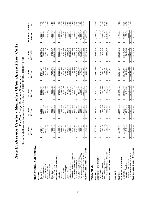| Health Scie                                                                                  | Current Funds Revenues, Expenditures and Transfers - UNRESTRICTED AND RESTRICTED<br>nce | $\mathbf{I}$<br>Center                                   | Five-Year Budget Summary Comparison<br>Other<br>Memphis  | Specialized                                              | Units                                                    |                                                            |                                       |
|----------------------------------------------------------------------------------------------|-----------------------------------------------------------------------------------------|----------------------------------------------------------|----------------------------------------------------------|----------------------------------------------------------|----------------------------------------------------------|------------------------------------------------------------|---------------------------------------|
|                                                                                              | <b>EY 2005</b><br><b>INUTO</b>                                                          | <b>FY 2006</b><br>ACTUAL                                 | ACTUAL<br>FY 2007                                        | FY 2008<br>ACTUAL                                        | REVISED<br>FY 2009                                       | FIVE-YEAR CHANGE<br>Amount                                 | న్                                    |
| EDUCATIONAL AND GENERAL                                                                      |                                                                                         |                                                          |                                                          |                                                          |                                                          |                                                            |                                       |
| State Appropriations<br>Grants & Contracts<br>Sales & Services<br>Tuition & Fees<br>Revenues | 35,385,310<br>62,512,112<br>8,022,402<br>17,394,801<br>↔                                | 21,262,349<br>63,583,208<br>29,466,442<br>8,426,104<br>ക | 24,110,830<br>68,708,799<br>27,601,399<br>7,653,788<br>ക | 28,379,046<br>73,262,100<br>27,574,190<br>8,031,291<br>↮ | 70,223,600<br>27,584,778<br>7,477,107<br>31,031,381<br>↮ | (7,800,532)<br>(545, 295)<br>13,636,580<br>7,711,488<br>ക  | 12.3%<br>78.4%<br>$-22.0%$<br>$-6.8%$ |
| Investment Income<br><b>Total Revenues</b><br>Other Sources                                  | 7,827,579<br>131, 142, 203<br>$\boldsymbol{\varphi}$                                    | 6,928,784<br>129,666,888<br>$\bullet$                    | 8,151,122<br>136,225,939<br>$\Theta$                     | 7,156,001<br>144,402,627<br>\$                           | 143,040,483<br>6,723,617<br>$\boldsymbol{\omega}$        | (1, 103, 962)<br>11,898,280<br>⊷                           | $-14.1%$<br>9.1%                      |
| Expenditures and Transfers                                                                   |                                                                                         |                                                          |                                                          |                                                          |                                                          |                                                            |                                       |
| Academic Support<br><b>Public Service</b><br>Instruction<br>Research                         | 13,414,625<br>31,872,729<br>22,532,930<br>4,834,277<br>↮                                | 34,073,410<br>24,217,073<br>11,647,934<br>4,104,367<br>↮ | 3,145,790<br>11,824,976<br>25,501,371<br>37,258,621<br>↮ | 4,014,672<br>31,998,728<br>12,231,044<br>39,923,842<br>↮ | 3,785,369<br>46,582,154<br>31,648,937<br>12,139,161<br>↮ | (1,275,464)<br>(1,048,908)<br>14,709,425<br>9,116,007<br>↮ | $-21.7%$<br>46.2%<br>$-9.5%$<br>40.5% |
| Institutional Support<br><b>Student Services</b>                                             | 10,518,030<br>2,462,481                                                                 | 10,674,248<br>2,882,402                                  | 11,497,019<br>3,473,636                                  | 3,496,818<br>15,905,233                                  | 22,683,492<br>3,352,262                                  | 12,165,462<br>889,781                                      | 36.1%<br>115.7%                       |
| Operation & Maintenance of Plant<br>Scholarships & Fellowships                               | 9,934,219<br>5,384,056                                                                  | 20,873,689<br>5,836,878                                  | 6,597,116<br>21,832,017                                  | 22,146,363<br>7,158,960                                  | 7,565,710<br>22,466,934                                  | 2,532,715<br>2,181,654                                     | 12.7%<br>40.5%                        |
| Mandatory Transfers (In)/Out<br>Sub-total Expenditures                                       | 1,553,399<br>110,953,347<br>ΙĢ                                                          | 114,310,001<br>2,902,637<br>$\boldsymbol{\varphi}$       | 2,947,470<br>121,130,547<br>$\Theta$                     | 2,996,570<br>136,875,659<br>$\boldsymbol{\varphi}$       | 50,224,019<br>3,168,650<br>$\boldsymbol{\varphi}$        | 39,270,672<br>1,615,251<br>↔                               | 104.0%<br>35.4%                       |
| Total Expenditures and Transfers<br>Non-Mandatory Transfers (In)/Out                         | 9,088,614<br>21,595,360<br>$\boldsymbol{\varphi}$                                       | 8,355,389<br>25,568,027<br>$\boldsymbol{\varphi}$        | 11,385,000<br>135,463,017<br>↮                           | 1,471,169<br>141,343,397<br>$\boldsymbol{\varphi}$       | (1,635,261)<br>804,757,18<br>မာ                          | 10,723,875)<br>30,162,048<br>↮                             | $-118.0%$<br>24.8%                    |
| Revenues Less Expend. & Transfers                                                            | 9,546,843<br>$\boldsymbol{\varTheta}$                                                   | 4,098,860<br>↔                                           | 762,923<br>↮                                             | 3,059,230<br>↮                                           | (8,716,925)<br>↮                                         | (18, 263, 768)<br>↔                                        |                                       |
| AUXILIARIES                                                                                  |                                                                                         |                                                          |                                                          |                                                          |                                                          |                                                            |                                       |
| Expenditures and Transfers<br>Revenues                                                       | 5,310,587<br>↮                                                                          | 5,928,617<br>↮                                           | 5,760,243<br>↮                                           | 4,861,890<br>↮                                           | 3,896,840<br>↮                                           | (1, 413, 747)<br>↮                                         | $-26.6%$                              |
| Mandatory Transfers<br>Expenditures                                                          | 792,706<br>4,777,826<br>↔                                                               | 5,420,694<br>646,209<br>↮                                | 5,437,093<br>547,099<br>↮                                | 4,587,716<br>643,521<br>↮                                | 3,222,010<br>674,830<br>↮                                | (1,555,816)<br>(117, 876)<br>↮                             | $-14.9%$<br>$-32.6%$                  |
| Total Expenditures and Transfers<br>Non-Mandatory Transfers                                  | (502,402)<br>5,068,129                                                                  | (4,083)<br>6,062,821                                     | (5,775)<br>5,978,417<br>↮                                | (305, 501)<br>4,925,737<br>↮                             | 3,896,840<br>s                                           | (1,171,289)<br>502,402<br>↮                                | $-100.0\%$<br>$-23.1%$                |
| Revenues Less Expend. & Transfers                                                            | 242,458<br>မာ မာ                                                                        | (134, 204)<br>မှာ မှာ                                    | (218, 173)<br>↔                                          | (63, 847)<br>$\Theta$                                    | ↮                                                        | (242, 458)<br>မာ                                           |                                       |
| <b>TOTALS</b>                                                                                |                                                                                         |                                                          |                                                          |                                                          |                                                          |                                                            |                                       |
| Expenditures and Transfers<br>Revenues                                                       | 136,452,790<br>↮                                                                        | 135,595,505<br>↮                                         | 141,986,183<br>↮                                         | 149,264,517<br>↮                                         | 146,937,323<br>↮                                         | 10,484,533<br>↮                                            | 7.7%                                  |
| Non-Mandatory Transfers<br>Mandatory Transfers<br>Expenditures                               | 2,346,105<br>115,731,173<br>8,586,212<br>↮                                              | 3,548,846<br>8,351,306<br>119,730,696<br>↮               | 126,567,640<br>3,494,569<br>11,379,224<br>↮              | 1,165,668<br>141,463,375<br>3,640,090<br>↮               | (1,635,261)<br>3,843,480<br>153,446,029<br>↮             | (10, 221, 473)<br>37,714,856<br>1,497,375<br>↮             | 32.6%<br>63.8%<br>$-119.0%$           |
| Revenues Less Expend. & Transfers<br>Total Expenditures and Transfers                        | 126,663,489<br>9,789,301<br>မှာ မှာ                                                     | 131,630,848<br>3,964,657<br>မှ မှ                        | 141,441,433<br>544,749<br>မှာ မှာ                        | 146,269,134<br>2,995,383<br>၊မှူ<br> -<br>↮              | 55,654,248<br>(8,716,925)<br>မာ မာ                       | (18,506,226)<br>28,990,759<br>$\Theta$<br>မျှ              | 22.9%                                 |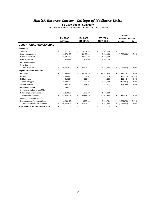#### *Health Science Center - College of Medicine Units*

#### **FY 2009 Budget Summary**

|                                          |              |                |                         |                 |               |                |              | <b>CHANGE</b>              |          |
|------------------------------------------|--------------|----------------|-------------------------|-----------------|---------------|----------------|--------------|----------------------------|----------|
|                                          |              | <b>FY 2008</b> |                         | FY 2009         |               | FY 2009        |              | <b>Original to Revised</b> |          |
|                                          |              | <b>ACTUAL</b>  |                         | <b>ORIGINAL</b> |               | <b>REVISED</b> |              | Amount                     | %        |
| <b>EDUCATIONAL AND GENERAL</b>           |              |                |                         |                 |               |                |              |                            |          |
| <b>Revenues</b>                          |              |                |                         |                 |               |                |              |                            |          |
| <b>Tuition &amp; Fees</b>                | \$           | 12,872,378     | \$                      | 13,307,136      | \$            | 13,307,136     | \$           |                            |          |
| <b>State Appropriations</b>              |              | 49,379,400     |                         | 48,430,900      |               | 46,578,100     |              | (1,852,800)                | $-3.8%$  |
| <b>Grants &amp; Contracts</b>            |              | 32,976,016     |                         | 34,463,388      |               | 34,463,388     |              |                            |          |
| Sales & Services                         |              | 1,378,685      |                         | 1,405,000       |               | 1,405,000      |              |                            |          |
| Investment Income                        |              |                |                         |                 |               |                |              |                            |          |
| Other Sources                            |              |                |                         |                 |               |                |              |                            |          |
| <b>Total Revenues</b>                    | \$           | 96,606,478     | \$                      | 97,606,424      | \$            | 95,753,624     | \$           | (1,852,800)                | $-1.9%$  |
| <b>Expenditures and Transfers</b>        |              |                |                         |                 |               |                |              |                            |          |
| Instruction                              | \$           | 81,848,644     | \$                      | 80,151,186      | \$            | 81,462,300     | \$           | 1,311,114                  | 1.6%     |
| Research                                 |              | 3,838,473      |                         | 589,747         |               | 497,574        |              | (92, 173)                  | $-15.6%$ |
| <b>Public Service</b>                    |              | 416.864        |                         | 329,788         |               | 485,233        |              | 155,445                    | 47.1%    |
| Academic Support                         |              | 6,207,303      |                         | 5,792,403       |               | 5,685,839      |              | (106, 564)                 | $-1.8%$  |
| <b>Student Services</b>                  |              | 583,232        |                         | 448,261         |               | 351,917        |              | (96, 344)                  | $-21.5%$ |
| <b>Institutional Support</b>             |              | 146,800        |                         |                 |               |                |              |                            |          |
| Operation & Maintenance of Plant         |              |                |                         |                 |               |                |              |                            |          |
| Scholarships & Fellowships               |              | 1,358,687      |                         | 1,570,000       |               | 1,570,000      |              |                            |          |
| Sub-total Expenditures                   | \$           | 94,400,003     | \$                      | 88,881,385      | \$            | 90,052,863     | \$           | 1,171,478                  | 1.3%     |
| Mandatory Transfers (In)/Out             |              |                |                         |                 |               |                |              |                            |          |
| Non-Mandatory Transfers (In)/Out         |              | 2,206,475      |                         | 8,725,039       |               | 5,700,761      |              | (3,024,278)                | $-34.7%$ |
| <b>Total Expenditures and Transfers</b>  | $\triangleq$ | 96,606,478     | $\sqrt[6]{\frac{2}{5}}$ | 97,606,424      | $\frac{1}{2}$ | 95,753,624     | $\triangleq$ | (1,852,800)                | $-1.9%$  |
| <b>Fund Balance Addition/(Reduction)</b> | \$           |                | \$                      |                 | \$            |                | \$           |                            |          |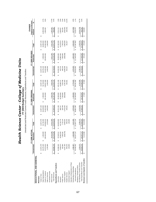*Health Science Center - College of Medicine Unit s* **FY 2009 Budget Summar**

**y** Unrestricted and Restricted Current Funds Revenues, Expenditures and Transfers

 $-3.7%$  $17.5\%$ <br>0.4%  $3.4%$  $-3.9%$ <br> $-21.5%$ 4.9%<br>1.7%  $-34.7%$  $0.9%$  $\frac{1.6\%}{3.0\%}$  $0.2%$ State Appropriations 49,379,400 1,365,900 \$ 50,745,300 48,430,900 2,309,600 \$ 50,740,500 46,578,100 2,306,900 \$ 48,885,000 (1,855,500) -3.7% Grants & Contracts 32,976,016 106,592,000 139,568,016 34,463,388 105,194,000 139,657,388 34,463,388 106,500,000 140,963,388 1,306,000 0.9% Other Sources 15,412,300 15,412,300 7,923,700 7,923,700 9,311,200 9,311,200 1,387,500 17.5% Total Revenues 96,606,478 \$ 123,370,200 \$ 219,976,678 \$ 97,606,424 \$ 115,427,300 \$ 213,033,724 \$ 95,753,624 \$ 118,118,100 \$ 213,871,724 \$ 838,000 \$ 0.4% INSTRUCTION S 6000000000 \$ 60,000,000 \$ 80,000,000 \$ 80,000,000 \$ 80,150,100 \$ 92,151,197 \$ 150,164 \$ 1.6% \$ 1<br>INSTRUCTION \$ 147,464 \$ 2,311,197,100 \$ 1.6% \$ 1.6% \$ 1.6% \$ 1.6% \$ 1.6% \$ 1.6% \$ 1.6% \$ 1.6% \$ 1.6% \$ 1.6% \$ 1 Research 3,838,473 42,882,802,303 43,889,827 437,889,827 437,5747 437,5747 437,5747 437,589,827 44,379,989,827 3.0% Public Service 7,305,2831 7,722,144 7,221,44 329,788 7,200,000 7,200,000 7,300,000 7,300,000 7,305,233 293,233 255,445 3.4% Academic Support 6,207,303 (638,378) 5,568,924 5,792,403 (500,000) 5,292,403 5,685,839 (600,000) 5,085,839 (206,564) -3.9% Student Services 583,232 583,232 583,232 585,232 585,2532 583,232 583,232 583,232 583,232 583,232 583,232 583,3232 583,232 583,577 448,261 57.5% 951,917 449,244) -21.5% 951,917 57.5% 951,917 440,17 57.97 583,232 583,232 58 S h l hi & F ll hi 1 358 687 1 062 898 2 421 586 1 570 000 1 200 000 2 770 000 1 570 000 1 063 000 2 633 000 (137 000) 4 9% Scholarships Fellowships 1,358,6871,062,8982,421,5861,570,0001,200,0002,770,0001,570,0001,063,0002,633,000(137,000)-4.9%Sub-total Expenditures 94,400,003 \$ 118,257,114 \$ 212,657,118 \$ 88,881,385 \$ 115,400,000 \$ 204,281,385 \$ 90,052,863 \$ 117,645,000 \$ 207,697,863 \$ 3,416,478 \$ 1.7% Non-Mandatory Transfers (In)/Out 2,206,475 2,206,475 8,725,039 8,725,039 5,700,761 5,700,761 (3,024,278) -34.7% Total Expenditures and Transfers 96,606,478 \$ 118,257,114 \$ 214,863,593 \$ 97,606,424 \$ 115,400,000 \$ 213,006,424 \$ 95,753,624 \$ 117,645,000 \$ 213,398,624 \$ 392,200 \$ 0.2% - - \$PEes 12,207,202,372,872,872,378,12,37.378 \$ 13,307,136,307,136,307,136,307,136,307,136,307,136, \$ - \$ - \$ ,378,685 1,405,000 1,405,000 1,405,000 1,405,000 1,378,685 1,378,685 1,378,685 1,378,685 1,378,685 1,400 1,405,000 1,405,000 1,405,000 1,405,000 1,405,000 1,405,000 1,405,000 1,405,000 1,405,000 1,405,000 1,405,000 1,405,0 **Original to Revised FY 2009 ORIGINAL Original to Revised FY 2009 REVISED %**CHANGE **CHANGE**  $(1,855,500)$ 255,445<br>(206,564) 2,311,114<br>1,289,827  $(96,344)$ 1,306,000  $(137,000)$  $(3,024,278)$ 1,387,500 838,000 3,416,478 392,200 445,800 **Revenues Less Expend. & Transfers** - \$ 5,113,086 \$ 5,113,086 \$ - \$ 27,300 \$ 27,300 \$ - \$ 473,100 \$ 473,100 \$ 445,800 \$ Amount **Unrestricted Restricted Total Unrestricted Restricted Total Unrestricted Restricted Total Amount**  $\omega$ Ø  $\epsilon$  $\theta$ 5,085,839 473,100 13,307,136 48,885,000 140,963,388 1,405,000 9,311,200 147,462,300 7,785,233 351,917 2,633,000 207,697,863 5,700,761 \$ 213,398,624 213,871,724 44,379,574 Total  $\theta$ s Ø  $\omega$ FY 2009 REVISED 66,000,000<br>43,882,000 473,100  $(600, 000)$ 1,063,000  $$117,645,000$ 2,306,900 106,500,000 9,311,200  $$ 118,118,100$ 7,300,000 \$117,645,000 Restricted  $\omega$  $\theta$ Ø 46,578,100<br>34,463,388 1,405,000 81,462,300 497,574 485,233 5,685,839 351,917 1,570,000 90,052,863 \$95,753,624 13,307,136 95,753,624 5,700,761 Unrestricted  $\leftrightarrow$  $\boldsymbol{\omega}$ မ 7,529,788 27,300 13,307,136 50,740,500 139,657,388 1,405,000 7,923,700 5,292,403 448,261 2,770,000 \$ 204,281,385 8,725,039 \$ 213,006,424 213,033,724 145, 151, 186 43,089,747 **Total**  $\omega$ ↮  $\omega$ FY 2009 ORIGINAL 2,309,600  $(500, 000)$ 27,300 105,194,000 7,923,700  $$115,427,300$ 65,000,000 42,500,000 7,200,000 1,200,000 \$115,400,000 \$115,400,000 Restricted  $\omega$  $\theta$ Ø 34,463,388 80,151,186<br>589,747 329,788 5,792,403 13,307,136 48,430,900 1,405,000 448,261 1,570,000 88,881,385 8,725,039 \$ 97,606,424 **Unrestricted** 97,606,424  $\theta$  $\omega$  $\omega$  $\omega$ Ø 583,232 146,800 12,872,378 50,745,300 139,568,016 1,378,685 15,412,300 149,493,655 46,720,776 2,421,586  $$212,657,118$ 2,206,475 \$ 5,113,086 219,976,678 7,722,144 5,568,924 Institutional Support 146,800 146,800  $$214,863,593$ Total  $\leftrightarrow$  $\boldsymbol{\omega}$ FY 2008 ACTUAL **FY 2008 ACTUAL** 1,365,900 106,592,000 15,412,300 42,882,303  $(638, 378)$ 1,062,898 118,257,114 5,113,086 123,370,200 67,645,011 7,305,281  $$ 118,257,114$ Restricted  $\omega$  $\omega$  $\theta$ Ø 49,379,400<br>32,976,016 6,207,303 583,232 146,800 94,400,003 **Unrestricted**  $12,872,378$ 1,378,685 \$ 96,606,478 81,848,644 3,838,473 416,864 1,358,687 2,206,475 \$96,606,478  $\theta$  $\omega$  $\omega$  $\omega$ EDUCATIONAL AND GENERAL **EDUCATIONAL AND GENERAL** Revenues Less Expend. & Transfers Total Expenditures and Transfers Operation & Maintenance of Plant Non-Mandatory Transfers (In)/Out Expenditures and Transfers Operation & Maintenance of Plant **Expenditures and Transfers** Mandatory Transfers (In)/Out Mandatory Transfers (In)/Out Scholarships & Fellowships Sub-total Expenditures Institutional Support State Appropriations Grants & Contracts Investment Income Investment Income Academic Support Sales & Services **Total Revenues** Student Services Tuition & Fees Other Sources Public Service Instruction Revenues **Revenues** Research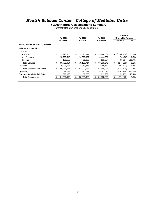#### *Health Science Center - College of Medicine Units*

**FY 2009 Natural Classifications Summary**

Unrestricted Current Funds Expenditures

|                                     |     | <b>FY 2008</b> | FY 2009          | FY 2009          | <b>CHANGE</b><br><b>Original to Revised</b> |         |
|-------------------------------------|-----|----------------|------------------|------------------|---------------------------------------------|---------|
|                                     |     | <b>ACTUAL</b>  | <b>ORIGINAL</b>  | <b>REVISED</b>   | Amount                                      | ℅       |
| <b>EDUCATIONAL AND GENERAL</b>      |     |                |                  |                  |                                             |         |
| <b>Salaries and Benefits</b>        |     |                |                  |                  |                                             |         |
| <b>Salaries</b>                     |     |                |                  |                  |                                             |         |
| Academic                            | \$  | 52,928,858     | \$<br>55,595,347 | \$<br>53,426,881 | \$<br>(2, 168, 466)                         | $-3.9%$ |
| Non-Academic                        |     | 13,725,510     | 14,523,337       | 14,444,931       | (78, 406)                                   | $-0.5%$ |
| <b>Students</b>                     |     | 128,585        | 32,030           | 131,534          | 99,504                                      | 310.7%  |
| <b>Total Salaries</b>               | \$  | 66,782,954     | \$<br>70,150,714 | \$<br>68,003,346 | \$<br>(2, 147, 368)                         | $-3.1%$ |
| <b>Benefits</b>                     |     | 19.298.684     | 14.840.874       | 13.846.752       | (994, 122)                                  | $-6.7%$ |
| <b>Total Salaries and Benefits</b>  | \$. | 86,081,637     | \$<br>84,991,588 | \$<br>81,850,098 | \$<br>(3, 141, 490)                         | $-3.7%$ |
| Operating                           |     | 7,619,173      | 3,821,797        | 8,083,526        | 4,261,729                                   | 111.5%  |
| <b>Equipment and Capital Outlay</b> |     | 699,193        | 68,000           | 119,239          | 51,239                                      | 75.4%   |
| <b>Total Expenditures</b>           |     | 94,400,003     | \$<br>88,881,385 | \$<br>90,052,863 | \$<br>1,171,478                             | 1.3%    |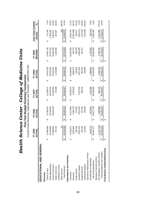|                                   |                             |                   |         |            |   | Current Funds Revenues, Expenditures and Transfers - UNRESTRICTED |                       |            |                       |            |                  |           |
|-----------------------------------|-----------------------------|-------------------|---------|------------|---|-------------------------------------------------------------------|-----------------------|------------|-----------------------|------------|------------------|-----------|
|                                   | FY 2005<br>ACTUAL           |                   | FY 2006 |            |   | FY 2007                                                           |                       | FY 2008    |                       | FY 2009    | FIVE-YEAR CHANGE |           |
|                                   |                             |                   | ACTUAL  |            |   | ACTUAL                                                            |                       | ACTUAL     |                       | REVISED    | Amount           | వ్        |
| EDUCATIONAL AND GENERAL           |                             |                   |         |            |   |                                                                   |                       |            |                       |            |                  |           |
| Revenues                          |                             |                   |         |            |   |                                                                   |                       |            |                       |            |                  |           |
| Tuition & Fees                    | 12,589,990<br>↔             | ↮                 |         | 12,780,457 | ↔ | 12,758,077                                                        | ↔                     | 12,872,378 | ↔                     | 13,307,136 | 717,146<br>↔     | 5.7%      |
| State Appropriations              | 42,118,800                  |                   |         | 43,139,600 |   | 46,073,700                                                        |                       | 49,379,400 |                       | 46,578,100 | 4,459,300        | 10.6%     |
| Grants & Contracts                | ,808,561<br>27              |                   |         | 30,042,544 |   | 30,196,584                                                        |                       | 32,976,016 |                       | 34,463,388 | 6,654,827        | 23.9%     |
| Sales & Services                  | 737,143                     |                   |         |            |   | 170,046                                                           |                       | 1,378,685  |                       | 1,405,000  | 667,857          | 90.6%     |
| Investment Income                 |                             |                   |         |            |   |                                                                   |                       |            |                       |            |                  |           |
| Other Sources                     |                             | 54                |         |            |   |                                                                   |                       |            |                       |            | (54)             | $-100.0%$ |
| <b>Total Revenues</b>             | 1,254,548<br>$\frac{33}{2}$ | $\leftrightarrow$ |         | 85,962,601 | ↮ | 89,198,407                                                        | $\boldsymbol{\omega}$ | 96,606,478 | $\boldsymbol{\omega}$ | 95,753,624 | 12,499,076<br>\$ | 15.0%     |
| Expenditures and Transfers        |                             |                   |         |            |   |                                                                   |                       |            |                       |            |                  |           |
| Instruction                       | ,258,571                    | ↮                 |         | 75,179,369 | ↮ | 78,202,874                                                        | ↮                     | 81,848,644 | ↮                     | 81,462,300 | 8,203,729<br>↮   | 11.2%     |
| Research                          | ,878,634                    |                   |         | 1,283,123  |   | 1,620,619                                                         |                       | 3,838,473  |                       | 497,574    | (2,381,060)      | $-82.7%$  |
| Public Service                    | 293,256                     |                   |         | 173,343    |   |                                                                   |                       | 416,864    |                       | 485,233    | 191,977          | 65.5%     |
| Academic Support                  | ,812,310                    |                   |         | 5,911,940  |   | 6,157,512                                                         |                       | 6,207,303  |                       | 5,685,839  | (126, 471)       | $-2.2%$   |
| Student Services                  | 495,236                     |                   |         | 557,105    |   | 586,743                                                           |                       | 583,232    |                       | 351,917    | (143, 319)       | $-28.9%$  |
| Institutional Support             | 110,546                     |                   |         | 138,992    |   |                                                                   |                       | 146,800    |                       |            | (110,546)        | $-100.0%$ |
| Operation & Maintenance of Plant  |                             |                   |         |            |   |                                                                   |                       |            |                       |            |                  |           |
| Scholarships & Fellowships        | 618,724                     |                   |         | 1,627,861  |   | 1,531,599                                                         |                       | 1,358,687  |                       | 1,570,000  | (48, 724)        | $-3.0%$   |
| Sub-total Expenditures            | ,467,277<br>$\frac{8}{4}$   | ↮                 |         | 84,871,733 | ↮ | 88,236,282                                                        | ↮                     | 94,400,003 | ↮                     | 90,052,863 | 5,585,586<br>↮   | 6.6%      |
| Mandatory Transfers (In)/Out      |                             |                   |         |            |   |                                                                   |                       |            |                       |            |                  |           |
| Non-Mandatory Transfers (In)/Out  | 212,729)                    |                   |         | 1,090,869  |   | 962,125                                                           |                       | 2,206,475  |                       | 5.700.761  | 6,913,490        | $-570.1%$ |
| Total Expenditures and Transfers  | ,254,548<br>$\frac{3}{2}$   | ↮                 |         | 85,962,601 | ↮ | 89,198,407                                                        | ↮                     | 96,606,478 | ⇔∥                    | 95,753,624 | 12,499,076<br>↮  | 15.0%     |
| Fund Balance Addition/(Reduction) |                             | ↮                 |         |            | ↮ |                                                                   | ↮                     |            | ↮                     |            | ↔                |           |
|                                   |                             |                   |         |            |   |                                                                   |                       |            |                       |            |                  |           |

**Health Science Center - College of Medicine Units<br>Five-Year Budget Summary Comparison<br>Current Eunds Revenues. Expenditures and Transfers - UNRESTRICTED** *Health Science Center - College of Medicine Units* **Five-Year Budget Summary Comparison**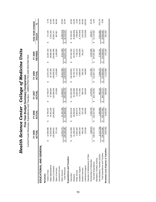|                                   | FY 2005<br>ACTUAL | FY 2006<br>ACTUAI | FY 2007<br>ACTUAI | FY 2008<br>ACTUAI | REVISED<br><b>FY 2009</b> | FIVE-YEAR CHANGE<br>Amount | న్        |
|-----------------------------------|-------------------|-------------------|-------------------|-------------------|---------------------------|----------------------------|-----------|
| EDUCATIONAL AND GENERAL           |                   |                   |                   |                   |                           |                            |           |
| Revenues                          |                   |                   |                   |                   |                           |                            |           |
| Tuition & Fees                    | 12,589,990<br>↮   | 12,780,457<br>ക   | 12,758,077<br>↔   | 12,872,378<br>↔   | 13,307,136<br>ഗ           | 717,146<br>↔               | 5.7%      |
| State Appropriations              | 43,353,800        | 44,401,200        | 47,388,600        | 50,745,300        | 48,885,000                | 5,531,200                  | 12.8%     |
| Grants & Contracts                | 125,898,641       | 134,989,623       | 133,696,536       | 39,568,016        | 140,963,388               | 15,064,747                 | 12.0%     |
| Sales & Services                  | 737,143           |                   | 170,046           | 1,378,685         | 1,405,000                 | 667,857                    | 90.6%     |
| Investment Income                 |                   |                   |                   |                   |                           |                            |           |
| Other Sources                     | 11,576,772        | 21, 197, 248      | 11,536,517        | 15,412,300        | 9.311.200                 | (2.265, 572)               | $-19.6%$  |
| <b>Total Revenues</b>             | 194, 156, 346     | 213,368,528<br>↮  | 205,549,776<br>↮  | 219,976,678<br>↮  | 213,871,724<br>↮          | 19,715,378<br>↮            | 10.2%     |
| Expenditures and Transfers        |                   |                   |                   |                   |                           |                            |           |
| Instruction                       | 126, 141, 858     | 134,304,534<br>မာ | 141,603,256<br>ക  | 149,493,655<br>↮  | 147,462,300<br>မာ         | 21,320,442<br>↮            | 16.9%     |
| Research                          | 51,348,079        | 49,060,691        | 45,343,090        | 46,720,776        | 44,379,574                | (6,968,505)                | $-13.6%$  |
| Public Service                    | 8,581,920         | 9,064,574         | 6,829,156         | 7.722.144         | 7,785,233                 | (796,687)                  | $-9.3%$   |
| Academic Support                  | 6,565,433         | 7,201,438         | 6,772,481         | 5,568,924         | 5,085,839                 | (1, 479, 594)              | $-22.5%$  |
| <b>Student Services</b>           | 495,236           | 557,105           | 586,743           | 583,232           | 351,917                   | (143, 319)                 | $-28.9%$  |
| Institutional Support             | 110,546           | 138,992           | 136,934           | 146,800           |                           | (110,546)                  | $-100.0%$ |
| Operation & Maintenance of Plant  |                   |                   |                   |                   |                           |                            |           |
| Scholarships & Fellowships        | 2284343           | 2,309,759         | 2,476,931         | 2,421,586         | 2,633,000                 | 348,657                    | 15.3%     |
| Sub-total Expenditures            | 195,527,415       | 202,637,093<br>↮  | 203,748,591<br>↮  | 212,657,118<br>↮  | 207,697,863<br>↮          | 12,170,448<br>↔            | 6.2%      |
| Mandatory Transfers (In)/Out      |                   |                   |                   |                   |                           |                            |           |
| Non-Mandatory Transfers (In)/Out  | (1,212,729)       | 1,090,869         | 962,125           | 2,206,475         | 5,700,761                 | 6,913,490                  | $-570.1%$ |
| Total Expenditures and Transfers  | 194,314,686       | 203,727,961<br>↮  | 204,710,717<br>S  | 214,863,593<br>↮  | 213,398,624<br>↮          | 19,083,938<br>↮            | 9.8%      |
| Revenues Less Expend. & Transfers | (158, 340)        | 9,640,567         | 839,059           | 5,113,086         | 473,100                   | 631,440                    |           |
|                                   |                   |                   |                   |                   |                           |                            |           |

Health Science Center - College of Medicine Units *Health Science Center - College of Medicine Units* **Five-Year Budget Summary Comparison**<br>Current Funds Revenues, Expenditures and Transfers - UNRESTRICTED AND RESTRICTED **Five-Year Budget Summary Comparison**

Current Funds Revenues, Expenditures and Transfers - UNRESTRICTED AND RESTRICTED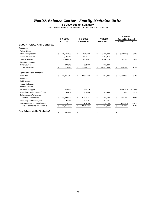#### *Health Science Center - Family Medicine Units*

#### **FY 2009 Budget Summary**

|                                          |                |               |                |                 |         |                |                            | <b>CHANGE</b> |           |
|------------------------------------------|----------------|---------------|----------------|-----------------|---------|----------------|----------------------------|---------------|-----------|
|                                          | <b>FY 2008</b> |               | <b>FY 2009</b> |                 | FY 2009 |                | <b>Original to Revised</b> |               |           |
|                                          |                | <b>ACTUAL</b> |                | <b>ORIGINAL</b> |         | <b>REVISED</b> |                            | Amount        | %         |
| <b>EDUCATIONAL AND GENERAL</b>           |                |               |                |                 |         |                |                            |               |           |
| <b>Revenues</b>                          |                |               |                |                 |         |                |                            |               |           |
| <b>Tuition &amp; Fees</b>                |                |               |                |                 |         |                |                            |               |           |
| <b>State Appropriations</b>              | \$             | 10,176,400    | \$             | 10,019,300      | \$      | 9,702,000      | \$                         | (317, 300)    | $-3.2%$   |
| <b>Grants &amp; Contracts</b>            |                | 3,104,313     |                | 3,104,314       |         | 3,104,314      |                            |               |           |
| Sales & Services                         |                | 9,390,457     |                | 8,687,607       |         | 9,380,175      |                            | 692,568       | 8.0%      |
| Investment Income                        |                |               |                |                 |         |                |                            |               |           |
| <b>Other Sources</b>                     |                | 498,945       |                | 501,000         |         | 501,000        |                            |               |           |
| <b>Total Revenues</b>                    | \$             | 23,170,115    | \$             | 22,312,221      | \$      | 22,687,489     | \$                         | 375,268       | 1.7%      |
| <b>Expenditures and Transfers</b>        |                |               |                |                 |         |                |                            |               |           |
| Instruction                              | \$             | 22,041,342    | \$             | 20,672,136      | \$      | 22,004,734     | \$                         | 1,332,598     | 6.4%      |
| Research                                 |                |               |                |                 |         |                |                            |               |           |
| <b>Public Service</b>                    |                |               |                |                 |         |                |                            |               |           |
| Academic Support                         |                |               |                |                 |         |                |                            |               |           |
| <b>Student Services</b>                  |                |               |                |                 |         |                |                            |               |           |
| <b>Institutional Support</b>             |                | 239,694       |                | 946,230         |         |                |                            | (946, 230)    | $-100.0%$ |
| Operation & Maintenance of Plant         |                | 209,797       |                | 187,048         |         | 187,448        |                            | 400           | 0.2%      |
| Scholarships & Fellowships               |                |               |                |                 |         |                |                            |               |           |
| Sub-total Expenditures                   | \$             | 22,490,833    | \$             | 21,805,414      | \$      | 22,192,182     | \$                         | 386,768       | 1.8%      |
| Mandatory Transfers (In)/Out             |                | 98,762        |                | 102,107         |         | 102,107        |                            |               |           |
| Non-Mandatory Transfers (In)/Out         |                | 176,968       |                | 404,700         |         | 393,200        |                            | (11,500)      | $-2.8%$   |
| <b>Total Expenditures and Transfers</b>  | \$             | 22,766,563    | \$             | 22,312,221      | \$      | 22,687,489     | \$                         | 375,268       | 1.7%      |
| <b>Fund Balance Addition/(Reduction)</b> | \$             | 403,552       | \$             |                 | \$      |                | \$                         |               |           |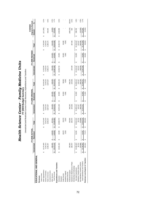# *Health Science Center - Family Medicine Unit s*

**FY 2009 Budget Summar y** Unrestricted and Restricted Current Funds Revenues, Expenditures and Transfers

 $3.2%$  $8.0%$  $-0.3%$  $1.7%$  $6.4%$ 100.0%  $0.2\%$  $1.8%$  $-2.8%$  $1.7%$ CHANGE<br>Original to Revised<br>Amount %  $\cdot$ ł المادي Appropriations 10,176,400 \$ 10,176,600 \$ 10,176,600 \$ 10,176,600 \$ 9,702,000 \$ 9,702,000 \$ 9,702,000 \$ 9,702,000 \$ 9,702,000 \$ 9,702,000 \$ 9,702,000 \$ 9,702,000 \$ 9,702,000 \$ 9,702,000 \$ (317,300 \$ 9,700) \$ -3.2% \$ Sales & Services 9,390,457 9,390,175 9,390,107,175 9,390,100,175 9,380,180,175 9,380,180,175 9,380,175 9,380,189,175 8,687,175 9,380,189,175 9,390,195 8,887,075 9,390,175 9,380,189,175 9,380,175 9,380,175 9,380,175 9,390,1 %6;0 (000;07 0001525 \$ 000;055 \$ 0001503 \$ 0001505 \$ 626,000 \$ 526,000 \$ 626,000 \$ 625,000 \$ 625,000 \$ 625,000 17%; 23,170,115 \$ 23,210,115 \$ 23,298,865 \$ 23,298,221 \$ 22,312,221 \$ 22,312,221 \$ 22,312,221 \$ 22,89,000 \$ 23,000 \$ 23,000 \$ 23,000 \$ 23,000 \$ 23,000 \$ 23,000 \$ 23,000 \$ 23,000 \$ 23,000 \$ 23,000 \$ 373,2747.27% INSTRUCTION \$ 22,000,000 \$ \$ 22,000,000 \$ 20,000,000 \$ 20,000,000 \$ 20,000,000 \$ 20,000,000 \$ 20,000 \$ 20,000 \$ 20,000 \$ 20,000 \$ 20,000 \$ 20,000 \$ 20,000 \$ 20,000 \$ 20,000 \$ 20,000 \$ 20,000 \$ 20,000 \$ 1,332,599 \$ 6.4% Institutional Support 239,694 239,694 946,230 946,230 (946,230) 100.0% Operation & Maintenance of Plant 209,797 187,048 187,048 187,048 187,048 187,048 187,448 187,448 187,448 187,448 187,448 187,048 187,448 187,448 187,448 187,448 187,448 187,448 187,448 187,448 187,448 187,448 187,448 187,4 Sub-total Expenditures 22,490,833 \$ 51,591 \$ 22,542,424 \$ 21,805,414 \$ 54,000 \$ 21,859,414 \$ 22,192,182 \$ 54,000 \$ 22,246,182 \$ 386,768 \$ 1.8% Non-Mandatory Transfers (In)/Out 176,968 176,968 176,976,976,876 176,988 404,700 404,700 393,200 393,200 176,968 176,968 404,700 393,200 176,968 404,700 393,200 176,968 404,7470 404,700 393,200 176,988 404,747 179,000 179, e Subdivento 3,104,310,104,310,104,314,314 3,104,310,104,314 3,104,310,314 3,104,310,310,314 3,104,310,310,314 3,104,310,314 3,104,310,314 3,104,310,314 3,104,314 3,104,314 3,104,314 3,104,314 3,104,314 3,104,314 3,104,314 Public Service 28,670 20,000,000 30,000 30,000 30,000 30,000 30,000 30,000 30,000 30,000 30,000 30,000 30,000 30,000 30,000 30,000 30,000 30,000 30,000 30,000 30,000 30,000 30,000 30,000 30,000 30,000 30,000 30,000 30,000 , academic Sucesmo 3,529,63 3,526 3,526 3,526 3,526 4,000 4,000 4,000 4,000 4,000 4,000 4,000 4,000 4,000 4,000 4,000 4,000 4,000 4,000 4,000 4,000 4,000 4,000 4,000 4,000 4,000 4,000 4,000 4,000 4,000 4,000 4,000 4,000 4, Mandatory Transfers (In)/Out 98,762 102,107 102,107 102,107 102,107 102,107 102,107 102,107 102,107 102,107 102,107 102,107 102,107 102,107 102,107 102,107 102,107 102,107 102,107 102,107 102,107 102,107 102,107 102,107 10 **Original to Revised** Unrestricted Restricted Restricted Restricted Restricted Dinrestricted Dinrestricted Restricted Restricted Restricted Dinrestricted Dinrestricted Restricted Dinrestricted Dinrestricted Dinrestricted Dinrestricted Dinrestr **CHANGE**  $(11,500)$  $(317,300)$ D<sub>00</sub>  $(946, 230)$ 400 692,568  $$ 1,332,598$ 386,768 375,268 373,268  $\theta$  $\epsilon$  $\theta$ 9,702,000<br>3,104,314<br>9,380,175 30,000<br>4,000 102,107 524,000 22,024,734 187,448 22,246,182  $$22,741,489$ 22,810,489 Total  $\theta$  $\omega$ Ø FY 2009 REVISED **FY 2009 REVISED** 123,000 20,000 54,000 54,000 30,000 123,000 4,000 Restricted  $\theta$  $\omega$ မ 9,702,000<br>3,104,314 501,000 102,107 393,200 22,687,489 22,004,734 22, 192, 182 9,380,175 187,448 Unrestricted 22,687,489  $\omega$ မာ  $\theta$  $\theta$ 10,019,300<br>3,104,314<br>8,687,607 626,000 30,000 946,230 187,048 102,107 404,700 20,692,136 4,000 21,859,414  $$22,366,221$ 22,437,221 Total  $\omega$  $\omega$  $\omega$ FY 2009 ORIGINAL<br>I Restricted **FY 2009 ORIGINAL** 20,000 54,000 54,000 125,000 125,000 30,000 4,000  $\omega$  $\omega$ မာ 946,230 187,048 Unrestricted 10,019,300 3,104,314 501,000  $$20,672,136$ 21,805,414 102,107 404,700 22,312,221 8,687,607 22,312,221 s  $\theta$  $\omega$  $10,176,400$ <br> $3,104,313$ <br> $9,390,457$ 627,811 28,670 3,526 239,694<br>209,797 98,762 76,968 23,298,980 22,060,737 22,542,424 22,818,154 Total  $\theta$  $\theta$  $\omega$ မာ **FY 2008 ACTUAL** FY 2008 ACTUAL 19,395 51,591 28,670 51,591 3,526 128.86 Restricted 128  $\theta$  $\theta$ Ø  $10,176,400$ <br> $3,104,313$ <br> $9,390,457$ 498,945  $$22,041,342$ 239,694<br>209,797 22,490,833 98,762 \$22,766,563 Unrestricted 23,170,115 76,968  $\theta$  $\omega$ မာ **EDUCATIONAL AND GENERAL** EDUCATIONAL AND GENERAL Total Expenditures and Transfers Operation & Maintenance of Plant Non-Mandatory Transfers (In)/Out Expenditures and Transfers **Expenditures and Transfers** Mandatory Transfers (In)/Out Scholarships & Fellowships Scholarships & Fellowships Sub-total Expenditures State Appropriations Institutional Support Grants & Contracts Investment Income Academic Support Investment Income Sales & Services **Total Revenues** Student Services Student Services Tuition & Fees Other Sources Public Service Tuition & Fees Revenues Instruction **Revenues** Research Research

Topal Expenditures and Transfers \$ 52,766,563 \$ 51,591,221 \$ 52,312,221 \$ 52,312,221 \$ 54,000 \$ 54,000 \$ 54,000 \$ 54,000 \$ 54,000 \$ 54,000 \$ 54,000 \$ 375,489 \$ 54,000 \$ 54,000 \$ 54,000 \$ 54,000 \$ 54,000 \$ 375,489 \$ 54,000

**Revenues Less Expend. & Transfers** 403,552 \$ 77,274 \$ 480,826 \$ - \$ 71,000 \$ 71,000 \$ - \$ 69,000 \$ 69,000 \$ (2,000) \$

480,826

မာ

77,274

မာ

403,552

Ø

Revenues Less Expend. & Transfers

G

 $(2,000)$ 

 $\epsilon$ 

69,000

Ø

69,000

ക

71,000

Ø

71,000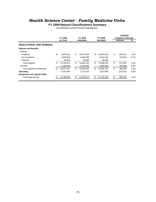# *Health Science Center - Family Medicine Units*

**FY 2009 Natural Classifications Summary**

Unrestricted Current Funds Expenditures

|                                     | FY 2008          | FY 2009          |     | <b>FY 2009</b> |     | <b>CHANGE</b><br><b>Original to Revised</b> |         |
|-------------------------------------|------------------|------------------|-----|----------------|-----|---------------------------------------------|---------|
|                                     | <b>ACTUAL</b>    | <b>ORIGINAL</b>  |     | <b>REVISED</b> |     | Amount                                      | %       |
| <b>EDUCATIONAL AND GENERAL</b>      |                  |                  |     |                |     |                                             |         |
| <b>Salaries and Benefits</b>        |                  |                  |     |                |     |                                             |         |
| <b>Salaries</b>                     |                  |                  |     |                |     |                                             |         |
| Academic                            | \$<br>9,659,305  | \$<br>10,073,494 | \$  | 10,632,640     | \$  | 559.146                                     | 5.6%    |
| Non-Academic                        | 4,492,866        | 4,848,296        |     | 4,816,245      |     | (32,051)                                    | $-0.7%$ |
| <b>Students</b>                     | 38,640           | 39,360           |     | 39,360         |     |                                             |         |
| <b>Total Salaries</b>               | \$<br>14,190,811 | \$<br>14,961,150 | \$. | 15,488,245     | \$. | 527,095                                     | 3.5%    |
| <b>Benefits</b>                     | 4,136,526        | 4.129.345        |     | 4.092.949      |     | (36,396)                                    | $-0.9%$ |
| <b>Total Salaries and Benefits</b>  | \$<br>18,327,337 | \$<br>19.090.495 | \$  | 19.581.194     | \$  | 490.699                                     | 2.6%    |
| Operating                           | 4,163,496        | 2,714,919        |     | 2,610,988      |     | (103, 931)                                  | $-3.8%$ |
| <b>Equipment and Capital Outlay</b> |                  |                  |     |                |     |                                             |         |
| <b>Total Expenditures</b>           | 22,490,833       | \$<br>21,805,414 | \$  | 22,192,182     | \$. | 386,768                                     | 1.8%    |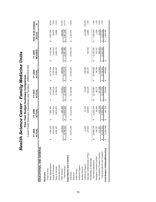|                                   |   | Current Funds Revenues, Expenditures and Transfers - UNRESTRICTED |                        |                          |                        |                   |                         |                   |   |                           |              |                  |           |
|-----------------------------------|---|-------------------------------------------------------------------|------------------------|--------------------------|------------------------|-------------------|-------------------------|-------------------|---|---------------------------|--------------|------------------|-----------|
|                                   |   | FY 2005<br>Ъ<br><b>ACT</b>                                        |                        | FY 2006<br><b>ACTUAL</b> |                        | ACTUAL<br>FY 2007 |                         | FY 2008<br>ACTUAL |   | <b>REVISED</b><br>FY 2009 |              | FIVE-YEAR CHANGE | న్        |
| EDUCATIONAL AND GENERAL           |   |                                                                   |                        |                          |                        |                   |                         |                   |   |                           |              | Amount           |           |
| Revenues                          |   |                                                                   |                        |                          |                        |                   |                         |                   |   |                           |              |                  |           |
| Tuition & Fees                    |   |                                                                   |                        |                          |                        |                   |                         |                   |   |                           |              |                  |           |
| State Appropriations              | ↔ | 7,094,100                                                         | ↔                      | 7,660,700                | ↮                      | 9,471,000         | ↮                       | 10,176,400        | ↔ | 9,702,000                 | ↔            | 2,607,900        | 36.8%     |
| Grants & Contracts                |   | 3,014,638                                                         |                        | 3,104,315                |                        | 3,104,313         |                         | 3,104,313         |   | 3,104,314                 |              | 89,676           | 3.0%      |
| Sales & Services                  |   | 361,187<br>တ                                                      |                        | 9,676,070                |                        | 9,738,478         |                         | 9,390,457         |   | 9,380,175                 |              | 18,988           | 0.2%      |
| Investment Income                 |   |                                                                   |                        |                          |                        |                   |                         |                   |   |                           |              |                  |           |
| Other Sources                     |   | 310,518                                                           |                        | 392.448                  |                        | 474,817           |                         | 498.945           |   | 501.000                   |              | 190,482          | 61.3%     |
| <b>Total Revenues</b>             |   | ,780,443<br><u>(a</u>                                             | ↮                      | 20,833,533               | <b>↔</b>               | 22,788,608        | ↮                       | 23,170,115        | ↮ | 22,687,489                | <del>∽</del> | 2,907,046        | 14.7%     |
| Expenditures and Transfers        |   |                                                                   |                        |                          |                        |                   |                         |                   |   |                           |              |                  |           |
| Instruction                       |   | 373,163<br>20,                                                    | ↮                      | 21,013,932               | ↮                      | 22, 163, 462      | ↮                       | 22,041,342        | ↮ | 22,004,734                | ↮            | 1,631,571        | 8.0%      |
| Research                          |   |                                                                   |                        |                          |                        |                   |                         |                   |   |                           |              |                  |           |
| Public Service                    |   |                                                                   |                        |                          |                        |                   |                         |                   |   |                           |              |                  |           |
| Academic Support                  |   |                                                                   |                        |                          |                        |                   |                         |                   |   |                           |              |                  |           |
| Student Services                  |   |                                                                   |                        |                          |                        |                   |                         |                   |   |                           |              |                  |           |
| Institutional Support             |   | 12,400                                                            |                        | 15,218                   |                        | 15,200            |                         | 239,694           |   |                           |              | (12,400)         | $-100.0%$ |
| Operation & Maintenance of Plant  |   | 174,565                                                           |                        | 202,994                  |                        | 192,224           |                         | 209,797           |   | 187,448                   |              | 12,883           | 7.4%      |
| Scholarships & Fellowships        |   |                                                                   |                        |                          |                        |                   |                         |                   |   |                           |              |                  |           |
| Sub-total Expenditures            |   | 560,129<br>20                                                     | ↔                      | 21,232,144               | ↮                      | 22,370,887        | ↮                       | 22,490,833        | ↮ | 22, 192, 182              | ↔            | 1,632,053        | 7.9%      |
| Mandatory Transfers (In)/Out      |   | 100,767                                                           |                        | 98,106                   |                        | 95,273            |                         | 98,762            |   | 102, 107                  |              | 1,340            | 1.3%      |
| Non-Mandatory Transfers (In)/Out  |   | 374,307                                                           |                        | (429, 404)               |                        | 147,398           |                         | 176,968           |   | 393,200                   |              | 18,893           | 5.0%      |
| Total Expenditures and Transfers  |   | 035,203<br>$\frac{21}{1}$                                         | $\boldsymbol{\varphi}$ | 20,900,846               | $\boldsymbol{\varphi}$ | 22,613,558        | $\pmb{\leftrightarrow}$ | 22,766,563        | ↮ | 22,687,489                | ↮            | 1,652,286        | 7.9%      |
| Fund Balance Addition/(Reduction) |   | 254,760)                                                          | ↔                      | (67, 313)                | ↔                      | 175,050           | ↔                       | 403,552           | ↔ |                           | ↔            | 1,254,760        |           |
|                                   |   |                                                                   |                        |                          |                        |                   |                         |                   |   |                           |              |                  |           |

Health Science Center - Family Medicine Units<br>Five-Year Budget Summary Comparison *Health Science Center - Family Medicine Units* **Five-Year Budget Summary Comparison**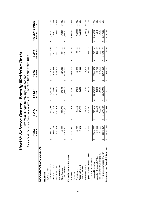|                                   |    | FY 2005<br><b>NC</b><br>ACT |   | FY 2006<br>ACTUAL |   | FY 2007<br>ACTUAL |   | FY 2008<br>ACTUAL |   | <b>REVISED</b><br>FY 2009 |   | FIVE-YEAR CHANGE<br>Amount | ℅         |
|-----------------------------------|----|-----------------------------|---|-------------------|---|-------------------|---|-------------------|---|---------------------------|---|----------------------------|-----------|
| EDUCATIONAL AND GENERAL           |    |                             |   |                   |   |                   |   |                   |   |                           |   |                            |           |
| Revenues                          |    |                             |   |                   |   |                   |   |                   |   |                           |   |                            |           |
| Tuition & Fees                    |    |                             |   |                   |   |                   |   |                   |   |                           |   |                            |           |
| State Appropriations              | ↮  | 7,094,100                   | ↮ | 7,660,700         | ↮ | 9,471,000         | ↮ | 10,176,400        | ↮ | 9,702,000                 | ↮ | 2,607,900                  | 36.8%     |
| Grants & Contracts                |    | 3,009,493                   |   | 3,104,315         |   | 3,103,963         |   | 3,104,313         |   | 3,104,314                 |   | 94,821                     | 3.2%      |
| Sales & Services                  |    | 361,187                     |   | 9,676,070         |   | 9,738,478         |   | 9,390,457         |   | 9,380,175                 |   | 18,988                     | 0.2%      |
| Investment Income                 |    |                             |   |                   |   |                   |   |                   |   |                           |   |                            |           |
| Other Sources                     |    | 453,339                     |   | 509,770           |   | 570,478           |   | 627,811           |   | 624,000                   |   | 170,661                    | 37.6%     |
| <b>Total Revenues</b>             |    | 918,120<br>$\frac{9}{2}$    | ↮ | 20,950,855        | ↮ | 22,883,919        | ↮ | 23,298,980        | ↮ | 22,810,489                | ↮ | 2,892,369                  | 14.5%     |
| Expenditures and Transfers        |    |                             |   |                   |   |                   |   |                   |   |                           |   |                            |           |
| Instruction                       |    | 369,970<br>20               | ↔ | 21,088,625        | ↔ | 22, 167, 861      | ↔ | 22,060,737        | ↔ | 22,024,734                | ↮ | 1,654,764                  | 8.1%      |
| Research                          |    |                             |   |                   |   |                   |   |                   |   |                           |   |                            |           |
| Public Service                    |    | 53,879                      |   | 54,196            |   | 37,012            |   | 28,670            |   | 30,000                    |   | (23, 879)                  | $-44.3%$  |
| Academic Support                  |    | 15,276                      |   | 14,786            |   | 61,599            |   | 3,526             |   | 4,000                     |   | (11,276)                   | $-73.8%$  |
| Student Services                  |    |                             |   |                   |   |                   |   |                   |   |                           |   |                            |           |
| Institutional Support             |    | 12,400                      |   | 15,218            |   | 15,200            |   | 239,694           |   |                           |   | (12, 400)                  | $-100.0%$ |
| Operation & Maintenance of Plant  |    | 174,565                     |   | 202,994           |   | 192,224           |   | 209,797           |   | 187,448                   |   | 12,883                     | 7.4%      |
| Scholarships & Fellowships        |    |                             |   |                   |   |                   |   |                   |   |                           |   |                            |           |
| Sub-total Expenditures            | မာ | ,626,090<br>$\overline{5}$  | ↮ | 21,375,819        | ↮ | 22,473,897        | ↮ | 22,542,424        | ↮ | 22,246,182                | ↮ | 1,620,092                  | 7.9%      |
| Mandatory Transfers (In)/Out      |    | 100,767                     |   | 98,106            |   | 95,273            |   | 98,762            |   | 102,107                   |   | 1,340                      | 1.3%      |
| Non-Mandatory Transfers (In)/Out  |    | 374,307                     |   | (429, 404)        |   | 147,398           |   | 176,968           |   | 393,200                   |   | 18,893                     | 5.0%      |
| Total Expenditures and Transfers  |    | ,101,164<br>$\frac{1}{2}$   | ↮ | 21,044,520        | ↮ | 22,716,568        | ↮ | 22,818,154        | ↔ | 22,741,489                | ↮ | 1,640,325                  | 7.8%      |
| Revenues Less Expend. & Transfers |    | (1, 183, 044)               | ↔ | (93, 665)         | ക | 167,351           | ക | 480,826           | ↔ | 69,000                    | ക | 1,252,044                  |           |
|                                   |    |                             |   |                   |   |                   |   |                   |   |                           |   |                            |           |

Health Science Center - Family Medicine Units *Health Science Center - Family Medicine Units* **Five-Year Budget Summary Comparison**<br>Current Funds Revenues, Expenditures and Transfers - UNRESTRICTED AND RESTRICTED **Five-Year Budget Summary Comparison**

Current Funds Revenues, Expenditures and Transfers - UNRESTRICTED AND RESTRICTED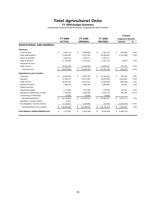# *Total Agricultural Units*

#### **FY 2009 Budget Summary**

|                                          |                   |                   |    |                | <b>CHANGE</b>              |          |
|------------------------------------------|-------------------|-------------------|----|----------------|----------------------------|----------|
|                                          | FY 2008           | FY 2009           |    | FY 2009        | <b>Original to Revised</b> |          |
|                                          | <b>ACTUAL</b>     | <b>ORIGINAL</b>   |    | <b>REVISED</b> | <b>Amount</b>              | $\%$     |
| <b>EDUCATIONAL AND GENERAL</b>           |                   |                   |    |                |                            |          |
| <b>Revenues</b>                          |                   |                   |    |                |                            |          |
| <b>Tuition &amp; Fees</b>                | \$<br>5,953,715   | \$<br>6,696,853   | \$ | 7,361,742      | \$<br>664,889              | 9.9%     |
| <b>State Appropriations</b>              | 72,816,400        | 71,517,600        |    | 69,369,800     | (2, 147, 800)              | $-3.0%$  |
| <b>Grants &amp; Contracts</b>            | 2,957,379         | 2,705,177         |    | 2,705,177      |                            |          |
| Sales & Services                         | 17,734,591        | 17,244,616        |    | 17,261,116     | 16,500                     | 0.1%     |
| Investment Income                        |                   |                   |    |                |                            |          |
| <b>Other Sources</b>                     | 20,168,305        | 14,692,083        |    | 15,666,357     | 974,274                    | 6.6%     |
| <b>Total Revenues</b>                    | \$<br>119,630,389 | \$<br>112,856,329 | \$ | 112,364,192    | \$<br>(492, 137)           | $-0.4%$  |
| <b>Expenditures and Transfers</b>        |                   |                   |    |                |                            |          |
| Instruction                              | \$<br>24,918,292  | \$<br>25,087,062  | \$ | 25,790,106     | \$<br>703,044              | 2.8%     |
| Research                                 | 37,048,774        | 34,073,367        |    | 36,974,669     | 2,901,302                  | 8.5%     |
| <b>Public Service</b>                    | 38,763,518        | 42,410,113        |    | 41,529,349     | (880, 764)                 | $-2.1%$  |
| Academic Support                         | 7,068,478         | 6,864,533         |    | 6,992,565      | 128,032                    | 1.9%     |
| <b>Student Services</b>                  |                   |                   |    |                |                            |          |
| <b>Institutional Support</b>             | 1,771,963         | 1,571,555         |    | 1,715,929      | 144,374                    | 9.2%     |
| Operation & Maintenance of Plant         | 2,742,832         | 3,036,385         |    | 3,442,173      | 405,788                    | 13.4%    |
| Scholarships & Fellowships               | 30,000            | 39,000            |    | 39,000         |                            |          |
| Sub-total Expenditures                   | \$<br>112,343,856 | \$<br>113,082,015 | \$ | 116,483,791    | \$<br>3,401,776            | 3.0%     |
| Mandatory Transfers (In)/Out             | 11,041            |                   |    |                |                            |          |
| Non-Mandatory Transfers (In)/Out         | 6,144,427         | 1,404,500         |    | 310,763        | (1,093,737)                | $-77.9%$ |
| <b>Total Expenditures and Transfers</b>  | \$<br>118,499,324 | \$<br>114,486,515 | S. | 116,794,554    | \$<br>2,308,039            | 2.0%     |
| <b>Fund Balance Addition/(Reduction)</b> | \$<br>1,131,065   | \$<br>(1,630,186) | \$ | (4,430,362)    | \$<br>(2,800,176)          |          |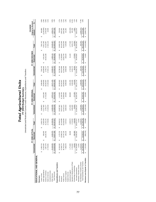| <br> <br> <br>م و معالی   |  |
|---------------------------|--|
| ļ<br>$1 + 1$              |  |
| ここうこう へい                  |  |
| $\overline{t}$<br>ś<br>í. |  |

**FY 2009 Budget Summar y** Unrestricted and Restricted Current Funds Revenues, Expenditures and Transfers

|                                   |                  | FY 2008 ACTUAL       |                   |                   | FY 2009 ORIGINAL |                   |                   | FY 2009 REVISED  |                   | <b>Original to Revised</b><br>CHANGE |          |
|-----------------------------------|------------------|----------------------|-------------------|-------------------|------------------|-------------------|-------------------|------------------|-------------------|--------------------------------------|----------|
|                                   | Unrestricted     | Restricted           | Total             | Unrestricted      | Restricted       | Total             | Unrestricted      | Restricted       | Total             | Amount                               | వ్       |
| EDUCATIONAL AND GENERAL           |                  |                      |                   |                   |                  |                   |                   |                  |                   |                                      |          |
| Revenues                          |                  |                      |                   |                   |                  |                   |                   |                  |                   |                                      |          |
| Tuition & Fees                    | 5,953,715<br>မာ  |                      | 5,953,715<br>မာ   | 6,696,853<br>မာ   |                  | 6,696,853<br>ĠĤ,  | 7,361,742<br>မာ   |                  | 7,361,742<br>ĠĤ,  | 664,889<br>မာ                        | 9.9%     |
| State Appropriations              | 72,816,400       | 600<br>565           | 73,382,000        | 71,517,600        | 4,542,300<br>ĠĤ, | 6,059,900         | 69,369,800        | 4,541,600<br>G   | 73,911,400        | 2,148,500)                           | $-2.8%$  |
| Grants & Contracts                | 2,957,379        | 762<br>28,233,       | 31,191,141        | 2,705,177         | 27,723,290       | 30,428,467        | 2,705,177         | 30,423,290       | 33, 128, 467      | 2,700,000                            | 8.9%     |
| Sales & Services                  | 17,734,591       |                      | 17,734,591        | 17,244,616        |                  | 17,244,616        | 17,261,116        |                  | 17,261,116        | 16,500                               | 0.1%     |
| Investment Income                 |                  |                      |                   |                   |                  |                   |                   |                  |                   |                                      |          |
| Other Sources                     | 20,168,305       | 4,028,076            | 24,196,381        | 14,692,083        | 3,879,110        | 18,571,193        | 15,666,357        | 4,499,110        | 20,165,467        | 1,594,274                            | 8.6%     |
| <b>Total Revenues</b>             | \$19,630,389     | :438<br>32,827,<br>G | 152,457,827<br>s, | \$112,856,329     | 36,144,700<br>∽  | \$149,001,029     | 112,364,192<br>ωľ | 39,464,000<br>69 | 151,828,192<br>မာ | 2,827,163<br>↮                       | 1.9%     |
| Expenditures and Transfers        |                  |                      |                   |                   |                  |                   |                   |                  |                   |                                      |          |
| Instruction                       | 24,918,292<br>မာ | ,720<br>1,175<br>θĤ  | 26,094,012<br>မာ  | 25,087,062<br>မာ  | 1,115,600<br>6Ĥ  | 26,202,662<br>မာ  | 25,790,106<br>မာ  | 1,115,600<br>မာ  | 26,905,706<br>မာ  | 703,044                              | 2.7%     |
| Research                          | 37,048,774       | 215<br>15,096,       | 52,144,989        | 34,073,367        | 21,168,700       | 55,242,067        | 36,974,669        | 21,168,600       | 58, 143, 269      | 2,901,202                            | 5.3%     |
| <b>Public Service</b>             | 38,763,518       | 16,767,129           | 55,530,646        | 42,410,113        | 13,099,550       | 55,509,663        | 41,529,349        | 16,822,700       | 58,352,049        | 2,842,386                            | 5.1%     |
| Academic Support                  | 7,068,478        | 169,133              | 7,237,611         | 6,864,533         | 104,850          | 6,969,383         | 6,992,565         | 108,100          | 7,100,665         | 131,282                              | 1.9%     |
| <b>Student Services</b>           |                  |                      |                   |                   |                  |                   |                   |                  |                   |                                      |          |
| Institutional Support             | 1,771,963        | 000<br>ෂ             | 1,840,972         | ,571,555          | 369,800          | 1,941,355         | 1,715,929         | 61,100           | 1,777,029         | (164, 326)                           | $-8.5%$  |
| Operation & Maintenance of Plant  | 2,742,832        |                      | 2,742,832         | 3,036,385         |                  | 3,036,385         | 3,442,173         |                  | 3,442,173         | 405,788                              | 13.4%    |
| Scholarships & Fellowships        | 30,000           | 609<br>206           | 236,609           | 39,000            | 171,200          | 210,200           | 39,000            | 173,500          | 212,500           | 2,300                                | 1.1%     |
| Sub-total Expenditures            | 112,343,856<br>Θ | 814<br>33,483<br>မာ  | 145,827,671<br>မာ | 113,082,015<br>ω  | 36,029,700<br>G  | \$ 149,111,715    | 116,483,791<br>မာ | 39,449,600<br>G  | 155,933,391<br>G  | 6,821,676<br>G                       | 4.6%     |
| Mandatory Transfers (In)/Out      | 11,041           |                      | 11,041            |                   |                  |                   |                   |                  |                   |                                      |          |
| Non-Mandatory Transfers (In)/Out  | 6,144,427        |                      | 6,144,427         | 1,404,500         |                  | 1,404,500         | 310,763           |                  | 310,763           | (1,093,737)                          | $-77.9%$ |
| Total Expenditures and Transfers  | \$18,499,324     | 1,814<br>33,483<br>Ø | 151,983,138<br>မာ | \$114,486,515     | 36,029,700<br>မာ | 150,516,215<br>မာ | 116,794,554<br>↮  | 39,449,600<br>မာ | \$156,244,154     | 5,727,939<br>မာ                      | 3.8%     |
| Revenues Less Expend. & Transfers | 1,131,065        | (656, 376)           | 474,689<br>မာ     | (1,630,186)<br>69 | 115,000<br>မာ    | (1,515,186)<br>ω  | (4,430,362)<br>မာ | 14,400<br>မာ     | (4, 415, 962)     | (2,900,776)<br>69                    |          |
|                                   |                  |                      |                   |                   |                  |                   |                   |                  |                   |                                      |          |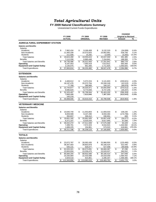# *Total Agricultural Units*

#### **FY 2009 Natural Classifications Summary**

Unrestricted Current Funds Expenditures

|                                        |                   |                   |                   | <b>CHANGE</b>                        |                |
|----------------------------------------|-------------------|-------------------|-------------------|--------------------------------------|----------------|
|                                        | <b>FY 2008</b>    | FY 2009           | FY 2009           | <b>Original to Revised</b><br>Amount |                |
|                                        | <b>ACTUAL</b>     | <b>ORIGINAL</b>   | <b>REVISED</b>    |                                      | %              |
| <b>AGRICULTURAL EXPERIMENT STATION</b> |                   |                   |                   |                                      |                |
| <b>Salaries and Benefits</b>           |                   |                   |                   |                                      |                |
| <b>Salaries</b>                        |                   |                   |                   |                                      |                |
| Academic                               | \$<br>7,962,434   | \$<br>9,166,408   | \$<br>9,132,319   | \$<br>(34,089)                       | $-0.4%$        |
| Non-Academic                           | 11,450,339        | 10,373,925        | 10,902,681        | 528,756                              | 5.1%           |
| <b>Students</b>                        | 211,506           | 15,282            | 12,000            | (3,282)                              | $-21.5%$       |
| <b>Total Salaries</b>                  | \$<br>19,624,280  | \$<br>19.555.615  | \$<br>20.047.000  | \$<br>491,385                        | 2.5%           |
| <b>Benefits</b>                        | 7,112,206         | 6,965,448         | 7,154,841         | 189,393                              | 2.7%           |
| <b>Total Salaries and Benefits</b>     | \$<br>26,736,486  | \$<br>26,521,063  | \$<br>27,201,841  | \$<br>680,778                        | 2.6%           |
| Operating                              | 8,187,053         | 7,050,419         | 7,613,812         | 563,393                              | 8.0%           |
| <b>Equipment and Capital Outlay</b>    | 2,140,075         | 661,000           | 1,711,825         | 1,050,825                            | 159.0%         |
| <b>Total Expenditures</b>              | \$<br>37,063,614  | \$<br>34,232,482  | \$<br>36,527,478  | \$<br>2,294,996                      | 6.7%           |
| <b>EXTENSION</b>                       |                   |                   |                   |                                      |                |
| <b>Salaries and Benefits</b>           |                   |                   |                   |                                      |                |
| Salaries                               |                   |                   |                   |                                      |                |
| Academic                               | \$<br>4,469,612   | \$<br>5,372,224   | \$<br>5,141,603   | \$<br>(230, 621)                     | $-4.3%$        |
| Non-Academic                           | 18,197,476        | 20,372,764        | 20,330,249        | (42, 515)                            | $-0.2%$        |
| <b>Students</b>                        | 77,789            | 280,983           | 184,107           | (96, 876)                            | $-34.5%$       |
| <b>Total Salaries</b>                  | \$<br>22,744,877  | \$<br>26,025,971  | \$<br>25,655,959  | \$<br>(370, 012)                     | $-1.4%$        |
| <b>Benefits</b>                        | 9,580,620         | 9,773,593         | 9,747,246         | (26, 347)                            | $-0.3%$        |
| <b>Total Salaries and Benefits</b>     | \$<br>32.325.497  | \$<br>35.799.564  | \$<br>35.403.205  | \$<br>(396, 359)                     | $-1.1%$        |
| Operating                              | 7,643,330         | 7,810,846         | 7,387,303         | (423, 543)                           | $-5.4%$        |
| <b>Equipment and Capital Outlay</b>    | 100,218           |                   |                   |                                      |                |
| <b>Total Expenditures</b>              | \$<br>40,069,045  | \$<br>43,610,410  | \$<br>42,790,508  | \$<br>(819,902)                      | $-1.9%$        |
|                                        |                   |                   |                   |                                      |                |
| <b>VETERINARY MEDICINE</b>             |                   |                   |                   |                                      |                |
| <b>Salaries and Benefits</b>           |                   |                   |                   |                                      |                |
| Salaries                               |                   |                   |                   |                                      |                |
| Academic                               | \$<br>10,640,740  | \$<br>11,553,803  | \$<br>11,693,033  | \$<br>139.230                        | 1.2%           |
| Non-Academic                           | 8,659,588         | 9,107,290         | 8,933,494         | (173, 796)                           | $-1.9%$        |
| <b>Students</b>                        | 350,837           | 330,412           | 330,901           | 489                                  | 0.1%           |
| <b>Total Salaries</b>                  | \$<br>19,651,165  | \$<br>20,991,505  | \$<br>20,957,428  | \$<br>(34,077)                       | $-0.2%$        |
| <b>Benefits</b>                        | 6,371,107         | 6,520,434         | 6,617,940         | 97,506                               | 1.5%           |
| <b>Total Salaries and Benefits</b>     | \$<br>26.022.272  | \$<br>27.511.939  | \$<br>27.575.368  | \$<br>63.429                         | 0.2%           |
| Operating                              | 7,499,701         | 7,572,323         | 9,016,915         | 1,444,592                            | 19.1%          |
| <b>Equipment and Capital Outlay</b>    | 1,689,225<br>\$   | 154,861           | 573,522<br>\$     | 418,661                              | 270.3%<br>5.5% |
| <b>Total Expenditures</b>              | 35,211,198        | \$<br>35,239,123  | 37,165,805        | \$<br>1,926,682                      |                |
| <b>TOTALS</b>                          |                   |                   |                   |                                      |                |
| <b>Salaries and Benefits</b>           |                   |                   |                   |                                      |                |
| Salaries                               |                   |                   |                   |                                      |                |
| Academic                               | \$<br>23.072.787  | \$<br>26,092,435  | \$<br>25,966,955  | \$<br>(125, 480)                     | $-0.5%$        |
| Non-Academic                           | 38,307,403        | 39,853,979        | 40,166,424        | 312,445                              | 0.8%           |
| <b>Students</b>                        | 640,131           | 626,677           | 527,008           | (99, 669)                            | $-15.9%$       |
| <b>Total Salaries</b>                  | \$<br>62.020.321  | \$<br>66,573,091  | \$<br>66,660,387  | \$<br>87.296                         | 0.1%           |
| <b>Benefits</b>                        | 23,063,934        | 23,259,475        | 23,520,027        | 260,552                              | 1.1%           |
| <b>Total Salaries and Benefits</b>     | \$<br>85,084,255  | \$<br>89,832,566  | \$<br>90.180.414  | \$<br>347.848                        | 0.4%           |
| Operating                              | 23,330,084        | 22,433,588        | 24,018,030        | 1,584,442                            | 7.1%           |
| <b>Equipment and Capital Outlay</b>    | 3,929,518         | 815,861           | 2,285,347         | 1,469,486                            | 180.1%         |
| <b>Total Expenditures</b>              | \$<br>112,343,856 | \$<br>113,082,015 | \$<br>116,483,791 | \$<br>3,401,776                      | 3.0%           |
|                                        |                   |                   |                   |                                      |                |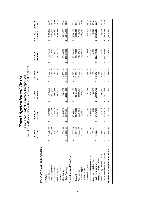|                                   |   | ACTUAL<br>FY 2005 |    | FY 2006<br>ACTUAL |   | FY 2007<br>ACTUAL |    | FY 2008<br>ACTUAL |   | <b>REVISED</b><br>FY 2009 | FIVE-YEAR CHANGE<br>Amount  | న్       |
|-----------------------------------|---|-------------------|----|-------------------|---|-------------------|----|-------------------|---|---------------------------|-----------------------------|----------|
| EDUCATIONAL AND GENERAL           |   |                   |    |                   |   |                   |    |                   |   |                           |                             |          |
| Revenues                          |   |                   |    |                   |   |                   |    |                   |   |                           |                             |          |
| Tuition & Fees                    | ↔ | 3,931,336         | ↔  | 4,870,180         | ക | 5,645,653         | ↔  | 5,953,715         | ↮ | 7,361,742                 | 3,430,406<br>↮              | 87.3%    |
| State Appropriations              |   | 62,170,600        |    | 63,775,000        |   | 68,144,800        |    | 72,816,400        |   | 69,369,800                | 7,199,200                   | 11.6%    |
| Grants & Contracts                |   | 2,505,287         |    | 2,865,715         |   | 3,091,275         |    | 2,957,379         |   | 2,705,177                 | 199,890                     | 8.0%     |
| Sales & Services                  |   | 12,061,222        |    | 12,687,502        |   | 13,418,106        |    | 17,734,591        |   | 17,261,116                | 5,199,894                   | 43.1%    |
| Investment Income                 |   |                   |    |                   |   |                   |    |                   |   |                           |                             |          |
| Other Sources                     |   | 12,054,480        |    | 14,503,316        |   | 12.984.264        |    | 20,168,305        |   | 15,666,357                | 3.611.877                   | 30.0%    |
| <b>Total Revenues</b>             | ↮ | 92,722,924        | ↮  | 98,701,714        | ↮ | 103,284,098       | ↔  | 119,630,389       | ↮ | 112,364,192               | 19,641,268<br>↮             | 21.2%    |
| Expenditures and Transfers        |   |                   |    |                   |   |                   |    |                   |   |                           |                             |          |
| Instruction                       | ↮ | 19,809,873        | မာ | 20,303,639        | ↮ | 22,168,273        | မာ | 24,918,292        | ഗ | 25,790,106                | 5,980,233<br>မာ             | 30.2%    |
| Research                          |   | 31,234,789        |    | 31,708,828        |   | 33,461,162        |    | 37,048,774        |   | 36,974,669                | 5,739,880                   | 18.4%    |
| <b>Public Service</b>             |   | 32,057,589        |    | 33,354,673        |   | 34,689,987        |    | 38,763,518        |   | 41,529,349                | 9,471,760                   | 29.5%    |
| Academic Support                  |   | 5,337,895         |    | 5,732,731         |   | 6,038,886         |    | 7,068,478         |   | 6,992,565                 | 1,654,670                   | 31.0%    |
| <b>Student Services</b>           |   |                   |    |                   |   |                   |    |                   |   |                           |                             |          |
| Institutional Support             |   | 897,714           |    | 1,111,080         |   | 1,241,719         |    | 1,771,963         |   | 1,715,929                 | 818,215                     | 91.1%    |
| Operation & Maintenance of Plant  |   | 2,408,284         |    | 2,698,008         |   | 2,690,706         |    | 2,742,832         |   | 3,442,173                 | 1,033,889                   | 42.9%    |
| Scholarships & Fellowships        |   | 22,500            |    | 9,000             |   | 30,000            |    | 30,000            |   | 39,000                    | 16,500                      | 73.3%    |
| Sub-total Expenditures            | ഗ | 91,768,645        | ഗ  | 94,917,960        | ക | 100,320,733       | ക  | 112,343,856       | ക | 116,483,791               | 24,715,146<br>ω             | 26.9%    |
| Mandatory Transfers (In)/Out      |   |                   |    |                   |   |                   |    | 11,041            |   |                           |                             |          |
| Non-Mandatory Transfers (In)/Out  |   | 555,771           |    | 2,612,215         |   | 1,851,520         |    | 6,144,427         |   | 310.763                   | (245,008)                   | $-44.1%$ |
| Total Expenditures and Transfers  | ↮ | 92,324,416        | ഗ  | 97,530,175        | ↮ | 102, 172, 252     | ↮  | 118,499,324       | ↮ | 116,794,554               | 24,470,138<br>$\frac{1}{2}$ | 26.5%    |
| Fund Balance Addition/(Reduction) |   | 398,508           | မာ | 1,171,539         | ↔ | 1,111,846         | မာ | 1,131,065         | ↔ | (4,430,362)               | (4,828,870)                 |          |
|                                   |   |                   |    |                   |   |                   |    |                   |   |                           |                             |          |

**Five-Year Budget Summary Comparison**<br>Current Funds Revenues, Expenditures and Transfers - UNRESTRICTED Total Agricultural Units **Five-Year Budget Summary Comparison** *Total Agricultural Units*

Current Funds Revenues, Expenditures and Transfers - UNRESTRICTED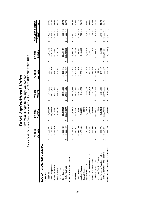|                                   |   | <b>FY 2005</b><br>ACTUAL |   | FY 2006<br>ACTUAL |    | FY 2007<br>ACTUAL |   | FY 2008<br><b>ACTUAL</b> |   | <b>REVISED</b><br>FY 2009 |   | FIVE-YEAR CHANGE<br>Amount | $\mathcal{S}_{\mathbf{e}}$ |
|-----------------------------------|---|--------------------------|---|-------------------|----|-------------------|---|--------------------------|---|---------------------------|---|----------------------------|----------------------------|
| EDUCATIONAL AND GENERAL           |   |                          |   |                   |    |                   |   |                          |   |                           |   |                            |                            |
| Revenues                          |   |                          |   |                   |    |                   |   |                          |   |                           |   |                            |                            |
| Tuition & Fees                    | ഗ | 3,931,336                | ↔ | 4,870,180         | ക  | 5,645,653         | ↔ | 5,953,715                | ↔ | 7,361,742                 | ക | 3,430,406                  | 87.3%                      |
| State Appropriations              |   | 63,033,043               |   | 64,703,989        |    | 68,718,702        |   | 73,382,000               |   | 73,911,400                |   | 10,878,357                 | 17.3%                      |
| Grants & Contracts                |   | 26,613,920               |   | 29,740,593        |    | 31,874,166        |   | 31, 191, 141             |   | 33,128,467                |   | 6,514,547                  | 24.5%                      |
| Sales & Services                  |   | 12,061,222               |   | 12,687,502        |    | 13,418,106        |   | 17,734,591               |   | 17,261,116                |   | 5,199,894                  | 43.1%                      |
| Investment Income                 |   |                          |   |                   |    |                   |   |                          |   |                           |   |                            |                            |
| Other Sources                     |   | 18,328,925               |   | 21,649,925        |    | 20,555.285        |   | 24,196,381               |   | 20,165,467                |   | 1,836,542                  | 10.0%                      |
| <b>Total Revenues</b>             |   | 123,968,446              | s | 133,652,190       | \$ | 140,211,913       | ↮ | 152,457,827              | ↮ | 151,828,192               | ↮ | 27,859,746                 | 22.5%                      |
| Expenditures and Transfers        |   |                          |   |                   |    |                   |   |                          |   |                           |   |                            |                            |
| Instruction                       | ↮ | 054,918<br>20.C          | ↮ | 20,816,628        | ↮  | 23,170,888        |   | 26,094,012               | ↮ | 26,905,706                | ↮ | 6,850,788                  | 34.2%                      |
| Research                          |   | 45,795,072               |   | 47,570,507        |    | 49,255,744        |   | 52, 144, 989             |   | 58,143,269                |   | 12,348,197                 | 27.0%                      |
| Public Service                    |   | 47,774,760               |   | 50,155,067        |    | 53,305,736        |   | 55,530,646               |   | 58,352,049                |   | 10,577,289                 | 22.1%                      |
| Academic Support                  |   | 5,489,039                |   | 5,904,571         |    | 6,169,261         |   | 7,237,611                |   | 7,100,665                 |   | 1,611,626                  | 29.4%                      |
| <b>Student Services</b>           |   |                          |   | 39,676            |    |                   |   |                          |   |                           |   |                            |                            |
| Institutional Support             |   |                          |   | 1,158,870         |    | 1,310,381         |   | 1,840,972                |   | 1,777,029                 |   | 731,691                    | 70.0%                      |
| Operation & Maintenance of Plant  |   | 1,045,338<br>2,408,284   |   | 2,698,008         |    | 2,690,706         |   | 2,742,832                |   | 3,442,173                 |   | 1,033,889                  | 42.9%                      |
| Scholarships & Fellowships        |   | 161,096                  |   | 226,466           |    | 248,023           |   | 236,609                  |   | 212,500                   |   | 51,404                     | 31.9%                      |
| Sub-total Expenditures            |   | 728,507<br>122,7         | ↮ | 128,569,793       | ↮  | 136, 150, 739     | ↔ | 145,827,671              | ↮ | 155,933,391               | ↮ | 33,204,884                 | 27.1%                      |
| Mandatory Transfers (In)/Out      |   |                          |   | 6,324             |    |                   |   | 11,041                   |   |                           |   |                            |                            |
| Non-Mandatory Transfers (In)/Out  |   | 555,771                  |   | 2,612,215         |    | 1,851,520         |   | 6,144,427                |   | 310,763                   |   | (245,008)                  | $-44.1%$                   |
| Total Expenditures and Transfers  |   | 123,284,277              | ↮ | 131, 188, 332     | ↮  | 138,002,259       | ↮ | 151,983,138              | ↮ | 56,244,154                |   | 32,959,877                 | 26.7%                      |
| Revenues Less Expend. & Transfers |   | 694,169                  | ↮ | 2,463,858         | မာ | 2,209,654         | ↮ | 474,689                  | ↮ | (4,415,962)               | ക | (5, 100, 131)              |                            |
|                                   |   |                          |   |                   |    |                   |   |                          |   |                           |   |                            |                            |

**Total Agricultural Units Five-Year Budget Summary Comparison** *Total Agricultural Units*

**Five-Year Budget Summary Comparison**<br>Current Funds Revenues, Expenditures and Transfers - UNRESTRICTED AND RESTRICTED Current Funds Revenues, Expenditures and Transfers - UNRESTRICTED AND RESTRICTED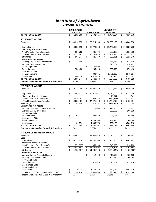## *Institute of Agriculture*

#### **Unrestricted Net Assets**

|                                                                              |                          | <b>EXPERIMENT</b>      |                          |                       |                          | <b>VETERINARY</b>     |                |                        |
|------------------------------------------------------------------------------|--------------------------|------------------------|--------------------------|-----------------------|--------------------------|-----------------------|----------------|------------------------|
|                                                                              |                          | <b>STATION</b>         |                          | <b>EXTENSION</b>      |                          | <b>MEDICINE</b>       |                | <b>TOTAL</b>           |
| <b>TOTAL - JUNE 30, 2006</b>                                                 | \$                       | 1,252,569              | \$                       | 2,592,015             | \$                       | 3,474,194             | \$             | 7,318,779              |
| <b>FY 2006-07 ACTUAL</b>                                                     |                          |                        |                          |                       |                          |                       |                |                        |
| Revenue                                                                      | \$                       | 34,310,655             | \$                       | 36,714,268            | \$                       | 32,259,175            | \$             | 103,284,098            |
| Less:                                                                        |                          |                        |                          |                       |                          |                       |                |                        |
| Expenditures                                                                 | \$                       | 33,092,619             | \$                       | 35,778,253            | \$                       | 31,449,860            | \$             | 100,320,733            |
| Mandatory Transfers (In)/Out                                                 |                          |                        |                          |                       |                          |                       |                |                        |
| Non-Mandatory Transfers(In)/Out                                              |                          | 630,762                |                          | 961,774               |                          | 258,983               |                | 1,851,520              |
| <b>Total Expenditures &amp; Transfers</b>                                    | \$                       | 33,723,381             | \$                       | 36,740,028            | \$                       | 31,708,844            | \$             | 102,172,252            |
| Net Change                                                                   | $\overline{\mathcal{S}}$ | 587.274                | $\overline{\mathcal{S}}$ | (25, 759)             | $\overline{\mathcal{L}}$ | 550,331               | \$             | 1,111,846              |
| <b>Unrestricted Net Assets</b>                                               |                          |                        |                          |                       |                          |                       |                |                        |
| Working Capital-Accounts Receivable                                          | \$                       | 866                    |                          |                       | \$                       | 846,643               | \$             | 847,509                |
| <b>Working Capital-Inventories</b>                                           |                          |                        |                          |                       |                          | 210,707               |                | 210,707                |
| <b>Revolving Funds</b>                                                       |                          |                        | \$                       | 145,500               |                          |                       |                | 145,500                |
| Encumbrances                                                                 |                          | 758,400                |                          | 295,926               |                          | 320,090               |                | 1,374,416              |
| <b>Unexpended Gifts</b>                                                      |                          |                        |                          |                       |                          |                       |                |                        |
| Reappropriations                                                             |                          |                        |                          | 808,001               |                          | 1,771,606             |                | 2,579,607              |
| Unallocated                                                                  |                          | 1,080,578<br>1,839,844 |                          | 1,316,829             |                          | 875,480               |                | 3,272,887              |
| <b>TOTAL - JUNE 30, 2007</b>                                                 | \$                       |                        | \$                       | 2,566,256             | \$                       | 4,024,525             | $\frac{1}{2}$  | 8,430,625              |
| Percent Unallocated of Expend. & Transfers                                   |                          | 3.20%                  |                          | 3.58%                 |                          | 2.76%                 |                | 3.20%                  |
| <b>FY 2007-08 ACTUAL</b>                                                     |                          |                        |                          |                       |                          |                       |                |                        |
| Revenue                                                                      | \$                       | 39,477,755             | \$                       | 45,846,358            | \$                       | 34,306,277            | \$             | 119,630,389            |
| Less:                                                                        |                          |                        |                          |                       |                          |                       |                |                        |
| Expenditures                                                                 | \$                       | 37,063,614             | \$                       | 40,069,045            | \$                       | 35,211,198            | \$             | 112,343,856            |
| Mandatory Transfers (In)/Out                                                 |                          |                        |                          |                       |                          | 11,041                |                | 11,041                 |
| Non-Mandatory Transfers(In)/Out                                              |                          | 2,019,787              |                          | 4,902,162             |                          | (777, 521)            |                | 6,144,427              |
| <b>Total Expenditures &amp; Transfers</b>                                    | $\frac{1}{2}$            | 39,083,401             | \$                       | 44,971,206            | \$                       | 34,444,717            | \$             | 118,499,324            |
| Net Change                                                                   | \$                       | 394,354                | \$                       | 875,151               | \$                       | (138, 440)            | \$             | 1,131,065              |
| <b>Unrestricted Net Assets</b>                                               |                          |                        |                          |                       |                          |                       |                |                        |
| Working Capital-Accounts Receivable                                          |                          |                        | \$                       | 12,603                | \$                       | 712,500               | \$             | 725,102                |
| <b>Working Capital-Inventories</b><br><b>Revolving Funds</b>                 |                          |                        |                          |                       |                          | 200,695               |                | 200,695                |
| Encumbrances                                                                 | \$                       | 1,103,924              |                          | 323,629               |                          | 328,087               |                | 1,755,640              |
| <b>Unexpended Gifts</b>                                                      |                          |                        |                          |                       |                          |                       |                |                        |
| Reappropriations                                                             |                          |                        |                          | 1,405,400             |                          | 1,894,640             |                | 3,300,040              |
| Unallocated                                                                  |                          | 1,130,274              |                          | 1,699,776             |                          | 750,163               |                | 3,580,213              |
| <b>TOTAL - JUNE 30, 2008</b>                                                 | \$                       | 2,234,198              | \$                       | 3,441,407             | \$                       | 3,886,085             | \$             | 9,561,690              |
| <b>Percent Unallocated of Expend. &amp; Transfers</b>                        |                          | 2.89%                  |                          | 3.78%                 |                          | 2.18%                 |                | 3.02%                  |
|                                                                              |                          |                        |                          |                       |                          |                       |                |                        |
| FY 2008-09 REVISED BUDGET                                                    |                          |                        |                          |                       |                          |                       |                |                        |
| Revenue                                                                      | \$                       | 34,843,617             | \$                       | 42,008,810            | \$                       | 35,511,765            | \$             | 112,364,192            |
| Less:                                                                        |                          |                        |                          |                       |                          |                       |                |                        |
| Expenditures                                                                 | \$                       | 36,527,478             | \$                       | 42,790,508            | \$                       | 37,165,805            |                | \$116,483,791          |
| Mandatory Transfers (In)/Out                                                 |                          | (579, 937)             |                          |                       |                          |                       |                |                        |
| Non-Mandatory Transfers(In)/Out<br><b>Total Expenditures &amp; Transfers</b> |                          | 35,947,541             | \$                       | 650,100<br>43,440,608 | \$                       | 240,600<br>37,406,405 | \$             | 310,763<br>116,794,554 |
| Net Change                                                                   | \$                       | (1, 103, 924)          | $\overline{\mathcal{S}}$ | (1,431,798)           | $\overline{\mathcal{L}}$ | (1,894,640)           | \$             | (4, 430, 362)          |
| <b>Unrestricted Net Assets</b>                                               |                          |                        |                          |                       |                          |                       |                |                        |
| Working Capital-Accounts Receivable                                          |                          |                        | \$                       | 12,603                | \$                       | 712,500               | \$             | 725,102                |
| <b>Working Capital-Inventories</b>                                           |                          |                        |                          |                       |                          | 200,695               |                | 200,695                |
| <b>Revolving Funds</b>                                                       |                          |                        |                          |                       |                          |                       |                |                        |
| Encumbrances                                                                 |                          |                        |                          | 323,629               |                          | 328,087               |                | 651,716                |
| <b>Unexpended Gifts</b>                                                      |                          |                        |                          |                       |                          |                       |                |                        |
| Reappropriations                                                             |                          |                        |                          |                       |                          |                       |                |                        |
| Unallocated                                                                  | <u>\$</u>                | 1,130,274              |                          | 1,673,378             |                          | 750,163               |                | 3,553,815              |
| <b>ESTIMATED TOTAL - OCTOBER 31, 2008</b>                                    | \$                       | 1,130,274              | $\pmb{\mathfrak{S}}$     | 2,009,609             | $\frac{1}{2}$            | 1,991,445             | $$\mathbb{S}$$ | 5,131,328              |
| Percent Unallocated of Expend. & Transfers                                   |                          | 3.14%                  |                          | 3.85%                 |                          | 2.01%                 |                | 3.04%                  |
|                                                                              |                          |                        |                          |                       |                          |                       |                |                        |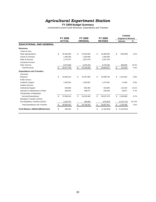# *Agricultural Experiment Station*

#### **FY 2009 Budget Summary**

|                                          |                  |    |                 |                     | <b>CHANGE</b>              |           |
|------------------------------------------|------------------|----|-----------------|---------------------|----------------------------|-----------|
|                                          | <b>FY 2008</b>   |    | FY 2009         | FY 2009             | <b>Original to Revised</b> |           |
|                                          | <b>ACTUAL</b>    |    | <b>ORIGINAL</b> | <b>REVISED</b>      | Amount                     | %         |
| <b>EDUCATIONAL AND GENERAL</b>           |                  |    |                 |                     |                            |           |
| <b>Revenues</b>                          |                  |    |                 |                     |                            |           |
| <b>Tuition &amp; Fees</b>                |                  |    |                 |                     |                            |           |
| <b>State Appropriations</b>              | \$<br>25,530,000 | \$ | 24,876,000      | \$<br>24,090,500    | \$<br>(785, 500)           | $-3.2%$   |
| <b>Grants &amp; Contracts</b>            | 1,493,459        |    | 1,350,000       | 1,350,000           |                            |           |
| Sales & Services                         | 3,779,707        |    | 2,927,078       | 2,927,078           |                            |           |
| Investment Income                        |                  |    |                 |                     |                            |           |
| <b>Other Sources</b>                     | 8,674,589        |    | 5,575,204       | 6,476,039           | 900,835                    | 16.2%     |
| <b>Total Revenues</b>                    | \$<br>39,477,755 | S. | 34,728,282      | \$<br>34,843,617    | \$<br>115,335              | 0.3%      |
| <b>Expenditures and Transfers</b>        |                  |    |                 |                     |                            |           |
| Instruction                              |                  |    |                 |                     |                            |           |
| Research                                 | \$<br>34,082,313 | \$ | 31,457,669      | \$<br>33,598,730    | \$<br>2,141,061            | 6.8%      |
| <b>Public Service</b>                    |                  |    |                 |                     |                            |           |
| Academic Support                         | 1,645,262        |    | 1,462,851       | 1,474,491           | 11,640                     | 0.8%      |
| <b>Student Services</b>                  |                  |    |                 |                     |                            |           |
| <b>Institutional Support</b>             | 826,963          |    | 802,385         | 915,809             | 113,424                    | 14.1%     |
| Operation & Maintenance of Plant         | 509,076          |    | 509,577         | 538,448             | 28,871                     | 5.7%      |
| Scholarships & Fellowships               |                  |    |                 |                     |                            |           |
| Sub-total Expenditures                   | \$<br>37,063,614 | \$ | 34,232,482      | \$<br>36,527,478    | \$<br>2,294,996            | 6.7%      |
| Mandatory Transfers (In)/Out             |                  |    |                 |                     |                            |           |
| Non-Mandatory Transfers (In)/Out         | 2,019,787        |    | 495,800         | (579, 937)          | (1,075,737)                | $-217.0%$ |
| <b>Total Expenditures and Transfers</b>  | \$<br>39,083,401 | \$ | 34,728,282      | \$<br>35,947,541    | \$<br>1,219,259            | 3.5%      |
| <b>Fund Balance Addition/(Reduction)</b> | \$<br>394,354    | \$ |                 | \$<br>(1, 103, 924) | \$<br>(1, 103, 924)        |           |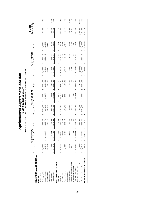| ì<br>ć             |                    |
|--------------------|--------------------|
| j                  |                    |
| Ĭ<br>$\frac{1}{2}$ | l<br>Contractor in |

**FY 2009 Budget Summar y**

Unrestricted and Restricted Current Funds Revenues, Expenditures and Transfers

|                                   |                  | <b>FY 2008 ACTUAL</b> |                  |                  | <b>FY 2009 ORIGINAL</b> |                  |                    | FY 2009 REVISED  |                    | Original to Revised<br>CHANGE |           |
|-----------------------------------|------------------|-----------------------|------------------|------------------|-------------------------|------------------|--------------------|------------------|--------------------|-------------------------------|-----------|
|                                   | Unrestricted     | Restricted            | <b>Total</b>     | Unrestricted     | Restricted              | Total            | Unrestricted       | Restricted       | Total              | Amount                        | ಸಿ        |
| EDUCATIONAL AND GENERAL           |                  |                       |                  |                  |                         |                  |                    |                  |                    |                               |           |
| Revenues                          |                  |                       |                  |                  |                         |                  |                    |                  |                    |                               |           |
| Tuition & Fees                    |                  |                       |                  |                  |                         |                  |                    |                  |                    |                               |           |
| State Appropriations              | 25,530,000       |                       | 25,530,000<br>G  | 24,876,000       | 4,000,000<br>G          | 28,876,000       | 24,090,500<br>ω    | 4,000,000<br>G   | 28,090,500         | (785, 500)<br>G               | $-2.7%$   |
| Grants & Contracts                | 1,493,459        | 10,373,245<br>ω       | 11,866,703       | 1,350,000        | 12,312,750              | 13,662,750       | 1,350,000          | 12,312,750       | 13,662,750         |                               |           |
| Sales & Services                  | 3,779,707        |                       | 3,779,707        | 2,927,078        |                         | 2,927,078        | 2,927,078          |                  | 2,927,078          |                               |           |
| Investment Income                 |                  |                       |                  |                  |                         |                  |                    |                  |                    |                               |           |
| Other Sources                     | 8,674,589        | 1,397,989             | 10,072,578       | 5,575,204        | 1,784,750               | 7,359,954        | 6,476,039          | 1,784,750        | 8,260,789          | 900,835                       | 12.2%     |
| Total Revenues                    | 39,477,755       | \$ 11,771,233         | 51,248,988<br>မာ | 34,728,282<br>မာ | 18,097,500<br>↮         | 52,825,782<br>↮  | 34,843,617<br>↮    | 18,097,500<br>မာ | 52,941,117<br>∽∥   | 115,335<br>မာ                 | 0.2%      |
| Expenditures and Transfers        |                  |                       |                  |                  |                         |                  |                    |                  |                    |                               |           |
| Instruction                       |                  | 12,848                | 12,848           |                  | 12,000                  | 12,000           |                    | 12,000<br>မာ     | 12,000<br>မာ       | G                             |           |
| Research                          | 34,082,313<br>မာ | 11,750,361            | 45,832,673       | 31,457,669<br>θĐ | 18,000,000              | 49,457,669       | 33,598,730<br>မာ   | 18,000,000       | 51,598,730         | 2,141,061                     | 4.3%      |
| Public Service                    |                  | 21,076                | 21,076           |                  | 13,000                  | 13,000           |                    | 13,000           | 13,000             |                               |           |
| Academic Support                  | 1,645,262        | 42,084                | 1,687,345        | 1,462,851        | 25,000                  | 1,487,851        | 1,474,491          | 25,000           | 1,499,491          | 11,640                        | 0.8%      |
| Student Services                  |                  |                       |                  |                  |                         |                  |                    |                  |                    |                               |           |
| Institutional Support             | 826,963          | 42,852                | 869,815          | 802,385          | 40,000                  | 842,385          | 915,809            | 40,000           | 955,809            | 113,424                       | 13.5%     |
| Operation & Maintenance of Plant  | 509,076          |                       | 509,076          | 509,577          |                         | 509,577          | 538,448            |                  | 538,448            | 28,871                        | 5.7%      |
| Scholarships & Fellowships        |                  | 320                   | 7,320            |                  | 7,500                   | 7,500            |                    | 7,500            | 7,500              |                               |           |
| Sub-total Expenditures            | 37,063,614       | 11,876,540            | 48,940,154       | 34,232,482<br>ω  | 18,097,500<br>မာ        | 52,329,982<br>မာ | 36,527,478<br>မာ   | 18,097,500<br>မာ | 54,624,978<br>မာ   | 2,294,996<br>↮                | 4.4%      |
| Mandatory Transfers (In)/Out      |                  |                       |                  |                  |                         |                  |                    |                  |                    |                               |           |
| Non-Mandatory Transfers (In)/Out  | 2,019,787        |                       | 2,019,787        | 495,800          |                         | 495,800          | (579.937)          |                  | (579.937)          | (1,075,737)                   | $-217.0%$ |
| Total Expenditures and Transfers  | 39,083,401<br>↮  | 11,876,540            | 50,959,941       | 34,728,282<br>မာ | 18,097,500<br>↮         | 52,825,782<br>မာ | 35,947,541<br>မာ   | 18,097,500<br>↮  | 54,045,041<br>↮    | 1,219,259<br>မာ               | 2.3%      |
| Revenues Less Expend. & Transfers | 394,354          | (105, 307)            | 289,047          |                  |                         |                  | (1, 103, 924)<br>ω | 69               | (1, 103, 924)<br>ω | (1, 103, 924)<br>မာ           |           |
|                                   |                  |                       |                  |                  |                         |                  |                    |                  |                    |                               |           |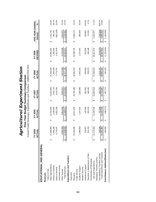|                                   |                       | FY 2005<br>₹<br>ACTU |   | FY 2006<br>ACTUAL |    | FY 2007<br>ACTUAL |    | FY 2008<br>ACTUAL |    | <b>REVISED</b><br>FY 2009 | FIVE-YEAR CHANGE<br>Amount | న్              |
|-----------------------------------|-----------------------|----------------------|---|-------------------|----|-------------------|----|-------------------|----|---------------------------|----------------------------|-----------------|
| EDUCATIONAL AND GENERAL           |                       |                      |   |                   |    |                   |    |                   |    |                           |                            |                 |
| Revenues                          |                       |                      |   |                   |    |                   |    |                   |    |                           |                            |                 |
| Tuition & Fees                    |                       |                      |   |                   |    |                   |    |                   |    |                           |                            |                 |
| State Appropriations              | ↔                     | 98,800<br>21,8       | ↔ | 22,432,000        | ↮  | 24,024,900        | ↮  | 25,530,000        | ↮  | 24,090,500                | 2,191,700<br>↮             | 10.0%           |
| Grants & Contracts                |                       | 1,065,280            |   | 1,269,926         |    | 1,415,734         |    | 1,493,459         |    | 1,350,000                 | 284,720                    | 26.7%           |
| Sales & Services                  |                       | 3,779,207            |   | 3,052,298         |    | 3,243,764         |    | 3,779,707         |    | 2,927,078                 | (852, 129)                 | $-22.5%$        |
| Investment Income                 |                       |                      |   |                   |    |                   |    |                   |    |                           |                            |                 |
| Other Sources                     |                       | 4,865,369            |   | 5,054,448         |    | 5,626,257         |    | 8,674,589         |    | 6,476,039                 | 1,610,670                  | 33.1%           |
| <b>Total Revenues</b>             | ↮                     | 31,608,656           | ↮ | 31,808,672        | ↮  | 34,310,655        | ↮  | 39,477,755        | ↮  | 34,843,617                | 3,234,961<br>↮             | 10.2%           |
| Expenditures and Transfers        |                       |                      |   |                   |    |                   |    |                   |    |                           |                            |                 |
| Instruction                       |                       |                      |   |                   |    |                   |    |                   |    |                           |                            |                 |
| Research                          | ക                     | 29,192,556           | ↮ | 29,317,379        | ↔  | 30,762,446        | ↔  | 34,082,313        | ↔  | 33,598,730                | 4,406,174<br>↔             | 15.1%           |
| Public Service                    |                       |                      |   |                   |    |                   |    |                   |    |                           |                            |                 |
| Academic Support                  |                       | 1,088,983            |   | 1,147,542         |    | 1,269,285         |    | 1,645,262         |    | 1,474,491                 | 385,508                    | 35.4%           |
| Student Services                  |                       |                      |   |                   |    |                   |    |                   |    |                           |                            |                 |
| Institutional Support             |                       | 376,807              |   | 425,456           |    | 562,692           |    | 826,963           |    | 915,809                   | 539,002                    | 143.0%          |
| Operation & Maintenance of Plant  |                       | 514,255              |   | 456,418           |    | 498,196           |    | 509,076           |    | 538,448                   | 24,193                     | 4.7%            |
| Scholarships & Fellowships        |                       |                      |   |                   |    |                   |    |                   |    |                           |                            |                 |
| Sub-total Expenditures            |                       | 72,601<br>31,1       | ↮ | 31,346,795        | ↔  | 33,092,619        | ↮  | 37,063,614        | ↮  | 36,527,478                | 5,354,877<br>↮             | 17.2%           |
| Mandatory Transfers (In)/Out      |                       |                      |   |                   |    |                   |    |                   |    |                           |                            |                 |
| Non-Mandatory Transfers (In)/Out  | $\boldsymbol{\omega}$ | 89,086               | ↮ | 757,949           | မာ | 630,762           | မာ | 2,019,787         | မာ | (579, 937)                | (769, 023)<br>ക            | 406.7%<br>14.6% |
| Total Expenditures and Transfers  |                       | 31,361,687           |   | 32, 104, 743      |    | 33,723,381        |    | 39,083,401        |    | 35,947,541                | 4,585,854                  |                 |
| Fund Balance Addition/(Reduction) |                       | 46,969               | ↔ | (296, 072)        | ↔  | 587,274           | ക  | 394,354           | ↔  | (1, 103, 924)             | (1,350,893)<br>↔           |                 |

**Five-Year Budget Summary Comparison**<br>Current Funds Revenues, Expenditures and Transfers - UNRESTRICTED Current Funds Revenues, Expenditures and Transfers - UNRESTRICTED Agricultural Experiment Station *Agricultural Experiment Station* **Five-Year Budget Summary Comparison**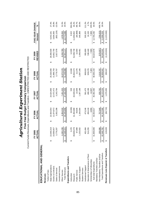|                                   |    | 2005<br>ACTUAL<br>ř |   | FY 2006<br>ACTUAL |   | FY 2007<br>ACTUAL |   | FY 2008<br>ACTUAL |   | REVISED<br>FY 2009 | FIVE-YEAR CHANGE<br>Amount | ಸ್        |
|-----------------------------------|----|---------------------|---|-------------------|---|-------------------|---|-------------------|---|--------------------|----------------------------|-----------|
| EDUCATIONAL AND GENERAL           |    |                     |   |                   |   |                   |   |                   |   |                    |                            |           |
| Revenues                          |    |                     |   |                   |   |                   |   |                   |   |                    |                            |           |
| Tuition & Fees                    |    |                     |   |                   |   |                   |   |                   |   |                    |                            |           |
| State Appropriations              | မာ | 22,048,319          | ↮ | 22,564,054        | ↮ | 24,024,900        | ↮ | 25,530,000        | ↔ | 28,090,500         | 6,042,181<br>↮             | 27.4%     |
| Grants & Contracts                |    | 0,058,657           |   | 11,674,972        |   | 2,472,472         |   | 11,866,703        |   | 13,662,750         | 3,604,093                  | 35.8%     |
| Sales & Services                  |    | 3,779,207           |   | 3,052,298         |   | 3,243,764         |   | 3,779,707         |   | 2,927,078          | (852, 129)                 | $-22.5%$  |
| Investment Income                 |    |                     |   |                   |   |                   |   |                   |   |                    |                            |           |
| Other Sources                     |    | 6.282.239           |   | 6.954.532         |   | 7.451.323         |   | 10.072.578        |   | 8.260.789          | 1,978.550                  | 31.5%     |
| <b>Total Revenues</b>             |    | 42,168,421          | ↮ | 44,245,856        | ↔ | 47, 192, 459      | ↮ | 51,248,988        | ↮ | 52,941,117         | 10,772,696<br>↮            | 25.5%     |
| Expenditures and Transfers        |    |                     |   |                   |   |                   |   |                   |   |                    |                            |           |
| Instruction                       | ക  | 2,478               | ക | (8,309)           | ക | 528               | ക | 12,848            | ക | 12,000             | 9,522<br>ഗ                 | 384.3%    |
| Research                          |    | 39,639,078          |   | 41,394,869        |   | 43,049,541        |   | 45,832,673        |   | 51,598,730         | 11,959,652                 | 30.2%     |
| Public Service                    |    | 97,899              |   | 49,835            |   | 22,849            |   | 21,076            |   | 13,000             | (84, 899)                  | -86.7%    |
| Academic Support                  |    | 1,153,502           |   | 1,184,564         |   | 1,307,196         |   | 1,687,345         |   | 1,499,491          | 345,989                    | 30.0%     |
| <b>Student Services</b>           |    |                     |   |                   |   |                   |   |                   |   |                    |                            |           |
| Institutional Support             |    | 452,484             |   | 473,246           |   | 591,475           |   | 869,815           |   | 955,809            | 503,325                    | 111.2%    |
| Operation & Maintenance of Plant  |    | 514,255             |   | 456,418           |   | 498,196           |   | 509,076           |   | 538,448            | 24,193                     | 4.7%      |
| Scholarships & Fellowships        |    |                     |   | 3,994             |   | 12,607            |   | 7,320             |   | 7,500              | 7,500                      | 100.0%    |
| Sub-total Expenditures            |    | 1,859,696           | ↮ | 43,554,617        | ↮ | 45,482,392        | ↮ | 48,940,154        | ↮ | 54,624,978         | 12,765,282<br>ക            | 30.5%     |
| Mandatory Transfers (In)/Out      |    |                     |   |                   |   |                   |   |                   |   |                    |                            |           |
| Non-Mandatory Transfers (In)/Out  |    | 189,086             |   | 757,949           |   | 630,762           |   | 2,019,787         |   | (579.937)          | (769, 023)                 | $-406.7%$ |
| Total Expenditures and Transfers  |    | 42,048,782          | ക | 44,312,566        | ↮ | 46,113,154        | ↮ | 50,959,941        | ↮ | 54,045,041         | 11,996,259<br>↮            | 28.5%     |
| Revenues Less Expend. & Transfers |    | 119,639             | ↮ | (66, 710)         | ↔ | 1,079,305         | ↔ | 289,047           | ↔ | (1, 103, 924)      | (1,223,563)<br>↔           |           |

**Five-Year Budget Summary Comparison**<br>Current Funds Revenues, Expenditures and Transfers - UNRESTRICTED AND RESTRICTED **Agricultural Experiment Station** *Agricultural Experiment Station* **Five-Year Budget Summary Comparison**

Current Funds Revenues, Expenditures and Transfers - UNRESTRICTED AND RESTRICTED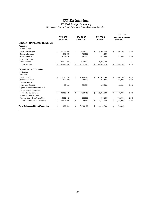## *UT Extension*

#### **FY 2009 Budget Summary**

|                                          |                  |     |                 |                   | <b>CHANGE</b>              |         |
|------------------------------------------|------------------|-----|-----------------|-------------------|----------------------------|---------|
|                                          | <b>FY 2008</b>   |     | FY 2009         | FY 2009           | <b>Original to Revised</b> |         |
|                                          | <b>ACTUAL</b>    |     | <b>ORIGINAL</b> | <b>REVISED</b>    | Amount                     | %       |
| <b>EDUCATIONAL AND GENERAL</b>           |                  |     |                 |                   |                            |         |
| <b>Revenues</b>                          |                  |     |                 |                   |                            |         |
| Tuition & Fees                           |                  |     |                 |                   |                            |         |
| <b>State Appropriations</b>              | \$<br>30,258,300 | \$  | 29,876,300      | \$<br>29,009,600  | \$<br>(866, 700)           | $-2.9%$ |
| <b>Grants &amp; Contracts</b>            | 578,558          |     | 455,000         | 455,000           |                            |         |
| Sales & Services                         | 3,736,219        |     | 3,631,190       | 3,644,690         | 13,500                     | 0.4%    |
| Investment Income                        |                  |     |                 |                   |                            |         |
| Other Sources                            | 11,273,281       |     | 8,899,520       | 8,899,520         |                            |         |
| <b>Total Revenues</b>                    | \$<br>45,846,358 | \$  | 42,862,010      | \$<br>42,008,810  | \$<br>(853, 200)           | $-2.0%$ |
| <b>Expenditures and Transfers</b>        |                  |     |                 |                   |                            |         |
| Instruction                              |                  |     |                 |                   |                            |         |
| Research                                 |                  |     |                 |                   |                            |         |
| <b>Public Service</b>                    | \$<br>38,763,518 | \$  | 42,410,113      | \$<br>41,529,349  | \$<br>(880, 764)           | $-2.1%$ |
| Academic Support                         | 873,202          |     | 847,573         | 879,496           | 31,923                     | 3.8%    |
| <b>Student Services</b>                  |                  |     |                 |                   |                            |         |
| <b>Institutional Support</b>             | 432,326          |     | 352.724         | 381,663           | 28,939                     | 8.2%    |
| Operation & Maintenance of Plant         |                  |     |                 |                   |                            |         |
| Scholarships & Fellowships               |                  |     |                 |                   |                            |         |
| Sub-total Expenditures                   | \$<br>40,069,045 | \$  | 43.610.410      | \$<br>42,790,508  | \$<br>(819,902)            | $-1.9%$ |
| Mandatory Transfers (In)/Out             |                  |     |                 |                   |                            |         |
| Non-Mandatory Transfers (In)/Out         | 4,902,162        |     | 662,000         | 650,100           | (11,900)                   | $-1.8%$ |
| <b>Total Expenditures and Transfers</b>  | \$<br>44,971,206 | \$. | 44,272,410      | \$<br>43,440,608  | \$<br>(831, 802)           | $-1.9%$ |
| <b>Fund Balance Addition/(Reduction)</b> | \$<br>875,151    | \$  | (1,410,400)     | \$<br>(1,431,798) | \$<br>(21, 398)            |         |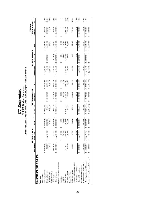| <b>UT Extension</b> | FY 2009 Budget Summary | ad Baatti atau Currant Euclid Baucas an Eveningen |
|---------------------|------------------------|---------------------------------------------------|
|                     |                        |                                                   |

Unrestricted and Restricted Current Funds Revenues, Expenditures and Transfers Unrestricted and Restricted Current Funds Revenues, Expenditures and Transfers

|                                   |                  | FY 2008 ACTUAL   |                  |                  | FY 2009 ORIGINAL |                  |                  | FY 2009 REVISED  |                  | <b>Original to Revised</b><br>CHANGE |          |
|-----------------------------------|------------------|------------------|------------------|------------------|------------------|------------------|------------------|------------------|------------------|--------------------------------------|----------|
|                                   | Unrestricted     | Restricted       | Total            | Unrestricted     | Restricted       | Total            | Unrestricted     | Restricted       | Total            | Amount                               | S,       |
| EDUCATIONAL AND GENERAL           |                  |                  |                  |                  |                  |                  |                  |                  |                  |                                      |          |
| Revenues                          |                  |                  |                  |                  |                  |                  |                  |                  |                  |                                      |          |
| Tuition & Fees                    |                  |                  |                  |                  |                  |                  |                  |                  |                  |                                      |          |
| State Appropriations              | \$ 30,258,300    |                  | 30,258,300<br>မာ | 29,876,300<br>မာ |                  | 29,876,300<br>မာ | 29,009,600<br>မာ |                  | 29,009,600<br>မာ | (866,700)<br>မာ                      | $-2.9%$  |
| Grants & Contracts                | 578,558          | \$14,972,430     | 15,550,988       | 455,000          | \$12,305,000     | 12,760,000       | 455,000          | \$ 15,005,000    | 15,460,000       | 2,700,000                            | 21.2%    |
| Sales & Services                  | 3,736,219        |                  | 3,736,219        | 3,631,190        |                  | 3,631,190        | 3,644,690        |                  | 3,644,690        | 13,500                               | 0.4%     |
| Investment Income                 |                  |                  |                  |                  |                  |                  |                  |                  |                  |                                      |          |
| Other Sources                     | 11,273,281       | 1,787,449        | 13,060,731       | 8,899,520        | 1,170,000        | 10,069,520       | 8,899,520        | 1,790,000        | 10,689,520       | 620,000                              | 6.2%     |
| <b>Total Revenues</b>             | \$45,846,358     | \$ 16,759,880    | 62,606,238<br>မာ | 42,862,010<br>မာ | 13,475,000<br>မာ | 56,337,010<br>69 | 42,008,810<br>မာ | 16,795,000<br>ω, | 58,803,810<br>မာ | 2,466,800<br>မာ                      | 4.4%     |
| Expenditures and Transfers        |                  |                  |                  |                  |                  |                  |                  |                  |                  |                                      |          |
| Instruction                       |                  | 5,750<br>မာ      | 5,750<br>မာ      |                  | 5,900<br>မာ      | 5,900<br>မာ      |                  | 5,900<br>မာ      | 5,900<br>မာ      | မာ                                   |          |
| Research                          |                  | 25,146           | 25,146           |                  | 25,700           | 25,700           |                  | 25,700           | 25,700           |                                      |          |
| Public Service                    | 38,763,518       | 16,640,74        | 55,404,258       | 42,410,113<br>မာ | 13,013,950       | 55,424,063       | 41,529,349<br>မာ | 16,737,100       | 58,266,449       | 2,842,386                            | 5.1%     |
| Academic Support                  | 873,202          | 18,48            | 891,686          | 847,573          | 15,250           | 862,823          | 879,496          | 18,500           | 897,996          | 35,173                               | 4.1%     |
| Student Services                  |                  |                  |                  |                  |                  |                  |                  |                  |                  |                                      |          |
| Institutional Support             | 432,326          | 1,310            | 433,636          | 352,724          | 310,000          | 662,724          | 381,663          | 1,300            | 382,963          | (279, 761)                           | $-42.2%$ |
| Operation & Maintenance of Plant  |                  |                  |                  |                  |                  |                  |                  |                  |                  |                                      |          |
| Scholarships & Fellowships        |                  | 6,434            | 6,434            |                  | 4,200            | 4,200            |                  | 6,500            | 6,500            | 2,300                                | 54.8%    |
| Sub-total Expenditures            | \$40,069,045     | \$ 16,697,864    | 56,766,909<br>မာ | 43,610,410<br>Ø  | 13,375,000<br>မာ | 56,985,410<br>မာ | 42,790,508<br>မာ | 16,795,000<br>မာ | 59,585,508<br>မာ | 2,600,098<br>မာ                      | 4.6%     |
| Mandatory Transfers (In)/Out      |                  |                  |                  |                  |                  |                  |                  |                  |                  |                                      |          |
| Non-Mandatory Transfers (In)/Out  | 4,902,162        |                  | 4,902,162        | 662,000          |                  | 662,000          | 650,100          |                  | 650,100          | (11, 900)                            | $-1.8%$  |
| Total Expenditures and Transfers  | 44,971,206<br>မာ | 16,697,864<br>မာ | 61,669,071<br>မာ | 44,272,410<br>မာ | 13,375,000<br>မာ | 57,647,410<br>မာ | 43,440,608<br>မာ | 16,795,000<br>မာ | 60,235,608<br>မာ | 2,588,198<br>မာ                      | 4.5%     |
| Revenues Less Expend. & Transfers | 875, 151         | 62,016<br>Θ      | 937, 167<br>မာ   | \$(1,410,400)    | 100,000<br>6     | \$(1,310,400)    | (1,431,798)      | မာ               | \$(1,431,798)    | (121,398)<br>G                       |          |
|                                   |                  |                  |                  |                  |                  |                  |                  |                  |                  |                                      |          |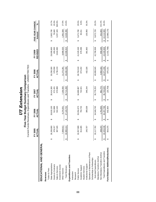|                                   |   | FY 2005<br>ACTUAL |   | FY 2006<br><b>ACTUAL</b> |   | FY 2007<br>ACTUAL |   | FY 2008<br>ACTUAL |   | <b>REVISED</b><br>FY 2009 | FIVE-YEAR CHANGE<br>Amount | న్     |
|-----------------------------------|---|-------------------|---|--------------------------|---|-------------------|---|-------------------|---|---------------------------|----------------------------|--------|
| EDUCATIONAL AND GENERAL           |   |                   |   |                          |   |                   |   |                   |   |                           |                            |        |
|                                   |   |                   |   |                          |   |                   |   |                   |   |                           |                            |        |
| Revenues                          |   |                   |   |                          |   |                   |   |                   |   |                           |                            |        |
| Tuition & Fees                    |   |                   |   |                          |   |                   |   |                   |   |                           |                            |        |
| State Appropriations              | ഗ | 26,206,900        | ↔ | 26,819,100               | ↮ | 28,414,300        | ക | 30,258,300        | ↔ | 29,009,600                | 2,802,700<br>↔             | 10.7%  |
| Grants & Contracts                |   | 378,157           |   | 512,888                  |   | 572,431           |   | 578,558           |   | 455,000                   | 76,843                     | 20.3%  |
| Sales & Services                  |   | 387,345           |   | 532,163                  |   | 570,988           |   | 3,736,219         |   | 3,644,690                 | 3,257,345                  | 840.9% |
| Investment Income                 |   |                   |   |                          |   |                   |   |                   |   |                           |                            |        |
| Other Sources                     |   | 008,012           |   | 9,276,551                |   | 7,156,550         |   | 11,273,281        |   | 8,899,520                 | 1,891,508                  | 27.0%  |
| <b>Total Revenues</b>             |   | 33,980,414        | ↮ | 37, 140, 702             | ↮ | 36,714,268        | ↔ | 45,846,358        | ↮ | 42,008,810                | 8,028,396<br>↮             | 23.6%  |
| Expenditures and Transfers        |   |                   |   |                          |   |                   |   |                   |   |                           |                            |        |
| Instruction                       |   |                   |   |                          |   |                   |   |                   |   |                           |                            |        |
| Research                          |   |                   |   |                          |   |                   |   |                   |   |                           |                            |        |
| Public Service                    | ↮ | 32,057,589        | ↔ | 33,354,673               | ↔ | 34,689,987        | ↮ | 38,763,518        | ↮ | 41,529,349                | 9,471,760<br>↔             | 29.5%  |
| Academic Support                  |   | 814,485           |   | 792,734                  |   | 742,021           |   | 873,202           |   | 879,496                   | 65,011                     | 8.0%   |
| Student Services                  |   |                   |   |                          |   |                   |   |                   |   |                           |                            |        |
| Institutional Support             |   | 245,707           |   | 399,339                  |   | 346,244           |   | 432,326           |   | 381,663                   | 135,956                    | 55.3%  |
| Operation & Maintenance of Plant  |   |                   |   |                          |   |                   |   |                   |   |                           |                            |        |
| Scholarships & Fellowships        |   |                   |   |                          |   |                   |   |                   |   |                           |                            |        |
| Sub-total Expenditures            |   | 33, 117, 782      | ↔ | 34,546,745               | ↔ | 35,778,253        | ↔ | 40,069,045        | ↔ | 42,790,508                | 9,672,726<br>↔             | 29.2%  |
| Mandatory Transfers (In)/Out      |   |                   |   |                          |   |                   |   |                   |   |                           |                            |        |
| Non-Mandatory Transfers (In)/Out  |   | 208,257           |   | 1,751,053                |   | 961,774           |   | 4,902,162         |   | 650,100                   | 441,843                    | 212.2% |
| Total Expenditures and Transfers  |   | 33,326,039        | ↮ | 36,297,798               | ↮ | 36,740,028        | ↮ | 44,971,206        | ↮ | 43,440,608                | 10,114,569<br>$\theta$     | 30.4%  |
| Fund Balance Addition/(Reduction) |   | 654,375           | ↔ | 842,904                  | ↔ | (25, 759)         | ↔ | 875,151           | ↔ | (1,431,798)               | (2,086,173)<br>ఱ           |        |
|                                   |   |                   |   |                          |   |                   |   |                   |   |                           |                            |        |

**Five-Year Budget Summary Comparison UT Extension** *UT Extension*

**Five-Year Budget Summary Comparison**<br>Current Funds Revenues, Expenditures and Transfers - UNRESTRICTED Current Funds Revenues, Expenditures and Transfers - UNRESTRICTED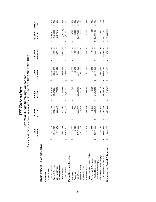|                                   |   | FY 2005<br>ACTUAL         |   | FY 2006    |   | <b>FY 2007</b> |   | FY 2008    |   | FY 2009     | FIVE-YEAR CHANGE                   |         |
|-----------------------------------|---|---------------------------|---|------------|---|----------------|---|------------|---|-------------|------------------------------------|---------|
|                                   |   |                           |   | ACTUAL     |   | ACTUAL         |   | ACTUAL     |   | REVISED     | Amount                             | ℅       |
| EDUCATIONAL AND GENERAL           |   |                           |   |            |   |                |   |            |   |             |                                    |         |
| Revenues                          |   |                           |   |            |   |                |   |            |   |             |                                    |         |
| Tuition & Fees                    |   |                           |   |            |   |                |   |            |   |             |                                    |         |
| State Appropriations              | ↮ | ,357,381<br>8             | ↔ | 26,969,100 | ↮ | 28,414,300     | ↔ | 30,258,300 | ↔ | 29,009,600  | 2,652,219<br>↮                     | 10.1%   |
| Grants & Contracts                |   | 12,119,210                |   | 13,587,121 |   | 15,075,064     |   | 5,550,988  |   | 15,460,000  | 3,340,790                          | 27.6%   |
| Sales & Services                  |   | 387,345                   |   | 532,163    |   | 570,988        |   | 3,736,219  |   | 3,644,690   | 3,257,345                          | 840.9%  |
| Investment Income                 |   |                           |   |            |   |                |   |            |   |             |                                    |         |
| Other Sources                     |   | ,094,256                  |   | 13,370,294 |   | 11,205,665     |   | 13,060,731 |   | 10,689,520  | (404, 736)                         | $-3.6%$ |
| <b>Total Revenues</b>             |   | ,958,193<br>$\frac{1}{2}$ | ↮ | 54,458,677 | ↮ | 55,266,017     | ↔ | 62,606,238 | ↔ | 58,803,810  | 8,845,617<br>$\boldsymbol{\omega}$ | 17.7%   |
| Expenditures and Transfers        |   |                           |   |            |   |                |   |            |   |             |                                    |         |
| Instruction                       |   | 2,000                     | ↮ | 630        | ക | 11,540         | ↮ | 5,750      | ↮ | 5,900       | 3,900<br>ക                         | 195.1%  |
| Research                          |   | 2,813                     |   | 751        |   |                |   | 25,146     |   | 25,700      | 22,887                             | 813.6%  |
| Public Service                    |   | ,595,923<br>47            |   | 49,997,877 |   | 53,188,833     |   | 55,404,258 |   | 58,266,449  | 10,670,526                         | 22.4%   |
| Academic Support                  |   | 843,081                   |   | 831,219    |   | 766,261        |   | 891,686    |   | 897,996     | 54,915                             | 6.5%    |
| Student Services                  |   |                           |   |            |   |                |   |            |   |             |                                    |         |
| Institutional Support             |   | 245,707                   |   | 399,339    |   | 346,244        |   | 433,636    |   | 382,963     | 137,256                            | 55.9%   |
| Operation & Maintenance of Plant  |   |                           |   |            |   |                |   |            |   |             |                                    |         |
| Scholarships & Fellowships        |   | 6,530                     |   | 1,500      |   | 6,107          |   | 6,434      |   | 6,500       | (30)                               | $-0.5%$ |
| Sub-total Expenditures            |   | 696,053<br>$\frac{8}{3}$  | ↮ | 51,231,316 | ↮ | 54,318,985     | ക | 56,766,909 | ക | 59,585,508  | 10,889,455<br>ക                    | 22.4%   |
| Mandatory Transfers (In)/Out      |   |                           |   |            |   |                |   |            |   |             |                                    |         |
| Non-Mandatory Transfers (In)/Out  |   | 208,257                   |   | 1,751,053  |   | 961,774        |   | 4,902,162  |   | 650,100     | 441,843                            | 212.2%  |
| Total Expenditures and Transfers  |   | 904,311<br>$\frac{48}{1}$ | ↮ | 52,982,369 | ↮ | 55,280,760     | ↮ | 61,669,071 | ↔ | 60,235,608  | 11,331,297<br>↮                    | 23.2%   |
| Revenues Less Expend. & Transfers |   | 053,882                   | ↔ | 1,476,308  | ↮ | (14, 743)      | ↔ | 937,167    | ↮ | (1,431,798) | (2,485,680)<br>↔                   |         |
|                                   |   |                           |   |            |   |                |   |            |   |             |                                    |         |

**Five-Year Budget Summary Comparison UT Extension** *UT Extension*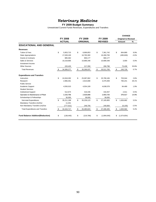# *Veterinary Medicine*

#### **FY 2009 Budget Summary**

|                                          |     |                |                  |    |                |    | <b>CHANGE</b>              |         |
|------------------------------------------|-----|----------------|------------------|----|----------------|----|----------------------------|---------|
|                                          |     | <b>FY 2008</b> | FY 2009          |    | FY 2009        |    | <b>Original to Revised</b> |         |
|                                          |     | <b>ACTUAL</b>  | <b>ORIGINAL</b>  |    | <b>REVISED</b> |    | Amount                     | %       |
| <b>EDUCATIONAL AND GENERAL</b>           |     |                |                  |    |                |    |                            |         |
| <b>Revenues</b>                          |     |                |                  |    |                |    |                            |         |
| <b>Tuition &amp; Fees</b>                | \$  | 5,953,715      | \$<br>6,696,853  | \$ | 7,361,742      | \$ | 664,889                    | 9.9%    |
| <b>State Appropriations</b>              |     | 17,028,100     | 16.765.300       |    | 16.269.700     |    | (495,600)                  | $-3.0%$ |
| <b>Grants &amp; Contracts</b>            |     | 885,362        | 900,177          |    | 900,177        |    |                            |         |
| Sales & Services                         |     | 10,218,665     | 10,686,348       |    | 10,689,348     |    | 3,000                      | 0.0%    |
| Investment Income                        |     |                |                  |    |                |    |                            |         |
| <b>Other Sources</b>                     |     | 220,435        | 217,359          |    | 290,798        |    | 73,439                     | 33.8%   |
| <b>Total Revenues</b>                    | \$  | 34,306,277     | \$<br>35,266,037 | \$ | 35,511,765     | \$ | 245,728                    | 0.7%    |
| <b>Expenditures and Transfers</b>        |     |                |                  |    |                |    |                            |         |
| Instruction                              | \$  | 24,918,292     | \$<br>25,087,062 | \$ | 25,790,106     | \$ | 703,044                    | 2.8%    |
| Research                                 |     | 2,966,461      | 2,615,698        |    | 3,375,939      |    | 760,241                    | 29.1%   |
| <b>Public Service</b>                    |     |                |                  |    |                |    |                            |         |
| Academic Support                         |     | 4,550,015      | 4,554,109        |    | 4,638,578      |    | 84,469                     | 1.9%    |
| <b>Student Services</b>                  |     |                |                  |    |                |    |                            |         |
| <b>Institutional Support</b>             |     | 512.674        | 416.446          |    | 418,457        |    | 2,011                      | 0.5%    |
| Operation & Maintenance of Plant         |     | 2,233,756      | 2,526,808        |    | 2,903,725      |    | 376,917                    | 14.9%   |
| Scholarships & Fellowships               |     | 30,000         | 39,000           |    | 39,000         |    |                            |         |
| Sub-total Expenditures                   | \$  | 35,211,198     | \$<br>35,239,123 | \$ | 37,165,805     | \$ | 1,926,682                  | 5.5%    |
| Mandatory Transfers (In)/Out             |     | 11,041         |                  |    |                |    |                            |         |
| Non-Mandatory Transfers (In)/Out         |     | (777, 521)     | 246,700          |    | 240,600        |    | (6, 100)                   | $-2.5%$ |
| <b>Total Expenditures and Transfers</b>  | \$. | 34,444,717     | \$<br>35,485,823 | S  | 37,406,405     | -S | 1,920,582                  | 5.4%    |
| <b>Fund Balance Addition/(Reduction)</b> | \$  | (138, 440)     | \$<br>(219, 786) | \$ | (1,894,640)    | \$ | (1,674,854)                |         |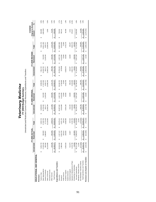*Veterinary Medicine* **FY 2009 Budget Summar y**

Unrestricted and Restricted Current Funds Revenues, Expenditures and Transfers

|                                   |              | <b>RUAL</b><br>FY 2008 A |                  |        |              | FY 2009 ORIGINAL |                 |            |                   | FY 2009 REVISED |                   |    | <b>Original to Revised</b><br>CHANGE |         |
|-----------------------------------|--------------|--------------------------|------------------|--------|--------------|------------------|-----------------|------------|-------------------|-----------------|-------------------|----|--------------------------------------|---------|
|                                   | Unrestricted | Restricted               | Total            |        | Unrestricted | Restricted       |                 | Total      | Unrestricted      | Restricted      | Total             |    | Amount                               | వ్      |
| EDUCATIONAL AND GENERAL           |              |                          |                  |        |              |                  |                 |            |                   |                 |                   |    |                                      |         |
| Revenues                          |              |                          |                  |        |              |                  |                 |            |                   |                 |                   |    |                                      |         |
| Tuition & Fees                    | 5,953,715    |                          | 5,953,715<br>မာ  | 69     | 6,696,853    |                  |                 | 6,696,853  | 7,361,742<br>မာ   |                 | 7,361,742<br>မာ   | 69 | 664,889                              | 9.9%    |
| State Appropriations              | 17,028,100   | 565,600                  | 17,593,700       |        | 6,765,300    |                  | 542,300         | 17,307,600 | 16,269,700        | 541,600<br>θĤ   | 16,811,300        |    | (496, 300)                           | $-2.9%$ |
| Grants & Contracts                | 885,362      | 2,888,087                | 3,773,449        |        | 900,177      |                  | 3,105,540       | 4,005,717  | 900,177           | 3,105,540       | 4,005,717         |    |                                      |         |
| Sales & Services                  | 10,218,665   |                          | 10,218,665       |        | 10,686,348   |                  |                 | 10,686,348 | 10,689,348        |                 | 10,689,348        |    | 3,000                                | 0.0%    |
| Investment Income                 |              |                          |                  |        |              |                  |                 |            |                   |                 |                   |    |                                      |         |
| Other Sources                     | 220,435      | 842,638                  | 1,063,073        |        | 217,359      |                  | 924,360         | 1,141,719  | 290,798           | 924,360         | 1,215,158         |    | 73,439                               | 6.4%    |
| <b>Total Revenues</b>             | 34,306,277   | 4,296,325                | 38,602,601<br>↮  | ↮      | 35,266,037   |                  | ↮<br>4,572,200  | 39,838,237 | 35,511,765        | 4,571,500<br>မာ | 40,083,265<br>4   | ↮  | 245,028                              | 0.6%    |
| Expenditures and Transfers        |              |                          |                  |        |              |                  |                 |            |                   |                 |                   |    |                                      |         |
| Instruction                       | 24,918,292   | 1,157,122                | 26,075,414<br>မာ | မာ     | 25,087,062   | မာ               | 1,097,700       | 26,184,762 | 25,790,106<br>မာ  | 1,097,700<br>ω  | 26,887,806<br>မာ  | ↮  | 703,044                              | 2.7%    |
| Research                          | 2,966,461    | 3,320,709                | 6,287,170        |        | 2,615,698    |                  | 3,143,000       | 5,758,698  | 3375939           | 3,142,900       | 6,518,839         |    | 760,141                              | 13.2%   |
| Public Service                    |              | 105,312                  | 105,312          |        |              |                  | 72,600          | 72,600     |                   | 72,600          | 72,600            |    |                                      |         |
| Academic Support                  | 4,550,015    | 108,565                  | 4,658,580        |        | 4,554,109    |                  | 64,600          | 4,618,709  | ,638,578          | 64,600          | 4,703,178         |    | 84,469                               | 1.8%    |
| Student Services                  |              |                          |                  |        |              |                  |                 |            |                   |                 |                   |    |                                      |         |
| Institutional Support             | 512,674      | 24,847                   | 537,522          |        | 416,446      |                  | 19,800          | 436,246    | 418,457           | 19,800          | 438,257           |    | 2,011                                | 0.5%    |
| Operation & Maintenance of Plant  | 2,233,756    |                          | 2,233,756        |        | 2,526,808    |                  |                 | 2,526,808  | 2,903,725         |                 | 2,903,725         |    | 376,917                              | 14.9%   |
| Scholarships & Fellowships        | 30,000       | 192,855                  | 222,855          |        | 39,000       |                  | 159,500         | 198,500    | 39,000            | 159,500         | 198,500           |    |                                      |         |
| Sub-total Expenditures            | 35,211,198   | 4,909,410<br>မာ          | 40,120,608<br>မာ | မာ     | 35,239,123   | မာ               | မာ<br>4,557,200 | 39,796,323 | 37,165,805<br>မာ  | 4,557,100<br>မာ | 41,722,905<br>မာ  | မာ | 1,926,582                            | 4.8%    |
| Mandatory Transfers (In)/Out      | 11,041       |                          |                  | 11,041 |              |                  |                 |            |                   |                 |                   |    |                                      |         |
| Non-Mandatory Transfers (In)/Out  | (777, 521)   |                          | (777, 521)       |        | 246,700      |                  |                 | 246,700    | 240,600           |                 | 240,600           |    | (6, 100)                             | $-2.5%$ |
| Total Expenditures and Transfers  | 34,444,717   | 4,909,410                | 39,354,127<br>↮  | မာ     | 35,485,823   |                  | 4,557,200       | 40,043,023 | 37,406,405<br>↮   | 4,557,100<br>ω, | 41,963,505<br>မာ  | ↮  | 1,920,482                            | 4.8%    |
| Revenues Less Expend. & Transfers | (138, 440)   | (613, 085)               | (751, 525)<br>မာ | ٥Ą     | (219, 786)   |                  | 15,000          | (204, 786) | (1,894,640)<br>မာ | 14,400<br>မာ    | (1,880,240)<br>မာ | s  | (1,675,454)                          |         |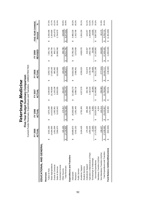|                                   |   | FY 2005<br>š<br>ACT        |   | <b>FY 2006</b><br>ACTUAL |   | FY 2007<br>ACTUAI |   | FY 2008<br>ACTUAL |    | <b>REVISED</b><br>FY 2009 | FIVE-YEAR CHANGE<br>Amount | న్       |
|-----------------------------------|---|----------------------------|---|--------------------------|---|-------------------|---|-------------------|----|---------------------------|----------------------------|----------|
| EDUCATIONAL AND GENERAL           |   |                            |   |                          |   |                   |   |                   |    |                           |                            |          |
| Revenues                          |   |                            |   |                          |   |                   |   |                   |    |                           |                            |          |
| Tuition & Fees                    | ക | 3,931,336                  | ക | 4,870,180                | ക | 5,645,653         | ↮ | 5,953,715         | ക  | 7,361,742                 | 3,430,406<br>ക             | 87.3%    |
| State Appropriations              |   | 14,064,900                 |   | 14,523,900               |   | 5,705,600         |   | 17,028,100        |    | 16,269,700                | 2,204,800                  | 15.7%    |
| Grants & Contracts                |   | ,061,849                   |   | 1,082,901                |   | 1,103,109         |   | 885,362           |    | 900,177                   | (161, 672)                 | $-15.2%$ |
| Sales & Services                  |   | 894,670                    |   | 9,103,042                |   | 9,603,355         |   | 10,218,665        |    | 10,689,348                | 2,794,678                  | 35.4%    |
| Investment Income                 |   |                            |   |                          |   |                   |   |                   |    |                           |                            |          |
| Other Sources                     |   | 181,100                    |   | 172,317                  |   | 201,457           |   | 220,435           |    | 290,798                   | 109,698                    | 60.6%    |
| <b>Total Revenues</b>             | ഗ | ,133,855<br>$\frac{27}{1}$ | ↮ | 29,752,340               | ↮ | 32,259,175        | ↮ | 34,306,277        | ↮  | 35,511,765                | 8,377,910<br>↮             | 30.9%    |
| Expenditures and Transfers        |   |                            |   |                          |   |                   |   |                   |    |                           |                            |          |
| Instruction                       |   | 809,873<br><u>(a)</u>      | ↮ | 20,303,639               | ↮ | 22, 168, 273      | ↮ | 24,918,292        | ↮  | 25,790,106                | 5,980,233<br>ക             | 30.2%    |
| Research                          |   | 042,233                    |   | 2,391,449                |   | 2,698,716         |   | 2,966,461         |    | 3,375,939                 | 1,333,706                  | 65.3%    |
| Public Service                    |   |                            |   |                          |   |                   |   |                   |    |                           |                            |          |
| Academic Support                  |   | 434,428<br>ო               |   | 3,792,455                |   | 4,027,579         |   | 4,550,015         |    | 4,638,578                 | 1,204,150                  | 35.1%    |
| Student Services                  |   |                            |   |                          |   |                   |   |                   |    |                           |                            |          |
| Institutional Support             |   | 275,200                    |   | 286,286                  |   | 332,782           |   | 512,674           |    | 418,457                   | 143,257                    | 52.1%    |
| Operation & Maintenance of Plant  |   | 894,029                    |   | 2,241,590                |   | 2,192,510         |   | 2,233,756         |    | 2,903,725                 | 1,009,696                  | 53.3%    |
| Scholarships & Fellowships        |   | 22,500                     |   | 9,000                    |   | 30,000            |   | 30,000            |    | 39,000                    | 16,500                     | 73.3%    |
| Sub-total Expenditures            |   | 478,263<br>27.             | ക | 29,024,420               | ഗ | 31,449,860        | ക | 35,211,198        | ക  | 37,165,805                | 9,687,542<br>ക             | 35.3%    |
| Mandatory Transfers (In)/Out      |   |                            |   | 6,324                    |   |                   |   |                   |    |                           |                            |          |
| Non-Mandatory Transfers (In)/Out  |   | 158,427                    |   | 103,214                  |   | 258,983           |   | (777,521)         |    | 240,600                   | 82,173                     | 51.9%    |
| Total Expenditures and Transfers  |   | 636,690<br>27,             | ↮ | 29,133,957               | ↔ | 31,708,844        | ↮ | 34,444,717        | ↮  | 37,406,405                | 9,769,715<br>↮             | 35.4%    |
| Fund Balance Addition/(Reduction) |   | 502,835)                   | ക | 618,383                  | ക | 550,331           | ക | (138, 440)        | မာ | (1,894,640)               | (1,391,805)<br>$\theta$    |          |
|                                   |   |                            |   |                          |   |                   |   |                   |    |                           |                            |          |

**Five-Year Budget Summary Comparison** Veterinary Medicine *Veterinary Medicine*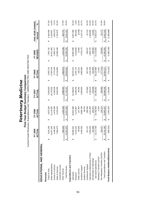|                                   |   | FY 2005        |   | FY 2006    |   | FY 2007       |   | FY 2008    |   | FY 2009     | FIVE-YEAR CHANGE |          |
|-----------------------------------|---|----------------|---|------------|---|---------------|---|------------|---|-------------|------------------|----------|
|                                   |   | ACTUAL         |   | ACTUAL     |   | <b>ACTUAI</b> |   | ACTUAL     |   | REVISED     | Amount           | వ్       |
| EDUCATIONAL AND GENERAL           |   |                |   |            |   |               |   |            |   |             |                  |          |
| Revenues                          |   |                |   |            |   |               |   |            |   |             |                  |          |
| Tuition & Fees                    | ↔ | 931,336        | ↔ | 4,870,180  | ↔ | 5,645,653     | ↔ | 5,953,715  | ↔ | 7,361,742   | 3,430,406<br>↔   | 87.3%    |
| State Appropriations              |   | 627,343<br>4.  |   | 5,170,835  |   | 6,279,502     |   | 17,593,700 |   | 16,811,300  | 2,183,957        | 14.9%    |
| Grants & Contracts                |   | 4,436,054      |   | 4,478,499  |   | 4,326,629     |   | 3,773,449  |   | 4,005,717   | (430, 337)       | $-9.7%$  |
| Sales & Services                  |   | 894,670        |   | 9,103,042  |   | 9,603,355     |   | 10,218,665 |   | 10,689,348  | 2,794,678        | 35.4%    |
| Investment Income                 |   |                |   |            |   |               |   |            |   |             |                  |          |
| Other Sources                     |   | 952,431        |   | 1,325,100  |   | 1,898,297     |   | 1,063,073  |   | 1,215,158   | 262,727          | 27.6%    |
| <b>Total Revenues</b>             |   | 841,833<br>న,  | ↔ | 34,947,656 | ↮ | 37,753,437    | ↔ | 38,602,601 | ↮ | 40,083,265  | 8,241,432<br>↮   | 25.9%    |
| Expenditures and Transfers        |   |                |   |            |   |               |   |            |   |             |                  |          |
| Instruction                       | ഗ | 050,441<br>20, | ക | 20,824,306 | ഗ | 23, 158, 821  | ക | 26,075,414 | ഗ | 26,887,806  | 6,837,365<br>ഗ   | 34.1%    |
| Research                          |   | 6,153,181      |   | 6,174,887  |   | 6,206,202     |   | 6,287,170  |   | 6,518,839   | 365,658          | 5.9%     |
| Public Service                    |   | 80,938         |   | 107,355    |   | 94,053        |   | 105,312    |   | 72,600      | (8,338)          | $-10.3%$ |
| Academic Support                  |   | 492,456<br>ო   |   | 3,888,788  |   | 4,095,804     |   | 4,658,580  |   | 4,703,178   | 1,210,722        | 34.7%    |
| Student Services                  |   |                |   | 39,676     |   |               |   |            |   |             |                  |          |
| Institutional Support             |   | 347,147        |   | 286,286    |   | 372,662       |   | 537,522    |   | 438,257     | 91,110           | 26.2%    |
| Operation & Maintenance of Plant  |   | 894,029        |   | 2,241,590  |   | 2,192,510     |   | 2,233,756  |   | 2,903,725   | 1,009,696        | 53.3%    |
| Scholarships & Fellowships        |   | 154,566        |   | 220,972    |   | 229,309       |   | 222,855    |   | 198,500     | 43,934           | 28.4%    |
| Sub-total Expenditures            |   | 172,758<br>32, | ↮ | 33,783,859 | ↮ | 36,349,362    | ↮ | 40,120,608 | ↮ | 41,722,905  | 9,550,147<br>↮   | 29.7%    |
| Mandatory Transfers (In)/Out      |   |                |   | 6,324      |   |               |   | 11,041     |   |             |                  |          |
| Non-Mandatory Transfers (In)/Out  |   | 158,427        |   | 103,214    |   | 258,983       |   | (777,521)  |   | 240,600     | 82,173           | 51.9%    |
| Total Expenditures and Transfers  | ഗ | 331,185<br>32, | ↔ | 33,893,397 | ↮ | 36,608,345    | ↔ | 39,354,127 | ഗ | 41,963,505  | 9,632,320<br>↮   | 29.8%    |
| Fund Balance Addition/(Reduction) |   | 489,352)       | ↔ | 1,054,259  | ↮ | 1,145,092     | ↔ | (751, 525) | ↮ | (1,880,240) | (1,390,888)<br>Ø |          |

**Five-Year Budget Summary Comparison**<br>Current Funds Revenues, Expenditures and Transfers - UNRESTRICTED AND RESTRICTED **Five-Year Budget Summary Comparison** Veterinary Medicine *Veterinary Medicine*

Current Funds Revenues, Expenditures and Transfers - UNRESTRICTED AND RESTRICTED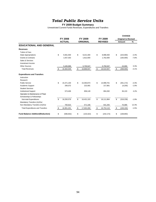## *Total Public Service Units*

#### **FY 2009 Budget Summary**

|                                          |                  |                  |                  | <b>CHANGE</b>              |         |
|------------------------------------------|------------------|------------------|------------------|----------------------------|---------|
|                                          | <b>FY 2008</b>   | FY 2009          | FY 2009          | <b>Original to Revised</b> |         |
|                                          | <b>ACTUAL</b>    | <b>ORIGINAL</b>  | <b>REVISED</b>   | Amount                     | %       |
| <b>EDUCATIONAL AND GENERAL</b>           |                  |                  |                  |                            |         |
| <b>Revenues</b>                          |                  |                  |                  |                            |         |
| <b>Tuition &amp; Fees</b>                |                  |                  |                  |                            |         |
| <b>State Appropriations</b>              | \$<br>9,361,500  | \$<br>9,221,400  | \$<br>8,998,400  | \$<br>(223,000)            | $-2.4%$ |
| <b>Grants &amp; Contracts</b>            | 1,557,353        | 1,912,000        | 1,762,000        | (150,000)                  | $-7.8%$ |
| Sales & Services                         |                  |                  |                  |                            |         |
| Investment Income                        |                  |                  |                  |                            |         |
| <b>Other Sources</b>                     | 5,445,696        | 5,735,547        | 5,750,547        | 15,000                     | 0.3%    |
| <b>Total Revenues</b>                    | \$<br>16,364,549 | \$<br>16,868,947 | \$<br>16,510,947 | \$<br>(358,000)            | $-2.1%$ |
| <b>Expenditures and Transfers</b>        |                  |                  |                  |                            |         |
| Instruction                              |                  |                  |                  |                            |         |
| Research                                 |                  |                  |                  |                            |         |
| <b>Public Service</b>                    | \$<br>15,471,100 | \$<br>15,350,873 | \$<br>14,999,701 | \$<br>(351, 172)           | $-2.3%$ |
| Academic Support                         | 206.072          | 222,081          | 217,881          | (4,200)                    | $-1.9%$ |
| <b>Student Services</b>                  |                  |                  |                  |                            |         |
| <b>Institutional Support</b>             | 573,406          | 858,149          | 894,282          | 36,133                     | 4.2%    |
| Operation & Maintenance of Plant         |                  |                  |                  |                            |         |
| Scholarships & Fellowships               |                  |                  |                  |                            |         |
| Sub-total Expenditures                   | \$<br>16,250,579 | \$<br>16,431,103 | \$<br>16,111,864 | \$<br>(319, 239)           | $-1.9%$ |
| Mandatory Transfers (In)/Out             |                  |                  |                  |                            |         |
| Non-Mandatory Transfers (In)/Out         | 700,622          | 571,166          | 641,255          | 70,089                     | 12.3%   |
| <b>Total Expenditures and Transfers</b>  | \$<br>16,951,201 | \$<br>17,002,269 | \$<br>16,753,119 | \$<br>(249, 150)           | $-1.5%$ |
| <b>Fund Balance Addition/(Reduction)</b> | \$<br>(586, 652) | \$<br>(133, 322) | \$<br>(242, 172) | \$<br>(108, 850)           |         |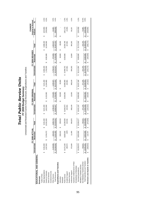| l                              |   |
|--------------------------------|---|
| $\checkmark$<br>ļ<br><u>.,</u> | ċ |
| i                              |   |

FY 2009 Budget Summary<br>Unrestricted and Restricted Current Funds Revenues, Expenditures and Transfers

Unrestricted and Restricted Current Funds Revenues, Expenditures and Transfers

|                                   |                  | <b>FY 2008 ACTUAL</b>                   |                  |                                      | FY 2009 ORIGINAL |                  |                  | FY 2009 REVISED |                  |        | <b>Original to Revised</b><br>CHANGE |
|-----------------------------------|------------------|-----------------------------------------|------------------|--------------------------------------|------------------|------------------|------------------|-----------------|------------------|--------|--------------------------------------|
|                                   | Unrestricted     | Restricted                              | Total            | Unrestricted                         | Restricted       | Total            | Unrestricted     | Restricted      | Total            | Amount | \$                                   |
| EDUCATIONAL AND GENERAL           |                  |                                         |                  |                                      |                  |                  |                  |                 |                  |        |                                      |
| Revenues                          |                  |                                         |                  |                                      |                  |                  |                  |                 |                  |        |                                      |
| Tuition & Fees                    |                  |                                         |                  |                                      |                  |                  |                  |                 |                  |        |                                      |
| State Appropriations              | 9,361,500<br>မာ  |                                         | 9,361,500<br>မာ  | 9,221,400<br>မာ                      |                  | 9,221,400<br>မာ  | 8,998,400<br>မာ  |                 | 8,998,400<br>မာ  | မာ     | $-2.4%$<br>(223,000)                 |
| Grants & Contracts                | 1,557,353        | 8,744,473<br>မာ                         | 10,301,826       | 1,912,000                            | 9,132,085<br>မာ  | 11,044,085       | 1,762,000        | 8,582,085<br>Θ  | 10,344,085       |        | $-6.3%$<br>(700, 000)                |
| Sales & Services                  |                  |                                         |                  |                                      |                  |                  |                  |                 |                  |        |                                      |
| Investment Income                 |                  |                                         |                  |                                      |                  |                  |                  |                 |                  |        |                                      |
| Other Sources                     | 5,445,696        | 420,022                                 | 5,865,718        | 5,735,547                            | 574,000          | 6.309.547        | 5,750,547        | 574,000         | 6,324,547        |        | $0.2\%$<br>15,000                    |
| <b>Total Revenues</b>             | 16,364,549<br>မာ | 9,164,495<br>$\boldsymbol{\varphi}$     | 25,529,044<br>↮  | 16,868,947<br>↮                      | 9,706,085<br>↮   | 26,575,032<br>မာ | 16,510,947<br>မာ | 9,156,085<br>↮  | 25,667,032<br>မာ | ↮      | $-3.4%$<br>(908,000)                 |
| Expenditures and Transfers        |                  |                                         |                  |                                      |                  |                  |                  |                 |                  |        |                                      |
| Instruction                       |                  | $\circ$<br>209,01<br>↮                  | 209,010<br>မာ    |                                      | 60,000<br>မာ     | 60,000<br>↮      |                  | 60,000<br>G)    | 60,000<br>↮      | G)     |                                      |
| Research                          |                  |                                         |                  |                                      |                  |                  |                  |                 |                  |        |                                      |
| Public Service                    | \$15,471,100     | 8,828,839                               | 24,299,939       | 15,350,873<br>မာ                     | 9,536,085        | 24,886,958       | 14,999,701<br>မာ | 9,536,085       | 24,535,786       |        | $-1.4%$<br>(351, 172)                |
| Academic Support                  | 206,072          | 4379                                    | 210,451          | 222,081                              |                  | 222,081          | 217,881          |                 | 217,881          |        | $-1.9%$<br>(4,200)                   |
| Student Services                  |                  |                                         |                  |                                      |                  |                  |                  |                 |                  |        |                                      |
| Institutional Support             | 573,406          | ö<br>11,46                              | 584,876          | 858,149                              | 10,000           | 868,149          | 894,282          | 10,000          | 904,282          |        | 4.2%<br>36,133                       |
| Operation & Maintenance of Plant  |                  |                                         |                  |                                      |                  |                  |                  |                 |                  |        |                                      |
| Scholarships & Fellowships        |                  |                                         |                  |                                      |                  |                  |                  |                 |                  |        |                                      |
| Sub-total Expenditures            | \$ 16,250,579    | ≌<br>9,053,69<br>$\boldsymbol{\varphi}$ | 25,304,277<br>မာ | 16,431,103<br>မာ                     | 9,606,085<br>Θ   | 26,037,188<br>မာ | 16,111,864<br>မာ | 9,606,085<br>မာ | \$25,717,949     | မာ     | $-1.2%$<br>(319, 239)                |
| Mandatory Transfers (In)/Out      |                  |                                         |                  |                                      |                  |                  |                  |                 |                  |        |                                      |
| Non-Mandatory Transfers (In)/Out  | 700,622          |                                         | 700,622          | 571,166                              |                  | 571,166          | 641,255          |                 | 641,255          |        | 12.3%<br>70,089                      |
| Total Expenditures and Transfers  | 16,951,201       | 9,053,698<br>မာ                         | 26,004,899<br>↮  | 17,002,269<br>$\boldsymbol{\varphi}$ | 9,606,085<br>↮   | 26,608,354<br>↮  | 16,753,119<br>↮  | 9,606,085<br>↮  | 26,359,204<br>↮  | မာ     | $-0.9%$<br>(249, 150)                |
| Revenues Less Expend. & Transfers | (586,652)        | 110,797                                 | (475, 855)<br>မာ | (133, 322)<br>မာ                     | 100,000<br>မာ    | (33, 322)<br>မာ  | (242, 172)<br>မာ | (450,000)<br>မာ | (692, 172)<br>မာ | မာ     | (658, 850)                           |
|                                   |                  |                                         |                  |                                      |                  |                  |                  |                 |                  |        |                                      |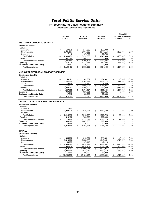## *Total Public Service Units*

**FY 2009 Natural Classifications Summary**

Unrestricted Current Funds Expenditures

|                                                                            |                            |                         |                      |                            |                         | <b>CHANGE</b>              |         |
|----------------------------------------------------------------------------|----------------------------|-------------------------|----------------------|----------------------------|-------------------------|----------------------------|---------|
|                                                                            | FY 2008                    |                         | FY 2009              | FY 2009                    |                         | <b>Original to Revised</b> |         |
|                                                                            | <b>ACTUAL</b>              |                         | <b>ORIGINAL</b>      | <b>REVISED</b>             |                         | Amount                     | %       |
| <b>INSTITUTE FOR PUBLIC SERVICE</b>                                        |                            |                         |                      |                            |                         |                            |         |
| <b>Salaries and Benefits</b>                                               |                            |                         |                      |                            |                         |                            |         |
| <b>Salaries</b>                                                            |                            |                         |                      |                            |                         |                            |         |
| Academic                                                                   | \$<br>147,570              | \$                      | 177,000              | \$<br>177.000              | \$                      |                            |         |
| Non-Academic                                                               | 2,731,237                  |                         | 3,007,923            | 2,844,114                  |                         | (163, 809)                 | $-5.4%$ |
| <b>Students</b>                                                            | 7,446                      |                         | 27,780               | 27,780                     |                         |                            |         |
| <b>Total Salaries</b>                                                      | \$<br>2,886,253            | \$                      | 3,212,703            | \$<br>3.048.894            | \$                      | (163, 809)                 | $-5.1%$ |
| <b>Benefits</b>                                                            | 941,396                    |                         | 988,000              | 1,053,000                  |                         | 65,000                     | 6.6%    |
| <b>Total Salaries and Benefits</b>                                         | \$<br>3,827,649            | \$                      | 4,200,703            | \$<br>4.101.894            | \$                      | (98, 809)                  | $-2.4%$ |
| Operating<br><b>Equipment and Capital Outlay</b>                           | 2,270,715<br>68,087        |                         | 1,717,955<br>20,000  | 1,662,592<br>20,000        |                         | (55, 363)                  | $-3.2%$ |
|                                                                            | \$                         |                         |                      |                            |                         |                            | $-2.6%$ |
| <b>Total Expenditures</b>                                                  | 6,166,451                  | \$                      | 5,938,658            | \$<br>5,784,486            | \$                      | (154, 172)                 |         |
| <b>MUNICIPAL TECHNICAL ADVISORY SERVICE</b>                                |                            |                         |                      |                            |                         |                            |         |
| <b>Salaries and Benefits</b>                                               |                            |                         |                      |                            |                         |                            |         |
| <b>Salaries</b>                                                            |                            |                         |                      |                            |                         |                            |         |
| Academic                                                                   | \$<br>140,121              | \$                      | 142,801              | \$<br>134,801              | \$                      | (8,000)                    | $-5.6%$ |
| Non-Academic                                                               | 3.484.504                  |                         | 3.705.877            | 3.634.114                  |                         | (71, 763)                  | $-1.9%$ |
| <b>Students</b>                                                            | 29,409                     |                         | 19,330               | 19,330                     |                         |                            |         |
| <b>Total Salaries</b>                                                      | \$<br>3,654,033            | \$                      | 3,868,008            | \$<br>3,788,245            | \$                      | (79, 763)                  | $-2.1%$ |
| <b>Benefits</b>                                                            | 1,203,151                  |                         | 1,306,209            | 1,191,209                  |                         | (115,000)                  | $-8.8%$ |
| <b>Total Salaries and Benefits</b>                                         | \$<br>4.857.185            | \$                      | 5.174.217            | \$<br>4.979.454            | \$                      | (194, 763)                 | $-3.8%$ |
| Operating                                                                  | 949,265                    |                         | 916,321              | 923,321                    |                         | 7,000                      | 0.8%    |
| <b>Equipment and Capital Outlay</b>                                        | 17,713                     |                         | 39,080               | 39,080                     |                         |                            |         |
| <b>Total Expenditures</b>                                                  | \$<br>5,824,162            | \$                      | 6,129,618            | \$<br>5,941,855            | \$                      | (187, 763)                 | $-3.1%$ |
| <b>COUNTY TECHNICAL ASSISTANCE SERVICE</b><br><b>Salaries and Benefits</b> |                            |                         |                      |                            |                         |                            |         |
| <b>Salaries</b>                                                            |                            |                         |                      |                            |                         |                            |         |
| Academic                                                                   | \$<br>17,600               |                         |                      |                            |                         |                            |         |
| Non-Academic                                                               | 2,398,178                  | \$                      | 2,545,027            | \$<br>2,567,723            | \$                      | 22,696                     | 0.9%    |
| <b>Students</b>                                                            |                            |                         |                      |                            |                         |                            |         |
| <b>Total Salaries</b><br><b>Benefits</b>                                   | \$<br>2,415,778            | \$                      | 2,545,027            | \$<br>2,567,723            | \$                      | 22,696                     | 0.9%    |
| <b>Total Salaries and Benefits</b>                                         | \$<br>810,130<br>3,225,908 | \$                      | 780,000<br>3,325,027 | \$<br>780,000<br>3,347,723 | \$                      | 22,696                     | 0.7%    |
| Operating                                                                  | 1,004,968                  |                         | 1,007,800            | 1,007,800                  |                         |                            |         |
| <b>Equipment and Capital Outlay</b>                                        | 29,089                     |                         | 30,000               | 30,000                     |                         |                            |         |
| <b>Total Expenditures</b>                                                  | \$<br>4,259,965            | $\sqrt[6]{\frac{1}{2}}$ | 4,362,827            | \$<br>4,385,523            | $\sqrt[6]{3}$           | 22,696                     | 0.5%    |
|                                                                            |                            |                         |                      |                            |                         |                            |         |
| <b>TOTALS</b>                                                              |                            |                         |                      |                            |                         |                            |         |
| <b>Salaries and Benefits</b>                                               |                            |                         |                      |                            |                         |                            |         |
| <b>Salaries</b>                                                            |                            |                         |                      |                            |                         |                            |         |
| Academic                                                                   | \$<br>305,290              | \$                      | 319.801              | \$<br>311.801              | \$                      | (8,000)                    | $-2.5%$ |
| Non-Academic<br><b>Students</b>                                            | 8,613,920                  |                         | 9,258,827            | 9,045,951                  |                         | (212, 876)                 | $-2.3%$ |
| <b>Total Salaries</b>                                                      | \$<br>36,855<br>8,956,065  | \$                      | 47,110<br>9,625,738  | \$<br>47,110<br>9,404,862  | \$                      | (220, 876)                 | $-2.3%$ |
| <b>Benefits</b>                                                            | 2,954,678                  |                         | 3,074,209            | 3,024,209                  |                         | (50,000)                   | $-1.6%$ |
| <b>Total Salaries and Benefits</b>                                         | 11,910,742                 | \$                      | 12,699,947           | \$<br>12,429,071           | \$                      | (270, 876)                 | $-2.1%$ |
| Operating                                                                  | 4,224,948                  |                         | 3,642,076            | 3,593,713                  |                         | (48, 363)                  | $-1.3%$ |
| <b>Equipment and Capital Outlay</b>                                        | 114,889                    |                         | 89,080               | 89,080                     |                         |                            |         |
| <b>Total Expenditures</b>                                                  | \$<br>16,250,579           | $\overline{\mathbf{3}}$ | 16,431,103           | \$<br>16,111,864           | $\overline{\mathbf{S}}$ | (319, 239)                 | $-1.9%$ |
|                                                                            |                            |                         |                      |                            |                         |                            |         |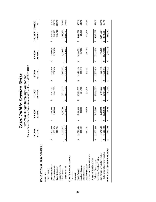|                                   |   |                      |   |                   |   | Current Funds Revenues, Expenditures and Transfers - UNRESTRICTED |   |                   |                        |                           |   |                  |           |
|-----------------------------------|---|----------------------|---|-------------------|---|-------------------------------------------------------------------|---|-------------------|------------------------|---------------------------|---|------------------|-----------|
|                                   |   | FY 2005<br>ξ<br>ACTU |   | FY 2006<br>ACTUAL |   | FY 2007<br>ACTUAL                                                 |   | FY 2008<br>ACTUAL |                        | <b>REVISED</b><br>FY 2009 |   | FIVE-YEAR CHANGE |           |
| EDUCATIONAL AND GENERAL           |   |                      |   |                   |   |                                                                   |   |                   |                        |                           |   | Amount           | నీ        |
| Revenues                          |   |                      |   |                   |   |                                                                   |   |                   |                        |                           |   |                  |           |
| Tuition & Fees                    |   |                      |   |                   |   |                                                                   |   |                   |                        |                           |   |                  |           |
| State Appropriations              | ↔ | 85,600<br>77         | ↮ | 8,001,600         | ↮ | 8,147,800                                                         | ↮ | 9,361,500         | ↮                      | 8,998,400                 | ↮ | 1,212,800        | 15.6%     |
| Grants & Contracts                |   | 169,570              |   | 1,443,668         |   | 1,548,086                                                         |   | 1,557,353         |                        | 1,762,000                 |   | 592,430          | 50.7%     |
| Sales & Services                  |   | 116,791              |   |                   |   |                                                                   |   |                   |                        |                           |   | (116, 791)       | $-100.0%$ |
| Investment Income                 |   |                      |   |                   |   |                                                                   |   |                   |                        |                           |   |                  |           |
| Other Sources                     |   | 92,351<br>ი<br>4     |   | 4,691,209         |   | 5,241,202                                                         |   | 5,445,696         |                        | 5,750,547                 |   | 1,358,196        | 30.9%     |
| <b>Total Revenues</b>             |   | -64,312<br>13,4      | ↮ | 14, 136, 477      | ↮ | 14,937,088                                                        | ↮ | 16,364,549        | $\boldsymbol{\varphi}$ | 16,510,947                | ↮ | 3,046,635        | 22.6%     |
| Expenditures and Transfers        |   |                      |   |                   |   |                                                                   |   |                   |                        |                           |   |                  |           |
| Instruction                       |   |                      |   |                   |   |                                                                   |   |                   |                        |                           |   |                  |           |
| Research                          |   |                      |   |                   |   |                                                                   |   |                   |                        |                           |   |                  |           |
| Public Service                    | ↮ | 10,511,350           | ↮ | 12,001,623        | ↮ | 12,855,929                                                        | ↮ | 15,471,100        | ↮                      | 14,999,701                | ↮ | 4,488,351        | 42.7%     |
| Academic Support                  |   | 192,369              |   | 205,136           |   | 224,725                                                           |   | 206,072           |                        | 217,881                   |   | 25,512           | 13.3%     |
| Student Services                  |   |                      |   |                   |   |                                                                   |   |                   |                        |                           |   |                  |           |
| Institutional Support             |   | $-62,581$            |   | 509,626           |   | 514,601                                                           |   | 573,406           |                        | 894,282                   |   | 431,701          | 93.3%     |
| Operation & Maintenance of Plant  |   |                      |   |                   |   |                                                                   |   |                   |                        |                           |   |                  |           |
| Scholarships & Fellowships        |   |                      |   |                   |   |                                                                   |   |                   |                        |                           |   |                  |           |
| Sub-total Expenditures            |   | 66,300<br>11,1       | ↔ | 12,716,384        | ↔ | 13,595,255                                                        | ↔ | 16,250,579        | ↔                      | 16,111,864                | ↮ | 4,945,564        | 44.3%     |
| Mandatory Transfers (In)/Out      |   |                      |   |                   |   |                                                                   |   |                   |                        |                           |   |                  |           |
| Non-Mandatory Transfers (In)/Out  |   | 146,122              |   | 1,236,383         |   | 1,733,256                                                         |   | 700,622           |                        | 641,255                   |   | (1,204,867)      | $-65.3%$  |
| Total Expenditures and Transfers  | ↮ | 12,422<br>13,0       | ↮ | 13,952,768        | ↮ | 15,328,511                                                        | ↮ | 16,951,201        | ↮                      | 6,753,119                 | ↮ | 3,740,697        | 28.7%     |
| Fund Balance Addition/(Reduction) |   | 51,890               | ↮ | 183,709           | ↔ | (391, 423)                                                        | ↔ | (586,652)         | ↔                      | (242, 172)                | ↔ | (694, 062)       |           |
|                                   |   |                      |   |                   |   |                                                                   |   |                   |                        |                           |   |                  |           |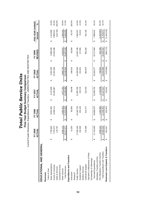|                                   |   | FY 2005<br>ACTUAL         |                       | FY 2006<br>ACTUAL |   | FY 2007<br>ACTUAL |                        | FY 2008<br>ACTUAL |   | <b>REVISED</b><br>FY 2009 |   | FIVE-YEAR CHANGE<br>Amount | వ్        |
|-----------------------------------|---|---------------------------|-----------------------|-------------------|---|-------------------|------------------------|-------------------|---|---------------------------|---|----------------------------|-----------|
| EDUCATIONAL AND GENERAL           |   |                           |                       |                   |   |                   |                        |                   |   |                           |   |                            |           |
| Revenues                          |   |                           |                       |                   |   |                   |                        |                   |   |                           |   |                            |           |
| Tuition & Fees                    |   |                           |                       |                   |   |                   |                        |                   |   |                           |   |                            |           |
| State Appropriations              | ↔ | 7,785,600                 | ↔                     | 8,001,600         | ↔ | 8,147,800         | ↔                      | 9,361,500         | ↮ | 8,998,400                 | ↔ | 1,212,800                  | 15.6%     |
| Grants & Contracts                |   | ,375,073                  |                       | 8,438,114         |   | 10,440,967        |                        | 10,301,826        |   | 10,344,085                |   | 2,969,012                  | 40.3%     |
| Sales & Services                  |   | 116,791                   |                       |                   |   |                   |                        |                   |   |                           |   | (116, 791)                 | $-100.0%$ |
| Investment Income                 |   |                           |                       |                   |   |                   |                        |                   |   |                           |   |                            |           |
| Other Sources                     |   | 940,113                   |                       | 5.083.315         |   | 5,971,201         |                        | 5.865.718         |   | 6.324.547                 |   | 1.384,434                  | 28.0%     |
| <b>Total Revenues</b>             |   | 217,577<br>$\frac{20}{1}$ | $\boldsymbol{\omega}$ | 21,523,029        | ↮ | 24,559,968        | မျ                     | 25,529,044        | ↔ | 25,667,032                | ↮ | 5,449,455                  | 27.0%     |
| Expenditures and Transfers        |   |                           |                       |                   |   |                   |                        |                   |   |                           |   |                            |           |
| Instruction                       | ഗ | 14,293                    | ക                     | 60,058            | ക | 59,048            | ക                      | 209,010           | ↮ | 60,000                    | ക | 45,707                     | 100.0%    |
| Research                          |   |                           |                       |                   |   |                   |                        |                   |   |                           |   |                            |           |
| Public Service                    |   | ,040,249                  |                       | 19,189,729        |   | 21,887,255        |                        | 24,299,939        |   | 24,535,786                |   | 7,495,537                  | 44.0%     |
| Academic Support                  |   | 192,369                   |                       | 205,136           |   | 224,725           |                        | 210,451           |   | 217,881                   |   | 25,512                     | 13.3%     |
| Student Services                  |   |                           |                       |                   |   |                   |                        |                   |   |                           |   |                            |           |
| Institutional Support             |   | 472,498                   |                       | 514,747           |   | 522,763           |                        | 584,876           |   | 904,282                   |   | 431,784                    | 91.4%     |
| Operation & Maintenance of Plant  |   |                           |                       |                   |   |                   |                        |                   |   |                           |   |                            |           |
| Scholarships & Fellowships        |   |                           |                       |                   |   |                   |                        |                   |   |                           |   |                            |           |
| Sub-total Expenditures            |   | ,719,408<br>17            | ↔                     | 19,969,670        | ↮ | 22,693,791        | ↔                      | 25,304,277        | ↮ | 25,717,949                | ↔ | 7,998,541                  | 45.1%     |
| Mandatory Transfers (In)/Out      |   |                           |                       |                   |   |                   |                        |                   |   |                           |   |                            |           |
| Non-Mandatory Transfers (In)/Out  |   | 846,122                   |                       | 1,236,383         |   | 1,733,256         |                        | 700,622           |   | 641,255                   |   | (1,204,867)                | $-65.3%$  |
| Total Expenditures and Transfers  |   | ,565,530<br>$\frac{6}{2}$ | ↮                     | 21,206,053        | ↮ | 24,427,047        | $\boldsymbol{\varphi}$ | 26,004,899        | ↮ | 26,359,204                | ↔ | 6,793,674                  | 34.7%     |
| Revenues Less Expend. & Transfers |   | 652,047                   | ↔                     | 316,976           | ക | 132,921           | ↔                      | (475, 855)        | ↮ | (692, 172)                | ↔ | (1,344,219)                |           |
|                                   |   |                           |                       |                   |   |                   |                        |                   |   |                           |   |                            |           |

**Total Public Service Units** *Total Public Service Units*

Five-Year Budget Summary Comparison<br>Current Funds Revenues, Expenditures and Transfers - UNRESTRICTED AND RESTRICTED Current Funds Revenues, Expenditures and Transfers - UNRESTRICTED AND RESTRICTED **Five-Year Budget Summary Comparison**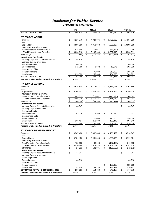### *Institute for Public Service*

#### **Unrestricted Net Assets**

|                                                                                       |                         | <b>IPS</b>             |                         | <b>MTAS</b>          |                      | <b>CTAS</b>            |               | <b>TOTAL</b>            |
|---------------------------------------------------------------------------------------|-------------------------|------------------------|-------------------------|----------------------|----------------------|------------------------|---------------|-------------------------|
| <b>TOTAL - JUNE 30, 2006</b>                                                          | $\sqrt[6]{\frac{1}{2}}$ | 806,814                | $\,$                    | 509,522              | $\pmb{\mathfrak{S}}$ | 681,789                | \$            | 1,998,125               |
|                                                                                       |                         |                        |                         |                      |                      |                        |               |                         |
| <b>FY 2006-07 ACTUAL</b>                                                              |                         |                        |                         |                      |                      |                        |               |                         |
| Revenue                                                                               | \$                      | 6,215,770              | \$                      | 4,929,696            | \$                   | 3,791,623              | \$            | 14,937,088              |
| Less:                                                                                 |                         |                        | \$                      |                      |                      | 4,051,327              |               |                         |
| Expenditures                                                                          | \$                      | 4,590,050              |                         | 4,953,878            | \$                   |                        | \$            | 13,595,255              |
| Mandatory Transfers (In)/Out                                                          |                         |                        |                         |                      |                      |                        |               |                         |
| Non-Mandatory Transfers(In)/Out                                                       |                         | 1,638,568<br>6,228,618 |                         | 153,071<br>5,106,949 |                      | (58, 382)<br>3,992,945 |               | 1,733,256<br>15,328,511 |
| <b>Total Expenditures &amp; Transfers</b>                                             | $\frac{1}{2}$<br>\$     |                        | $\frac{1}{2}$<br>\$     |                      | \$                   | (201, 322)             | \$            | (391, 423)              |
| Net Change<br><b>Unrestricted Net Assets</b>                                          |                         | (12, 848)              |                         | (177, 253)           | \$                   |                        | \$            |                         |
| Working Capital-Accounts Receivable                                                   | \$                      | 45,825                 |                         |                      |                      |                        | \$            | 45,825                  |
| <b>Working Capital-Inventories</b>                                                    |                         |                        |                         |                      |                      |                        |               |                         |
| <b>Revolving Funds</b>                                                                |                         | 80,000                 |                         |                      |                      |                        |               | 80,000                  |
| Encumbrances                                                                          |                         | 372,758                | \$                      | 3,582                | \$                   | 15,576                 |               | 391,915                 |
| <b>Unexpended Gifts</b>                                                               |                         |                        |                         |                      |                      |                        |               |                         |
| Reappropriations                                                                      |                         |                        |                         | 75,000               |                      | 310,000                |               | 385,000                 |
| Unallocated                                                                           |                         | 295,383                |                         | 253,688              |                      | 154,890                |               | 703,961                 |
|                                                                                       |                         | 793,966                |                         | 332,270              | $\frac{1}{2}$        |                        |               |                         |
| <b>TOTAL - JUNE 30, 2007</b><br><b>Percent Unallocated of Expend. &amp; Transfers</b> | $\frac{1}{2}$           | 4.74%                  | $\frac{1}{2}$           | 4.97%                |                      | 480,466<br>3.88%       | $\frac{1}{2}$ | 1,606,702<br>4.59%      |
|                                                                                       |                         |                        |                         |                      |                      |                        |               |                         |
| <b>FY 2007-08 ACTUAL</b>                                                              |                         |                        |                         |                      |                      |                        |               |                         |
| Revenue                                                                               | \$                      | 6,515,804              | \$                      | 5,715,617            | \$                   | 4,133,128              | \$            | 16,364,549              |
| Less:                                                                                 |                         |                        |                         |                      |                      |                        |               |                         |
| Expenditures                                                                          | \$                      | 6,166,451              | \$                      | 5,824,162            | \$                   | 4,259,965              | \$            | 16,250,579              |
| Mandatory Transfers (In)/Out                                                          |                         |                        |                         |                      |                      |                        |               |                         |
| Non-Mandatory Transfers(In)/Out                                                       |                         | 889,859                |                         | (73, 841)            |                      | (115, 395)             |               | 700,622                 |
| <b>Total Expenditures &amp; Transfers</b>                                             | \$                      | 7,056,310              | \$                      | 5,750,321            | \$                   | 4,144,570              | \$            | 16,951,201              |
| Net Change                                                                            | $\overline{\$}$         | (540, 506)             | \$                      | (34, 704)            | \$                   | (11, 441)              | \$            | (586, 652)              |
| <b>Unrestricted Net Assets</b>                                                        |                         |                        |                         |                      |                      |                        |               |                         |
| Working Capital-Accounts Receivable                                                   | \$                      | 44,947                 |                         |                      |                      |                        | \$            | 44,947                  |
| <b>Working Capital-Inventories</b>                                                    |                         |                        |                         |                      |                      |                        |               |                         |
| <b>Revolving Funds</b>                                                                |                         |                        |                         |                      |                      |                        |               |                         |
| Encumbrances                                                                          |                         | 43,016                 | \$                      | 18,965               | \$                   | 15,576                 |               | 77,557                  |
| <b>Unexpended Gifts</b>                                                               |                         |                        |                         |                      |                      |                        |               |                         |
| Reappropriations                                                                      |                         |                        |                         | 20,000               |                      | 270,000                |               | 290,000                 |
| Unallocated                                                                           |                         | 165,497                |                         | 258,600              |                      | 183,449                |               | 607,546                 |
| <b>TOTAL - JUNE 30, 2008</b>                                                          | \$                      | 253,460                | \$                      | 297,565              | \$                   | 469,025                | \$            | 1,020,050               |
| Percent Unallocated of Expend. & Transfers                                            |                         | 2.35%                  |                         | 4.50%                |                      | 4.43%                  |               | 3.58%                   |
| FY 2008-09 REVISED BUDGET                                                             |                         |                        |                         |                      |                      |                        |               |                         |
| Revenue                                                                               | \$                      | 6,547,400              | \$                      | 5,832,048            | \$                   | 4,131,499              | \$            | 16,510,947              |
| Less:                                                                                 |                         |                        |                         |                      |                      |                        |               |                         |
| Expenditures                                                                          | \$                      | 5,784,486              | \$                      | 5,941,855            | \$                   | 4,385,523              | S             | 16,111,864              |
| Mandatory Transfers (In)/Out                                                          |                         |                        |                         |                      |                      |                        |               |                         |
| Non-Mandatory Transfers(In)/Out                                                       |                         | 735,683                |                         | 33,028               |                      | (127, 456)             |               | 641,255                 |
| <b>Total Expenditures &amp; Transfers</b>                                             | $\frac{1}{2}$           | 6,520,169              | $\frac{1}{2}$           | 5,974,883            | $\frac{3}{2}$        | 4,258,067              | $\frac{1}{2}$ | 16,753,119              |
| Net Change                                                                            | $\overline{\$}$         | 27,231                 | $\$$                    | (142, 835)           | $\pmb{\mathfrak{z}}$ | (126, 568)             | $\$\$         | (242, 172)              |
| <b>Unrestricted Net Assets</b>                                                        |                         |                        |                         |                      |                      |                        |               |                         |
| Working Capital-Accounts Receivable                                                   | \$                      | 44,947                 |                         |                      |                      |                        | \$            | 44,947                  |
| <b>Working Capital-Inventories</b>                                                    |                         |                        |                         |                      |                      |                        |               |                         |
| <b>Revolving Funds</b>                                                                |                         |                        |                         |                      |                      |                        |               |                         |
| Encumbrances                                                                          |                         | 43,016                 |                         |                      |                      |                        |               | 43,016                  |
| <b>Unexpended Gifts</b>                                                               |                         |                        |                         |                      |                      |                        |               |                         |
|                                                                                       |                         |                        |                         |                      | \$                   | 159,008                |               | 159,008                 |
| Reappropriations<br>Unallocated                                                       |                         | 192,728                | \$                      | 154,730              |                      | 183,449                |               | 530,907                 |
| <b>ESTIMATED TOTAL - OCTOBER 31, 2008</b>                                             | \$                      | 280,691                | $\sqrt[6]{\frac{1}{2}}$ | 154,730              | $\frac{1}{2}$        | 342,457                |               | 777,878                 |
|                                                                                       |                         |                        |                         | 2.59%                |                      |                        | $\frac{1}{2}$ |                         |
| Percent Unallocated of Expend. & Transfers                                            |                         | 2.96%                  |                         |                      |                      | 4.31%                  |               | 3.17%                   |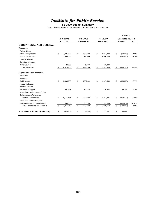# *Institute for Public Service*

#### **FY 2009 Budget Summary**

|                                          |                  |                 |                 | <b>CHANGE</b>              |               |
|------------------------------------------|------------------|-----------------|-----------------|----------------------------|---------------|
|                                          | <b>FY 2008</b>   | FY 2009         | FY 2009         | <b>Original to Revised</b> |               |
|                                          | <b>ACTUAL</b>    | <b>ORIGINAL</b> | <b>REVISED</b>  | Amount                     | $\frac{9}{6}$ |
| <b>EDUCATIONAL AND GENERAL</b>           |                  |                 |                 |                            |               |
| <b>Revenues</b>                          |                  |                 |                 |                            |               |
| Tuition & Fees                           |                  |                 |                 |                            |               |
| <b>State Appropriations</b>              | \$<br>4,995,500  | \$<br>4,923,500 | \$<br>4,834,400 | \$<br>(89, 100)            | $-1.8%$       |
| <b>Grants &amp; Contracts</b>            | 1,500,299        | 1,850,000       | 1,700,000       | (150,000)                  | $-8.1%$       |
| Sales & Services                         |                  |                 |                 |                            |               |
| Investment Income                        |                  |                 |                 |                            |               |
| <b>Other Sources</b>                     | 20,005           | 13,000          | 13,000          |                            |               |
| <b>Total Revenues</b>                    | \$<br>6,515,804  | \$<br>6,786,500 | \$<br>6,547,400 | \$<br>(239, 100)           | $-3.5%$       |
| <b>Expenditures and Transfers</b>        |                  |                 |                 |                            |               |
| Instruction                              |                  |                 |                 |                            |               |
| Research                                 |                  |                 |                 |                            |               |
| <b>Public Service</b>                    | \$<br>5,605,253  | \$<br>5,097,809 | \$<br>4,907,504 | \$<br>(190, 305)           | $-3.7%$       |
| Academic Support                         |                  |                 |                 |                            |               |
| <b>Student Services</b>                  |                  |                 |                 |                            |               |
| <b>Institutional Support</b>             | 561,198          | 840,849         | 876,982         | 36,133                     | 4.3%          |
| Operation & Maintenance of Plant         |                  |                 |                 |                            |               |
| Scholarships & Fellowships               |                  |                 |                 |                            |               |
| Sub-total Expenditures                   | \$<br>6,166,451  | \$<br>5,938,658 | \$<br>5,784,486 | \$<br>(154, 172)           | $-2.6%$       |
| Mandatory Transfers (In)/Out             |                  |                 |                 |                            |               |
| Non-Mandatory Transfers (In)/Out         | 889,859          | 853,700         | 735,683         | (118, 017)                 | $-13.8%$      |
| <b>Total Expenditures and Transfers</b>  | \$<br>7,056,310  | \$<br>6,792,358 | \$<br>6,520,169 | \$<br>(272, 189)           | $-4.0%$       |
| <b>Fund Balance Addition/(Reduction)</b> | \$<br>(540, 506) | \$<br>(5,858)   | \$<br>27,231    | \$<br>33,089               |               |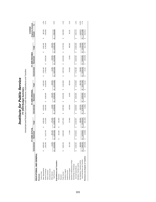| ֦֧<br>سيسعد مدمات<br>ロットー<br>.<br>.<br>.<br>.<br>.<br>$\ddot{r}$<br>iite<br>うししり<br>$-+,-$<br>ć | )<br>)<br>)<br>Ĭ<br>ĭ<br>$\vec{c}$ |  |
|-------------------------------------------------------------------------------------------------|------------------------------------|--|
|                                                                                                 |                                    |  |

**FY 2009 Budget Summar y** Unrestricted and Restricted Current Funds Revenues, Expenditures and Transfers

|                                   |    |              | FY 2008   | ACTUAL                   |                   |            |                        |              |    | FY 2009 ORIGINAL |    |            |          |              |     | FY 2009 REVISED |                        |            |    | <b>Original to Revised</b><br>CHANGE |          |
|-----------------------------------|----|--------------|-----------|--------------------------|-------------------|------------|------------------------|--------------|----|------------------|----|------------|----------|--------------|-----|-----------------|------------------------|------------|----|--------------------------------------|----------|
|                                   |    | Unrestricted |           | icted<br>Restr           |                   | Total      |                        | Unrestricted |    | Restricted       |    | Total      |          | Unrestricted |     | Restricted      |                        | Total      |    | Amount                               | వ్       |
| EDUCATIONAL AND GENERAL           |    |              |           |                          |                   |            |                        |              |    |                  |    |            |          |              |     |                 |                        |            |    |                                      |          |
| Revenues                          |    |              |           |                          |                   |            |                        |              |    |                  |    |            |          |              |     |                 |                        |            |    |                                      |          |
| Tuition & Fees                    |    |              |           |                          |                   |            |                        |              |    |                  |    |            |          |              |     |                 |                        |            |    |                                      |          |
| State Appropriations              | မာ | 4,995,500    |           |                          | ΘĤ,               | 4,995,500  | ↮                      | 4,923,500    |    |                  | ↮  | 4,923,500  | 69       | 4,834,400    |     |                 | 69                     | 4,834,400  | မာ | (89, 100)                            | $-1.8%$  |
| Grants & Contracts                |    | 500,299      |           | 212,748<br>$\frac{3}{2}$ |                   | 9,713,046  |                        | ,850,000     | မာ | 8,600,000        |    | 10,450,000 |          | ,700,000     | Ġθ  | 8,050,000       |                        | 9,750,000  |    | 700,000)                             | $-6.7%$  |
| Sales & Services                  |    |              |           |                          |                   |            |                        |              |    |                  |    |            |          |              |     |                 |                        |            |    |                                      |          |
| Investment Income                 |    |              |           |                          |                   |            |                        |              |    |                  |    |            |          |              |     |                 |                        |            |    |                                      |          |
| Other Sources                     |    | 20,005       |           | 255,184                  |                   | 275,189    |                        | 13,000       |    | 325,000          |    | 338,000    |          | 13,000       |     | 325,000         |                        | 338,000    |    |                                      |          |
| <b>Total Revenues</b>             | S  | 6,515,804    | $\bullet$ | 8,467,932                | $\leftrightarrow$ | 14,983,736 | $\boldsymbol{\varphi}$ | 6,786,500    | ↮  | 8,925,000        | s, | 15,711,500 | $\Theta$ | 6,547,400    | မာ  | 8,375,000       | $\boldsymbol{\varphi}$ | 14,922,400 | ↮  | (789, 100)                           | $-5.0%$  |
| Expenditures and Transfers        |    |              |           |                          |                   |            |                        |              |    |                  |    |            |          |              |     |                 |                        |            |    |                                      |          |
| Instruction                       |    |              |           | 201,500                  | မာ                | 201,500    |                        |              |    |                  |    |            |          |              |     |                 |                        |            |    |                                      |          |
| Research                          |    |              |           |                          |                   |            |                        |              |    |                  |    |            |          |              |     |                 |                        |            |    |                                      |          |
| Public Service                    |    | 5,605,253    |           | 8,265,846                |                   | 13,871,099 | ↮                      | 5,097,809    | မာ | 8,815,000        | မာ | 13,912,809 | မာ       | 4,907,504    | မာ  | 8,815,000       | မာ                     | 13,722,504 | မာ | (190, 305)                           | $-1.4%$  |
| Academic Support                  |    |              |           |                          |                   |            |                        |              |    |                  |    |            |          |              |     |                 |                        |            |    |                                      |          |
| Student Services                  |    |              |           |                          |                   |            |                        |              |    |                  |    |            |          |              |     |                 |                        |            |    |                                      |          |
| Institutional Support             |    | 561,198      |           | 11,469                   |                   | 572,668    |                        | 840,849      |    | 10,000           |    | 850,849    |          | 876,982      |     | 10,000          |                        | 886,982    |    | 36,133                               | 4.2%     |
| Operation & Maintenance of Plant  |    |              |           |                          |                   |            |                        |              |    |                  |    |            |          |              |     |                 |                        |            |    |                                      |          |
| Scholarships & Fellowships        |    |              |           |                          |                   |            |                        |              |    |                  |    |            |          |              |     |                 |                        |            |    |                                      |          |
| Sub-total Expenditures            |    | 6,166,451    |           | 478,816<br>ထံ            | မာ                | 14,645,267 | ↮                      | 5,938,658    | မာ | 8,825,000        | မာ | 14,763,658 | မာ       | 5,784,486    | tf, | 8,825,000       | 69                     | 14,609,486 | မာ | (154, 172)                           | $-1.0%$  |
| Mandatory Transfers (In)/Out      |    |              |           |                          |                   |            |                        |              |    |                  |    |            |          |              |     |                 |                        |            |    |                                      |          |
| Non-Mandatory Transfers (In)/Out  |    | 889,859      |           |                          |                   | 889,859    |                        | 853,700      |    |                  |    | 853,700    |          | 735,683      |     |                 |                        | 735,683    |    | (118.017)                            | $-13.8%$ |
| Total Expenditures and Transfers  | 69 | 7,056,310    |           | 478,816<br>တ်            | မာ                | 15,535,126 | မာ                     | 6,792,358    |    | 8,825,000        | မာ | 15,617,358 | မာ       | 6,520,169    | 69  | 8,825,000       | မာ                     | 15,345,169 | 69 | (272, 189)                           | $-1.7%$  |
| Revenues Less Expend. & Transfers |    | (540, 506)   |           | (10, 884)                | မာ                | (551, 390) | ↮                      | (5,858)      | မာ | 100,000          | မာ | 94,142     | မာ       | 27,231       | မာ  | (450,000)       | မာ                     | (422, 769) | ↮  | (516, 911)                           |          |
|                                   |    |              |           |                          |                   |            |                        |              |    |                  |    |            |          |              |     |                 |                        |            |    |                                      |          |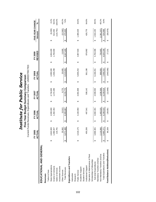|                                   |    | FY 2005<br><b>ACTUA</b>  |   | FY 2006<br>ACTUAL |   | FY 2007<br>ACTUAL |   | FY 2008<br>ACTUAL |   | <b>REVISED</b><br>FY 2009 | FIVE-YEAR CHANGE<br>Amount | న్         |
|-----------------------------------|----|--------------------------|---|-------------------|---|-------------------|---|-------------------|---|---------------------------|----------------------------|------------|
| EDUCATIONAL AND GENERAL           |    |                          |   |                   |   |                   |   |                   |   |                           |                            |            |
| Revenues                          |    |                          |   |                   |   |                   |   |                   |   |                           |                            |            |
| Tuition & Fees                    |    |                          |   |                   |   |                   |   |                   |   |                           |                            |            |
| State Appropriations              | ↮  | <b>600</b><br>4,842      | ↔ | 4,930,000         | ↔ | 4,734,600         | ↔ | 4,995,500         | ↔ | 4,834,400                 | (8, 200)<br>↮              | $-0.2%$    |
| Grants & Contracts                |    | 507<br>1,086             |   | 1,362,354         |   | 1,472,395         |   | 500,299           |   | 1,700,000                 | 613,493                    | 56.5%      |
| Sales & Services                  |    | 791<br>116               |   |                   |   |                   |   |                   |   |                           | (116, 791)                 | $-100.0\%$ |
| Investment Income                 |    |                          |   |                   |   |                   |   |                   |   |                           |                            |            |
| Other Sources                     |    | ,582<br>25               |   | 13,513            |   | 8,775             |   | 20,005            |   | 13,000                    | (12,582)                   | -49.2%     |
| <b>Total Revenues</b>             |    | $-480$<br>6,071          | ↮ | 6,305,867         | ↮ | 6,215,770         | ↔ | 6,515,804         | ↮ | 6,547,400                 | 475,920<br>↮               | 7.8%       |
| Expenditures and Transfers        |    |                          |   |                   |   |                   |   |                   |   |                           |                            |            |
| Instruction                       |    |                          |   |                   |   |                   |   |                   |   |                           |                            |            |
| Research                          |    |                          |   |                   |   |                   |   |                   |   |                           |                            |            |
| Public Service                    | ↮  | .175<br>3,418            | ↮ | 4,184,950         | ↮ | 4,081,908         | ↮ | 5,605,253         | ↮ | 4,907,504                 | 1,489,329<br>↮             | 43.6%      |
| Academic Support                  |    |                          |   |                   |   |                   |   |                   |   |                           |                            |            |
| Student Services                  |    |                          |   |                   |   |                   |   |                   |   |                           |                            |            |
| Institutional Support             |    | 206<br>450               |   | 497,541           |   | 508,142           |   | 561,198           |   | 876,982                   | 426,776                    | 94.8%      |
| Operation & Maintenance of Plant  |    |                          |   |                   |   |                   |   |                   |   |                           |                            |            |
| Scholarships & Fellowships        |    |                          |   |                   |   |                   |   |                   |   |                           |                            |            |
| Sub-total Expenditures            | မာ | 381<br>3,868             | ↔ | 4,682,491         | ↔ | 4,590,050         | ↔ | 6,166,451         | ↮ | 5,784,486                 | 1,916,105<br>↮             | 49.5%      |
| Mandatory Transfers (In)/Out      |    |                          |   |                   |   |                   |   |                   |   |                           |                            |            |
| Non-Mandatory Transfers (In)/Out  |    | 890<br>2,116             |   | 1,483,525         |   | 1,638,568         |   | 889,859           |   | 735,683                   | (1,381,207)                | $-65.2%$   |
| Total Expenditures and Transfers  |    | $\frac{271}{2}$<br>5,985 | ↮ | 6,166,015         | ↮ | 6,228,618         | ↮ | 7,056,310         | ↮ | 6,520,169                 | 534,898<br>↮               | 8.9%       |
| Fund Balance Addition/(Reduction) |    | 209<br>86                | ↔ | 139,851           | ↔ | (12, 848)         | ↮ | (540, 506)        | ↔ | 27,231                    | (58, 978)<br>↮             |            |
|                                   |    |                          |   |                   |   |                   |   |                   |   |                           |                            |            |

Institute for Public Service *Institute for Public Service* **Five-Year Budget Summary Comparison**

**Five-Year Budget Summary Comparison**<br>Current Funds Revenues, Expenditures and Transfers - UNRESTRICTED Current Funds Revenues, Expenditures and Transfers - UNRESTRICTED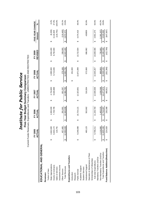|                                   |   | FY 2005<br><b>ACTUAL</b> |   | FY 2006<br>ACTUAL |   | FY 2007<br>ACTUAL |   | FY 2008<br>ACTUAL |   | <b>REVISED</b><br>FY 2009 | Amount | FIVE-YEAR CHANGE | $\mathbf{S}^{\mathbf{c}}$ |
|-----------------------------------|---|--------------------------|---|-------------------|---|-------------------|---|-------------------|---|---------------------------|--------|------------------|---------------------------|
| EDUCATIONAL AND GENERAL           |   |                          |   |                   |   |                   |   |                   |   |                           |        |                  |                           |
| Revenues                          |   |                          |   |                   |   |                   |   |                   |   |                           |        |                  |                           |
| Tuition & Fees                    |   |                          |   |                   |   |                   |   |                   |   |                           |        |                  |                           |
| State Appropriations              | ↔ | 4,842,600                | ↔ | 4,930,000         | ↔ | 4,734,600         | ↔ | 4,995,500         | ↮ | 4,834,400                 | ↔      | (8, 200)         | $-0.2%$                   |
| Grants & Contracts                |   | 6,633,172                |   | 7,728,795         |   | 9,630,888         |   | 9,713,046         |   | 9,750,000                 |        | 3,116,828        | 47.0%                     |
| Sales & Services                  |   | 116,791                  |   |                   |   |                   |   |                   |   |                           |        | (116, 791)       | $-100.0%$                 |
| Investment Income                 |   |                          |   |                   |   |                   |   |                   |   |                           |        |                  |                           |
| Other Sources                     |   | 157,465                  |   | 281,901           |   | 601,297           |   | 275,189           |   | 338,000                   |        | (119, 465)       | $-26.1%$                  |
| <b>Total Revenues</b>             |   | 050,028<br>12,0          | ↮ | 12,940,696        | ↮ | 14,966,785        | ↮ | 14,983,736        | ↔ | 14,922,400                | ↮      | 2,872,372        | 23.8%                     |
| Expenditures and Transfers        |   |                          |   |                   |   |                   |   |                   |   |                           |        |                  |                           |
| Instruction                       |   |                          |   |                   |   |                   | ↮ | 201,500           |   |                           |        |                  |                           |
| Research                          |   |                          |   |                   |   |                   |   |                   |   |                           |        |                  |                           |
| Public Service                    | ↮ | 248,088<br>ο,<br>Θ       | ↮ | 10,724,121        | ↮ | 12,323,001        |   | 13,871,099        | ↮ | 13,722,504                | ↮      | 4,474,416        | 48.4%                     |
| Academic Support                  |   |                          |   |                   |   |                   |   |                   |   |                           |        |                  |                           |
| <b>Student Services</b>           |   |                          |   |                   |   |                   |   |                   |   |                           |        |                  |                           |
| Institutional Support             |   | -60,123                  |   | 502,662           |   | 516,304           |   | 572,668           |   | 886,982                   |        | 426859           | 92.8%                     |
| Operation & Maintenance of Plant  |   |                          |   |                   |   |                   |   |                   |   |                           |        |                  |                           |
| Scholarships & Fellowships        |   |                          |   |                   |   |                   |   |                   |   |                           |        |                  |                           |
| Sub-total Expenditures            |   | 708,211<br>9,7           | ↮ | 11,226,783        | ↮ | 12,839,306        | ↮ | 14,645,267        | ↔ | 14,609,486                | ↔      | 4,901,275        | 50.5%                     |
| Mandatory Transfers (In)/Out      |   |                          |   |                   |   |                   |   |                   |   |                           |        |                  |                           |
| Non-Mandatory Transfers (In)/Out  |   | 16,890<br>$\tilde{c}_i$  |   | 1,483,525         |   | 1,638,568         |   | 889,859           |   | 735,683                   |        | (1,381,207)      | $-65.2%$                  |
| Total Expenditures and Transfers  |   | 11,825,100               | ↮ | 12,710,307        | ↮ | 14,477,873        | ക | 15,535,126        | ↮ | 15,345,169                | ↔      | 3,520,069        | 29.8%                     |
| Fund Balance Addition/(Reduction) |   | 224,928                  | ↮ | 230,388           | ↔ | 488,911           | ↮ | (551, 390)        | ↮ | (422, 769)                | ↔      | (647, 697)       |                           |
|                                   |   |                          |   |                   |   |                   |   |                   |   |                           |        |                  |                           |

Institute for Public Service *Institute for Public Service* **Five-Year Budget Summary Comparison**

**Five-Year Budget Summary Comparison**<br>Current Funds Revenues, Expenditures and Transfers - UNRESTRICTED AND RESTRICTED Current Funds Revenues, Expenditures and Transfers - UNRESTRICTED AND RESTRICTED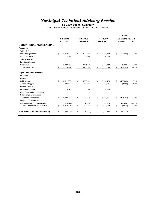# *Municipal Technical Advisory Service*

#### **FY 2009 Budget Summary**

|                                          |                 |                 |                  | <b>CHANGE</b>              |           |
|------------------------------------------|-----------------|-----------------|------------------|----------------------------|-----------|
|                                          | <b>FY 2008</b>  | FY 2009         | FY 2009          | <b>Original to Revised</b> |           |
|                                          | <b>ACTUAL</b>   | <b>ORIGINAL</b> | <b>REVISED</b>   | <b>Amount</b>              | $\%$      |
| <b>EDUCATIONAL AND GENERAL</b>           |                 |                 |                  |                            |           |
| <b>Revenues</b>                          |                 |                 |                  |                            |           |
| Tuition & Fees                           |                 |                 |                  |                            |           |
| <b>State Appropriations</b>              | \$<br>2,752,900 | \$<br>2,708,900 | \$<br>2,625,700  | \$<br>(83, 200)            | $-3.1%$   |
| <b>Grants &amp; Contracts</b>            | 13,255          | 20,000          | 20,000           |                            |           |
| Sales & Services                         |                 |                 |                  |                            |           |
| Investment Income                        |                 |                 |                  |                            |           |
| <b>Other Sources</b>                     | 2,949,462       | 3,171,348       | 3,186,348        | 15,000                     | 0.5%      |
| <b>Total Revenues</b>                    | \$<br>5,715,617 | \$<br>5,900,248 | \$<br>5,832,048  | \$<br>(68, 200)            | $-1.2%$   |
| <b>Expenditures and Transfers</b>        |                 |                 |                  |                            |           |
| Instruction                              |                 |                 |                  |                            |           |
| Research                                 |                 |                 |                  |                            |           |
| <b>Public Service</b>                    | \$<br>5,611,892 | \$<br>5,899,037 | \$<br>5,715,474  | \$<br>(183, 563)           | $-3.1%$   |
| Academic Support                         | 206,072         | 222,081         | 217,881          | (4,200)                    | $-1.9%$   |
| <b>Student Services</b>                  |                 |                 |                  |                            |           |
| <b>Institutional Support</b>             | 6,198           | 8,500           | 8,500            |                            |           |
| Operation & Maintenance of Plant         |                 |                 |                  |                            |           |
| Scholarships & Fellowships               |                 |                 |                  |                            |           |
| Sub-total Expenditures                   | \$<br>5,824,162 | \$<br>6,129,618 | \$<br>5,941,855  | \$<br>(187, 763)           | $-3.1%$   |
| Mandatory Transfers (In)/Out             |                 |                 |                  |                            |           |
| Non-Mandatory Transfers (In)/Out         | (73, 841)       | (146, 856)      | 33,028           | 179,884                    | $-122.5%$ |
| <b>Total Expenditures and Transfers</b>  | \$<br>5,750,321 | \$<br>5,982,762 | \$<br>5,974,883  | \$<br>(7, 879)             | $-0.1%$   |
| <b>Fund Balance Addition/(Reduction)</b> | \$<br>(34, 704) | \$<br>(82, 514) | \$<br>(142, 835) | \$<br>(60, 321)            |           |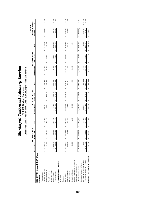|                                   |                        |                        |                           |    | Unrestricted and Restricted Current Funds Revenues, Expenditures and Transfers |    |              |    |                  |    |            |    |              |    |                 |       |            |                 |                                  |           |
|-----------------------------------|------------------------|------------------------|---------------------------|----|--------------------------------------------------------------------------------|----|--------------|----|------------------|----|------------|----|--------------|----|-----------------|-------|------------|-----------------|----------------------------------|-----------|
|                                   |                        |                        | <b>NAT:</b><br>FY 2008 AC |    |                                                                                |    |              |    | FY 2009 ORIGINAL |    |            |    |              |    | FY 2009 REVISED |       |            |                 | CHANGE                           |           |
|                                   | Unrestricted           |                        | Restricted                |    | Total                                                                          |    | Unrestricted |    | Restricted       |    | Total      |    | Unrestricted |    | Restricted      | Total |            | Amount          | <b>Original to Revised</b><br>వ్ |           |
| EDUCATIONAL AND GENERAL           |                        |                        |                           |    |                                                                                |    |              |    |                  |    |            |    |              |    |                 |       |            |                 |                                  |           |
| Revenues                          |                        |                        |                           |    |                                                                                |    |              |    |                  |    |            |    |              |    |                 |       |            |                 |                                  |           |
| Tuition & Fees                    |                        |                        |                           |    |                                                                                |    |              |    |                  |    |            |    |              |    |                 |       |            |                 |                                  |           |
| State Appropriations              | 2,752,900<br>Θ         |                        |                           | ↮  | 2,752,900                                                                      | မာ | 2,708,900    |    |                  | မာ | 2,708,900  | မာ | 2,625,700    |    |                 | ↮     | 2,625,700  | (83, 200)<br>↮  |                                  | $-3.1%$   |
| Grants & Contracts                | 13,255                 | မာ                     | 237,266                   |    | 250,521                                                                        |    | 20,000       | ↮  | 181,000          |    | 201,000    |    | 20,000       | ↮  | 181,000         |       | 201,000    |                 |                                  |           |
| Sales & Services                  |                        |                        |                           |    |                                                                                |    |              |    |                  |    |            |    |              |    |                 |       |            |                 |                                  |           |
| Investment Income                 |                        |                        |                           |    |                                                                                |    |              |    |                  |    |            |    |              |    |                 |       |            |                 |                                  |           |
| Other Sources                     | 2,949,462              |                        | 74,748                    |    | 3,024,209                                                                      |    | 3,171,348    |    | 159,000          |    | 3,330,348  |    | 3,186,348    |    | 159,000         |       | 3,345,348  | 15,000          |                                  | 0.5%      |
| <b>Total Revenue</b>              | 5,715,617<br>$\bullet$ | $\boldsymbol{\varphi}$ | 312,013                   | Ø  | 6,027,630                                                                      | Ø  | 5,900,248    | ↮  | 340,000          | မာ | 6,240,248  | မာ | 5,832,048    | Ø  | 340,000         | မာ    | 6,172,048  | (68, 200)<br>↮  |                                  | $-1.1%$   |
| Expenditures and Transfers        |                        |                        |                           |    |                                                                                |    |              |    |                  |    |            |    |              |    |                 |       |            |                 |                                  |           |
| Instruction                       |                        |                        |                           |    |                                                                                |    |              |    |                  |    |            |    |              |    |                 |       |            |                 |                                  |           |
| Research                          |                        |                        |                           |    |                                                                                |    |              |    |                  |    |            |    |              |    |                 |       |            |                 |                                  |           |
| Public Service                    | 5,611,892<br>မာ        | မာ                     | 267,244                   | မာ | 5,879,135                                                                      | မာ | 5,899,037    | မာ | 340,000          | မာ | 6,239,037  | မာ | 5,715,474    | မာ | 340,000         | မာ    | 6,055,474  | (183, 563)<br>↮ |                                  | $-2.9%$   |
| Academic Support                  | 206,072                |                        | 4,379                     |    | 210,451                                                                        |    | 222,081      |    |                  |    | 222,081    |    | 217,881      |    |                 |       | 217,881    |                 | (4, 200)                         | $-1.9%$   |
| <b>Student Services</b>           |                        |                        |                           |    |                                                                                |    |              |    |                  |    |            |    |              |    |                 |       |            |                 |                                  |           |
| Institutional Support             | 6,198                  |                        |                           |    | 6,198                                                                          |    | 8,500        |    |                  |    | 8,500      |    | 8,500        |    |                 |       | 8,500      |                 |                                  |           |
| Operation & Maintenance of Plant  |                        |                        |                           |    |                                                                                |    |              |    |                  |    |            |    |              |    |                 |       |            |                 |                                  |           |
| Scholarships & Fellowships        |                        |                        |                           |    |                                                                                |    |              |    |                  |    |            |    |              |    |                 |       |            |                 |                                  |           |
| Sub-total Expenditures            | 5,824,162<br>မာ        | $\boldsymbol{\varphi}$ | 22<br>271,6               | မာ | 6,095,784                                                                      | မာ | 6,129,618    | မာ | 340,000          | မာ | 6,469,618  | မာ | 5,941,855    | ↮  | 340,000         | Ø     | 6,281,855  | (187, 763)<br>6 |                                  | $-2.9%$   |
| Mandatory Transfers (In)/Out      |                        |                        |                           |    |                                                                                |    |              |    |                  |    |            |    |              |    |                 |       |            |                 |                                  |           |
| Non-Mandatory Transfers (In)/Out  | (73, 841)              |                        |                           |    | (73, 841)                                                                      |    | (146, 856)   |    |                  |    | (146, 856) |    | 33,028       |    |                 |       | 33,028     | 179,884         |                                  | $-122.5%$ |
| Total Expenditures and Transfers  | 5,750,321<br>↮         | မာ                     | 271,622                   | ↮  | 6,021,943                                                                      | ↮  | 5,982,762    | ↮  | 340,000          | ↮  | 6,322,762  | ↮  | 5,974,883    | ↮  | 340,000         | ↮     | 6,314,883  | (7, 879)<br>↮   |                                  | $-0.1%$   |
| Revenues Less Expend. & Transfers | (34, 704)              |                        | 40,391                    | မာ | 5,687                                                                          | မာ | (82, 514)    | Θ  |                  | မာ | (82, 514)  | Θ  | (142, 835)   | မာ |                 | Θ     | (142, 835) | (60, 321)<br>မာ |                                  |           |

**FY 2009 Budget Summary** *Municipal Tec h nical A* **d** *visory Servic*

*e*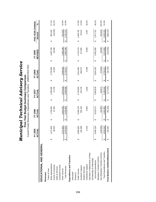|                                   |   |                   |                         |           |                         | Current Funds Revenues, Expenditures and Transfers - UNRESTRICTED |                        |           |   |                |                        |                  |           |
|-----------------------------------|---|-------------------|-------------------------|-----------|-------------------------|-------------------------------------------------------------------|------------------------|-----------|---|----------------|------------------------|------------------|-----------|
|                                   |   | FY 2005           |                         | FY 2006   |                         | FY 2007                                                           |                        | FY 2008   |   | FY 2009        |                        | FIVE-YEAR CHANGE |           |
|                                   |   | <b>NAL</b><br>ACT |                         | ACTUAL    |                         | ACTUAL                                                            |                        | ACTUAL    |   | <b>REVISED</b> |                        | Amount           | న్        |
| EDUCATIONAL AND GENERAL           |   |                   |                         |           |                         |                                                                   |                        |           |   |                |                        |                  |           |
| Revenues                          |   |                   |                         |           |                         |                                                                   |                        |           |   |                |                        |                  |           |
| Tuition & Fees                    |   |                   |                         |           |                         |                                                                   |                        |           |   |                |                        |                  |           |
| State Appropriations              | ↔ | 671,600           | ↮                       | 1,749,000 | ↮                       | 1,928,300                                                         | ↮                      | 2,752,900 | ↮ | 2,625,700      | ↮                      | 954,100          | 57.1%     |
| Grants & Contracts                |   | 36,503            |                         | 37,265    |                         | 27,378                                                            |                        | 13,255    |   | 20,000         |                        | (16,503)         | $-45.2%$  |
| Sales & Services                  |   |                   |                         |           |                         |                                                                   |                        |           |   |                |                        |                  |           |
| Investment Income                 |   |                   |                         |           |                         |                                                                   |                        |           |   |                |                        |                  |           |
| Other Sources                     |   | 371,823           |                         | 2,642,535 |                         | 2,974,018                                                         |                        | 2,949,462 |   | 3,186,348      |                        | 814,525          | 34.3%     |
| <b>Total Revenues</b>             |   | ,079,925          | $\pmb{\leftrightarrow}$ | 4,428,800 | $\pmb{\leftrightarrow}$ | 4,929,696                                                         | $\boldsymbol{\varphi}$ | 5,715,617 | ↔ | 5,832,048      | $\boldsymbol{\varphi}$ | 1,752,123        | 42.9%     |
| Expenditures and Transfers        |   |                   |                         |           |                         |                                                                   |                        |           |   |                |                        |                  |           |
| Instruction                       |   |                   |                         |           |                         |                                                                   |                        |           |   |                |                        |                  |           |
| Research                          |   |                   |                         |           |                         |                                                                   |                        |           |   |                |                        |                  |           |
| Public Service                    | ↮ | 865,682<br>ო      | ↮                       | 4,308,129 | ↮                       | 4,725,953                                                         | ↮                      | 5,611,892 | ↮ | 5,715,474      | ↮                      | 1,849,792        | 47.9%     |
| Academic Support                  |   | 192,369           |                         | 205,136   |                         | 224,725                                                           |                        | 206,072   |   | 217,881        |                        | 25,512           | 13.3%     |
| Student Services                  |   |                   |                         |           |                         |                                                                   |                        |           |   |                |                        |                  |           |
| Institutional Support             |   | 6,103             |                         | 6,006     |                         | 3,200                                                             |                        | 6,198     |   | 8,500          |                        | 2,397            | 39.3%     |
| Operation & Maintenance of Plant  |   |                   |                         |           |                         |                                                                   |                        |           |   |                |                        |                  |           |
| Scholarships & Fellowships        |   |                   |                         |           |                         |                                                                   |                        |           |   |                |                        |                  |           |
| Sub-total Expenditures            |   | 064,154           | ↮                       | 4,519,271 | ↮                       | 4,953,878                                                         | ↔                      | 5,824,162 | ↮ | 5,941,855      | ↮                      | 1,877,701        | 46.2%     |
| Mandatory Transfers (In)/Out      |   |                   |                         |           |                         |                                                                   |                        |           |   |                |                        |                  |           |
| Non-Mandatory Transfers (In)/Out  |   | (129, 591)        |                         | (34, 367) |                         | 153,071                                                           |                        | (73, 841) |   | 33,028         |                        | 162,619          | $-125.5%$ |
| Total Expenditures and Transfers  |   | ,934,563          | ↮                       | ,484,905  | ↮                       | 5,106,949                                                         | ↔                      | 5,750,321 | ↔ | 5,974,883      | ↮                      | 2,040,320        | 51.9%     |
| Fund Balance Addition/(Reduction) |   | 145,362           | ↔                       | (56, 105) | ↔                       | (177, 253)                                                        | ↔                      | (34,704)  | ↮ | (142, 835)     | ↮                      | (288, 197)       |           |
|                                   |   |                   |                         |           |                         |                                                                   |                        |           |   |                |                        |                  |           |

**Municipal Technical Advisory Service**<br>Five-Year Budget Summary Comparison<br>Current Funds Revenues. Expenditures and Transfers - UNRESTRICTED *Municipal Technical Advisory Service* **Five-Year Budget Summary Comparison**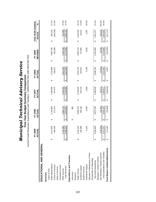|                                   |   | FY 2005<br>ACTUAL |   | FY 2006<br>ACTUAL |   | FY 2007<br>ACTUAL |   | FY 2008<br><b>ACTUAL</b> |   | <b>REVISED</b><br>FY 2009 |   | FIVE-YEAR CHANGE<br>Amount | న్        |
|-----------------------------------|---|-------------------|---|-------------------|---|-------------------|---|--------------------------|---|---------------------------|---|----------------------------|-----------|
| EDUCATIONAL AND GENERAL           |   |                   |   |                   |   |                   |   |                          |   |                           |   |                            |           |
| Revenues                          |   |                   |   |                   |   |                   |   |                          |   |                           |   |                            |           |
| Tuition & Fees                    |   |                   |   |                   |   |                   |   |                          |   |                           |   |                            |           |
| State Appropriations              |   | 1,671,600         | ↮ | 1,749,000         | ↮ | 1,928,300         | ↮ | 2,752,900                | ↮ | 2,625,700                 | ↮ | 954,100                    | 57.1%     |
| Grants & Contracts                |   | 385,339           |   | 371,370           |   | 447,673           |   | 250,521                  |   | 201,000                   |   | (184, 339)                 | -47.8%    |
| Sales & Services                  |   |                   |   |                   |   |                   |   |                          |   |                           |   |                            |           |
| Investment Income                 |   |                   |   |                   |   |                   |   |                          |   |                           |   |                            |           |
| Other Sources                     |   | 428,380<br>Νj     |   | 2,696,132         |   | 3,035,022         |   | 3,024,209                |   | 3,345,348                 |   | 916,968                    | 37.8%     |
| <b>Total Revenues</b>             |   | 485,319<br>4      | ↔ | 4,816,502         | ↮ | 5,410,995         | ↮ | 6,027,630                | ↮ | 6,172,048                 | ↮ | 1,686,729                  | 37.6%     |
| Expenditures and Transfers        |   |                   |   |                   |   |                   |   |                          |   |                           |   |                            |           |
| Instruction                       |   |                   | ↮ | 950               |   |                   |   |                          |   |                           |   |                            |           |
| Research                          |   |                   |   |                   |   |                   |   |                          |   |                           |   |                            |           |
| Public Service                    | ↔ | 242,156           |   | 4,658,704         | ↮ | 5,178,616         | ↮ | 5,879,135                | ↮ | 6,055,474                 | ↮ | 1,813,318                  | 42.7%     |
| Academic Support                  |   | 192,369           |   | 205,136           |   | 224,725           |   | 210,451                  |   | 217,881                   |   | 25,512                     | 13.3%     |
| Student Services                  |   |                   |   |                   |   |                   |   |                          |   |                           |   |                            |           |
| Institutional Support             |   | 6,103             |   | 6,006             |   | 3,200             |   | 6,198                    |   | 8,500                     |   | 2,397                      | 39.3%     |
| Operation & Maintenance of Plant  |   |                   |   |                   |   |                   |   |                          |   |                           |   |                            |           |
| Scholarships & Fellowships        |   |                   |   |                   |   |                   |   |                          |   |                           |   |                            |           |
| Sub-total Expenditures            |   | 440,628           | ↮ | 4,870,796         | ↮ | 5,406,540         | ↮ | 6,095,784                | ↮ | 6,281,855                 | ↮ | 1,841,227                  | 41.5%     |
| Mandatory Transfers (In)/Out      |   |                   |   |                   |   |                   |   |                          |   |                           |   |                            |           |
| Non-Mandatory Transfers (In)/Out  |   | (129, 591)        |   | (34, 367)         |   | 153,071           |   | (73, 841)                |   | 33,028                    |   | 162,619                    | $-125.5%$ |
| Total Expenditures and Transfers  |   | ,311,037          | ↮ | ,836,430          | ↮ | 5,559,611         | ↮ | 6,021,943                | ↮ | 6,314,883                 | ↮ | 2,003,846                  | 46.5%     |
| Fund Balance Addition/(Reduction) |   | 174,282           | ↔ | (19, 928)         | ↔ | (148, 616)        | ↔ | 5,687                    | ↔ | (142, 835)                | ↔ | (317, 117)                 |           |

Municipal Technical Advisory Service<br>Five-Year Budget Summary Comparison *Municipal Technical Advisory Service* **Five-Year Budget Summary Comparison**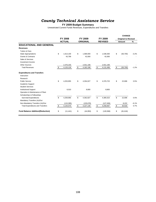## *County Technical Assistance Service*

#### **FY 2009 Budget Summary**

Unrestricted Current Funds Revenues, Expenditures and Transfers

|                                          |                 |                 |                  | <b>CHANGE</b>              |         |
|------------------------------------------|-----------------|-----------------|------------------|----------------------------|---------|
|                                          | <b>FY 2008</b>  | FY 2009         | FY 2009          | <b>Original to Revised</b> |         |
|                                          | <b>ACTUAL</b>   | <b>ORIGINAL</b> | <b>REVISED</b>   | <b>Amount</b>              | $\%$    |
| <b>EDUCATIONAL AND GENERAL</b>           |                 |                 |                  |                            |         |
| <b>Revenues</b>                          |                 |                 |                  |                            |         |
| Tuition & Fees                           |                 |                 |                  |                            |         |
| <b>State Appropriations</b>              | \$<br>1.613.100 | \$<br>1,589,000 | \$<br>1,538,300  | \$<br>(50, 700)            | $-3.2%$ |
| <b>Grants &amp; Contracts</b>            | 43,799          | 42,000          | 42,000           |                            |         |
| Sales & Services                         |                 |                 |                  |                            |         |
| Investment Income                        |                 |                 |                  |                            |         |
| <b>Other Sources</b>                     | 2,476,230       | 2,551,199       | 2,551,199        |                            |         |
| <b>Total Revenues</b>                    | \$<br>4,133,128 | \$<br>4,182,199 | \$<br>4,131,499  | \$<br>(50, 700)            | $-1.2%$ |
| <b>Expenditures and Transfers</b>        |                 |                 |                  |                            |         |
| Instruction                              |                 |                 |                  |                            |         |
| Research                                 |                 |                 |                  |                            |         |
| <b>Public Service</b>                    | \$<br>4,253,955 | \$<br>4,354,027 | \$<br>4,376,723  | \$<br>22,696               | 0.5%    |
| Academic Support                         |                 |                 |                  |                            |         |
| <b>Student Services</b>                  |                 |                 |                  |                            |         |
| <b>Institutional Support</b>             | 6,010           | 8,800           | 8,800            |                            |         |
| Operation & Maintenance of Plant         |                 |                 |                  |                            |         |
| Scholarships & Fellowships               |                 |                 |                  |                            |         |
| Sub-total Expenditures                   | \$<br>4,259,965 | \$<br>4,362,827 | \$<br>4,385,523  | \$<br>22,696               | 0.5%    |
| Mandatory Transfers (In)/Out             |                 |                 |                  |                            |         |
| Non-Mandatory Transfers (In)/Out         | (115, 395)      | (135, 678)      | (127, 456)       | 8,222                      | $-6.1%$ |
| <b>Total Expenditures and Transfers</b>  | \$<br>4,144,570 | \$<br>4,227,149 | \$<br>4,258,067  | \$<br>30,918               | 0.7%    |
| <b>Fund Balance Addition/(Reduction)</b> | \$<br>(11, 441) | \$<br>(44,950)  | \$<br>(126, 568) | \$<br>(81, 618)            |         |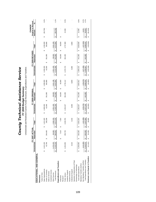| ۔<br>د<br>ף<br>י<br>18177<br>لحاة<br>j<br>)<br>)<br>)<br>しとし<br>;<br>ì<br>$\frac{1}{2}$ | o<br>C<br>אי הה |
|-----------------------------------------------------------------------------------------|-----------------|
|                                                                                         |                 |

FY 2009 Budget Summary<br>Unrestricted and Restricted Current Funds Revenues, Expenditures and Transfers Unrestricted and Restricted Current Funds Revenues, Expenditures and Transfers

|                                   |              |                        | FY 2007 ACTUAL          |                 |                 |    | FY 2009 ORIGINAL |                    |                 |            | FY 2009 REVISED |                 |    | <b>Original to Revised</b><br>CHANGE |         |
|-----------------------------------|--------------|------------------------|-------------------------|-----------------|-----------------|----|------------------|--------------------|-----------------|------------|-----------------|-----------------|----|--------------------------------------|---------|
|                                   | Unrestricted |                        | Restricted              | Total           | Unrestricted    |    | Restricted       | Total              | Unrestricted    | Restricted |                 | Total           |    | Amount                               | S,      |
| EDUCATIONAL AND GENERAL           |              |                        |                         |                 |                 |    |                  |                    |                 |            |                 |                 |    |                                      |         |
| Revenues                          |              |                        |                         |                 |                 |    |                  |                    |                 |            |                 |                 |    |                                      |         |
| Tuition & Fees                    |              |                        |                         |                 |                 |    |                  |                    |                 |            |                 |                 |    |                                      |         |
| State Appropriations              | \$ 1,613,100 |                        |                         | 1,613,100<br>မာ | 1,589,000<br>မာ |    |                  | 1,589,000<br>မာ    | 1,538,300<br>မာ |            |                 | 1,538,300<br>မာ | မာ | (50, 700)                            | $-3.2%$ |
| Grants & Contracts                | 43,799       |                        | 460<br>294,             | 338,259         | 42,000          | မာ | 351,085          | 393,085            | 42,000          | မာ         | 351,085         | 393,085         |    |                                      |         |
| Sales & Services                  |              |                        |                         |                 |                 |    |                  |                    |                 |            |                 |                 |    |                                      |         |
| Investment Income                 |              |                        |                         |                 |                 |    |                  |                    |                 |            |                 |                 |    |                                      |         |
| Other Sources                     | 2,476,230    |                        | 080<br>8                | 2,566,319       | 2,551,199       |    | 90,000           | 2,641,199          | 2,551,199       |            | 90,000          | 2,641,199       |    |                                      |         |
| <b>Total Revenues</b>             | 4,133,128    |                        | 550<br>384,             | 4,517,678<br>↮  | 4,182,199<br>Ø  | ↮  | 441,085          | 4,623,284<br>↮     | 4,131,499<br>↮  | ↮          | 441,085         | 4,572,584<br>↮  | ↮  | (50, 700)                            | $-1.1%$ |
| Expenditures and Transfers        |              |                        |                         |                 |                 |    |                  |                    |                 |            |                 |                 |    |                                      |         |
| Instruction                       |              |                        | 510                     | 7,510<br>↮      |                 | မာ | 60,000           | 60,000<br>$\Theta$ |                 | မာ         | 60,000          | 60,000<br>မာ    | မာ |                                      |         |
| Research                          |              |                        |                         |                 |                 |    |                  |                    |                 |            |                 |                 |    |                                      |         |
| Public Service                    | 4,253,955    |                        | ,750<br>295,            | 4,549,705       | 4,354,027<br>မာ |    | 381,085          | 4,735,112          | 4,376,723<br>မာ |            | 381,085         | 4,757,808       |    | 22,696                               | 0.5%    |
| Academic Support                  |              |                        |                         |                 |                 |    |                  |                    |                 |            |                 |                 |    |                                      |         |
| Student Services                  |              |                        |                         |                 |                 |    |                  |                    |                 |            |                 |                 |    |                                      |         |
| Institutional Support             | 6,010        |                        |                         | 6,010           | 8,800           |    |                  | 8,800              | 8,800           |            |                 | 8,800           |    |                                      |         |
| Operation & Maintenance of Plant  |              |                        |                         |                 |                 |    |                  |                    |                 |            |                 |                 |    |                                      |         |
| Scholarships & Fellowships        |              |                        |                         |                 |                 |    |                  |                    |                 |            |                 |                 |    |                                      |         |
| Sub-total Expenditures            | 4,259,965    | $\boldsymbol{\varphi}$ | ,260<br>303.            | 4,563,225<br>မာ | 4,362,827<br>မာ | မာ | 441,085          | 4,803,912<br>မာ    | 4,385,523<br>↮  | မာ         | 441,085         | 4,826,608<br>မာ | ↮  | 22,696                               | 0.5%    |
| Mandatory Transfers (In)/Out      |              |                        |                         |                 |                 |    |                  |                    |                 |            |                 |                 |    |                                      |         |
| Non-Mandatory Transfers (In)/Out  | (115, 395)   |                        |                         | (115, 395)      | (135, 678)      |    |                  | (135, 678)         | (127, 456)      |            |                 | (127, 456)      |    | 8,222                                | $-6.1%$ |
| Total Expenditures and Transfers  | 4,144,570    |                        | .260<br>$\frac{303}{2}$ | 4,447,830<br>Θ  | 4,227,149<br>↮  | ↮  | 441,085          | ,668,234<br>↔      | 4,258,067<br>မာ | ↮          | 441,085         | 4,699,152       | €  | 30,918                               | 0.7%    |
| Revenues Less Expend. & Transfers | (11,441)     |                        | ,289<br>$\overline{5}$  | 69,848<br>မာ    | (44, 950)<br>မာ | 6  |                  | (44,950)<br>6      | (126, 568)<br>Ø | Θ          |                 | (126,568)<br>မာ | 6  | (81, 618)                            |         |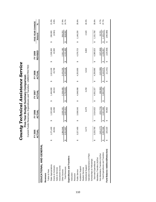|                                   |   |                        |   | Current Funds Revenues, Expenditures and Transfers - UNRESTRICTED |   |           |   |               |                       |                |   |                  |         |
|-----------------------------------|---|------------------------|---|-------------------------------------------------------------------|---|-----------|---|---------------|-----------------------|----------------|---|------------------|---------|
|                                   |   | FY 2005<br>ACTUAL      |   | FY 2006                                                           |   | FY 2007   |   | FY 2008       |                       | FY 2009        |   | FIVE-YEAR CHANGE |         |
|                                   |   |                        |   | <b>ACTUAL</b>                                                     |   | ACTUAL    |   | <b>ACTUAL</b> |                       | <b>REVISED</b> |   | Amount           | న్      |
| EDUCATIONAL AND GENERAL           |   |                        |   |                                                                   |   |           |   |               |                       |                |   |                  |         |
| Revenues                          |   |                        |   |                                                                   |   |           |   |               |                       |                |   |                  |         |
| Tuition & Fees                    |   |                        |   |                                                                   |   |           |   |               |                       |                |   |                  |         |
| State Appropriations              | ↮ | 1,271,400              | ↔ | 1,322,600                                                         | ↮ | 1,484,900 | ↮ | 1,613,100     | ↔                     | 1,538,300      | ↮ | 266,900          | 21.0%   |
| Grants & Contracts                |   | 46,561                 |   | 44,050                                                            |   | 48,313    |   | 43,799        |                       | 42,000         |   | (4,561)          | $-9.8%$ |
| Sales & Services                  |   |                        |   |                                                                   |   |           |   |               |                       |                |   |                  |         |
| Investment Income                 |   |                        |   |                                                                   |   |           |   |               |                       |                |   |                  |         |
| Other Sources                     |   |                        |   | 2,035,161                                                         |   | 2,258,409 |   | 2,476,230     |                       | 2,551,199      |   | 556,253          | 27.9%   |
| <b>Total Revenues</b>             |   | 1,994,946<br>3,312,907 | ↮ | 3,401,811                                                         | ↔ | 3,791,623 | ↔ | 4, 133, 128   | $\boldsymbol{\omega}$ | 4,131,499      | ↔ | 818,592          | 24.7%   |
| Expenditures and Transfers        |   |                        |   |                                                                   |   |           |   |               |                       |                |   |                  |         |
| Instruction                       |   |                        |   |                                                                   |   |           |   |               |                       |                |   |                  |         |
| Research                          |   |                        |   |                                                                   |   |           |   |               |                       |                |   |                  |         |
| Public Service                    | ↮ | 3,227,493              | ↮ | 3,508,543                                                         | ↮ | 4,048,068 | ↮ | 4,253,955     | ↮                     | 4,376,723      | ↮ | 1,149,230        | 35.6%   |
| Academic Support                  |   |                        |   |                                                                   |   |           |   |               |                       |                |   |                  |         |
| Student Services                  |   |                        |   |                                                                   |   |           |   |               |                       |                |   |                  |         |
| Institutional Support             |   | 6,272                  |   | 6,079                                                             |   | 3,259     |   | 6,010         |                       | 8,800          |   | 2,528            | 40.3%   |
| Operation & Maintenance of Plant  |   |                        |   |                                                                   |   |           |   |               |                       |                |   |                  |         |
| Scholarships & Fellowships        |   |                        |   |                                                                   |   |           |   |               |                       |                |   |                  |         |
| Sub-total Expenditures            | ω | 3,233,765              | ↮ | 3,514,622                                                         | ↔ | 4,051,327 | ↔ | 4,259,965     | ↮                     | 4,385,523      | ↔ | 1,151,758        | 35.6%   |
| Mandatory Transfers (In)/Out      |   |                        |   |                                                                   |   |           |   |               |                       |                |   |                  |         |
| Non-Mandatory Transfers (In)/Out  |   | 41,177)                |   | (212.774)                                                         |   | (58, 382) |   | (115.395)     |                       | (127, 456)     |   | 13,721           | $-9.7%$ |
| Total Expenditures and Transfers  | ↮ | 3,092,588              | ↮ | 3,301,848                                                         | ↮ | 3,992,945 | ↮ | 4,144,570     | $\boldsymbol{\omega}$ | 4,258,067      | ↮ | 1,165,479        | 37.7%   |
| Fund Balance Addition/(Reduction) |   | 220,320                | ↮ | 99,963                                                            |   |           | ↔ | (11, 441)     | ↔                     | (126, 568)     | ↔ | (346, 888)       |         |
|                                   |   |                        |   |                                                                   |   |           |   |               |                       |                |   |                  |         |

**County Technical Assistance Service**<br>Five-Year Budget Summary Comparison<br>Current Funds Revenues, Expenditures and Transfers - UNRESTRICTED *County Technical Assistance Service* **Five-Year Budget Summary Comparison**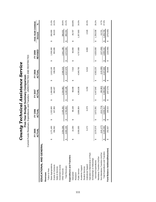|                                   |   | 2005                      |   | FY 2006   |   | FY 2007    |     | FY 2008    |                        | FY 2009        |                       | FIVE-YEAR CHANGE |         |
|-----------------------------------|---|---------------------------|---|-----------|---|------------|-----|------------|------------------------|----------------|-----------------------|------------------|---------|
|                                   |   | <b>TUAL</b><br><b>FYZ</b> |   | ACTUAL    |   | ACTUAL     |     | ACTUAL     |                        | <b>REVISED</b> |                       | Amount           | న్      |
| EDUCATIONAL AND GENERAL           |   |                           |   |           |   |            |     |            |                        |                |                       |                  |         |
| Revenues                          |   |                           |   |           |   |            |     |            |                        |                |                       |                  |         |
| Tuition & Fees                    |   |                           |   |           |   |            |     |            |                        |                |                       |                  |         |
| State Appropriations              | ↮ | ,271,400                  | ↮ | 1,322,600 | ↮ | 1,484,900  | ↮   | 1,613,100  | ↮                      | 1,538,300      | ↮                     | 266,900          | 21.0%   |
| Grants & Contracts                |   | 356,562                   |   | 337,950   |   | 362,407    |     | 338,259    |                        | 393,085        |                       | 36,523           | 10.2%   |
| Sales & Services                  |   |                           |   |           |   |            |     |            |                        |                |                       |                  |         |
| Investment Income                 |   |                           |   |           |   |            |     |            |                        |                |                       |                  |         |
| Other Sources                     |   | 054,268                   |   | 2,105,282 |   | 2,334,882  |     | 2,566,319  |                        | 2,641,199      |                       | 586,931          | 28.6%   |
| <b>Total Revenues</b>             |   | ,682,230                  | ↔ | 3,765,832 | ↮ | 4,182,188  | ิ⇔∥ | 4,517,678  | $\boldsymbol{\varphi}$ | 4,572,584      | $\boldsymbol{\omega}$ | 890,354          | 24.2%   |
| Expenditures and Transfers        |   |                           |   |           |   |            |     |            |                        |                |                       |                  |         |
| Instruction                       | ക | 14,293                    | ക | 59,108    | ↮ | 59,048     | ക   | 7,510      | ↮                      | 60,000         | ↮                     | 45,707           | 319.8%  |
| Research                          |   |                           |   |           |   |            |     |            |                        |                |                       |                  |         |
| Public Service                    |   | 550,005<br>ო              |   | 3,806,904 |   | 4,385,638  |     | 4,549,705  |                        | 4,757,808      |                       | 1,207,803        | 34.0%   |
| Academic Support                  |   |                           |   |           |   |            |     |            |                        |                |                       |                  |         |
| Student Services                  |   |                           |   |           |   |            |     |            |                        |                |                       |                  |         |
| Institutional Support             |   | 6,272                     |   | 6,079     |   | 3,259      |     | 6,010      |                        | 8,800          |                       | 2,528            | 40.3%   |
| Operation & Maintenance of Plant  |   |                           |   |           |   |            |     |            |                        |                |                       |                  |         |
| Scholarships & Fellowships        |   |                           |   |           |   |            |     |            |                        |                |                       |                  |         |
| Sub-total Expenditures            |   | 570,570                   | ↮ | 3,872,091 | ↮ | 4,447,945  | ↔   | 4,563,225  | ↮                      | 4,826,608      | ↮                     | 1,256,038        | 35.2%   |
| Mandatory Transfers (In)/Out      |   |                           |   |           |   |            |     |            |                        |                |                       |                  |         |
| Non-Mandatory Transfers (In)/Out  |   | (141.177)                 |   | (212,774) |   | (58, 382)  |     | (115, 395) |                        | (127, 456)     |                       | 13,721           | $-9.7%$ |
| Total Expenditures and Transfers  |   | ,429,393                  | ↮ | 3,659,317 | ↮ | 4,389,563  | ↮   | ,447,830   | ↮                      | 4,699,152      | ↮                     | 1,269,759        | 37.0%   |
| Fund Balance Addition/(Reduction) |   | 252,837                   | ↔ | 106,515   | ↔ | (207, 374) | ↔   | 69,848     | ↔                      | (126, 568)     | ↔                     | (379, 405)       |         |
|                                   |   |                           |   |           |   |            |     |            |                        |                |                       |                  |         |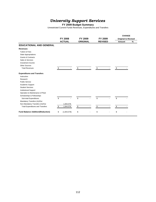# *University Support Services*

**FY 2009 Budget Summary**

Unrestricted Current Funds Revenues, Expenditures and Transfers

|                                          |                   |                 |                |        | <b>CHANGE</b>              |   |
|------------------------------------------|-------------------|-----------------|----------------|--------|----------------------------|---|
|                                          | <b>FY 2008</b>    | FY 2009         | FY 2009        |        | <b>Original to Revised</b> |   |
|                                          | <b>ACTUAL</b>     | <b>ORIGINAL</b> | <b>REVISED</b> | Amount |                            | % |
| <b>EDUCATIONAL AND GENERAL</b>           |                   |                 |                |        |                            |   |
| <b>Revenues</b>                          |                   |                 |                |        |                            |   |
| <b>Tuition &amp; Fees</b>                |                   |                 |                |        |                            |   |
| <b>State Appropriations</b>              |                   |                 |                |        |                            |   |
| <b>Grants &amp; Contracts</b>            |                   |                 |                |        |                            |   |
| Sales & Services                         |                   |                 |                |        |                            |   |
| Investment Income                        |                   |                 |                |        |                            |   |
| <b>Other Sources</b>                     |                   |                 |                |        |                            |   |
| <b>Total Revenues</b>                    | \$                | \$              | \$             | \$     |                            |   |
| <b>Expenditures and Transfers</b>        |                   |                 |                |        |                            |   |
| Instruction                              |                   |                 |                |        |                            |   |
| Research                                 |                   |                 |                |        |                            |   |
| <b>Public Service</b>                    |                   |                 |                |        |                            |   |
| Academic Support                         |                   |                 |                |        |                            |   |
| <b>Student Services</b>                  |                   |                 |                |        |                            |   |
| <b>Institutional Support</b>             |                   |                 |                |        |                            |   |
| Operation & Maintenance of Plant         |                   |                 |                |        |                            |   |
| Scholarships & Fellowships               |                   |                 |                |        |                            |   |
| Sub-total Expenditures                   | \$                | \$              | \$             | \$     |                            |   |
| Mandatory Transfers (In)/Out             |                   |                 |                |        |                            |   |
| Non-Mandatory Transfers (In)/Out         | 1,844,578         |                 |                |        |                            |   |
| <b>Total Expenditures and Transfers</b>  | \$<br>1,844,578   | \$              | \$             | \$     |                            |   |
| <b>Fund Balance Addition/(Reduction)</b> | \$<br>(1,844,578) | \$              | \$             | \$     |                            |   |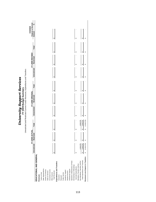| Č<br>$\ddot{\phantom{0}}$<br>֧֧֧֢֚<br>i | ľ<br>?<br>?<br>i |
|-----------------------------------------|------------------|
|                                         |                  |

Unrestricted and Restricted Current Funds Revenues, Expenditures and Transfers

| မာ<br>EDUCATIONAL AND GENERAL<br>Operation & Maintenance of Plant<br>Non-Mandatory Transfers (In)/Out<br>Expenditures and Transfers | 1,844,578<br>Unrestricted | FY 2008 ACTUAL<br>Restricted<br>G | မာ<br>ω<br>∥ | 1,844,578<br>Total | Unrestricted<br>↮<br>မာ | ↮<br>မာ | FY 2009 ORIGINAL<br>Restricted | Total<br>G,<br>Ġθ | Θļ<br>ω | Unrestricted | FY 2009 REVISED<br>Restricted<br>69<br>ω | Total<br>$\boldsymbol{\varphi}$<br>မာ | <b>Original to Revised</b><br>CHANGE<br>Amount<br>G,<br>မာ | $\infty$ |
|-------------------------------------------------------------------------------------------------------------------------------------|---------------------------|-----------------------------------|--------------|--------------------|-------------------------|---------|--------------------------------|-------------------|---------|--------------|------------------------------------------|---------------------------------------|------------------------------------------------------------|----------|
| Ø<br>Total Expenditures and Transfers                                                                                               | 1,844,578                 | ↮                                 | မာ           | 1,844,578          | ↮                       | 69      |                                | GG.               | G,      |              |                                          |                                       |                                                            |          |
| ω<br>Revenues Less Expend. & Transfers                                                                                              | (1,844,578)               | G                                 | 69           | (1,844,578)        | မာ                      | G       |                                | GB                | G       |              | မာ                                       | G                                     |                                                            |          |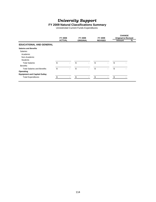# *University Support*

### **FY 2009 Natural Classifications Summary**

Unrestricted Current Funds Expenditures

|                                     | <b>FY 2008</b> |                          | FY 2009         |                          | FY 2009        |   | <b>CHANGE</b><br><b>Original to Revised</b> |   |
|-------------------------------------|----------------|--------------------------|-----------------|--------------------------|----------------|---|---------------------------------------------|---|
|                                     | <b>ACTUAL</b>  |                          | <b>ORIGINAL</b> |                          | <b>REVISED</b> |   | Amount                                      | % |
| <b>EDUCATIONAL AND GENERAL</b>      |                |                          |                 |                          |                |   |                                             |   |
| <b>Salaries and Benefits</b>        |                |                          |                 |                          |                |   |                                             |   |
| <b>Salaries</b>                     |                |                          |                 |                          |                |   |                                             |   |
| Academic                            |                |                          |                 |                          |                |   |                                             |   |
| Non-Academic                        |                |                          |                 |                          |                |   |                                             |   |
| <b>Students</b>                     |                |                          |                 |                          |                |   |                                             |   |
| <b>Total Salaries</b>               | \$             | $\blacksquare$           | \$              |                          | \$             |   | \$                                          |   |
| <b>Benefits</b>                     |                |                          |                 |                          |                |   |                                             |   |
| <b>Total Salaries and Benefits</b>  | \$             | $\overline{\phantom{a}}$ | \$              | $\overline{\phantom{a}}$ | \$             | ۰ | \$                                          |   |
| Operating                           |                |                          |                 |                          |                |   |                                             |   |
| <b>Equipment and Capital Outlay</b> |                |                          |                 |                          |                |   |                                             |   |
| <b>Total Expenditures</b>           | \$             |                          | £.              |                          |                |   |                                             |   |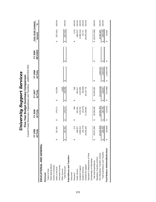| i<br>$\frac{1}{2}$<br>֞<br>i<br>U<br>・・・こ<br>$\frac{1}{2}$ | L<br>Ĕ<br>J. |
|------------------------------------------------------------|--------------|
|------------------------------------------------------------|--------------|

Current Funds Revenues, Expenditures and Transfers - UNRESTRICTED Current Funds Revenues, Expenditures and Transfers - UNRESTRICTED

|                                   |   | FY 2005<br><b>ACTUAL</b> |   | FY 2006<br>ACTUAL |   | <b>ACTUAL</b><br>FY 2007 |   | FY 2008<br>ACTUAL | <b>REVISED</b><br>FY 2009 | Amount            | FIVE-YEAR CHANGE | న్                  |
|-----------------------------------|---|--------------------------|---|-------------------|---|--------------------------|---|-------------------|---------------------------|-------------------|------------------|---------------------|
| EDUCATIONAL AND GENERAL           |   |                          |   |                   |   |                          |   |                   |                           |                   |                  |                     |
| Revenues                          |   |                          |   |                   |   |                          |   |                   |                           |                   |                  |                     |
| Tuition & Fees                    |   |                          |   |                   |   |                          |   |                   |                           |                   |                  |                     |
| State Appropriations              |   |                          |   |                   |   |                          |   |                   |                           |                   |                  |                     |
| Grants & Contracts                |   |                          |   |                   |   |                          |   |                   |                           |                   |                  |                     |
| Sales & Services                  |   | 257,441                  | ↮ | 179,171           | ↔ | 151,854                  |   |                   |                           | ↔                 |                  | $(257,441)$ -100.0% |
| Investment Income                 |   |                          |   |                   |   |                          |   |                   |                           |                   |                  |                     |
| Other Sources                     |   |                          |   |                   |   | 4,505                    |   |                   |                           |                   |                  |                     |
| <b>Total Revenues</b>             |   | 257,441                  | ↮ | 179, 171          | ↔ | 156,359                  | ↮ |                   | ↔                         | ↮                 | (257, 441)       | $-100.0%$           |
| Expenditures and Transfers        |   |                          |   |                   |   |                          |   |                   |                           |                   |                  |                     |
| Instruction                       |   |                          |   |                   |   |                          |   |                   |                           |                   |                  |                     |
| Research                          | ↔ | 174                      | ↮ | 348               | ↔ | 348                      |   |                   |                           | ↔                 | (174)            | $-100.0%$           |
| Public Service                    |   | 485,027                  |   | 533,191           |   | 801,617                  |   |                   |                           |                   | (485, 027)       | $-100.0%$           |
| Academic Support                  |   | 2,696,314                |   | 2,525,754         |   | 3,187,858                |   |                   |                           |                   | (2,696,314)      | $-100.0%$           |
| Student Services                  |   | (64, 772)                |   | (41, 974)         |   | (53, 336)                |   |                   |                           |                   | 64,772           | 100.0%              |
| Institutional Support             |   | 26,555,526               |   | 27,240,862        |   | 28,115,778               |   |                   |                           |                   | (26, 555, 526)   | $-100.0%$           |
| Operation & Maintenance of Plant  |   |                          |   |                   |   |                          |   |                   |                           |                   |                  |                     |
| Scholarships & Fellowships        |   |                          |   |                   |   |                          |   |                   |                           |                   |                  |                     |
| Sub-total Expenditures            |   | 29,672,269               | ↮ | 30,258,180        | ↔ | 32,052,265               | ക |                   | ↮                         | \$ (29, 672, 269) |                  | $-100.0%$           |
| Mandatory Transfers (In)/Out      |   |                          |   |                   |   |                          |   |                   |                           |                   |                  |                     |
| Non-Mandatory Transfers (In)/Out  |   | (29, 364, 000)           |   | (30,065,394)      |   | (31,523,219)             |   | 1,844,578         |                           |                   | 29,364,000       | $-100.0%$           |
| Total Expenditures and Transfers  |   | 308,269                  | ↮ | 192,786           | ↮ | 529,047                  | ↮ | 1,844,578         | ↮                         | ๛                 | (308, 269)       | $-100.0%$           |
| Fund Balance Addition/(Reduction) |   | (50, 828)                | ↔ | (13, 615)         | ↔ | (372, 688)               | ↔ | (1,844,578)       | ↮                         | ↔                 | 50,828           |                     |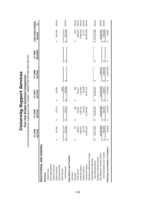|                                   |    | FY 2005<br>š<br>ACT |   | FY 2006<br>ACTUAL |   | FY 2007<br>ACTUAL |   | FY 2008<br>ACTUAL | <b>REVISED</b><br>FY 2009 |   | FIVE-YEAR CHANGE<br>Amount | ಸಿ        |
|-----------------------------------|----|---------------------|---|-------------------|---|-------------------|---|-------------------|---------------------------|---|----------------------------|-----------|
| EDUCATIONAL AND GENERAL           |    |                     |   |                   |   |                   |   |                   |                           |   |                            |           |
| Revenues                          |    |                     |   |                   |   |                   |   |                   |                           |   |                            |           |
| Tuition & Fees                    |    |                     |   |                   |   |                   |   |                   |                           |   |                            |           |
| State Appropriations              |    |                     |   |                   |   |                   |   |                   |                           |   |                            |           |
| Grants & Contracts                |    |                     |   |                   |   |                   |   |                   |                           |   |                            |           |
| Sales & Services                  | ↔  | 257,441             | ↮ | 179, 171          | ↮ | 151,854           |   |                   |                           | ↮ | (257, 441)                 | $-100.0%$ |
| Investment Income                 |    |                     |   |                   |   |                   |   |                   |                           |   |                            |           |
| Other Sources                     |    |                     |   |                   |   | 4,505             |   |                   |                           |   |                            |           |
| <b>Total Revenues</b>             |    | 257,441             | ↮ | 179,171           | ↮ | 156,359           | ↮ |                   | ↮                         | ↮ | (257, 441)                 | $-100.0%$ |
| Expenditures and Transfers        |    |                     |   |                   |   |                   |   |                   |                           |   |                            |           |
| Instruction                       |    |                     |   |                   |   |                   |   |                   |                           |   |                            |           |
| Research                          | ↔  | 174                 | ↮ | 348               | ↮ | 348               |   |                   |                           | ↮ | (174)                      | $-100.0%$ |
| Public Service                    |    | 485,027             |   | 533,191           |   | 801,617           |   |                   |                           |   | (485, 027)                 | $-100.0%$ |
| Academic Support                  |    | 2,696,314           |   | 2,525,754         |   | 3,187,858         |   |                   |                           |   | (2,696,314)                | $-100.0%$ |
| Student Services                  |    | (64, 772)           |   | (41, 974)         |   | (53, 336)         |   |                   |                           |   | 64,772                     | $-100.0%$ |
| Institutional Support             |    | 26,555,526          |   | 27,240,862        |   | 28,115,778        |   |                   |                           |   | (26, 555, 526)             | $-100.0%$ |
| Operation & Maintenance of Plant  |    |                     |   |                   |   |                   |   |                   |                           |   |                            |           |
| Scholarships & Fellowships        |    |                     |   |                   |   |                   |   |                   |                           |   |                            |           |
| Sub-total Expenditures            | မာ | 29,672,269          | ↮ | 30,258,180        | ↮ | 32,052,265        | ↮ |                   | မာ                        |   | \$ (29, 672, 269)          | $-100.0%$ |
| Mandatory Transfers (In)/Out      |    |                     |   |                   |   |                   |   |                   |                           |   |                            |           |
| Non-Mandatory Transfers (In)/Out  |    | (29, 364, 000)      |   | (30,065,394)      |   | (31, 523, 219)    |   | 1,844,578         |                           |   | 29,364,000                 | $-100.0%$ |
| Total Expenditures and Transfers  |    | 308,269             | ↮ | 192,786           | ↮ | 529,047           | ↮ | 1,844,578         | ↮                         | ↮ | (308, 269)                 | $-100.0%$ |
| Revenues Less Expend. & Transfers |    | (50, 828)           | ↔ | (13, 615)         | ↔ | (372, 688)        | ↔ | (1, 844, 578)     | ↔                         | ↮ | 50,828                     |           |
|                                   |    |                     |   |                   |   |                   |   |                   |                           |   |                            |           |

**University Support Services** *University Support Services* **Five-Year Budget Summary Comparison**

**Five-Year Budget Summary Comparison**<br>Current Funds Revenues, Expenditures and Transfers - UNRESTRICTED AND RESTRICTED Current Funds Revenues, Expenditures and Transfers - UNRESTRICTED AND RESTRICTED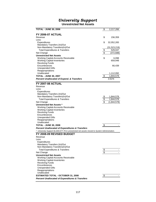## *University Support*

**Unrestricted Net Assets**

| <b>TOTAL - JUNE 30, 2006</b>                                                                   | \$              | 2,217,266              |
|------------------------------------------------------------------------------------------------|-----------------|------------------------|
|                                                                                                |                 |                        |
| <b>FY 2006-07 ACTUAL</b>                                                                       |                 |                        |
| Revenue<br>Less:                                                                               | \$              | 156,359                |
| Expenditures                                                                                   | \$              | 32,052,265             |
| Mandatory Transfers (In)/Out                                                                   |                 |                        |
| Non-Mandatory Transfers(In)/Out                                                                |                 | (31,523,219)           |
| <b>Total Expenditures &amp; Transfers</b>                                                      | \$              | 529,047                |
| Net Change                                                                                     | \$              | (372,688)              |
| <b>Unrestricted Net Assets</b>                                                                 |                 |                        |
| <b>Working Capital-Accounts Receivable</b>                                                     | \$              | 6,098                  |
| <b>Working Capital-Inventories</b><br><b>Revolving Funds</b>                                   |                 | 659,948                |
| Encumbrances                                                                                   |                 | 66,439                 |
| <b>Unexpended Gifts</b>                                                                        |                 |                        |
| Reappropriations                                                                               |                 |                        |
| Unallocated                                                                                    |                 | 1,112,092              |
| <b>TOTAL - JUNE 30, 2007</b>                                                                   | \$              | 1,844,578              |
| <b>Percent Unallocated of Expend. &amp; Transfers</b>                                          |                 | 3.61%                  |
| <b>FY 2007-08 ACTUAL</b>                                                                       |                 |                        |
| Revenue                                                                                        |                 |                        |
| Less:                                                                                          |                 |                        |
| Expenditures                                                                                   |                 |                        |
| Mandatory Transfers (In)/Out<br>Non-Mandatory Transfers(In)/Out                                |                 |                        |
| <b>Total Expenditures &amp; Transfers</b>                                                      | \$<br>\$        | 1,844,578<br>1,844,578 |
| Net Change                                                                                     | $\overline{\$}$ | (1,844,578)            |
| Unrestricted Net Assets *                                                                      |                 |                        |
| <b>Working Capital-Accounts Receivable</b>                                                     |                 |                        |
| <b>Working Capital-Inventories</b>                                                             |                 |                        |
| <b>Revolving Funds</b>                                                                         |                 |                        |
| Encumbrances                                                                                   |                 |                        |
| Unexpended Gifts<br>Reappropriations                                                           |                 |                        |
| Unallocated                                                                                    |                 |                        |
| <b>TOTAL - JUNE 30, 2008</b>                                                                   | \$              |                        |
| <b>Percent Unallocated of Expenditures &amp; Transfers</b>                                     |                 |                        |
| * University Support \$1,844,577.79 in unrestricted net assets moved to System Administration. |                 |                        |
| FY 2008-09 REVISED BUDGET                                                                      |                 |                        |
| Revenue                                                                                        |                 |                        |
| Less:                                                                                          |                 |                        |
| Expenditures<br>Mandatory Transfers (In)/Out                                                   |                 |                        |
| Non-Mandatory Transfers(In)/Out                                                                |                 |                        |
| <b>Total Expenditures &amp; Transfers</b>                                                      | \$              |                        |
| Net Change                                                                                     | \$              |                        |
| <b>Unrestricted Net Assets</b>                                                                 |                 |                        |
| <b>Working Capital-Accounts Receivable</b>                                                     |                 |                        |
| <b>Working Capital-Inventories</b>                                                             |                 |                        |
| <b>Revolving Funds</b><br>Encumbrances                                                         |                 |                        |
| <b>Unexpended Gifts</b>                                                                        |                 |                        |
| Reappropriations                                                                               |                 |                        |
| Unallocated                                                                                    |                 |                        |
| <b>ESTIMATED TOTAL - OCTOBER 31, 2008</b>                                                      | \$              |                        |
| <b>Percent Unallocated of Expenditures &amp; Transfers</b>                                     |                 |                        |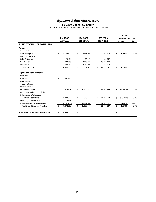## *System Administration*

#### **FY 2009 Budget Summary**

Unrestricted Current Funds Revenues, Expenditures and Transfers

|                                          |                  |              |                 |    |                | <b>CHANGE</b>              |         |
|------------------------------------------|------------------|--------------|-----------------|----|----------------|----------------------------|---------|
|                                          | <b>FY 2008</b>   |              | FY 2009         |    | FY 2009        | <b>Original to Revised</b> |         |
|                                          | <b>ACTUAL</b>    |              | <b>ORIGINAL</b> |    | <b>REVISED</b> | Amount                     | %       |
| <b>EDUCATIONAL AND GENERAL</b>           |                  |              |                 |    |                |                            |         |
| <b>Revenues</b>                          |                  |              |                 |    |                |                            |         |
| <b>Tuition &amp; Fees</b>                |                  |              |                 |    |                |                            |         |
| <b>State Appropriations</b>              | \$<br>4.736.600  | \$           | 4,653,700       | \$ | 4,761,700      | \$<br>108,000              | 2.3%    |
| <b>Grants &amp; Contracts</b>            |                  |              |                 |    |                |                            |         |
| Sales & Services                         | 126,404          |              | 50,647          |    | 50,647         |                            |         |
| Investment Income                        | 24,460,896       |              | 13,000,000      |    | 13,000,000     |                            |         |
| <b>Other Sources</b>                     | 4,744,783        |              | 3,983,000       |    | 3,983,000      |                            |         |
| <b>Total Revenues</b>                    | \$<br>34,068,683 | \$           | 21,687,347      | S. | 21,795,347     | \$<br>108,000              | 0.5%    |
| <b>Expenditures and Transfers</b>        |                  |              |                 |    |                |                            |         |
| Instruction                              |                  |              |                 |    |                |                            |         |
| Research                                 | \$<br>1,061,499  |              |                 |    |                |                            |         |
| <b>Public Service</b>                    |                  |              |                 |    |                |                            |         |
| Academic Support                         |                  |              |                 |    |                |                            |         |
| <b>Student Services</b>                  |                  |              |                 |    |                |                            |         |
| <b>Institutional Support</b>             | 51,416,413       | \$           | 51,910,147      | \$ | 51,704,529     | \$<br>(205, 618)           | $-0.4%$ |
| Operation & Maintenance of Plant         |                  |              |                 |    |                |                            |         |
| Scholarships & Fellowships               |                  |              |                 |    |                |                            |         |
| Sub-total Expenditures                   | \$<br>52,477,912 | $\mathbf{s}$ | 51,910,147      | \$ | 51,704,529     | \$<br>(205, 618)           | $-0.4%$ |
| Mandatory Transfers (In)/Out             | 176,598          |              |                 |    |                |                            |         |
| Non-Mandatory Transfers (In)/Out         | (24, 181, 946)   |              | (30, 222, 800)  |    | (29,909,182)   | 313,618                    | $-1.0%$ |
| <b>Total Expenditures and Transfers</b>  | \$<br>28,472,563 | \$           | 21,687,347      | \$ | 21,795,347     | \$<br>108,000              | 0.5%    |
| <b>Fund Balance Addition/(Reduction)</b> | \$<br>5,596,120  | \$           |                 | \$ |                | \$                         |         |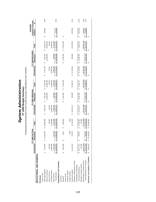*System A* **d** *ministratio n* **FY 2009 Budget Summary**

Unrestricted and Restricted Current Funds Revenues, Expenditures and Transfers

|                                   |                | FY 2008 ACTUAL |                  |                                      | FY 2009 ORIGINAL |                  |                  | FY 2009 REVISED |                        | <b>Original to Revised</b><br>CHANGE |         |
|-----------------------------------|----------------|----------------|------------------|--------------------------------------|------------------|------------------|------------------|-----------------|------------------------|--------------------------------------|---------|
|                                   | Unrestricted   | Restricted     | Total            | Unrestricted                         | Restricted       | Total            | Unrestricted     | Restricted      | Total                  | Amount                               | వ్      |
| EDUCATIONAL AND GENERAL           |                |                |                  |                                      |                  |                  |                  |                 |                        |                                      |         |
| Revenues                          |                |                |                  |                                      |                  |                  |                  |                 |                        |                                      |         |
| Tuition & Fees                    |                |                |                  |                                      |                  |                  |                  |                 |                        |                                      |         |
| State Appropriations              | \$4,736,600    | \$ 13,922,460  | \$ 18,659,060    | 4,653,700<br>မာ                      | \$7,831,000      | \$12,484,700     | 4,761,700<br>မာ  | 7,831,000<br>s  | 12,592,700<br>မာ       | 108,000<br>မာ                        | 0.9%    |
| Grants & Contracts                |                |                |                  |                                      | 10,000,000       | 10,000,000       |                  | 10,000,000      | 10,000,000             |                                      |         |
| Sales & Services                  | 126,404        |                | 126,404          | 50,647                               |                  | 50,647           | 50,647           |                 | 50,647                 |                                      |         |
| Investment Income                 | 24,460,896     |                | 24,460,896       | 13,000,000                           |                  | 13,000,000       | 13,000,000       |                 | 13,000,000             |                                      |         |
| Other Sources                     | 4,744,783      | 657,625        | 5,402,408        | 3,983,000                            | 550,000          | 4,533,000        | 3,983,000        | 550,000         | 4,533,000              |                                      |         |
| <b>Total Revenue</b>              | \$ 34,068,683  | \$ 14,580,085  | 48,648,768<br>မာ | 21,687,347<br>$\boldsymbol{\varphi}$ | 18,381,000<br>ø  | 40,068,347<br>69 | 21,795,347<br>မာ | 18,381,000<br>ø | 40,176,347<br>Ø        | 108,000<br>မာ                        | 0.3%    |
| Expenditures and Transfers        |                |                |                  |                                      |                  |                  |                  |                 |                        |                                      |         |
| Instruction                       |                |                |                  |                                      |                  |                  |                  |                 |                        |                                      |         |
| Research                          | \$ 1,061,499   | 5,061<br>မာ    | 1,066,560<br>မာ  |                                      | \$ 17,831,000    | \$ 17,831,000    |                  | \$7,831,000     | \$ 17,831,000          | မာ                                   |         |
| Public Service                    |                |                |                  |                                      |                  |                  |                  |                 |                        |                                      |         |
| Academic Support                  |                |                |                  |                                      |                  |                  |                  |                 |                        |                                      |         |
| Student Services                  |                | (250)          | (250)            |                                      |                  |                  |                  |                 |                        |                                      |         |
| Institutional Support             | 51,416,413     | 775,870        | 52, 192, 283     | 51,910,147<br>မာ                     | 550,000          | 52,460,147       | 51,704,529<br>မာ | 550,000         | 52,254,529             | (205, 618)                           | $-0.4%$ |
| Operation & Maintenance of Plant  |                |                |                  |                                      |                  |                  |                  |                 |                        |                                      |         |
| Scholarships & Fellowships        |                |                |                  |                                      |                  |                  |                  |                 |                        |                                      |         |
| Sub-total Expenditures            | \$ 52,477,912  | 780,681        | 53,258,592<br>မာ | 51,910,147<br>မာ                     | \$18,381,000     | 70,291,147<br>s  | 51,704,529<br>မာ | \$18,381,000    | 70,085,529<br>$\theta$ | (205, 618)<br>G                      | $-0.3%$ |
| Mandatory Transfers (In)/Out      | 176,598        |                | 176,598          |                                      |                  |                  |                  |                 |                        |                                      |         |
| Non-Mandatory Transfers (In)/Out  | (24, 181, 946) |                | (24, 181, 946)   | (30, 222, 800)                       |                  | (30, 222, 800)   | (29, 909, 182)   |                 | (29, 909, 182)         | 313,618                              | $-1.0%$ |
| Total Expenditures and Transfers  | \$28,472,563   | 780,681<br>Ø   | 29,253,244<br>မာ | 21,687,347<br>↮                      | 18,381,000<br>↮  | 40,068,347<br>↮  | 21,795,347<br>မာ | 18,381,000<br>↮ | 40,176,347<br>↮        | 108,000<br>↮                         | $0.3\%$ |
| Revenues Less Expend. & Transfers | \$ 5,596,120   | \$ 13,799,404  | \$ 19,395,525    | မာ                                   |                  | G                | G)               | G)              |                        | G)                                   |         |
|                                   |                |                |                  |                                      |                  |                  |                  |                 |                        |                                      |         |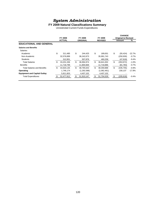# *System Administration*

### **FY 2009 Natural Classifications Summary**

Unrestricted Current Funds Expenditures

|                                     |    | <b>FY 2008</b> |    | FY 2009         |    | <b>FY 2009</b> |     | <b>CHANGE</b><br><b>Original to Revised</b> |          |
|-------------------------------------|----|----------------|----|-----------------|----|----------------|-----|---------------------------------------------|----------|
|                                     |    | <b>ACTUAL</b>  |    | <b>ORIGINAL</b> |    | <b>REVISED</b> |     | Amount                                      | %        |
| <b>EDUCATIONAL AND GENERAL</b>      |    |                |    |                 |    |                |     |                                             |          |
| <b>Salaries and Benefits</b>        |    |                |    |                 |    |                |     |                                             |          |
| <b>Salaries</b>                     |    |                |    |                 |    |                |     |                                             |          |
| Academic                            | \$ | 311.485        | \$ | 244.425         | \$ | 189.001        | \$  | (55, 424)                                   | $-22.7%$ |
| Non-Academic                        |    | 32,576,899     |    | 36,242,673      |    | 35,991,743     |     | (250, 930)                                  | $-0.7\%$ |
| <b>Students</b>                     |    | 312,951        |    | 507,876         |    | 460,258        |     | (47,618)                                    | $-9.4%$  |
| <b>Total Salaries</b>               | \$ | 33,201,336     | \$ | 36,994,974      | \$ | 36,641,002     | \$  | (353,972)                                   | $-1.0%$  |
| <b>Benefits</b>                     |    | 11,718,799     |    | 11,800,669      |    | 11,718,886     |     | (81, 783)                                   | $-0.7%$  |
| <b>Total Salaries and Benefits</b>  | S  | 44,920,135     | \$ | 48,795,643      | \$ | 48,359,888     | \$  | (435, 755)                                  | $-0.9%$  |
| Operating                           |    | 1,746,174      |    | (1,292,598)     |    | (1,062,461)    |     | 230,137                                     | $-17.8%$ |
| <b>Equipment and Capital Outlay</b> |    | 5,811,603      |    | 4,407,102       |    | 4,407,102      |     |                                             |          |
| <b>Total Expenditures</b>           |    | 52,477,912     | £. | 51,910,147      | £. | 51,704,529     | \$. | (205, 618)                                  | $-0.4%$  |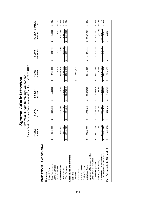|                                   |    | FY 2005<br>ACTUAL |    | FY 2006<br>ACTUAL |                        | FY 2007<br>ACTUAL |                       | FY 2008<br>ACTUAL |                        | <b>REVISED</b><br>FY 2009 |   | FIVE-YEAR CHANGE<br>Amount | \$              |
|-----------------------------------|----|-------------------|----|-------------------|------------------------|-------------------|-----------------------|-------------------|------------------------|---------------------------|---|----------------------------|-----------------|
| EDUCATIONAL AND GENERAL           |    |                   |    |                   |                        |                   |                       |                   |                        |                           |   |                            |                 |
| Revenues                          |    |                   |    |                   |                        |                   |                       |                   |                        |                           |   |                            |                 |
| Tuition & Fees                    |    |                   |    |                   |                        |                   |                       |                   |                        |                           |   |                            |                 |
| State Appropriations              |    | 3,846,000         | ↔  | 3,775,000         | ↮                      | 4,193,200         | ക                     | 4,736,600         | ↔                      | 4,761,700                 | ↮ | 915,700                    | 23.8%           |
| Grants & Contracts                |    |                   |    |                   |                        |                   |                       |                   |                        |                           |   |                            |                 |
| Sales & Services                  |    |                   |    |                   |                        |                   |                       | 126,404           |                        | 50,647                    |   | 50,647                     | 100.0%          |
| Investment Income                 |    | 3,468,644         |    | 12,923,895        |                        | 22, 178, 708      |                       | 24,460,896        |                        | 13,000,000                |   | 4,531,356                  | 53.5%           |
| Other Sources                     |    | ,481,370          |    | 2,525,797         |                        | 4,603,333         |                       | 4,744,783         |                        | 3,983,000                 |   | 2,501,630                  | 168.9%          |
| <b>Total Revenues</b>             |    | 13,796,015        | ↮  | 19,224,692        | $\leftrightarrow$      | 30,975,241        | $\boldsymbol{\omega}$ | 34,068,683        | $\boldsymbol{\omega}$  | 21,795,347                | ↮ | 7,999,332                  | 58.0%           |
| Expenditures and Transfers        |    |                   |    |                   |                        |                   |                       |                   |                        |                           |   |                            |                 |
| Instruction                       |    |                   |    |                   |                        |                   |                       |                   |                        |                           |   |                            |                 |
| Research                          |    |                   |    |                   |                        |                   | ↔                     | 1,061,499         |                        |                           |   |                            |                 |
| Public Service                    |    |                   |    |                   |                        |                   |                       |                   |                        |                           |   |                            |                 |
| Academic Support                  |    |                   |    |                   |                        |                   |                       |                   |                        |                           |   |                            |                 |
| Student Services                  |    |                   |    |                   |                        |                   |                       |                   |                        |                           |   |                            |                 |
| Institutional Support             | မာ | 25,333,228        | ↮  | 26,931,324        | ↮                      | 29,528,535        |                       | 51,416,413        | ↮                      | 51,704,529                | ↮ | 26,371,301                 | 104.1%          |
| Operation & Maintenance of Plant  |    |                   |    |                   |                        |                   |                       |                   |                        |                           |   |                            |                 |
| Scholarships & Fellowships        |    |                   |    |                   |                        |                   |                       |                   |                        |                           |   |                            |                 |
| Sub-total Expenditures            |    | 25,333,228        | ↔  | 26,931,324        | ↮                      | 29,528,535        | ↔                     | 52,477,912        | ↮                      | 51,704,529                |   | \$26,371,301               | 104.1%          |
| Mandatory Transfers (In)/Out      |    | 32,039            |    | 11,754            |                        | 46,794            |                       | 176,598           |                        |                           |   | (32, 039)                  | $-100.0%$       |
| Non-Mandatory Transfers (In)/Out  |    | 0,963,531)        |    | (9,445,997)       |                        | (8,530,926)       |                       | (24, 181, 946)    |                        | (29, 909, 182)            |   | (18,945,651)               | 172.8%<br>51.3% |
| Total Expenditures and Transfers  |    | 14,401,736        | မာ | 17,497,082        | $\boldsymbol{\varphi}$ | 21,044,403        | $\Theta$              | 28,472,563        | $\boldsymbol{\varphi}$ | 21,795,347                | ↮ | 7,393,611                  |                 |
| Fund Balance Addition/(Reduction) |    | (605, 721)        | ↔  | 1,727,610         | ↮                      | 9,930,838         | ↮                     | 5,596,120         | ↔                      |                           | ↮ | 605,721                    |                 |
|                                   |    |                   |    |                   |                        |                   |                       |                   |                        |                           |   |                            |                 |

*System Administration*

**System Administration** 

Current Funds Revenues, Expenditures and Transfers - UNRESTRICTED **Five-Year Budget Summary Comparison**

**Five-Year Budget Summary Comparison**<br>Current Funds Revenues, Expenditures and Transfers - UNRESTRICTED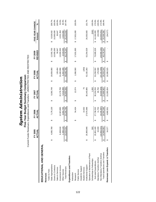|                                   |   | FY 2005<br>렃<br>ACTU    |   | FY 2006<br>ACTUAL |   | FY 2007<br>ACTUAL |   | FY 2008<br>ACTUAL |   | <b>REVISED</b><br>FY 2009 | FIVE-YEAR CHANGE<br>Amount | న్         |
|-----------------------------------|---|-------------------------|---|-------------------|---|-------------------|---|-------------------|---|---------------------------|----------------------------|------------|
| EDUCATIONAL AND GENERAL           |   |                         |   |                   |   |                   |   |                   |   |                           |                            |            |
| Revenues                          |   |                         |   |                   |   |                   |   |                   |   |                           |                            |            |
| Tuition & Fees                    |   |                         |   |                   |   |                   |   |                   |   |                           |                            |            |
| State Appropriations              | ↮ | 65,768<br>$\frac{0}{4}$ | ↮ | 7,176,130         | ↮ | 9,260,749         | ↮ | 18,659,060        | ↮ | 12,592,700                | 8,526,932<br>↔             | 209.7%     |
| Grants & Contracts                |   |                         |   |                   |   |                   |   |                   |   | 10,000,000                | 10,000,000                 | 100.0%     |
| Sales & Services                  |   |                         |   |                   |   |                   |   | 126,404           |   | 50,647                    | 50,647                     | 100.0%     |
| Investment Income                 |   | 8,468,644               |   | 12,923,895        |   | 22,178,708        |   | 24,460,896        |   | 13,000,000                | 4,531,356                  | 53.5%      |
| Other Sources                     |   | 2,490,118               |   | 3,064,765         |   | 5,516,099         |   | 5,402,408         |   | 4,533,000                 | 2,042,882                  | 82.0%      |
| <b>Total Revenues</b>             |   | 24,531<br>15,0          | ↮ | 23, 164, 790      | ↮ | 36,955,556        | ↮ | 48,648,768        | ↮ | 40,176,347                | 25,151,816<br>↮            | 167.4%     |
| Expenditures and Transfers        |   |                         |   |                   |   |                   |   |                   |   |                           |                            |            |
| Instruction                       |   |                         |   |                   |   |                   |   |                   |   |                           |                            |            |
| Research                          |   |                         | ↮ | 54,434            | ↮ | 12,074            | ↮ | 1,066,560         | ↮ | 17,831,000                | \$ 17,831,000              | 100.0%     |
| Public Service                    |   |                         |   |                   |   |                   |   |                   |   |                           |                            |            |
| Academic Support                  |   |                         |   |                   |   |                   |   |                   |   |                           |                            |            |
| Student Services                  |   |                         |   | 14,032            |   | 75                |   | (250)             |   |                           |                            |            |
| Institutional Support             | ↮ | 00,946<br>25,9          |   | 27,670,066        |   | 30,140,885        |   | 52, 192, 283      |   | 52,254,529                | 26,353,583                 | 101.7%     |
| Operation & Maintenance of Plant  |   |                         |   |                   |   |                   |   |                   |   |                           |                            |            |
| Scholarships & Fellowships        |   | 500                     |   |                   |   | 1,000             |   |                   |   |                           | (500)                      | $-100.0%$  |
| Sub-total Expenditures            | ഗ | 01,446<br>25,9          | ക | 27,738,532        | ഗ | 30,154,034        | ↔ | 53,258,592        | ക | 70,085,529                | 44,184,083<br>ക            | 170.6%     |
| Mandatory Transfers (In)/Out      |   | 32,039                  |   | 11,754            |   | 46,794            |   | 176,598           |   |                           | (32,039)                   | $-100.0\%$ |
| Non-Mandatory Transfers (In)/Out  |   | 63,531)<br>(10,9)       |   | (9,445,997)       |   | (8.530.926)       |   | (24, 181, 946)    |   | (29, 909, 182)            | (18,945,651)               | 172.8%     |
| Total Expenditures and Transfers  | ↮ | 969,953<br>14,9         | ↮ | 18,304,290        | ↮ | 21,669,902        | ↮ | 29,253,244        | ↮ | 40,176,347                | 25,206,394<br>↔            | 168.4%     |
| Revenues Less Expend. & Transfers |   | 54,577                  | ↔ | 4,860,501         | ↔ | 15,285,654        | ↔ | 19,395,525        | ↔ |                           | (54, 577)<br>↔             |            |

**System Administration** *System Administration*

**Five-Year Budget Summary Comparison**<br>Current Funds Revenues, Expenditures and Transfers - UNRESTRICTED AND RESTRICTED Current Funds Revenues, Expenditures and Transfers - UNRESTRICTED AND RESTRICTED **Five-Year Budget Summary Comparison**